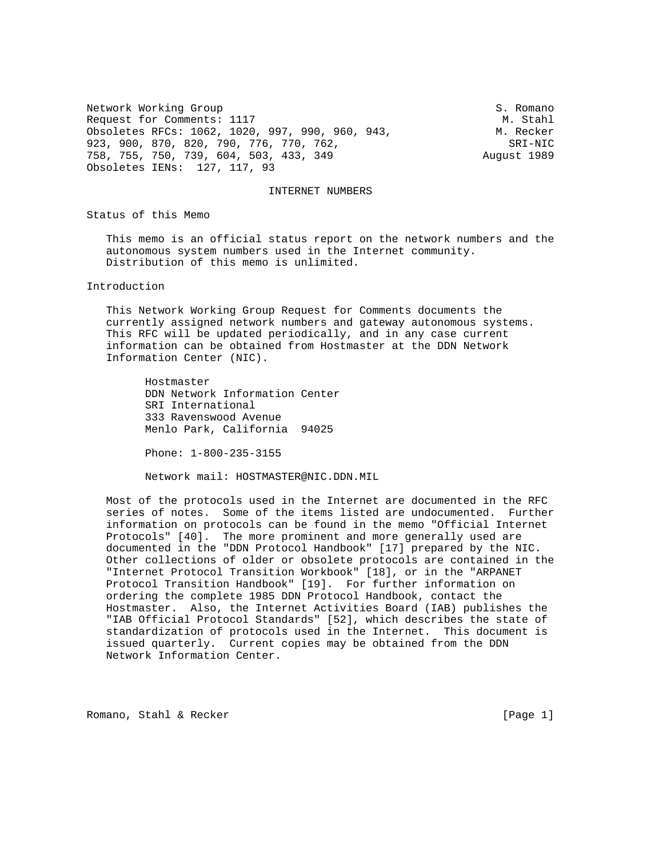Network Working Group S. Romano Request for Comments: 1117 M. Stahl Obsoletes RFCs: 1062, 1020, 997, 990, 960, 943, M. Recker 923, 900, 870, 820, 790, 776, 770, 762, SRI-NIC 758, 755, 750, 739, 604, 503, 433, 349 August 1989 Obsoletes IENs: 127, 117, 93

### INTERNET NUMBERS

Status of this Memo

 This memo is an official status report on the network numbers and the autonomous system numbers used in the Internet community. Distribution of this memo is unlimited.

Introduction

 This Network Working Group Request for Comments documents the currently assigned network numbers and gateway autonomous systems. This RFC will be updated periodically, and in any case current information can be obtained from Hostmaster at the DDN Network Information Center (NIC).

 Hostmaster DDN Network Information Center SRI International 333 Ravenswood Avenue Menlo Park, California 94025

Phone: 1-800-235-3155

Network mail: HOSTMASTER@NIC.DDN.MIL

 Most of the protocols used in the Internet are documented in the RFC series of notes. Some of the items listed are undocumented. Further information on protocols can be found in the memo "Official Internet Protocols" [40]. The more prominent and more generally used are documented in the "DDN Protocol Handbook" [17] prepared by the NIC. Other collections of older or obsolete protocols are contained in the "Internet Protocol Transition Workbook" [18], or in the "ARPANET Protocol Transition Handbook" [19]. For further information on ordering the complete 1985 DDN Protocol Handbook, contact the Hostmaster. Also, the Internet Activities Board (IAB) publishes the "IAB Official Protocol Standards" [52], which describes the state of standardization of protocols used in the Internet. This document is issued quarterly. Current copies may be obtained from the DDN Network Information Center.

Romano, Stahl & Recker [Page 1]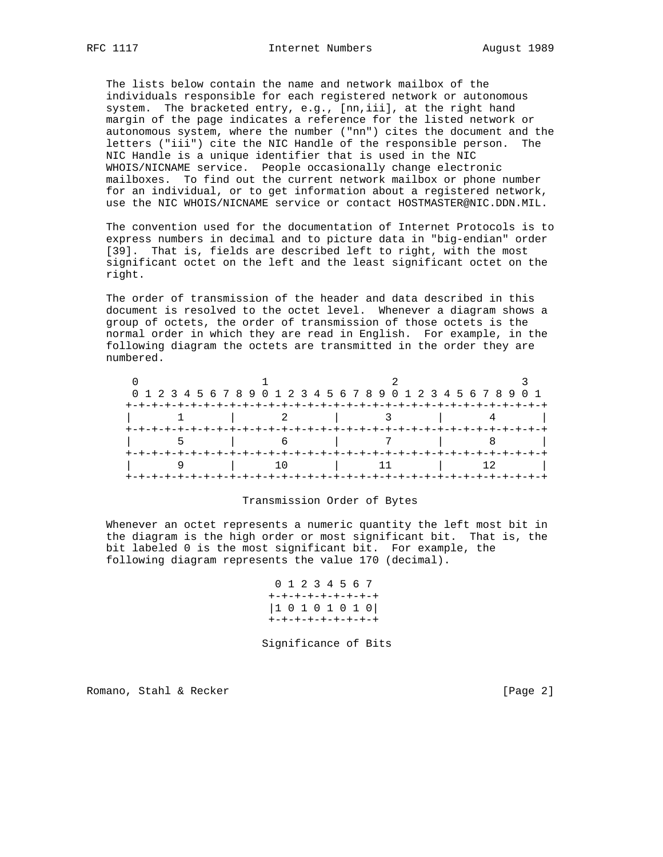The lists below contain the name and network mailbox of the individuals responsible for each registered network or autonomous system. The bracketed entry, e.g., [nn,iii], at the right hand margin of the page indicates a reference for the listed network or autonomous system, where the number ("nn") cites the document and the letters ("iii") cite the NIC Handle of the responsible person. The NIC Handle is a unique identifier that is used in the NIC WHOIS/NICNAME service. People occasionally change electronic mailboxes. To find out the current network mailbox or phone number for an individual, or to get information about a registered network, use the NIC WHOIS/NICNAME service or contact HOSTMASTER@NIC.DDN.MIL.

 The convention used for the documentation of Internet Protocols is to express numbers in decimal and to picture data in "big-endian" order [39]. That is, fields are described left to right, with the most significant octet on the left and the least significant octet on the right.

 The order of transmission of the header and data described in this document is resolved to the octet level. Whenever a diagram shows a group of octets, the order of transmission of those octets is the normal order in which they are read in English. For example, in the following diagram the octets are transmitted in the order they are numbered.

|  | 0 1 2 3 4 5 6 7 8 9 0 1 2 3 4 5 6 7 8 9 0 1 2 3 4 5 6 7 8 9 0 1 |  |
|--|-----------------------------------------------------------------|--|
|  |                                                                 |  |
|  |                                                                 |  |
|  |                                                                 |  |
|  |                                                                 |  |
|  |                                                                 |  |
|  |                                                                 |  |
|  |                                                                 |  |

## Transmission Order of Bytes

 Whenever an octet represents a numeric quantity the left most bit in the diagram is the high order or most significant bit. That is, the bit labeled 0 is the most significant bit. For example, the following diagram represents the value 170 (decimal).

> 0 1 2 3 4 5 6 7 +-+-+-+-+-+-+-+-+ |1 0 1 0 1 0 1 0| +-+-+-+-+-+-+-+-+

Significance of Bits

Romano, Stahl & Recker [Page 2]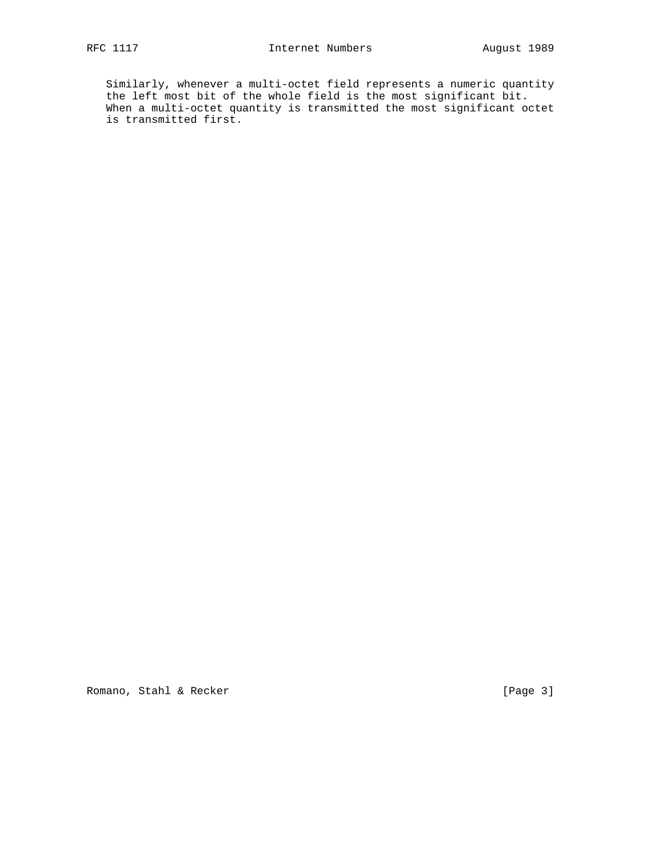Similarly, whenever a multi-octet field represents a numeric quantity the left most bit of the whole field is the most significant bit. When a multi-octet quantity is transmitted the most significant octet is transmitted first.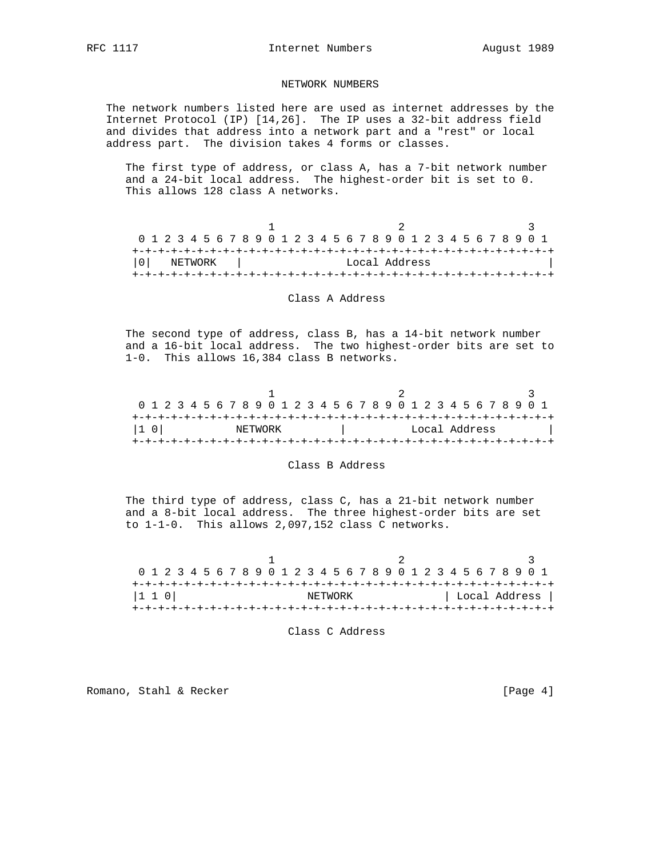# NETWORK NUMBERS

 The network numbers listed here are used as internet addresses by the Internet Protocol (IP) [14,26]. The IP uses a 32-bit address field and divides that address into a network part and a "rest" or local address part. The division takes 4 forms or classes.

 The first type of address, or class A, has a 7-bit network number and a 24-bit local address. The highest-order bit is set to 0. This allows 128 class A networks.

|                |  |  |         |  | 0 1 2 3 4 5 6 7 8 9 0 1 2 3 4 5 6 7 8 9 0 1 2 3 4 5 6 7 8 9 0 1 |  |  |  |  |  |               |  |  |  |  |  |
|----------------|--|--|---------|--|-----------------------------------------------------------------|--|--|--|--|--|---------------|--|--|--|--|--|
|                |  |  |         |  |                                                                 |  |  |  |  |  |               |  |  |  |  |  |
| 0 <sup>1</sup> |  |  | NETWORK |  |                                                                 |  |  |  |  |  | Local Address |  |  |  |  |  |
|                |  |  |         |  |                                                                 |  |  |  |  |  |               |  |  |  |  |  |

## Class A Address

 The second type of address, class B, has a 14-bit network number and a 16-bit local address. The two highest-order bits are set to 1-0. This allows 16,384 class B networks.

|       |  |  |  |  | 0 1 2 3 4 5 6 7 8 9 0 1 2 3 4 5 6 7 8 9 0 1 2 3 4 5 6 7 8 9 0 1 |  |  |  |  |  |  |  |               |  |  |  |
|-------|--|--|--|--|-----------------------------------------------------------------|--|--|--|--|--|--|--|---------------|--|--|--|
|       |  |  |  |  |                                                                 |  |  |  |  |  |  |  |               |  |  |  |
| I1 OI |  |  |  |  | NETWORK                                                         |  |  |  |  |  |  |  | Local Address |  |  |  |
|       |  |  |  |  |                                                                 |  |  |  |  |  |  |  |               |  |  |  |

#### Class B Address

 The third type of address, class C, has a 21-bit network number and a 8-bit local address. The three highest-order bits are set to 1-1-0. This allows 2,097,152 class C networks.

 $1$  2 3 0 1 2 3 4 5 6 7 8 9 0 1 2 3 4 5 6 7 8 9 0 1 2 3 4 5 6 7 8 9 0 1 +-+-+-+-+-+-+-+-+-+-+-+-+-+-+-+-+-+-+-+-+-+-+-+-+-+-+-+-+-+-+-+-+ |1 1 0| NETWORK | Local Address | +-+-+-+-+-+-+-+-+-+-+-+-+-+-+-+-+-+-+-+-+-+-+-+-+-+-+-+-+-+-+-+-+

Class C Address

Romano, Stahl & Recker [Page 4]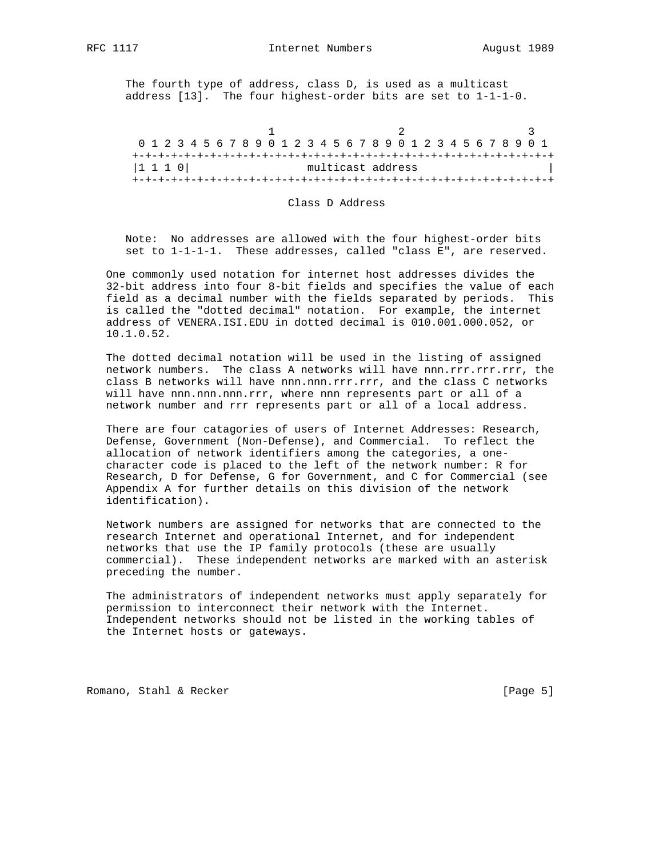The fourth type of address, class D, is used as a multicast address [13]. The four highest-order bits are set to 1-1-1-0.

 $1$  2 3 0 1 2 3 4 5 6 7 8 9 0 1 2 3 4 5 6 7 8 9 0 1 2 3 4 5 6 7 8 9 0 1 +-+-+-+-+-+-+-+-+-+-+-+-+-+-+-+-+-+-+-+-+-+-+-+-+-+-+-+-+-+-+-+-+ |1 1 1 0| multicast address +-+-+-+-+-+-+-+-+-+-+-+-+-+-+-+-+-+-+-+-+-+-+-+-+-+-+-+-+-+-+-+-+

## Class D Address

 Note: No addresses are allowed with the four highest-order bits set to 1-1-1-1. These addresses, called "class E", are reserved.

 One commonly used notation for internet host addresses divides the 32-bit address into four 8-bit fields and specifies the value of each field as a decimal number with the fields separated by periods. This is called the "dotted decimal" notation. For example, the internet address of VENERA.ISI.EDU in dotted decimal is 010.001.000.052, or 10.1.0.52.

 The dotted decimal notation will be used in the listing of assigned network numbers. The class A networks will have nnn.rrr.rrr.rrr, the class B networks will have nnn.nnn.rrr.rrr, and the class C networks will have nnn.nnn.nnn.rrr, where nnn represents part or all of a network number and rrr represents part or all of a local address.

 There are four catagories of users of Internet Addresses: Research, Defense, Government (Non-Defense), and Commercial. To reflect the allocation of network identifiers among the categories, a one character code is placed to the left of the network number: R for Research, D for Defense, G for Government, and C for Commercial (see Appendix A for further details on this division of the network identification).

 Network numbers are assigned for networks that are connected to the research Internet and operational Internet, and for independent networks that use the IP family protocols (these are usually commercial). These independent networks are marked with an asterisk preceding the number.

 The administrators of independent networks must apply separately for permission to interconnect their network with the Internet. Independent networks should not be listed in the working tables of the Internet hosts or gateways.

Romano, Stahl & Recker [Page 5]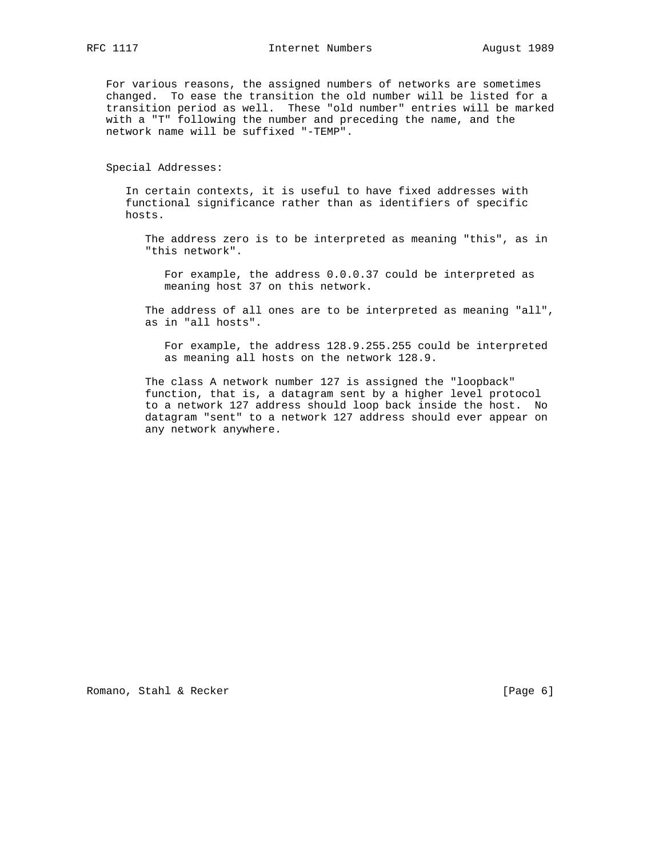For various reasons, the assigned numbers of networks are sometimes changed. To ease the transition the old number will be listed for a transition period as well. These "old number" entries will be marked with a "T" following the number and preceding the name, and the network name will be suffixed "-TEMP".

Special Addresses:

 In certain contexts, it is useful to have fixed addresses with functional significance rather than as identifiers of specific hosts.

 The address zero is to be interpreted as meaning "this", as in "this network".

 For example, the address 0.0.0.37 could be interpreted as meaning host 37 on this network.

 The address of all ones are to be interpreted as meaning "all", as in "all hosts".

 For example, the address 128.9.255.255 could be interpreted as meaning all hosts on the network 128.9.

 The class A network number 127 is assigned the "loopback" function, that is, a datagram sent by a higher level protocol to a network 127 address should loop back inside the host. No datagram "sent" to a network 127 address should ever appear on any network anywhere.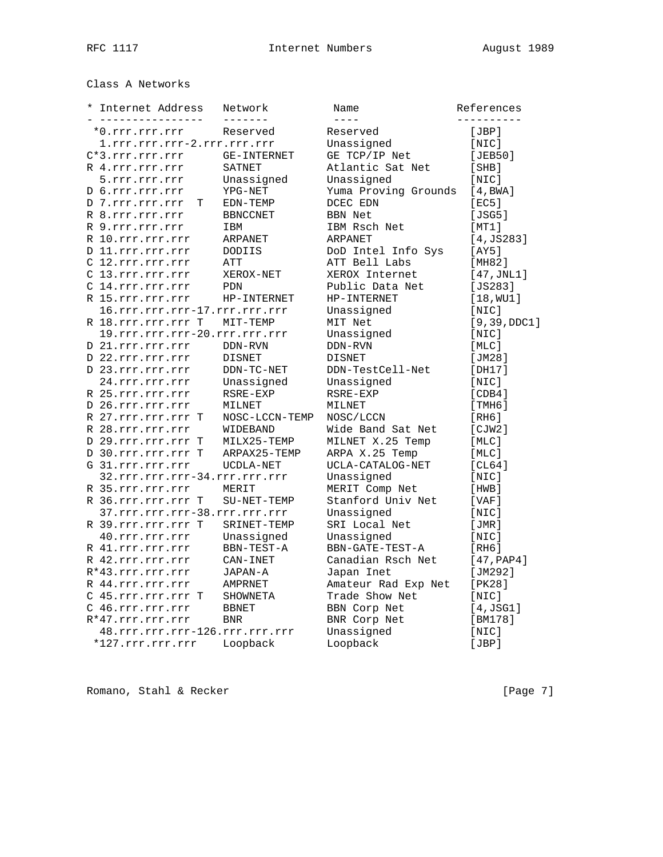# Class A Networks

| Internet Address<br>$^\star$<br>---------------- |   | Network<br>-------             | Name<br>$- - - -$    | References<br>- - - - - - - - - |
|--------------------------------------------------|---|--------------------------------|----------------------|---------------------------------|
| *0.rrr.rrr.rrr                                   |   | Reserved                       | Reserved             | [JBP]                           |
| 1.rrr.rrr.rrr-2.rrr.rrr.rrr                      |   |                                | Unassigned           | [NIC]                           |
| $C*3.rrr.rrr.rrr$                                |   | GE-INTERNET                    | GE TCP/IP Net        | [JEB50]                         |
| R 4.rrr.rrr.rrr                                  |   | SATNET                         | Atlantic Sat Net     | [SHB]                           |
| 5.rrr.rrr.rrr                                    |   | Unassigned                     | Unassigned           | [NIC]                           |
| D 6.rrr.rrr.rrr                                  |   | YPG-NET                        | Yuma Proving Grounds | [4, BWA]                        |
| D 7.rrr.rrr.rrr                                  | т | EDN-TEMP                       | DCEC EDN             | [EC5]                           |
| R 8.rrr.rrr.rrr                                  |   | <b>BBNCCNET</b>                | <b>BBN Net</b>       | [JSG5]                          |
| R 9.rrr.rrr.rrr                                  |   | IBM                            | IBM Rsch Net         | [MT1]                           |
| R 10.rrr.rrr.rrr                                 |   | ARPANET                        | ARPANET              | $[4,$ JS283]                    |
| D 11.rrr.rrr.rrr                                 |   | DODIIS                         | DoD Intel Info Sys   | [AY5]                           |
| C 12.rrr.rrr.rrr                                 |   | ATT                            | ATT Bell Labs        | [MH82]                          |
| C 13.rrr.rrr.rrr                                 |   | XEROX-NET                      | XEROX Internet       | $[47, \text{JNL1}]$             |
| C 14.rrr.rrr.rrr                                 |   | PDN                            | Public Data Net      | $[JS283]$                       |
| R 15.rrr.rrr.rrr                                 |   | HP-INTERNET                    | HP-INTERNET          | [18, WU1]                       |
| 16.rrr.rrr.rrr-17.rrr.rrr.rrr                    |   |                                | Unassigned           | [NIC]                           |
| R 18.rrr.rrr.rrr T                               |   | MIT-TEMP                       | MIT Net              | [9, 39, DDC1]                   |
| 19.rrr.rrr.rrr-20.rrr.rrr.rrr                    |   |                                | Unassigned           | [NIC]                           |
| D 21.rrr.rrr.rrr                                 |   | DDN-RVN                        | DDN-RVN              | [MLC]                           |
| D 22.rrr.rrr.rrr                                 |   | <b>DISNET</b>                  | <b>DISNET</b>        | [JM28]                          |
| D 23.rrr.rrr.rrr                                 |   | DDN-TC-NET                     | DDN-TestCell-Net     | [DH17]                          |
| 24.rrr.rrr.rrr                                   |   | Unassigned                     | Unassigned           | [NIC]                           |
| R 25.rrr.rrr.rrr                                 |   | RSRE-EXP                       | RSRE-EXP             | [CDB4]                          |
| D 26.rrr.rrr.rrr                                 |   | MILNET                         | MILNET               | [THH6]                          |
| R 27.rrr.rrr.rrr T                               |   | NOSC-LCCN-TEMP                 | NOSC/LCCN            | [RH6]                           |
| R 28.rrr.rrr.rrr                                 |   | WIDEBAND                       | Wide Band Sat Net    | [CIW2]                          |
| D 29.rrr.rrr.rrr T                               |   | MILX25-TEMP                    | MILNET X.25 Temp     | [MLC]                           |
| D 30.rrr.rrr.rrr T                               |   | ARPAX25-TEMP                   | ARPA X.25 Temp       | [MLC]                           |
| G 31.rrr.rrr.rrr                                 |   | UCDLA-NET                      | UCLA-CATALOG-NET     | [CL64]                          |
| 32.rrr.rrr.rrr-34.rrr.rrr.rrr                    |   |                                | Unassigned           | [NIC]                           |
| R 35.rrr.rrr.rrr                                 |   | MERIT                          | MERIT Comp Net       | [HWB]                           |
| R 36.rrr.rrr.rrr T                               |   | SU-NET-TEMP                    | Stanford Univ Net    | [VAF]                           |
| 37.rrr.rrr.rrr-38.rrr.rrr.rrr                    |   |                                | Unassigned           | [NIC]                           |
| R 39.rrr.rrr.rrr T                               |   | SRINET-TEMP                    | SRI Local Net        | [JMR]                           |
| 40.rrr.rrr.rrr                                   |   | Unassigned                     | Unassigned           | [NIC]                           |
| R 41.rrr.rrr.rrr                                 |   | BBN-TEST-A                     | BBN-GATE-TEST-A      | [RH6]                           |
| R 42.rrr.rrr.rrr                                 |   | CAN-INET                       | Canadian Rsch Net    | [47, PAP4]                      |
| R*43.rrr.rrr.rrr                                 |   | JAPAN-A                        | Japan Inet           | [JM292]                         |
| R 44.rrr.rrr.rrr                                 |   | AMPRNET                        | Amateur Rad Exp Net  | [PK28]                          |
| C 45.rrr.rrr.rrr T                               |   | SHOWNETA                       | Trade Show Net       | [NIC]                           |
| C 46.rrr.rrr.rrr                                 |   | <b>BBNET</b>                   | BBN Corp Net         | [4,JSG1]                        |
| $R*47.rrr.rrr.rrr$                               |   | <b>BNR</b>                     | BNR Corp Net         | [BM178]                         |
|                                                  |   | 48.rrr.rrr.rrr-126.rrr.rrr.rrr | Unassigned           | $[$ NIC $]$                     |
| *127.rrr.rrr.rrr                                 |   | Loopback                       | Loopback             | [JBP]                           |

Romano, Stahl & Recker [Page 7]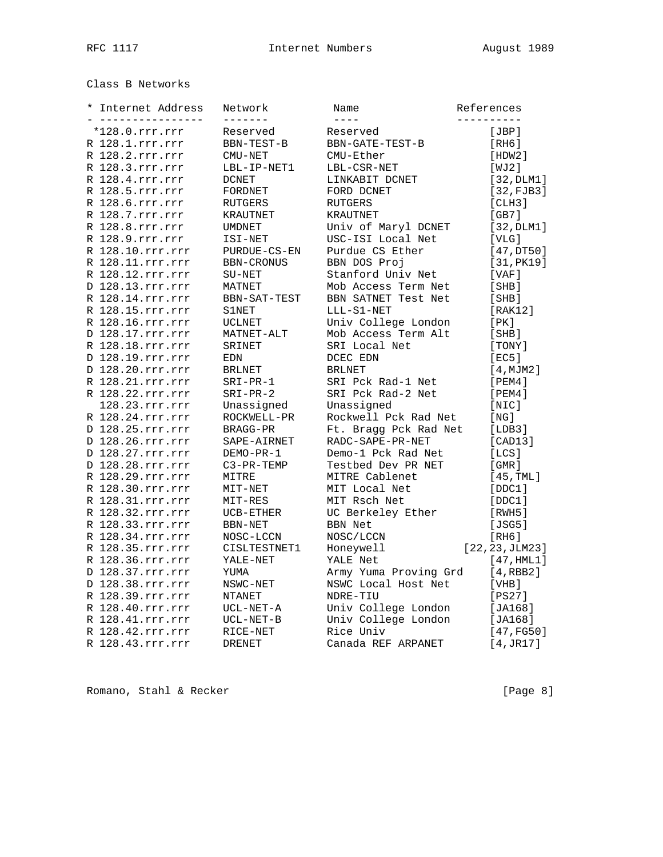# Class B Networks

| * | Internet Address                  | Network             | Name                    | References          |
|---|-----------------------------------|---------------------|-------------------------|---------------------|
|   | -------------<br>$*128.0.rrr.rrr$ | -------<br>Reserved | $- - - - -$<br>Reserved | ----------<br>[JBP] |
|   | R 128.1.rrr.rrr                   | BBN-TEST-B          | BBN-GATE-TEST-B         | [RH6]               |
|   | R 128.2.rrr.rrr                   | CMU-NET             | CMU-Ether               | [HDW2]              |
|   | R 128.3.rrr.rrr                   | LBL-IP-NET1         | LBL-CSR-NET             | [WJ2]               |
|   | R 128.4.rrr.rrr                   | <b>DCNET</b>        | LINKABIT DCNET          | [32, DLM1]          |
|   | R 128.5.rrr.rrr                   | FORDNET             | FORD DCNET              | [32, FJB3]          |
|   | R 128.6.rrr.rrr                   | RUTGERS             | <b>RUTGERS</b>          | [CHH3]              |
|   | R 128.7.rrr.rrr                   | KRAUTNET            | <b>KRAUTNET</b>         | [GB7]               |
|   | R 128.8.rrr.rrr                   | <b>UMDNET</b>       | Univ of Maryl DCNET     | [32, DLM1]          |
|   | R 128.9.rrr.rrr                   | ISI-NET             | USC-ISI Local Net       | [VLG]               |
|   | R 128.10.rrr.rrr                  | PURDUE-CS-EN        | Purdue CS Ether         | [47,DT50]           |
|   | R 128.11.rrr.rrr                  | BBN-CRONUS          | BBN DOS Proj            | [31, PK19]          |
|   | R 128.12.rrr.rrr                  | SU-NET              | Stanford Univ Net       | [VAF]               |
|   | D 128.13.rrr.rrr                  | MATNET              | Mob Access Term Net     | [SHB]               |
|   | R 128.14.rrr.rrr                  | BBN-SAT-TEST        | BBN SATNET Test Net     | [SHB]               |
|   | R 128.15.rrr.rrr                  | S1NET               | LLL-S1-NET              | [RAK12]             |
|   | R 128.16.rrr.rrr                  | UCLNET              | Univ College London     | [ PK ]              |
|   | D 128.17.rrr.rrr                  | MATNET-ALT          | Mob Access Term Alt     | [SHB]               |
|   | R 128.18.rrr.rrr                  | SRINET              | SRI Local Net           | [TONY]              |
|   | D 128.19.rrr.rrr                  | EDN                 | DCEC EDN                | [EC5]               |
|   | D 128.20.rrr.rrr                  | <b>BRLNET</b>       | <b>BRLNET</b>           | [4, MJM2]           |
|   | R 128.21.rrr.rrr                  | $SRI-PR-1$          | SRI Pck Rad-1 Net       | [PEM4]              |
|   | R 128.22.rrr.rrr                  | $SRI-PR-2$          | SRI Pck Rad-2 Net       | [PEM4]              |
|   | 128.23.rrr.rrr                    | Unassigned          | Unassigned              | [NIC]               |
|   | R 128.24.rrr.rrr                  | ROCKWELL-PR         | Rockwell Pck Rad Net    | [NG]                |
|   | D 128.25.rrr.rrr                  | BRAGG-PR            | Ft. Bragg Pck Rad Net   | [LDB3]              |
|   | D 128.26.rrr.rrr                  | SAPE-AIRNET         | RADC-SAPE-PR-NET        | [CAD13]             |
|   | D 128.27.rrr.rrr                  | DEMO-PR-1           | Demo-1 Pck Rad Net      | [LCS]               |
|   | D 128.28.rrr.rrr                  | $C3-PR-TEMP$        | Testbed Dev PR NET      | [ GMR ]             |
|   | R 128.29.rrr.rrr                  | MITRE               | MITRE Cablenet          | [45, TML]           |
|   | R 128.30.rrr.rrr                  | MIT-NET             | MIT Local Net           | [DDC1]              |
|   | R 128.31.rrr.rrr                  | MIT-RES             | MIT Rsch Net            | [DDC1]              |
|   | R 128.32.rrr.rrr                  | UCB-ETHER           | UC Berkeley Ether       | [RWH5]              |
|   | R 128.33.rrr.rrr                  | BBN-NET             | <b>BBN Net</b>          | [JSG5]              |
|   | R 128.34.rrr.rrr                  | NOSC-LCCN           | NOSC/LCCN               | [RH6]               |
|   | R 128.35.rrr.rrr                  | CISLTESTNET1        | Honeywell               | [22, 23, JLM23]     |
|   | R 128.36.rrr.rrr                  | YALE-NET            | YALE Net                | [47, HML1]          |
|   | D 128.37.rrr.rrr                  | YUMA                | Army Yuma Proving Grd   | [4, RBB2]           |
|   | D 128.38.rrr.rrr                  | NSWC-NET            | NSWC Local Host Net     | [VHB]               |
|   | R 128.39.rrr.rrr                  | NTANET              | NDRE-TIU                | [PS27]              |
|   | R 128.40.rrr.rrr                  | UCL-NET-A           | Univ College London     | [JA168]             |
|   | R 128.41.rrr.rrr                  | UCL-NET-B           | Univ College London     | [JA168]             |
|   | R 128.42.rrr.rrr                  | RICE-NET            | Rice Univ               | [47, FG50]          |
|   | R 128.43.rrr.rrr                  | DRENET              | Canada REF ARPANET      | [4,JR17]            |

Romano, Stahl & Recker [Page 8]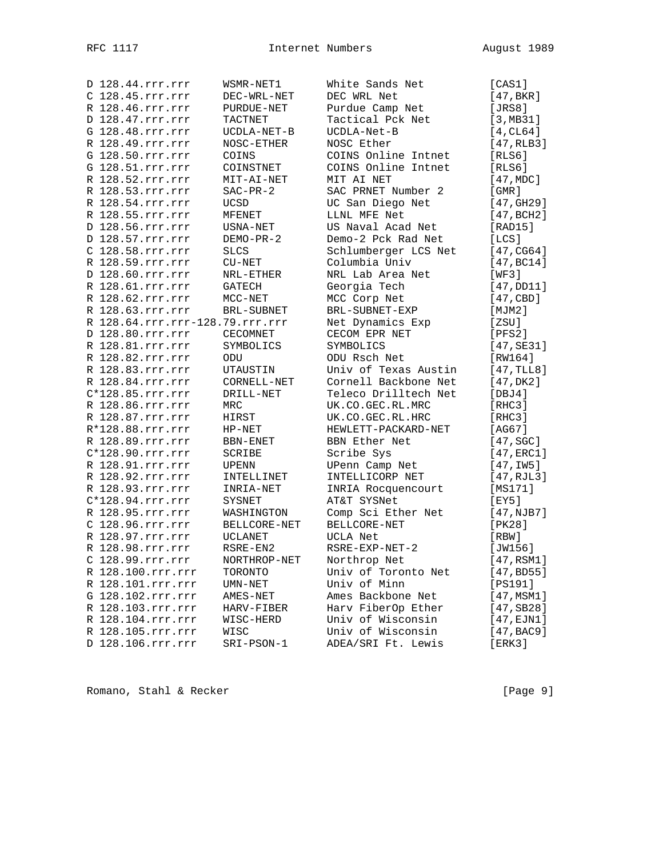| D 128.44.rrr.rrr                | WSMR-NET1       | White Sands Net      | [CAS1]                |
|---------------------------------|-----------------|----------------------|-----------------------|
| C 128.45.rrr.rrr                | DEC-WRL-NET     | DEC WRL Net          | [47, BKR]             |
| R 128.46.rrr.rrr                | PURDUE-NET      | Purdue Camp Net      | [JRS8]                |
| D 128.47.rrr.rrr                | TACTNET         | Tactical Pck Net     | [3,MB31]              |
| G 128.48.rrr.rrr                | UCDLA-NET-B     | UCDLA-Net-B          | $[4, \text{CL64}]$    |
| R 128.49.rrr.rrr                | NOSC-ETHER      | NOSC Ether           | [47, RLB3]            |
| G 128.50.rrr.rrr                | COINS           | COINS Online Intnet  | [RLS6]                |
| G 128.51.rrr.rrr                | COINSTNET       | COINS Online Intnet  | [RLS6]                |
| R 128.52.rrr.rrr                | MIT-AI-NET      | MIT AI NET           | [47, MDC]             |
| R 128.53.rrr.rrr                | $SAC-PR-2$      | SAC PRNET Number 2   | [GMR]                 |
| R 128.54.rrr.rrr                | <b>UCSD</b>     | UC San Diego Net     | [47, GHz9]            |
| R 128.55.rrr.rrr                | MFENET          | LLNL MFE Net         | [47, BCH2]            |
| D 128.56.rrr.rrr                | USNA-NET        | US Naval Acad Net    | [RAD15]               |
| D 128.57.rrr.rrr                | DEMO-PR-2       | Demo-2 Pck Rad Net   | [LCS]                 |
| C 128.58.rrr.rrr                | <b>SLCS</b>     | Schlumberger LCS Net | [47, CG64]            |
| R 128.59.rrr.rrr                | $CU-NET$        | Columbia Univ        | [47, BC14]            |
| D 128.60.rrr.rrr                | NRL-ETHER       | NRL Lab Area Net     | [WF3]                 |
| R 128.61.rrr.rrr                | GATECH          | Georgia Tech         | [47,DD11]             |
| R 128.62.rrr.rrr                | $MCC-NET$       | MCC Corp Net         | [47, CBD]             |
| R 128.63.rrr.rrr                | BRL-SUBNET      | BRL-SUBNET-EXP       | [MJM2]                |
| R 128.64.rrr.rrr-128.79.rrr.rrr |                 | Net Dynamics Exp     | [ZSU]                 |
| D 128.80.rrr.rrr                | <b>CECOMNET</b> | CECOM EPR NET        | [PFS2]                |
| R 128.81.rrr.rrr                | SYMBOLICS       | SYMBOLICS            | [47, SE31]            |
| R 128.82.rrr.rrr                | ODU             | ODU Rsch Net         | [RW164]               |
| R 128.83.rrr.rrr                | UTAUSTIN        | Univ of Texas Austin | [47, TLL8]            |
| R 128.84.rrr.rrr                | CORNELL-NET     | Cornell Backbone Net | [47,DK2]              |
| $C*128.85.rrr.rrr$              | DRILL-NET       | Teleco Drilltech Net | [DBJ4]                |
| R 128.86.rrr.rrr                | MRC             | UK.CO.GEC.RL.MRC     | [RHC3]                |
| R 128.87.rrr.rrr                | HIRST           | UK.CO.GEC.RL.HRC     | [RHC3]                |
| R*128.88.rrr.rrr                | $HP-NET$        | HEWLETT-PACKARD-NET  | [AG67]                |
| R 128.89.rrr.rrr                | BBN-ENET        | BBN Ether Net        | $[47, \text{SGC}]$    |
| $C*128.90.rrr.rrr$              | SCRIBE          | Scribe Sys           | $[47, \texttt{ERC1}]$ |
| R 128.91.rrr.rrr                | UPENN           | UPenn Camp Net       | [47,1W5]              |
| R 128.92.rrr.rrr                | INTELLINET      | INTELLICORP NET      | [47, RJL3]            |
| R 128.93.rrr.rrr                | INRIA-NET       | INRIA Rocquencourt   | [MS171]               |
| $C*128.94.rrr.rrr$              | SYSNET          | AT&T SYSNet          | [EY5]                 |
| R 128.95.rrr.rrr                | WASHINGTON      | Comp Sci Ether Net   | [47,NJB7]             |
| C 128.96.rrr.rrr                | BELLCORE-NET    | BELLCORE-NET         | [PK28]                |
| R 128.97.rrr.rrr                | <b>UCLANET</b>  | UCLA Net             | [RBW]                 |
| R 128.98.rrr.rrr                | RSRE-EN2        | RSRE-EXP-NET-2       | [JW156]               |
| C 128.99.rrr.rrr                | NORTHROP-NET    | Northrop Net         | [47,RSM1]             |
| R 128.100.rrr.rrr               | TORONTO         | Univ of Toronto Net  | [47, BDS5]            |
| R 128.101.rrr.rrr               | $UMN-NET$       | Univ of Minn         | [PS191]               |
| G 128.102.rrr.rrr               | AMES-NET        | Ames Backbone Net    | [47,MSM1]             |
| R 128.103.rrr.rrr               | HARV-FIBER      | Harv FiberOp Ether   | [47, SB28]            |
| R 128.104.rrr.rrr               | WISC-HERD       | Univ of Wisconsin    | [47,EJN1]             |
| R 128.105.rrr.rrr               | WISC            | Univ of Wisconsin    | [47, BAC9]            |
| D 128.106.rrr.rrr               | SRI-PSON-1      | ADEA/SRI Ft. Lewis   | [ERK3]                |
|                                 |                 |                      |                       |

Romano, Stahl & Recker [Page 9]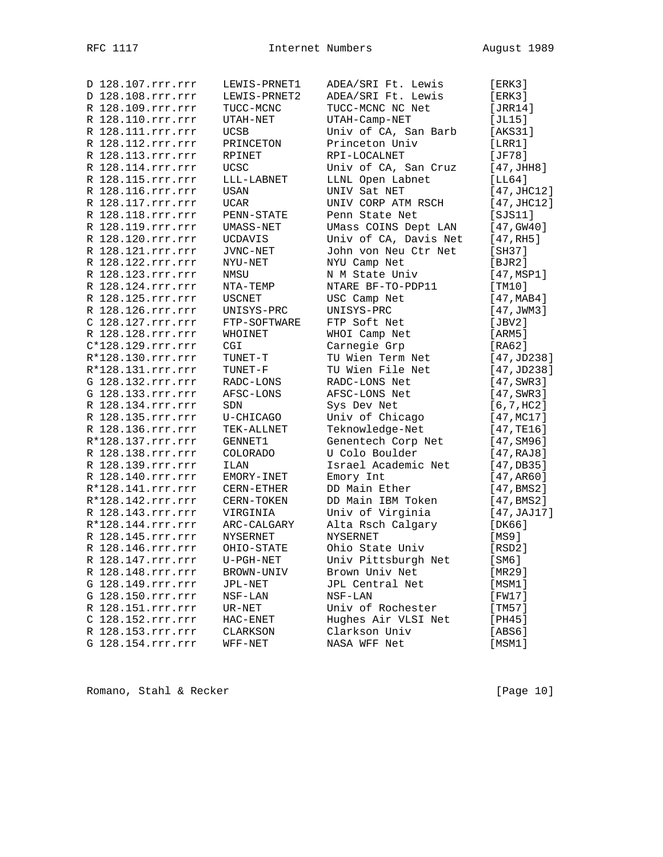| D 128.107.rrr.rrr | LEWIS-PRNET1    | ADEA/SRI Ft. Lewis    | [ERK3]                |
|-------------------|-----------------|-----------------------|-----------------------|
| D 128.108.rrr.rrr | LEWIS-PRNET2    | ADEA/SRI Ft. Lewis    | [ERK3]                |
| R 128.109.rrr.rrr | TUCC-MCNC       | TUCC-MCNC NC Net      | [JRR14]               |
| R 128.110.rrr.rrr | UTAH-NET        | UTAH-Camp-NET         | [JL15]                |
| R 128.111.rrr.rrr | <b>UCSB</b>     | Univ of CA, San Barb  | [AKS31]               |
| R 128.112.rrr.rrr | PRINCETON       | Princeton Univ        | [LRR1]                |
| R 128.113.rrr.rrr | RPINET          | RPI-LOCALNET          | [JF78]                |
| R 128.114.rrr.rrr | UCSC            | Univ of CA, San Cruz  | [47, JHH8]            |
| R 128.115.rrr.rrr | LLL-LABNET      | LLNL Open Labnet      | [LL64]                |
| R 128.116.rrr.rrr | USAN            | UNIV Sat NET          | [47, JHC12]           |
| R 128.117.rrr.rrr | UCAR            | UNIV CORP ATM RSCH    | [47, JHC12]           |
| R 128.118.rrr.rrr | PENN-STATE      | Penn State Net        | [SJS11]               |
| R 128.119.rrr.rrr | UMASS-NET       | UMass COINS Dept LAN  | $[47,$ GW $40]$       |
| R 128.120.rrr.rrr | UCDAVIS         | Univ of CA, Davis Net | [47, RHS]             |
| R 128.121.rrr.rrr | JVNC-NET        | John von Neu Ctr Net  | [SH37]                |
| R 128.122.rrr.rrr | NYU-NET         | NYU Camp Net          | [BJR2]                |
| R 128.123.rrr.rrr | NMSU            | N M State Univ        | $[47, \text{MSP1}]$   |
| R 128.124.rrr.rrr |                 | NTARE BF-TO-PDP11     |                       |
| R 128.125.rrr.rrr | NTA-TEMP        |                       | [TM10]                |
|                   | <b>USCNET</b>   | USC Camp Net          | [47, MAB4]            |
| R 128.126.rrr.rrr | UNISYS-PRC      | UNISYS-PRC            | [47, JWM3]            |
| C 128.127.rrr.rrr | FTP-SOFTWARE    | FTP Soft Net          | [JBV2]                |
| R 128.128.rrr.rrr | WHOINET         | WHOI Camp Net         | [ARM5]                |
| C*128.129.rrr.rrr | CGI             | Carnegie Grp          | [RA62]                |
| R*128.130.rrr.rrr | TUNET-T         | TU Wien Term Net      | [47, JD238]           |
| R*128.131.rrr.rrr | TUNET-F         | TU Wien File Net      | [47, JD238]           |
| G 128.132.rrr.rrr | RADC-LONS       | RADC-LONS Net         | $[47, \texttt{SWR3}]$ |
| G 128.133.rrr.rrr | AFSC-LONS       | AFSC-LONS Net         | $[47, \text{SWR}3]$   |
| R 128.134.rrr.rrr | SDN             | Sys Dev Net           | [6, 7, HC2]           |
| R 128.135.rrr.rrr | U-CHICAGO       | Univ of Chicago       | [47, MCl7]            |
| R 128.136.rrr.rrr | TEK-ALLNET      | Teknowledge-Net       | [47, TE16]            |
| R*128.137.rrr.rrr | GENNET1         | Genentech Corp Net    | [47, SM96]            |
| R 128.138.rrr.rrr | <b>COLORADO</b> | U Colo Boulder        | [47,RAJ8]             |
| R 128.139.rrr.rrr | ILAN            | Israel Academic Net   | [47, DB35]            |
| R 128.140.rrr.rrr | EMORY-INET      | Emory Int             | [47,AR60]             |
| R*128.141.rrr.rrr | CERN-ETHER      | DD Main Ether         | [47, BMS2]            |
| R*128.142.rrr.rrr | CERN-TOKEN      | DD Main IBM Token     | [47, BMS2]            |
| R 128.143.rrr.rrr | VIRGINIA        | Univ of Virginia      | [47, JAJ17]           |
| R*128.144.rrr.rrr | ARC-CALGARY     | Alta Rsch Calgary     | [DK66]                |
| R 128.145.rrr.rrr | NYSERNET        | <b>NYSERNET</b>       | [MS9]                 |
| R 128.146.rrr.rrr | OHIO-STATE      | Ohio State Univ       | [RSD2]                |
| R 128.147.rrr.rrr | $U-PGH-NET$     | Univ Pittsburgh Net   | [SM6]                 |
| R 128.148.rrr.rrr | BROWN-UNIV      | Brown Univ Net        | [MR29]                |
| G 128.149.rrr.rrr | JPL-NET         | JPL Central Net       | [MSM1]                |
| G 128.150.rrr.rrr | $NSF-LAN$       | $NSF-LAN$             | [FW17]                |
| R 128.151.rrr.rrr | UR-NET          | Univ of Rochester     | [TM57]                |
| C 128.152.rrr.rrr | HAC-ENET        | Hughes Air VLSI Net   | [PH45]                |
| R 128.153.rrr.rrr | CLARKSON        | Clarkson Univ         | [ABS6]                |
| G 128.154.rrr.rrr | WFF-NET         | NASA WFF Net          | [MSM1]                |
|                   |                 |                       |                       |

Romano, Stahl & Recker [Page 10]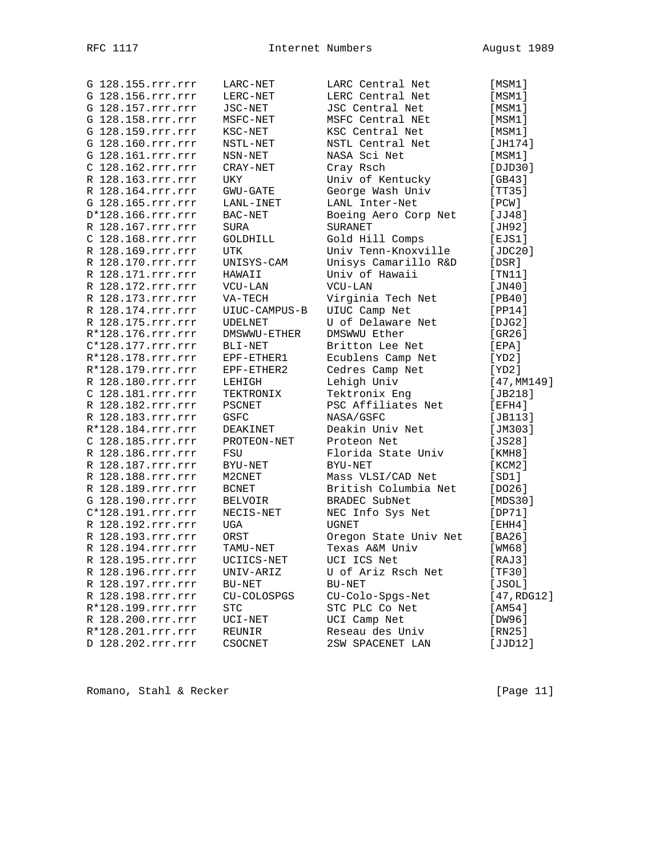| G 128.155.rrr.rrr | LARC-NET       | LARC Central Net      | [MSM1]      |
|-------------------|----------------|-----------------------|-------------|
| G 128.156.rrr.rrr | LERC-NET       | LERC Central Net      | [MSM1]      |
| G 128.157.rrr.rrr | JSC-NET        | JSC Central Net       | [MSM1]      |
| G 128.158.rrr.rrr | MSFC-NET       | MSFC Central NEt      | [MSM1]      |
| G 128.159.rrr.rrr | KSC-NET        | KSC Central Net       | [MSM1]      |
| G 128.160.rrr.rrr | NSTL-NET       | NSTL Central Net      | [JH174]     |
| G 128.161.rrr.rrr | NSN-NET        | NASA Sci Net          | [MSM1]      |
| C 128.162.rrr.rrr | CRAY-NET       | Cray Rsch             | [DJD30]     |
| R 128.163.rrr.rrr | UKY            | Univ of Kentucky      | [GB43]      |
| R 128.164.rrr.rrr | GWU-GATE       | George Wash Univ      | [TT35]      |
| G 128.165.rrr.rrr | LANL-INET      | LANL Inter-Net        | [PCW]       |
| D*128.166.rrr.rrr | BAC-NET        | Boeing Aero Corp Net  | [JJ48]      |
| R 128.167.rrr.rrr | SURA           | <b>SURANET</b>        | [JH92]      |
| C 128.168.rrr.rrr | GOLDHILL       | Gold Hill Comps       | [EJS1]      |
| R 128.169.rrr.rrr | <b>UTK</b>     | Univ Tenn-Knoxville   | [JDC20]     |
| R 128.170.rrr.rrr | UNISYS-CAM     | Unisys Camarillo R&D  | [DSR]       |
| R 128.171.rrr.rrr |                | Univ of Hawaii        |             |
|                   | HAWAII         |                       | [TM11]      |
| R 128.172.rrr.rrr | VCU-LAN        | VCU-LAN               | [JN40]      |
| R 128.173.rrr.rrr | VA-TECH        | Virginia Tech Net     | [PB40]      |
| R 128.174.rrr.rrr | UIUC-CAMPUS-B  | UIUC Camp Net         | [PP14]      |
| R 128.175.rrr.rrr | <b>UDELNET</b> | U of Delaware Net     | [DJG2]      |
| R*128.176.rrr.rrr | DMSWWU-ETHER   | DMSWWU Ether          | [GR26]      |
| C*128.177.rrr.rrr | BLI-NET        | Britton Lee Net       | [EPA]       |
| R*128.178.rrr.rrr | EPF-ETHER1     | Ecublens Camp Net     | [YD2]       |
| R*128.179.rrr.rrr | EPF-ETHER2     | Cedres Camp Net       | [YD2]       |
| R 128.180.rrr.rrr | LEHIGH         | Lehigh Univ           | [47, MM149] |
| C 128.181.rrr.rrr | TEKTRONIX      | Tektronix Eng         | [JB218]     |
| R 128.182.rrr.rrr | PSCNET         | PSC Affiliates Net    | [EFH4]      |
| R 128.183.rrr.rrr | GSFC           | NASA/GSFC             | [JB113]     |
| R*128.184.rrr.rrr | DEAKINET       | Deakin Univ Net       | [JM303]     |
| C 128.185.rrr.rrr | PROTEON-NET    | Proteon Net           | [JS28]      |
| R 128.186.rrr.rrr | FSU            | Florida State Univ    | [KMH8]      |
| R 128.187.rrr.rrr | BYU-NET        | BYU-NET               | [KCM2]      |
| R 128.188.rrr.rrr | M2CNET         | Mass VLSI/CAD Net     | [SD1]       |
| R 128.189.rrr.rrr | <b>BCNET</b>   | British Columbia Net  | [DO26]      |
| G 128.190.rrr.rrr | BELVOIR        | BRADEC SubNet         | [MDS30]     |
| C*128.191.rrr.rrr | NECIS-NET      | NEC Info Sys Net      | [DP71]      |
| R 128.192.rrr.rrr | UGA            | <b>UGNET</b>          | [EHH4]      |
| R 128.193.rrr.rrr | ORST           | Oregon State Univ Net | [BA26]      |
| R 128.194.rrr.rrr | TAMU-NET       | Texas A&M Univ        | [WM68]      |
| R 128.195.rrr.rrr | UCIICS-NET     | UCI ICS Net           | [RAJ3]      |
| R 128.196.rrr.rrr | UNIV-ARIZ      | U of Ariz Rsch Net    | [TF30]      |
| R 128.197.rrr.rrr | BU-NET         | BU-NET                | [JSOL]      |
| R 128.198.rrr.rrr | CU-COLOSPGS    | CU-Colo-Spgs-Net      | [47, RDG12] |
| R*128.199.rrr.rrr | <b>STC</b>     | STC PLC Co Net        | [AM54]      |
| R 128.200.rrr.rrr | $UCI-NET$      | UCI Camp Net          | [DW96]      |
| R*128.201.rrr.rrr | REUNIR         | Reseau des Univ       | [RN25]      |
|                   |                |                       |             |
| D 128.202.rrr.rrr | CSOCNET        | 2SW SPACENET LAN      | [JJD12]     |

Romano, Stahl & Recker [Page 11]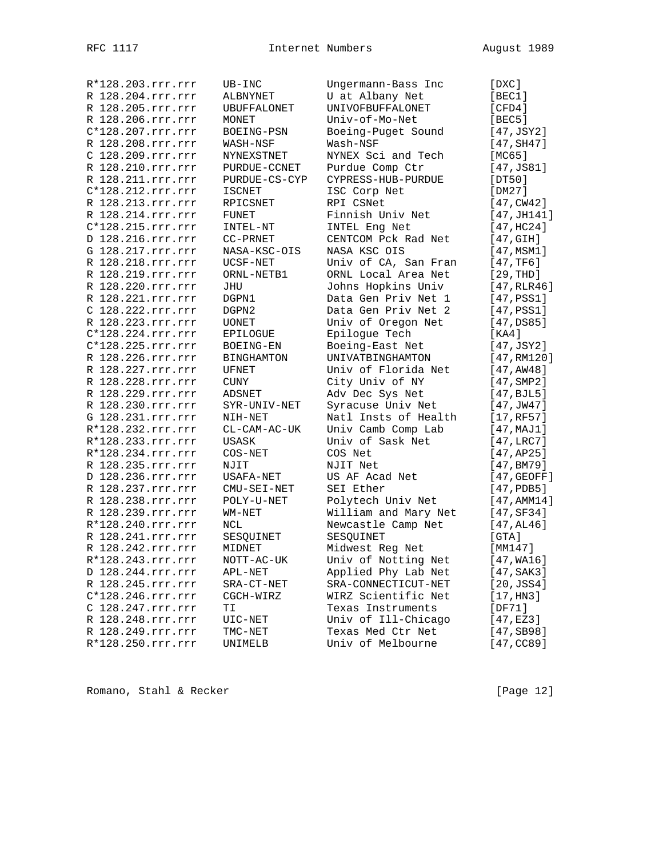| R*128.203.rrr.rrr   | $UB-INC$           | Ungermann-Bass Inc   | [DXC]                  |
|---------------------|--------------------|----------------------|------------------------|
| R 128.204.rrr.rrr   | ALBNYNET           | U at Albany Net      | [BEC1]                 |
| R 128.205.rrr.rrr   | <b>UBUFFALONET</b> | UNIVOFBUFFALONET     | [CFD4]                 |
| R 128.206.rrr.rrr   | MONET              | Univ-of-Mo-Net       | [BEC5]                 |
| C*128.207.rrr.rrr   | BOEING-PSN         | Boeing-Puget Sound   | [47, JSY2]             |
| R 128.208.rrr.rrr   | WASH-NSF           | Wash-NSF             | [47, SH47]             |
| C 128.209.rrr.rrr   | NYNEXSTNET         | NYNEX Sci and Tech   | [MC65]                 |
| R 128.210.rrr.rrr   | PURDUE-CCNET       | Purdue Comp Ctr      | [47, JS81]             |
| R 128.211.rrr.rrr   | PURDUE-CS-CYP      | CYPRESS-HUB-PURDUE   | [DT50]                 |
| C*128.212.rrr.rrr   | ISCNET             | ISC Corp Net         | [DM27]                 |
| R 128.213.rrr.rrr   | RPICSNET           | RPI CSNet            | [47,CW42]              |
| R 128.214.rrr.rrr   | FUNET              | Finnish Univ Net     | [47, JH141]            |
| C*128.215.rrr.rrr   | INTEL-NT           | INTEL Eng Net        | [47,HC24]              |
| D 128.216.rrr.rrr   | CC-PRNET           | CENTCOM Pck Rad Net  | $[47, \text{GIH}]$     |
| G 128.217.rrr.rrr   | NASA-KSC-OIS       | NASA KSC OIS         | [47, MSM1]             |
| R 128.218.rrr.rrr   | UCSF-NET           | Univ of CA, San Fran | [47, TF6]              |
| R 128.219.rrr.rrr   | ORNL-NETB1         | ORNL Local Area Net  | [29, THD]              |
| R 128.220.rrr.rrr   | JHU                | Johns Hopkins Univ   | [47,RLR46]             |
| R 128.221.rrr.rrr   | DGPN1              | Data Gen Priv Net 1  | [47,PSS1]              |
| C 128.222.rrr.rrr   | DGPN2              | Data Gen Priv Net 2  | [47,PSS1]              |
| R 128.223.rrr.rrr   | <b>UONET</b>       | Univ of Oregon Net   | [47,DS85]              |
| $C*128.224.rrr.rrr$ |                    | Epiloque Tech        |                        |
| C*128.225.rrr.rrr   | EPILOGUE           |                      | [KA4]                  |
|                     | BOEING-EN          | Boeing-East Net      | [47,JSY2]              |
| R 128.226.rrr.rrr   | <b>BINGHAMTON</b>  | UNIVATBINGHAMTON     | [47, RM120]            |
| R 128.227.rrr.rrr   | UFNET              | Univ of Florida Net  | [47, AWA8]             |
| R 128.228.rrr.rrr   | CUNY               | City Univ of NY      | $[47,$ SMP2]           |
| R 128.229.rrr.rrr   | ADSNET             | Adv Dec Sys Net      | [47, BJL5]             |
| R 128.230.rrr.rrr   | SYR-UNIV-NET       | Syracuse Univ Net    | [47, JW47]             |
| G 128.231.rrr.rrr   | NIH-NET            | Natl Insts of Health | [17, RF57]             |
| R*128.232.rrr.rrr   | CL-CAM-AC-UK       | Univ Camb Comp Lab   | [47, MAJ1]             |
| R*128.233.rrr.rrr   | USASK              | Univ of Sask Net     | [47, LRC7]             |
| R*128.234.rrr.rrr   | COS-NET            | COS Net              | [47, AP25]             |
| R 128.235.rrr.rrr   | NJIT               | NJIT Net             | [47, BM79]             |
| D 128.236.rrr.rrr   | USAFA-NET          | US AF Acad Net       | $[47, \texttt{GEOFF}]$ |
| R 128.237.rrr.rrr   | CMU-SEI-NET        | SEI Ether            | $[47,$ PDB5 $]$        |
| R 128.238.rrr.rrr   | POLY-U-NET         | Polytech Univ Net    | [47, AMM14]            |
| R 128.239.rrr.rrr   | WM-NET             | William and Mary Net | [47,SF34]              |
| R*128.240.rrr.rrr   | NCL                | Newcastle Camp Net   | [47, A L 46]           |
| R 128.241.rrr.rrr   | SESQUINET          | SESQUINET            | [GTA]                  |
| R 128.242.rrr.rrr   | MIDNET             | Midwest Reg Net      | [MM147]                |
| R*128.243.rrr.rrr   | $NOTT-AC-UK$       | Univ of Notting Net  | $[47, \mathtt{WA16}]$  |
| D 128.244.rrr.rrr   | APL-NET            | Applied Phy Lab Net  | [47, SAK3]             |
| R 128.245.rrr.rrr   | SRA-CT-NET         | SRA-CONNECTICUT-NET  | [20, JSS4]             |
| C*128.246.rrr.rrr   | CGCH-WIRZ          | WIRZ Scientific Net  | [17, H <sub>N3</sub> ] |
| C 128.247.rrr.rrr   | TΙ                 | Texas Instruments    | [DF71]                 |
| R 128.248.rrr.rrr   | UIC-NET            | Univ of Ill-Chicago  | [47, EZ3]              |
| R 128.249.rrr.rrr   | TMC-NET            | Texas Med Ctr Net    | [47, SB98]             |
| R*128.250.rrr.rrr   | UNIMELB            | Univ of Melbourne    | [47,CC89]              |
|                     |                    |                      |                        |

Romano, Stahl & Recker [Page 12]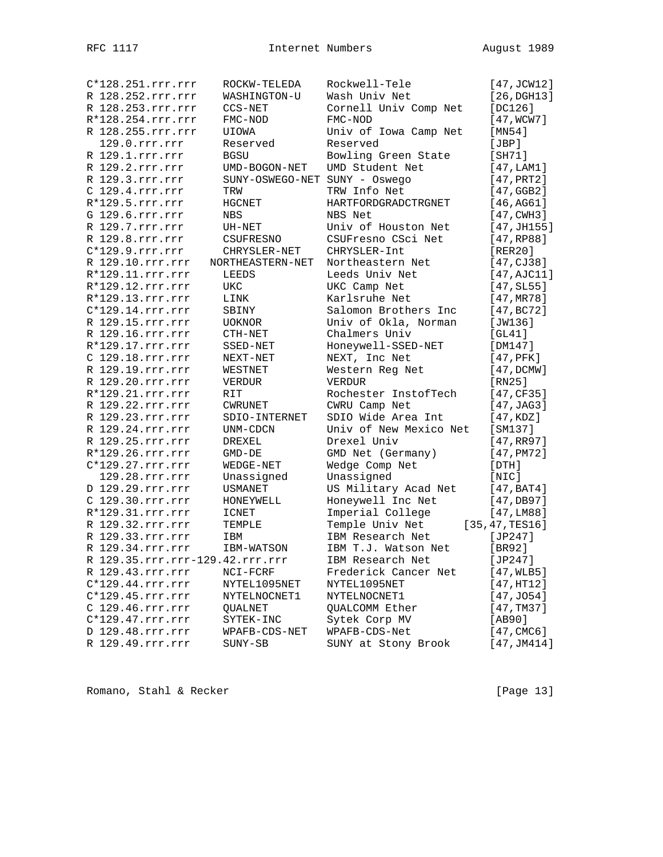| C*128.251.rrr.rrr               | ROCKW-TELEDA                  | Rockwell-Tele          | $[47,$ JCW12]       |
|---------------------------------|-------------------------------|------------------------|---------------------|
| R 128.252.rrr.rrr               | WASHINGTON-U                  | Wash Univ Net          | $[26,$ DGH13]       |
| R 128.253.rrr.rrr               | CCS-NET                       | Cornell Univ Comp Net  | [ $DC126$ ]         |
| R*128.254.rrr.rrr               | FMC-NOD                       | FMC-NOD                | [47,WCW7]           |
| R 128.255.rrr.rrr               | UIOWA                         | Univ of Iowa Camp Net  | [MN54]              |
| 129.0.rrr.rrr                   | Reserved                      | Reserved               | [JBP]               |
| R 129.1.rrr.rrr                 | <b>BGSU</b>                   | Bowling Green State    | [SH71]              |
| R 129.2.rrr.rrr                 | UMD-BOGON-NET                 | UMD Student Net        | [47, LAM1]          |
| R 129.3.rrr.rrr                 | SUNY-OSWEGO-NET SUNY - Oswego |                        | [47, PRT2]          |
| C 129.4.rrr.rrr                 | TRW                           | TRW Info Net           | [47, GGB2]          |
| $R*129.5.rrr.rrr$               | <b>HGCNET</b>                 | HARTFORDGRADCTRGNET    | [46,AG61]           |
| G 129.6.rrr.rrr                 | <b>NBS</b>                    | NBS Net                | $[47, \text{CWH3}]$ |
| R 129.7.rrr.rrr                 | UH-NET                        | Univ of Houston Net    | [47, JH155]         |
| R 129.8.rrr.rrr                 | CSUFRESNO                     | CSUFresno CSci Net     | [47, RP88]          |
| C*129.9.rrr.rrr                 | CHRYSLER-NET                  | CHRYSLER-Int           | [RER20]             |
| R 129.10.rrr.rrr                | NORTHEASTERN-NET              | Northeastern Net       | [47, CJ38]          |
| R*129.11.rrr.rrr                | LEEDS                         | Leeds Univ Net         | [47, AJC11]         |
| R*129.12.rrr.rrr                | UKC                           | UKC Camp Net           | [47, SL55]          |
| R*129.13.rrr.rrr                | LINK                          | Karlsruhe Net          | [47, MR78]          |
| C*129.14.rrr.rrr                | SBINY                         | Salomon Brothers Inc   | [47, BC72]          |
| R 129.15.rrr.rrr                | UOKNOR                        | Univ of Okla, Norman   | [JW136]             |
| R 129.16.rrr.rrr                | CTH-NET                       | Chalmers Univ          | [GL41]              |
| R*129.17.rrr.rrr                | SSED-NET                      | Honeywell-SSED-NET     | [DM147]             |
| C 129.18.rrr.rrr                | NEXT-NET                      | NEXT, Inc Net          | $[47,$ PFK $]$      |
| R 129.19.rrr.rrr                | WESTNET                       | Western Reg Net        | [47, DCMW]          |
| R 129.20.rrr.rrr                | VERDUR                        | <b>VERDUR</b>          | [RN25]              |
| R*129.21.rrr.rrr                | RIT                           | Rochester InstofTech   | [47, CF35]          |
| R 129.22.rrr.rrr                | <b>CWRUNET</b>                | CWRU Camp Net          | [47, JAG3]          |
| R 129.23.rrr.rrr                | SDIO-INTERNET                 | SDIO Wide Area Int     | [47, KDZ]           |
| R 129.24.rrr.rrr                | UNM-CDCN                      | Univ of New Mexico Net | [SM137]             |
| R 129.25.rrr.rrr                | DREXEL                        | Drexel Univ            | [47,RR97]           |
| R*129.26.rrr.rrr                | GMD-DE                        | GMD Net (Germany)      | [47, PMT2]          |
| C*129.27.rrr.rrr                | WEDGE-NET                     | Wedge Comp Net         | [DTH]               |
| 129.28.rrr.rrr                  | Unassigned                    | Unassigned             | [NIC]               |
| D 129.29.rrr.rrr                | <b>USMANET</b>                | US Military Acad Net   | [47, BAT4]          |
| C 129.30.rrr.rrr                | HONEYWELL                     | Honeywell Inc Net      | [47, DB97]          |
| R*129.31.rrr.rrr                | <b>ICNET</b>                  | Imperial College       | [47, LMS8]          |
| R 129.32.rrr.rrr                | TEMPLE                        | Temple Univ Net        | [35, 47, TES16]     |
| R 129.33.rrr.rrr                | IBM                           | IBM Research Net       | $[JP247]$           |
| R 129.34.rrr.rrr                | IBM-WATSON                    | IBM T.J. Watson Net    | [BR92]              |
| R 129.35.rrr.rrr-129.42.rrr.rrr |                               | IBM Research Net       | [JP247]             |
| R 129.43.rrr.rrr                | $NCI - FCRF$                  | Frederick Cancer Net   | [47, WLB5]          |
| $C*129.44.rrr.rrr$              | NYTEL1095NET                  | NYTEL1095NET           | [47, HT12]          |
| $C*129.45.rrr.rrr$              | NYTELNOCNET1                  | NYTELNOCNET1           | [47, J054]          |
| C 129.46.rrr.rrr                | QUALNET                       | QUALCOMM Ether         | [47, TM37]          |
| $C*129.47.rrr.rrr$              | SYTEK-INC                     | Sytek Corp MV          | [AB90]              |
| D 129.48.rrr.rrr                | WPAFB-CDS-NET                 | WPAFB-CDS-Net          | [47, CMC6]          |
| R 129.49.rrr.rrr                | SUNY-SB                       | SUNY at Stony Brook    | [47, JM414]         |

Romano, Stahl & Recker [Page 13]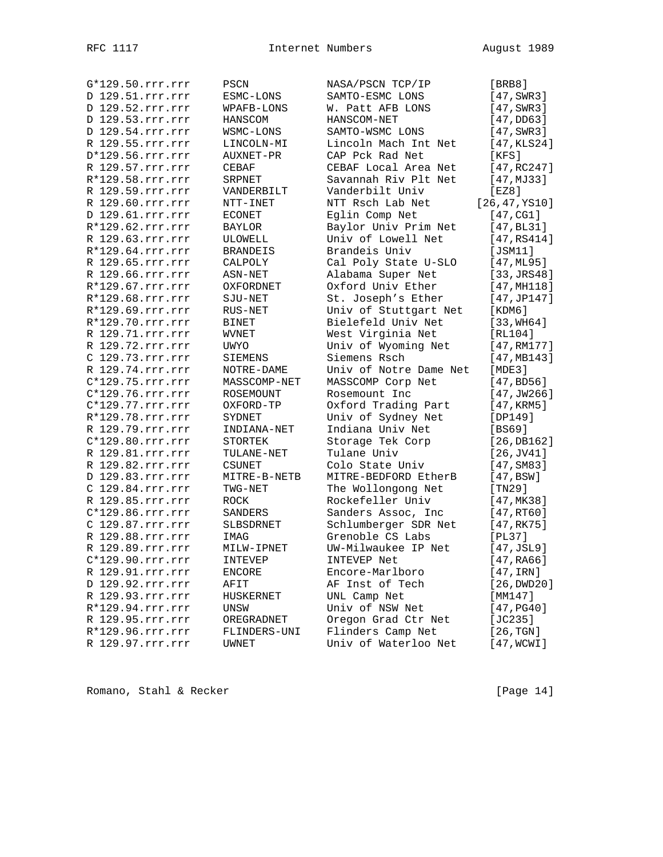| G*129.50.rrr.rrr   | PSCN            | NASA/PSCN TCP/IP       | [BRB8]                |
|--------------------|-----------------|------------------------|-----------------------|
| D 129.51.rrr.rrr   | ESMC-LONS       | SAMTO-ESMC LONS        | $[47, \text{SWR}3]$   |
| D 129.52.rrr.rrr   | WPAFB-LONS      | W. Patt AFB LONS       | [47, SWR3]            |
| D 129.53.rrr.rrr   | HANSCOM         | HANSCOM-NET            | [47,DD63]             |
| D 129.54.rrr.rrr   | WSMC-LONS       | SAMTO-WSMC LONS        | $[47, \texttt{SWR3}]$ |
| R 129.55.rrr.rrr   | LINCOLN-MI      | Lincoln Mach Int Net   | [47,KLS24]            |
| D*129.56.rrr.rrr   | AUXNET-PR       | CAP Pck Rad Net        | [KFS]                 |
| R 129.57.rrr.rrr   | CEBAF           | CEBAF Local Area Net   | [47, RC247]           |
| R*129.58.rrr.rrr   | SRPNET          | Savannah Riv Plt Net   | [47, MJ33]            |
| R 129.59.rrr.rrr   | VANDERBILT      | Vanderbilt Univ        | [EZ8]                 |
| R 129.60.rrr.rrr   | NTT-INET        | NTT Rsch Lab Net       | [26, 47, YS10]        |
| D 129.61.rrr.rrr   | <b>ECONET</b>   | Eqlin Comp Net         | [47, CG1]             |
| R*129.62.rrr.rrr   | BAYLOR          | Baylor Univ Prim Net   | [47, BL31]            |
| R 129.63.rrr.rrr   | ULOWELL         | Univ of Lowell Net     | [47,RS414]            |
| R*129.64.rrr.rrr   | <b>BRANDEIS</b> | Brandeis Univ          | [JSM11]               |
| R 129.65.rrr.rrr   | CALPOLY         | Cal Poly State U-SLO   | [47,ML95]             |
| R 129.66.rrr.rrr   | ASN-NET         | Alabama Super Net      | [33, JRS48]           |
| R*129.67.rrr.rrr   | OXFORDNET       | Oxford Univ Ether      | [47, MH118]           |
| R*129.68.rrr.rrr   | SJU-NET         | St. Joseph's Ether     | [47, JP147]           |
| R*129.69.rrr.rrr   | RUS-NET         | Univ of Stuttgart Net  | [KDM6]                |
| R*129.70.rrr.rrr   | BINET           | Bielefeld Univ Net     | [33, WH64]            |
| R 129.71.rrr.rrr   | WVNET           | West Virginia Net      | [RL104]               |
| R 129.72.rrr.rrr   | UWYO            | Univ of Wyoming Net    | [47, RM177]           |
| C 129.73.rrr.rrr   | <b>SIEMENS</b>  | Siemens Rsch           | [47, MB143]           |
| R 129.74.rrr.rrr   | NOTRE-DAME      | Univ of Notre Dame Net | [MDE3]                |
| C*129.75.rrr.rrr   | MASSCOMP-NET    | MASSCOMP Corp Net      | [47, BDS6]            |
| C*129.76.rrr.rrr   | ROSEMOUNT       | Rosemount Inc          | [47, JW266]           |
| $C*129.77.rrr.rrr$ | OXFORD-TP       | Oxford Trading Part    | [47, KRM5]            |
| R*129.78.rrr.rrr   | SYDNET          | Univ of Sydney Net     | [DP149]               |
| R 129.79.rrr.rrr   | INDIANA-NET     | Indiana Univ Net       | [BS69]                |
| C*129.80.rrr.rrr   | <b>STORTEK</b>  | Storage Tek Corp       | [26, DB162]           |
| R 129.81.rrr.rrr   | TULANE-NET      | Tulane Univ            | $[26,$ JV41]          |
| R 129.82.rrr.rrr   | CSUNET          | Colo State Univ        | [47, SM83]            |
| D 129.83.rrr.rrr   | MITRE-B-NETB    | MITRE-BEDFORD EtherB   | [47, BSW]             |
| C 129.84.rrr.rrr   | $TWG-NET$       | The Wollongong Net     | [TN29]                |
| R 129.85.rrr.rrr   | ROCK            | Rockefeller Univ       | [47, MK38]            |
| C*129.86.rrr.rrr   | SANDERS         | Sanders Assoc, Inc     | [47, RT60]            |
| C 129.87.rrr.rrr   | SLBSDRNET       | Schlumberger SDR Net   | [47, RK75]            |
| R 129.88.rrr.rrr   | IMAG            | Grenoble CS Labs       | [PL37]                |
| R 129.89.rrr.rrr   | MILW-IPNET      | UW-Milwaukee IP Net    | [47, JSL9]            |
| $C*129.90.rrr.rrr$ | INTEVEP         | INTEVEP Net            | [47, RAG6]            |
| R 129.91.rrr.rrr   | ENCORE          | Encore-Marlboro        | $[47, \texttt{IRN}]$  |
| D 129.92.rrr.rrr   | AFIT            | AF Inst of Tech        | [26, DWD20]           |
| R 129.93.rrr.rrr   | HUSKERNET       | UNL Camp Net           | [MM147]               |
| R*129.94.rrr.rrr   | UNSW            | Univ of NSW Net        | [47, PG40]            |
| R 129.95.rrr.rrr   | OREGRADNET      | Oregon Grad Ctr Net    | [JC235]               |
| R*129.96.rrr.rrr   | FLINDERS-UNI    | Flinders Camp Net      | [26, TGN]             |
| R 129.97.rrr.rrr   | UWNET           | Univ of Waterloo Net   | [47,WCWI]             |
|                    |                 |                        |                       |

Romano, Stahl & Recker [Page 14]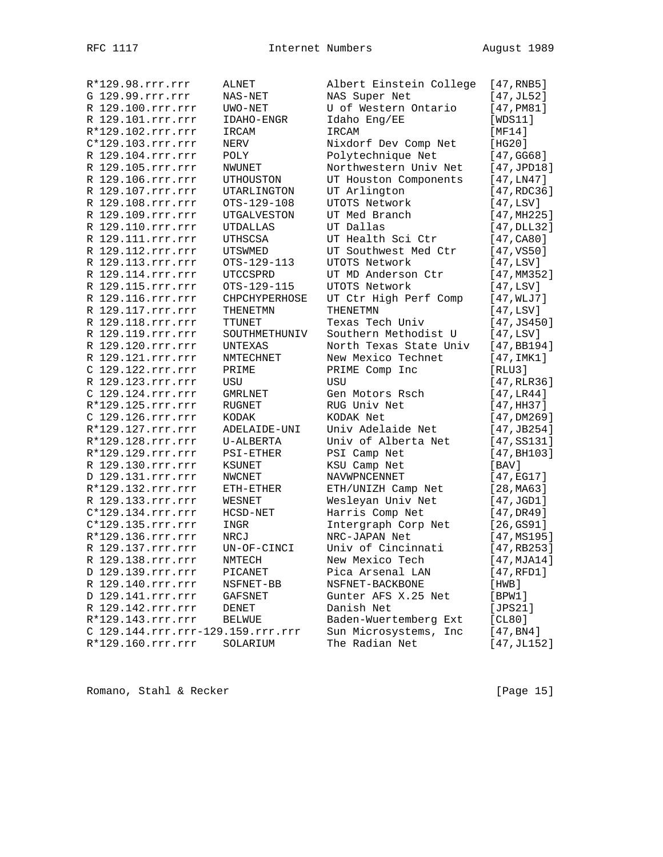| R*129.98.rrr.rrr                  | ALNET              | Albert Einstein College | [47, RNB5]              |
|-----------------------------------|--------------------|-------------------------|-------------------------|
| G 129.99.rrr.rrr                  | $NAS-NET$          | NAS Super Net           | [47, JL52]              |
| R 129.100.rrr.rrr                 | UWO-NET            | U of Western Ontario    | [47, PMS1]              |
| R 129.101.rrr.rrr                 | IDAHO-ENGR         | Idaho Eng/EE            | [WDS11]                 |
| R*129.102.rrr.rrr                 | IRCAM              | IRCAM                   | [MT4]                   |
| C*129.103.rrr.rrr                 | NERV               | Nixdorf Dev Comp Net    | [HG20]                  |
| R 129.104.rrr.rrr                 | POLY               | Polytechnique Net       | [47, GG68]              |
| R 129.105.rrr.rrr                 | NWUNET             | Northwestern Univ Net   | [47, JPD18]             |
| R 129.106.rrr.rrr                 | UTHOUSTON          | UT Houston Components   | [47, LN47]              |
| R 129.107.rrr.rrr                 | UTARLINGTON        | UT Arlington            | [47, RDC36]             |
| R 129.108.rrr.rrr                 | OTS-129-108        | UTOTS Network           | [47, LSV]               |
| R 129.109.rrr.rrr                 | <b>UTGALVESTON</b> | UT Med Branch           | [47, MHz25]             |
| R 129.110.rrr.rrr                 | UTDALLAS           | UT Dallas               | [47, DLL32]             |
| R 129.111.rrr.rrr                 | UTHSCSA            | UT Health Sci Ctr       | [47, C <sub>80</sub> ]  |
| R 129.112.rrr.rrr                 | <b>UTSWMED</b>     | UT Southwest Med Ctr    | [47, VSS0]              |
| R 129.113.rrr.rrr                 | OTS-129-113        | UTOTS Network           | [47, LSV]               |
| R 129.114.rrr.rrr                 | UTCCSPRD           | UT MD Anderson Ctr      | [47,MM352]              |
| R 129.115.rrr.rrr                 | OTS-129-115        | UTOTS Network           | [47, LSV]               |
| R 129.116.rrr.rrr                 | CHPCHYPERHOSE      | UT Ctr High Perf Comp   | [47, WLJ7]              |
| R 129.117.rrr.rrr                 | THENETMN           | THENETMN                | [47, LSV]               |
| R 129.118.rrr.rrr                 | TTUNET             | Texas Tech Univ         | [47, JS450]             |
| R 129.119.rrr.rrr                 | SOUTHMETHUNIV      | Southern Methodist U    | [47, LSV]               |
| R 129.120.rrr.rrr                 | UNTEXAS            | North Texas State Univ  | [47, BB194]             |
| R 129.121.rrr.rrr                 | NMTECHNET          | New Mexico Technet      |                         |
| C 129.122.rrr.rrr                 |                    |                         | [47,IMK1]               |
| R 129.123.rrr.rrr                 | PRIME              | PRIME Comp Inc          | [RLU3]                  |
|                                   | USU                | USU                     | [47, RLR36]             |
| C 129.124.rrr.rrr                 | <b>GMRLNET</b>     | Gen Motors Rsch         | [47,LR44]               |
| R*129.125.rrr.rrr                 | RUGNET             | RUG Univ Net            | [47, HH37]              |
| C 129.126.rrr.rrr                 | KODAK              | KODAK Net               | [47,DM269]              |
| R*129.127.rrr.rrr                 | ADELAIDE-UNI       | Univ Adelaide Net       | [47, JB254]             |
| R*129.128.rrr.rrr                 | U-ALBERTA          | Univ of Alberta Net     | [47, S5131]             |
| R*129.129.rrr.rrr                 | PSI-ETHER          | PSI Camp Net            | [47, B <sub>H103]</sub> |
| R 129.130.rrr.rrr                 | KSUNET             | KSU Camp Net            | [BAV]                   |
| D 129.131.rrr.rrr                 | NWCNET             | NAVWPNCENNET            | [47,EG17]               |
| R*129.132.rrr.rrr                 | ETH-ETHER          | ETH/UNIZH Camp Net      | [28, MA63]              |
| R 129.133.rrr.rrr                 | WESNET             | Wesleyan Univ Net       | [47,JGD1]               |
| C*129.134.rrr.rrr                 | HCSD-NET           | Harris Comp Net         | [47,DR49]               |
| C*129.135.rrr.rrr                 | INGR               | Intergraph Corp Net     | [26,GS91]               |
| R*129.136.rrr.rrr                 | NRCJ               | NRC-JAPAN Net           | [47,MS195]              |
| R 129.137.rrr.rrr                 | UN-OF-CINCI        | Univ of Cincinnati      | [47, RB253]             |
| R 129.138.rrr.rrr                 | NMTECH             | New Mexico Tech         | [47, MJA14]             |
| D 129.139.rrr.rrr                 | PICANET            | Pica Arsenal LAN        | [47,RFD1]               |
| R 129.140.rrr.rrr                 | NSFNET-BB          | NSFNET-BACKBONE         | [HWB]                   |
| D 129.141.rrr.rrr                 | <b>GAFSNET</b>     | Gunter AFS X.25 Net     | [BPW1]                  |
| R 129.142.rrr.rrr                 | DENET              | Danish Net              | [JPS21]                 |
| R*129.143.rrr.rrr                 | BELWUE             | Baden-Wuertemberg Ext   | [CL80]                  |
| C 129.144.rrr.rrr-129.159.rrr.rrr |                    | Sun Microsystems, Inc   | [47, B <sub>N4</sub> ]  |
| R*129.160.rrr.rrr                 | SOLARIUM           | The Radian Net          | [47,JL152]              |

Romano, Stahl & Recker [Page 15]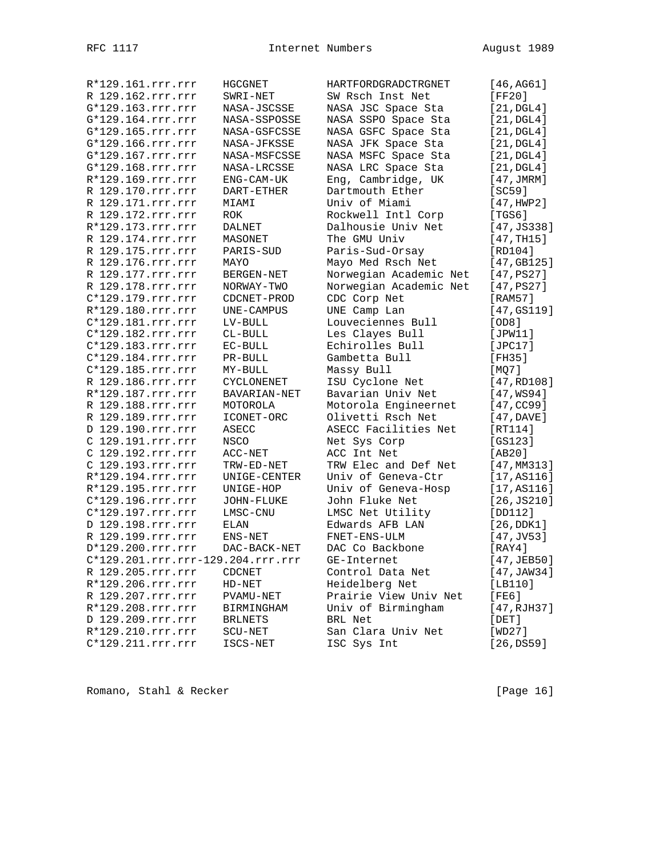| R*129.161.rrr.rrr | HGCGNET                           | HARTFORDGRADCTRGNET    | [46,AG61]             |
|-------------------|-----------------------------------|------------------------|-----------------------|
| R 129.162.rrr.rrr | SWRI-NET                          | SW Rsch Inst Net       | [FF20]                |
| G*129.163.rrr.rrr | NASA-JSCSSE                       | NASA JSC Space Sta     | [21, DGL4]            |
| G*129.164.rrr.rrr | NASA-SSPOSSE                      | NASA SSPO Space Sta    | $[21, \text{DGL4}]$   |
| G*129.165.rrr.rrr | NASA-GSFCSSE                      | NASA GSFC Space Sta    | $[21, \mathtt{DGL4}]$ |
| G*129.166.rrr.rrr | NASA-JFKSSE                       | NASA JFK Space Sta     | [21, DGL4]            |
| G*129.167.rrr.rrr | NASA-MSFCSSE                      | NASA MSFC Space Sta    | [21, DGL4]            |
| G*129.168.rrr.rrr | NASA-LRCSSE                       | NASA LRC Space Sta     | $[21, \text{DGL4}]$   |
| R*129.169.rrr.rrr | ENG-CAM-UK                        | Eng, Cambridge, UK     | [47, JMRM]            |
| R 129.170.rrr.rrr | DART-ETHER                        | Dartmouth Ether        | [SC59]                |
| R 129.171.rrr.rrr | MIAMI                             | Univ of Miami          | [47, HWP2]            |
| R 129.172.rrr.rrr |                                   | Rockwell Intl Corp     | [TGS6]                |
| R*129.173.rrr.rrr | ROK                               | Dalhousie Univ Net     |                       |
|                   | <b>DALNET</b>                     |                        | [47, JS338]           |
| R 129.174.rrr.rrr | MASONET                           | The GMU Univ           | [47, TH15]            |
| R 129.175.rrr.rrr | PARIS-SUD                         | Paris-Sud-Orsay        | [RD104]               |
| R 129.176.rrr.rrr | MAYO                              | Mayo Med Rsch Net      | [47, GB125]           |
| R 129.177.rrr.rrr | BERGEN-NET                        | Norwegian Academic Net | [47,PS27]             |
| R 129.178.rrr.rrr | NORWAY-TWO                        | Norwegian Academic Net | [47, PS27]            |
| C*129.179.rrr.rrr | CDCNET-PROD                       | CDC Corp Net           | [RAM57]               |
| R*129.180.rrr.rrr | UNE-CAMPUS                        | UNE Camp Lan           | [47, GS119]           |
| C*129.181.rrr.rrr | LV-BULL                           | Louveciennes Bull      | [OD8]                 |
| C*129.182.rrr.rrr | $CL-BULL$                         | Les Clayes Bull        | [JPW11]               |
| C*129.183.rrr.rrr | EC-BULL                           | Echirolles Bull        | [JPC17]               |
| C*129.184.rrr.rrr | PR-BULL                           | Gambetta Bull          | [FH35]                |
| C*129.185.rrr.rrr | MY-BULL                           | Massy Bull             | [MQ7]                 |
| R 129.186.rrr.rrr | <b>CYCLONENET</b>                 | ISU Cyclone Net        | [47, RD108]           |
| R*129.187.rrr.rrr | BAVARIAN-NET                      | Bavarian Univ Net      | [47,WS94]             |
| R 129.188.rrr.rrr | MOTOROLA                          | Motorola Engineernet   | [47, CC99]            |
| R 129.189.rrr.rrr | ICONET-ORC                        | Olivetti Rsch Net      | [47, DAVE]            |
| D 129.190.rrr.rrr | <b>ASECC</b>                      | ASECC Facilities Net   | [RT114]               |
| C 129.191.rrr.rrr | NSCO                              | Net Sys Corp           | [GS123]               |
| C 129.192.rrr.rrr | $ACC-NET$                         | ACC Int Net            | [AB20]                |
| C 129.193.rrr.rrr |                                   | TRW Elec and Def Net   | [47, MM313]           |
| R*129.194.rrr.rrr | TRW-ED-NET                        | Univ of Geneva-Ctr     |                       |
|                   | UNIGE-CENTER                      |                        | [17, A S 1 16]        |
| R*129.195.rrr.rrr | UNIGE-HOP                         | Univ of Geneva-Hosp    | [17, A S 1 16]        |
| C*129.196.rrr.rrr | JOHN-FLUKE                        | John Fluke Net         | [26, JS210]           |
| C*129.197.rrr.rrr | LMSC-CNU                          | LMSC Net Utility       | [DD112]               |
| D 129.198.rrr.rrr | ELAN                              | Edwards AFB LAN        | [26,DDK1]             |
| R 129.199.rrr.rrr | ENS-NET                           | FNET-ENS-ULM           | $[47,$ JV53]          |
| D*129.200.rrr.rrr | DAC-BACK-NET                      | DAC Co Backbone        | [RAY4]                |
|                   | C*129.201.rrr.rrr-129.204.rrr.rrr | GE-Internet            | [47, JEB50]           |
| R 129.205.rrr.rrr | CDCNET                            | Control Data Net       | [47, JAW34]           |
| R*129.206.rrr.rrr | $HD-NET$                          | Heidelberg Net         | [LB110]               |
| R 129.207.rrr.rrr | PVAMU-NET                         | Prairie View Univ Net  | [FE6]                 |
| R*129.208.rrr.rrr | BIRMINGHAM                        | Univ of Birmingham     | [47, RJH37]           |
| D 129.209.rrr.rrr | <b>BRLNETS</b>                    | BRL Net                | $[$ DET $]$           |
| R*129.210.rrr.rrr | SCU-NET                           | San Clara Univ Net     | [WD27]                |
| C*129.211.rrr.rrr | ISCS-NET                          | ISC Sys Int            | [26,DS59]             |

Romano, Stahl & Recker [Page 16]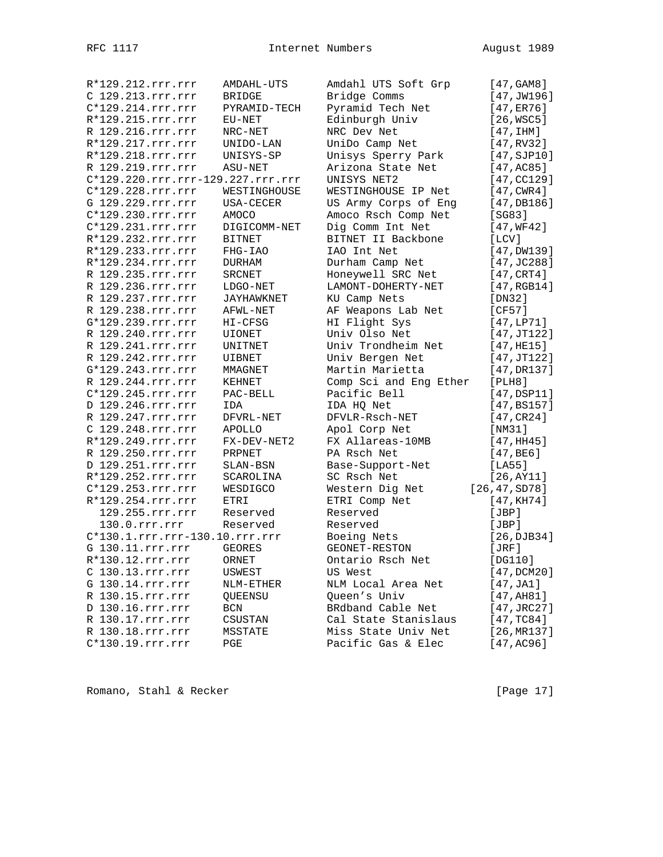| R*129.212.rrr.rrr                 | AMDAHL-UTS            | Amdahl UTS Soft Grp    | [47, GAM8]          |
|-----------------------------------|-----------------------|------------------------|---------------------|
| C 129.213.rrr.rrr                 | <b>BRIDGE</b>         | Bridge Comms           | [47, JW196]         |
| C*129.214.rrr.rrr                 | PYRAMID-TECH          | Pyramid Tech Net       | [47, ER76]          |
| R*129.215.rrr.rrr                 | EU-NET                | Edinburgh Univ         | [26, WSC5]          |
| R 129.216.rrr.rrr                 | NRC-NET               | NRC Dev Net            | [47,1HM]            |
| R*129.217.rrr.rrr                 | UNIDO-LAN             | UniDo Camp Net         | [47, RV32]          |
| R*129.218.rrr.rrr                 | UNISYS-SP             | Unisys Sperry Park     | [47, SJD10]         |
| R 129.219.rrr.rrr                 | ASU-NET               | Arizona State Net      | [47, AC85]          |
| C*129.220.rrr.rrr-129.227.rrr.rrr |                       | UNISYS NET2            | [47, CC129]         |
| C*129.228.rrr.rrr                 | WESTINGHOUSE          | WESTINGHOUSE IP Net    | [47, CWR4]          |
| G 129.229.rrr.rrr                 | USA-CECER             | US Army Corps of Eng   | [47, DB186]         |
| C*129.230.rrr.rrr                 | AMOCO                 | Amoco Rsch Comp Net    | [SG83]              |
| C*129.231.rrr.rrr                 | DIGICOMM-NET          | Dig Comm Int Net       | [47, WF42]          |
| R*129.232.rrr.rrr                 | <b>BITNET</b>         | BITNET II Backbone     | [LCV]               |
| R*129.233.rrr.rrr                 | FHG-IAO               | IAO Int Net            | $[47,$ DW139]       |
| R*129.234.rrr.rrr                 | DURHAM                | Durham Camp Net        | [47, JC288]         |
| R 129.235.rrr.rrr                 | <b>SRCNET</b>         | Honeywell SRC Net      | $[47, \text{CRT4}]$ |
| R 129.236.rrr.rrr                 | LDGO-NET              | LAMONT-DOHERTY-NET     | [47, RGB14]         |
| R 129.237.rrr.rrr                 | JAYHAWKNET            | KU Camp Nets           | [DN32]              |
| R 129.238.rrr.rrr                 | AFWL-NET              | AF Weapons Lab Net     | [CF57]              |
| G*129.239.rrr.rrr                 | HI-CFSG               | HI Flight Sys          | [47, LP71]          |
| R 129.240.rrr.rrr                 | <b>UIONET</b>         | Univ Olso Net          | [47, JT122]         |
| R 129.241.rrr.rrr                 | UNITNET               | Univ Trondheim Net     | [47, HE15]          |
| R 129.242.rrr.rrr                 | UIBNET                | Univ Bergen Net        | [47, JT122]         |
| G*129.243.rrr.rrr                 | MMAGNET               | Martin Marietta        | [47, DR137]         |
| R 129.244.rrr.rrr                 | KEHNET                | Comp Sci and Eng Ether | [PLH8]              |
| C*129.245.rrr.rrr                 | PAC-BELL              | Pacific Bell           | $[47,$ DSP11]       |
| D 129.246.rrr.rrr                 | IDA                   | IDA HQ Net             | [47, B S 157]       |
| R 129.247.rrr.rrr                 | DFVRL-NET             | DFVLR-Rsch-NET         | [47, CR24]          |
| C 129.248.rrr.rrr                 | APOLLO                | Apol Corp Net          | [NM31]              |
| R*129.249.rrr.rrr                 | FX-DEV-NET2           | FX Allareas-10MB       | [47,HH45]           |
| R 129.250.rrr.rrr                 | PRPNET                | PA Rsch Net            | [47, BE6]           |
| D 129.251.rrr.rrr                 |                       | Base-Support-Net       | [LA55]              |
| R*129.252.rrr.rrr                 | SLAN-BSN<br>SCAROLINA | SC Rsch Net            | [26, AY11]          |
| C*129.253.rrr.rrr                 | WESDIGCO              | Western Dig Net        | [26, 47, SD78]      |
| R*129.254.rrr.rrr                 | ETRI                  | ETRI Comp Net          | [47, KH74]          |
| 129.255.rrr.rrr                   | Reserved              | Reserved               | [JBP]               |
| 130.0.rrr.rrr                     | Reserved              | Reserved               |                     |
| C*130.1.rrr.rrr-130.10.rrr.rrr    |                       |                        | [JBP]               |
|                                   |                       | Boeing Nets            | [26, DJB34]         |
| G 130.11.rrr.rrr                  | <b>GEORES</b>         | GEONET-RESTON          | [JRF]               |
| $R*130.12.rrr.rrr$                | ORNET                 | Ontario Rsch Net       | [DG110]             |
| C 130.13.rrr.rrr                  | USWEST                | US West                | [47, DCM20]         |
| G 130.14.rrr.rrr                  | NLM-ETHER             | NLM Local Area Net     | [47, JAI]           |
| R 130.15.rrr.rrr                  | QUEENSU               | Queen's Univ           | [47, A H81]         |
| D 130.16.rrr.rrr                  | BCN                   | BRdband Cable Net      | [47, JRC27]         |
| R 130.17.rrr.rrr                  | CSUSTAN               | Cal State Stanislaus   | [47, TC84]          |
| R 130.18.rrr.rrr                  | MSSTATE               | Miss State Univ Net    | [26, MR137]         |
| C*130.19.rrr.rrr                  | PGE                   | Pacific Gas & Elec     | [47,AC96]           |

Romano, Stahl & Recker [Page 17]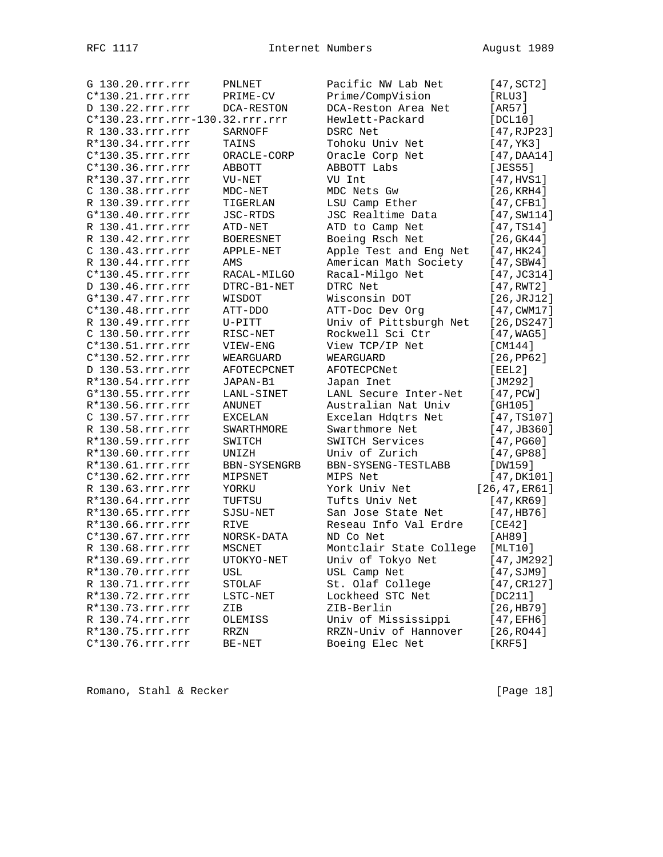| G 130.20.rrr.rrr                | PNLNET             | Pacific NW Lab Net      | $[47, \text{SCT2}]$  |
|---------------------------------|--------------------|-------------------------|----------------------|
| $C*130.21.rrr.rrr$              | PRIME-CV           | Prime/CompVision        | [RLU3]               |
| D 130.22.rrr.rrr                | DCA-RESTON         | DCA-Reston Area Net     | [AR57]               |
| C*130.23.rrr.rrr-130.32.rrr.rrr |                    | Hewlett-Packard         | [DCL10]              |
| R 130.33.rrr.rrr                | SARNOFF            | DSRC Net                | [47, RJP23]          |
| R*130.34.rrr.rrr                | TAINS              | Tohoku Univ Net         | [47, YK3]            |
| C*130.35.rrr.rrr                | ORACLE-CORP        | Oracle Corp Net         | [47,DAA14]           |
| $C*130.36.rrr.rrr$              | ABBOTT             | ABBOTT Labs             | [JES55]              |
| R*130.37.rrr.rrr                | VU-NET             | VU Int                  | [47, HVS1]           |
| C 130.38.rrr.rrr                | $MDC-NET$          | MDC Nets Gw             | [26, KRH4]           |
| R 130.39.rrr.rrr                | TIGERLAN           | LSU Camp Ether          | [47,CFB1]            |
| G*130.40.rrr.rrr                | JSC-RTDS           | JSC Realtime Data       | [47, SW114]          |
| R 130.41.rrr.rrr                | ATD-NET            | ATD to Camp Net         | [47, TS14]           |
| R 130.42.rrr.rrr                | BOERESNET          | Boeing Rsch Net         | [26, GK44]           |
| C 130.43.rrr.rrr                | APPLE-NET          | Apple Test and Eng Net  | [47, HK24]           |
| R 130.44.rrr.rrr                | AMS                | American Math Society   | $[47,$ SBW4 $]$      |
| C*130.45.rrr.rrr                | RACAL-MILGO        | Racal-Milgo Net         | $[47, \text{JC}314]$ |
| D 130.46.rrr.rrr                | DTRC-B1-NET        | DTRC Net                | [47, RWT2]           |
| G*130.47.rrr.rrr                | WISDOT             | Wisconsin DOT           | [26, JRJ12]          |
| $C*130.48.rrr.rrr$              | ATT-DDO            | ATT-Doc Dev Org         | [47, CWM17]          |
| R 130.49.rrr.rrr                | U-PITT             | Univ of Pittsburgh Net  | [26,DS247]           |
| C 130.50.rrr.rrr                | RISC-NET           | Rockwell Sci Ctr        | [47, WAG5]           |
| C*130.51.rrr.rrr                | VIEW-ENG           | View TCP/IP Net         | [CM144]              |
| C*130.52.rrr.rrr                |                    | WEARGUARD               |                      |
|                                 | WEARGUARD          |                         | [26, PP62]           |
| D 130.53.rrr.rrr                | <b>AFOTECPCNET</b> | AFOTECPCNet             | [EEL2]               |
| $R*130.54.rrr.rrr$              | JAPAN-B1           | Japan Inet              | [JM292]              |
| G*130.55.rrr.rrr                | LANL-SINET         | LANL Secure Inter-Net   | [47, PCW]            |
| R*130.56.rrr.rrr                | ANUNET             | Australian Nat Univ     | [GH105]              |
| C 130.57.rrr.rrr                | EXCELAN            | Excelan Hdqtrs Net      | [47, TS107]          |
| R 130.58.rrr.rrr                | SWARTHMORE         | Swarthmore Net          | [47, JB360]          |
| R*130.59.rrr.rrr                | SWITCH             | SWITCH Services         | [47, PG60]           |
| R*130.60.rrr.rrr                | UNIZH              | Univ of Zurich          | [47, GP88]           |
| R*130.61.rrr.rrr                | BBN-SYSENGRB       | BBN-SYSENG-TESTLABB     | [DW159]              |
| C*130.62.rrr.rrr                | MIPSNET            | MIPS Net                | [47, DK101]          |
| R 130.63.rrr.rrr                | YORKU              | York Univ Net           | [26, 47, ER61]       |
| R*130.64.rrr.rrr                | TUFTSU             | Tufts Univ Net          | [47, KR69]           |
| R*130.65.rrr.rrr                | SJSU-NET           | San Jose State Net      | [47,HB76]            |
| R*130.66.rrr.rrr                | RIVE               | Reseau Info Val Erdre   | [CE42]               |
| $C*130.67.rrr.rrr$              | NORSK-DATA         | ND Co Net               | [AH89]               |
| R 130.68.rrr.rrr                | <b>MSCNET</b>      | Montclair State College | [MLT10]              |
| R*130.69.rrr.rrr                | UTOKYO-NET         | Univ of Tokyo Net       | [47,JM292]           |
| R*130.70.rrr.rrr                | USL                | USL Camp Net            | [47, SJM9]           |
| R 130.71.rrr.rrr                | STOLAF             | St. Olaf College        | [47, CR127]          |
| R*130.72.rrr.rrr                | LSTC-NET           | Lockheed STC Net        | [DC211]              |
| R*130.73.rrr.rrr                | ZIB                | ZIB-Berlin              | [26,HB79]            |
| R 130.74.rrr.rrr                | OLEMISS            | Univ of Mississippi     | [47, EFH6]           |
| R*130.75.rrr.rrr                | RRZN               | RRZN-Univ of Hannover   | [26,RO44]            |
| C*130.76.rrr.rrr                | BE-NET             | Boeing Elec Net         | [KRF5]               |

Romano, Stahl & Recker [Page 18]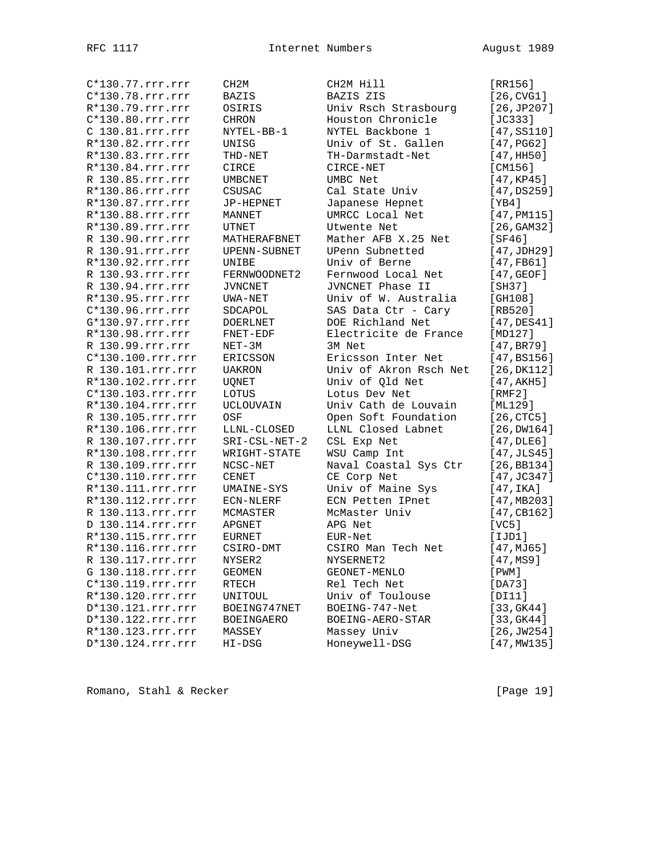| C*130.77.rrr.rrr   | CH <sub>2M</sub>  | CH2M Hill              | [RR156]             |
|--------------------|-------------------|------------------------|---------------------|
| C*130.78.rrr.rrr   | BAZIS             | BAZIS ZIS              | [26, CVG1]          |
| R*130.79.rrr.rrr   | OSIRIS            | Univ Rsch Strasbourg   | [26, JP207]         |
| $C*130.80.rrr.rrr$ | <b>CHRON</b>      | Houston Chronicle      | $[JC333]$           |
| C 130.81.rrr.rrr   | NYTEL-BB-1        | NYTEL Backbone 1       | [47, S5110]         |
| R*130.82.rrr.rrr   | UNISG             | Univ of St. Gallen     | [47, PG62]          |
| R*130.83.rrr.rrr   | THD-NET           | TH-Darmstadt-Net       | [47, HH50]          |
| R*130.84.rrr.rrr   | CIRCE             | CIRCE-NET              | [CM156]             |
| R 130.85.rrr.rrr   | UMBCNET           | UMBC Net               | [47, KP45]          |
| R*130.86.rrr.rrr   | CSUSAC            | Cal State Univ         | [47,DS259]          |
| R*130.87.rrr.rrr   |                   |                        |                     |
|                    | JP-HEPNET         | Japanese Hepnet        | [YB4]               |
| R*130.88.rrr.rrr   | MANNET            | UMRCC Local Net        | [47, PML15]         |
| R*130.89.rrr.rrr   | UTNET             | Utwente Net            | [26, GAM32]         |
| R 130.90.rrr.rrr   | MATHERAFBNET      | Mather AFB X.25 Net    | [SF46]              |
| R 130.91.rrr.rrr   | UPENN-SUBNET      | UPenn Subnetted        | [47,JDH29]          |
| R*130.92.rrr.rrr   | UNIBE             | Univ of Berne          | [47,FB61]           |
| R 130.93.rrr.rrr   | FERNWOODNET2      | Fernwood Local Net     | $[47, \text{GEOF}]$ |
| R 130.94.rrr.rrr   | <b>JVNCNET</b>    | JVNCNET Phase II       | [SH37]              |
| R*130.95.rrr.rrr   | UWA-NET           | Univ of W. Australia   | [GH108]             |
| C*130.96.rrr.rrr   | SDCAPOL           | SAS Data Ctr - Cary    | [RB520]             |
| G*130.97.rrr.rrr   | <b>DOERLNET</b>   | DOE Richland Net       | $[47,$ DES $41]$    |
| R*130.98.rrr.rrr   | FNET-EDF          | Electricite de France  | [MD127]             |
| R 130.99.rrr.rrr   | NET-3M            | 3M Net                 | [47, BR79]          |
| C*130.100.rrr.rrr  | ERICSSON          | Ericsson Inter Net     | [47, B S 156]       |
| R 130.101.rrr.rrr  | <b>UAKRON</b>     | Univ of Akron Rsch Net | [26, DK112]         |
| R*130.102.rrr.rrr  | UQNET             | Univ of Qld Net        | [47, AKH5]          |
| C*130.103.rrr.rrr  | LOTUS             | Lotus Dev Net          | [RMF2]              |
| R*130.104.rrr.rrr  | UCLOUVAIN         | Univ Cath de Louvain   | [ML129]             |
| R 130.105.rrr.rrr  | OSF               | Open Soft Foundation   | $[26, \text{CTC5}]$ |
|                    |                   |                        |                     |
| R*130.106.rrr.rrr  | LLNL-CLOSED       | LLNL Closed Labnet     | $[26,$ DW164]       |
| R 130.107.rrr.rrr  | SRI-CSL-NET-2     | CSL Exp Net            | $[47,$ DLE6]        |
| R*130.108.rrr.rrr  | WRIGHT-STATE      | WSU Camp Int           | [47, JLS45]         |
| R 130.109.rrr.rrr  | NCSC-NET          | Naval Coastal Sys Ctr  | [26, BB134]         |
| C*130.110.rrr.rrr  | CENET             | CE Corp Net            | [47, JC347]         |
| R*130.111.rrr.rrr  | UMAINE-SYS        | Univ of Maine Sys      | [47,IKA]            |
| R*130.112.rrr.rrr  | ECN-NLERF         | ECN Petten IPnet       | [47, MB203]         |
| R 130.113.rrr.rrr  | MCMASTER          | McMaster Univ          | [47, CB162]         |
| D 130.114.rrr.rrr  | APGNET            | APG Net                | [VC5]               |
| R*130.115.rrr.rrr  | <b>EURNET</b>     | EUR-Net                | [IJD1]              |
| R*130.116.rrr.rrr  | CSIRO-DMT         | CSIRO Man Tech Net     | [47, MJ65]          |
| R 130.117.rrr.rrr  | NYSER2            | NYSERNET2              | [47, MS9]           |
| G 130.118.rrr.rrr  | GEOMEN            | GEONET-MENLO           | $[$ PWM $]$         |
| C*130.119.rrr.rrr  | RTECH             | Rel Tech Net           | [DA73]              |
| R*130.120.rrr.rrr  | UNITOUL           | Univ of Toulouse       | [DI11]              |
| D*130.121.rrr.rrr  | BOEING747NET      | BOEING-747-Net         | [33, GK44]          |
| D*130.122.rrr.rrr  | <b>BOEINGAERO</b> | BOEING-AERO-STAR       | [33, GK44]          |
| R*130.123.rrr.rrr  | MASSEY            | Massey Univ            | [26, JW254]         |
|                    |                   |                        |                     |
| D*130.124.rrr.rrr  | HI-DSG            | Honeywell-DSG          | [47, MW135]         |

Romano, Stahl & Recker [Page 19]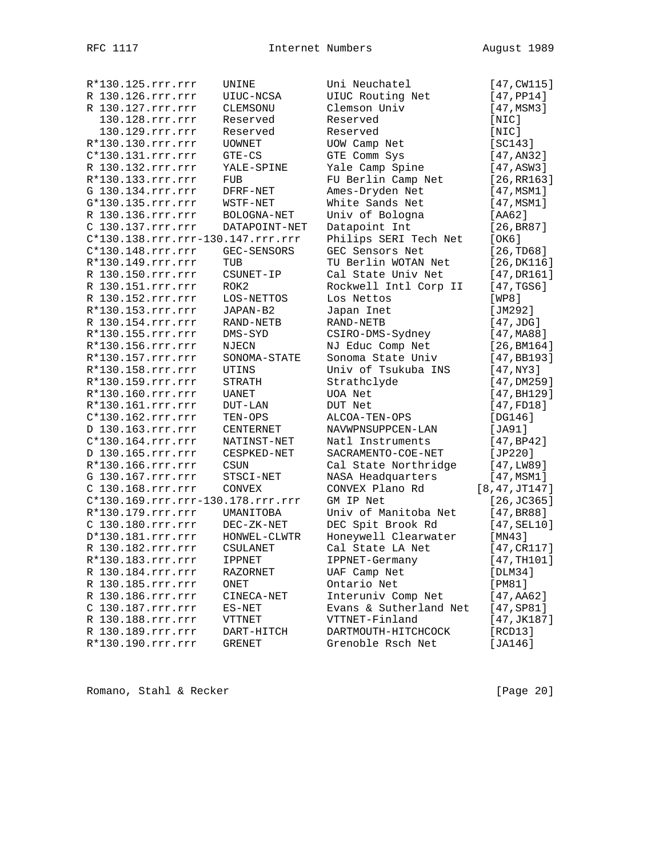| R*130.125.rrr.rrr                 | UNINE           | Uni Neuchatel          | $[47, \text{CW115}]$    |
|-----------------------------------|-----------------|------------------------|-------------------------|
| R 130.126.rrr.rrr                 | UIUC-NCSA       | UIUC Routing Net       | [47, PP14]              |
| R 130.127.rrr.rrr                 | CLEMSONU        | Clemson Univ           | [47, MSM3]              |
| 130.128.rrr.rrr                   | Reserved        | Reserved               | $[$ NIC $]$             |
| 130.129.rrr.rrr                   | Reserved        | Reserved               | [NIC]                   |
| R*130.130.rrr.rrr                 | <b>UOWNET</b>   | UOW Camp Net           | [SC143]                 |
| C*130.131.rrr.rrr                 | $GTE - CS$      | GTE Comm Sys           | [47, AN32]              |
| R 130.132.rrr.rrr                 | YALE-SPINE      | Yale Camp Spine        | [47, ASW3]              |
| R*130.133.rrr.rrr                 | FUB             | FU Berlin Camp Net     | [26, RR163]             |
| G 130.134.rrr.rrr                 | DFRF-NET        | Ames-Dryden Net        | [47, MSM1]              |
| G*130.135.rrr.rrr                 | WSTF-NET        | White Sands Net        | [47, MSM1]              |
| R 130.136.rrr.rrr                 | BOLOGNA-NET     | Univ of Bologna        | [AA62]                  |
| C 130.137.rrr.rrr                 | DATAPOINT-NET   | Datapoint Int          | [26, BR87]              |
| C*130.138.rrr.rrr-130.147.rrr.rrr |                 | Philips SERI Tech Net  | [OK6]                   |
| C*130.148.rrr.rrr                 | GEC-SENSORS     | GEC Sensors Net        | [26, TDS8]              |
| R*130.149.rrr.rrr                 | TUB             | TU Berlin WOTAN Net    | [26, DK116]             |
| R 130.150.rrr.rrr                 | CSUNET-IP       | Cal State Univ Net     | [47, DR161]             |
| R 130.151.rrr.rrr                 | ROK2            | Rockwell Intl Corp II  | [47,TGS6]               |
| R 130.152.rrr.rrr                 | LOS-NETTOS      | Los Nettos             | [WP8]                   |
| R*130.153.rrr.rrr                 | JAPAN-B2        | Japan Inet             | [JM292]                 |
| R 130.154.rrr.rrr                 | RAND-NETB       | RAND-NETB              | [47,JDG]                |
| R*130.155.rrr.rrr                 | DMS-SYD         | CSIRO-DMS-Sydney       | [47, M <sub>A88]</sub>  |
| R*130.156.rrr.rrr                 | NJECN           | NJ Educ Comp Net       | [26, BM164]             |
| R*130.157.rrr.rrr                 | SONOMA-STATE    | Sonoma State Univ      | [47,BB193]              |
| R*130.158.rrr.rrr                 | UTINS           | Univ of Tsukuba INS    | [47,NY3]                |
| R*130.159.rrr.rrr                 | STRATH          | Strathclyde            | [47,DM259]              |
| R*130.160.rrr.rrr                 | UANET           | UOA Net                | [47, B <sub>H129]</sub> |
| R*130.161.rrr.rrr                 | DUT-LAN         | DUT Net                | [47, FD18]              |
| C*130.162.rrr.rrr                 | TEN-OPS         | ALCOA-TEN-OPS          | [DG146]                 |
| D 130.163.rrr.rrr                 | CENTERNET       | NAVWPNSUPPCEN-LAN      | [JA91]                  |
| C*130.164.rrr.rrr                 | NATINST-NET     | Natl Instruments       | [47, BP42]              |
| D 130.165.rrr.rrr                 | CESPKED-NET     | SACRAMENTO-COE-NET     | [JP220]                 |
| R*130.166.rrr.rrr                 | CSUN            | Cal State Northridge   | [47, LW89]              |
| G 130.167.rrr.rrr                 | STSCI-NET       | NASA Headquarters      | [47, MSM1]              |
| C 130.168.rrr.rrr                 | CONVEX          | CONVEX Plano Rd        | [8, 47, JT147]          |
| C*130.169.rrr.rrr-130.178.rrr.rrr |                 | GM IP Net              | $[26, \text{JC}365]$    |
| R*130.179.rrr.rrr                 | UMANITOBA       | Univ of Manitoba Net   | [47, BR88]              |
| C 130.180.rrr.rrr                 | DEC-ZK-NET      | DEC Spit Brook Rd      | [47, SEL10]             |
| D*130.181.rrr.rrr                 | HONWEL-CLWTR    | Honeywell Clearwater   | [MN43]                  |
| R 130.182.rrr.rrr                 | <b>CSULANET</b> | Cal State LA Net       | [47, CR117]             |
| R*130.183.rrr.rrr                 | <b>IPPNET</b>   | IPPNET-Germany         | [47,TH101]              |
| R 130.184.rrr.rrr                 | RAZORNET        | UAF Camp Net           | [DLM34]                 |
| R 130.185.rrr.rrr                 | ONET            | Ontario Net            | [PM81]                  |
| R 130.186.rrr.rrr                 | CINECA-NET      | Interuniv Comp Net     | $[47, A462]$            |
| C 130.187.rrr.rrr                 | $ES-NET$        | Evans & Sutherland Net | [47, SP81]              |
| R 130.188.rrr.rrr                 | VTTNET          | VTTNET-Finland         | [47,JK187]              |
| R 130.189.rrr.rrr                 | DART-HITCH      | DARTMOUTH-HITCHCOCK    | [RCD13]                 |
| R*130.190.rrr.rrr                 | GRENET          | Grenoble Rsch Net      | [JA146]                 |
|                                   |                 |                        |                         |

Romano, Stahl & Recker [Page 20]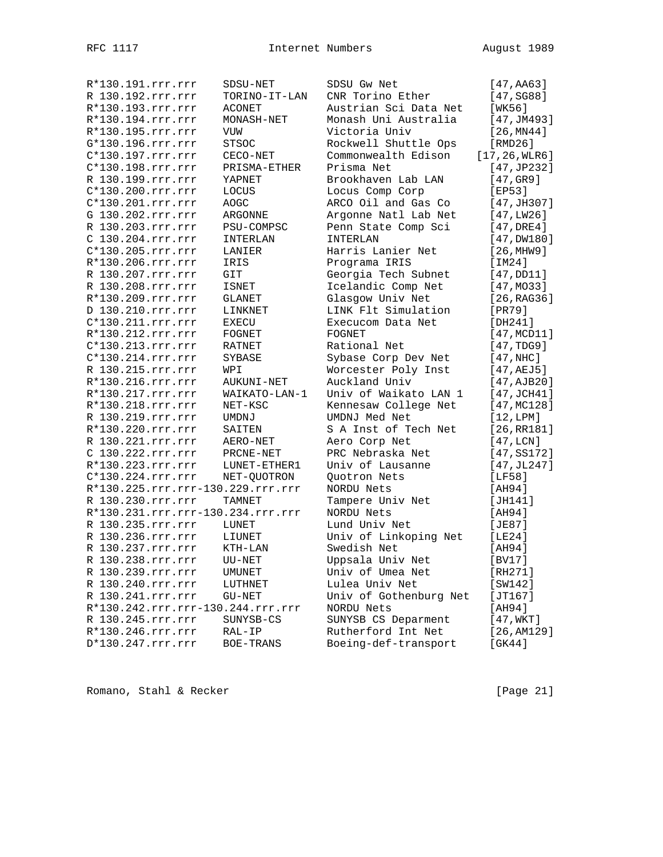| R*130.191.rrr.rrr                 | SDSU-NET      | SDSU Gw Net            | [47, A463]            |
|-----------------------------------|---------------|------------------------|-----------------------|
| R 130.192.rrr.rrr                 | TORINO-IT-LAN | CNR Torino Ether       | [47, SGS8]            |
| R*130.193.rrr.rrr                 | ACONET        | Austrian Sci Data Net  | [WK56]                |
| R*130.194.rrr.rrr                 | MONASH-NET    | Monash Uni Australia   | [47, JM493]           |
| R*130.195.rrr.rrr                 | VUW           | Victoria Univ          | [26, MN44]            |
| G*130.196.rrr.rrr                 | <b>STSOC</b>  | Rockwell Shuttle Ops   | [RMD26]               |
| C*130.197.rrr.rrr                 | CECO-NET      | Commonwealth Edison    | [17, 26, WLR6]        |
| C*130.198.rrr.rrr                 | PRISMA-ETHER  | Prisma Net             | [47, JP232]           |
| R 130.199.rrr.rrr                 | YAPNET        | Brookhaven Lab LAN     | [47,GR9]              |
| C*130.200.rrr.rrr                 | LOCUS         | Locus Comp Corp        | [EP53]                |
| C*130.201.rrr.rrr                 | <b>AOGC</b>   | ARCO Oil and Gas Co    | [47, JH307]           |
| G 130.202.rrr.rrr                 | ARGONNE       | Argonne Natl Lab Net   | [47, LW26]            |
| R 130.203.rrr.rrr                 | PSU-COMPSC    | Penn State Comp Sci    | $[47, \texttt{DRE4}]$ |
| C 130.204.rrr.rrr                 | INTERLAN      | INTERLAN               | [47, DW180]           |
| C*130.205.rrr.rrr                 | LANIER        | Harris Lanier Net      | [26, MHz9]            |
| R*130.206.rrr.rrr                 | IRIS          | Programa IRIS          | [IM24]                |
| R 130.207.rrr.rrr                 | GIT           | Georgia Tech Subnet    | [47,DD11]             |
| R 130.208.rrr.rrr                 | <b>ISNET</b>  | Icelandic Comp Net     | [47, MO33]            |
| R*130.209.rrr.rrr                 | <b>GLANET</b> | Glasgow Univ Net       | [26, RAG36]           |
| D 130.210.rrr.rrr                 | LINKNET       | LINK Flt Simulation    | [PR79]                |
| C*130.211.rrr.rrr                 | <b>EXECU</b>  | Execucom Data Net      | [DH241]               |
| R*130.212.rrr.rrr                 | FOGNET        | FOGNET                 | [47, MCD11]           |
| C*130.213.rrr.rrr                 | RATNET        | Rational Net           | [47, TDG9]            |
| $C*130.214.rrr.rrr$               | SYBASE        | Sybase Corp Dev Net    | $[47, \text{NHC}]$    |
| R 130.215.rrr.rrr                 | WPI           | Worcester Poly Inst    | $[47, \texttt{AEJ5}]$ |
| R*130.216.rrr.rrr                 | AUKUNI-NET    | Auckland Univ          | [47, AJB20]           |
| R*130.217.rrr.rrr                 | WAIKATO-LAN-1 | Univ of Waikato LAN 1  | $[47, \text{JCH}41]$  |
| R*130.218.rrr.rrr                 | NET-KSC       | Kennesaw College Net   | [47, MC128]           |
| R 130.219.rrr.rrr                 | UMDNJ         | UMDNJ Med Net          | [12, LPM]             |
| R*130.220.rrr.rrr                 | SAITEN        | S A Inst of Tech Net   | [26, RR181]           |
| R 130.221.rrr.rrr                 | AERO-NET      | Aero Corp Net          | [47,LCN]              |
| C 130.222.rrr.rrr                 | PRCNE-NET     | PRC Nebraska Net       | [47, SSI72]           |
| R*130.223.rrr.rrr                 | LUNET-ETHER1  | Univ of Lausanne       | [47, JL247]           |
| C*130.224.rrr.rrr                 | NET-QUOTRON   | Quotron Nets           | [LF58]                |
| R*130.225.rrr.rrr-130.229.rrr.rrr |               | NORDU Nets             | [AH94]                |
| R 130.230.rrr.rrr                 | <b>TAMNET</b> | Tampere Univ Net       | [JH141]               |
| R*130.231.rrr.rrr-130.234.rrr.rrr |               | NORDU Nets             | [AH94]                |
| R 130.235.rrr.rrr                 | LUNET         | Lund Univ Net          | [JE87]                |
| R 130.236.rrr.rrr                 | LIUNET        | Univ of Linkoping Net  | [LE24]                |
| R 130.237.rrr.rrr                 | KTH-LAN       | Swedish Net            | [AH94]                |
| R 130.238.rrr.rrr                 | UU-NET        | Uppsala Univ Net       | [BV17]                |
| R 130.239.rrr.rrr                 | UMUNET        | Univ of Umea Net       | [RH271]               |
| R 130.240.rrr.rrr                 | LUTHNET       | Lulea Univ Net         | [SW142]               |
| R 130.241.rrr.rrr                 | GU-NET        | Univ of Gothenburg Net | [JT167]               |
| R*130.242.rrr.rrr-130.244.rrr.rrr |               | NORDU Nets             | [AH94]                |
| R 130.245.rrr.rrr                 | SUNYSB-CS     | SUNYSB CS Deparment    | [47, WKT]             |
| R*130.246.rrr.rrr                 | RAL-IP        | Rutherford Int Net     | [26,AM129]            |
| D*130.247.rrr.rrr                 | BOE-TRANS     | Boeing-def-transport   | [GK44]                |
|                                   |               |                        |                       |

Romano, Stahl & Recker [Page 21]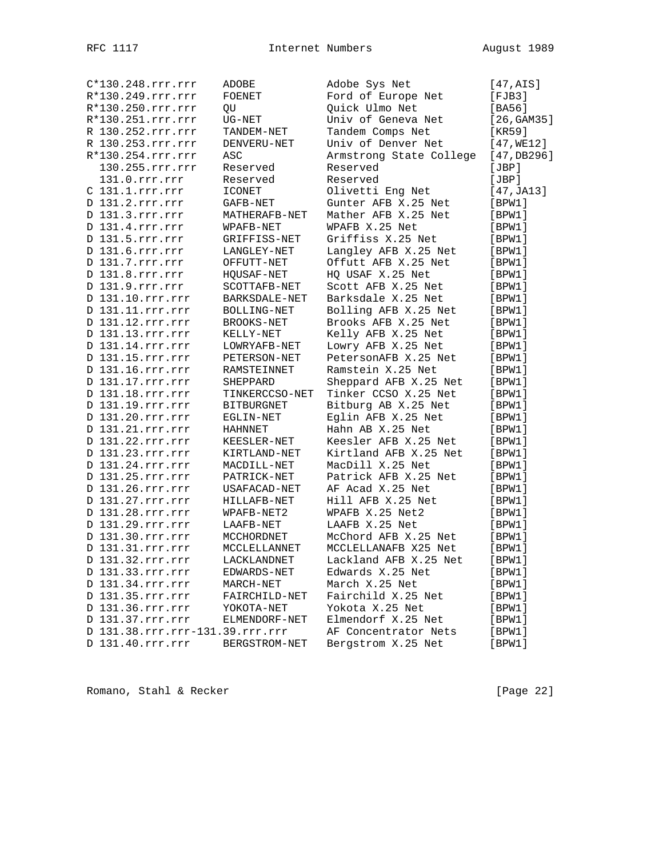| C*130.248.rrr.rrr               | ADOBE             | Adobe Sys Net           | [47, AIS]     |
|---------------------------------|-------------------|-------------------------|---------------|
| R*130.249.rrr.rrr               | FOENET            | Ford of Europe Net      | $[$ FJB $3$ ] |
| R*130.250.rrr.rrr               | QU                | Quick Ulmo Net          | [BA56]        |
| R*130.251.rrr.rrr               | $UG-NET$          | Univ of Geneva Net      | [26, GAM35]   |
| R 130.252.rrr.rrr               | TANDEM-NET        | Tandem Comps Net        | [KR59]        |
| R 130.253.rrr.rrr               | DENVERU-NET       | Univ of Denver Net      | [47, WE12]    |
| R*130.254.rrr.rrr               | ASC               | Armstrong State College | [47, DB296]   |
| 130.255.rrr.rrr                 | Reserved          | Reserved                | [JBP]         |
| 131.0.rrr.rrr                   | Reserved          | Reserved                | [JBP]         |
| $C$ 131.1. $rrr$ . $rrr$        | <b>ICONET</b>     | Olivetti Eng Net        | [47, JA13]    |
| D 131.2.rrr.rrr                 | GAFB-NET          | Gunter AFB X.25 Net     | [BPW1]        |
| D 131.3.rrr.rrr                 | MATHERAFB-NET     | Mather AFB X.25 Net     | [BFW1]        |
| D 131.4.rrr.rrr                 | WPAFB-NET         | WPAFB X.25 Net          | [BFW1]        |
| D 131.5.rrr.rrr                 | GRIFFISS-NET      | Griffiss X.25 Net       | [BPW1]        |
| D 131.6.rrr.rrr                 | LANGLEY-NET       | Langley AFB X.25 Net    | [BFW1]        |
| D 131.7.rrr.rrr                 | OFFUTT-NET        | Offutt AFB X.25 Net     | [BFW1]        |
| D 131.8.rrr.rrr                 | HQUSAF-NET        | HQ USAF X.25 Net        | [BPW1]        |
| D 131.9.rrr.rrr                 | SCOTTAFB-NET      | Scott AFB X.25 Net      | [BFW1]        |
| D 131.10.rrr.rrr                | BARKSDALE-NET     | Barksdale X.25 Net      | [BFW1]        |
| D 131.11.rrr.rrr                | BOLLING-NET       | Bolling AFB X.25 Net    | [BFW1]        |
| D 131.12.rrr.rrr                | BROOKS-NET        | Brooks AFB X.25 Net     | [BFW1]        |
| D 131.13.rrr.rrr                | KELLY-NET         | Kelly AFB X.25 Net      | [BFW1]        |
| D 131.14.rrr.rrr                | LOWRYAFB-NET      | Lowry AFB X.25 Net      | [BFW1]        |
| D 131.15.rrr.rrr                | PETERSON-NET      | PetersonAFB X.25 Net    |               |
|                                 |                   |                         | [BFW1]        |
| D 131.16.rrr.rrr                | RAMSTEINNET       | Ramstein X.25 Net       | [BFW1]        |
| D 131.17.rrr.rrr                | SHEPPARD          | Sheppard AFB X.25 Net   | [BPW1]        |
| D 131.18.rrr.rrr                | TINKERCCSO-NET    | Tinker CCSO X.25 Net    | [BFW1]        |
| D 131.19.rrr.rrr                | <b>BITBURGNET</b> | Bitburg AB X.25 Net     | [BFW1]        |
| D 131.20.rrr.rrr                | EGLIN-NET         | Eglin AFB X.25 Net      | [BPW1]        |
| D 131.21.rrr.rrr                | HAHNNET           | Hahn AB X.25 Net        | [BFW1]        |
| D 131.22.rrr.rrr                | KEESLER-NET       | Keesler AFB X.25 Net    | [BFW1]        |
| D 131.23.rrr.rrr                | KIRTLAND-NET      | Kirtland AFB X.25 Net   | [BFW1]        |
| D 131.24.rrr.rrr                | MACDILL-NET       | MacDill X.25 Net        | [BFW1]        |
| D 131.25.rrr.rrr                | PATRICK-NET       | Patrick AFB X.25 Net    | [BFW1]        |
| D 131.26.rrr.rrr                | USAFACAD-NET      | AF Acad X.25 Net        | [BPW1]        |
| D 131.27.rrr.rrr                | HILLAFB-NET       | Hill AFB X.25 Net       | [BFW1]        |
| D 131.28.rrr.rrr                | WPAFB-NET2        | WPAFB X.25 Net2         | [BFW1]        |
| D 131.29.rrr.rrr                | LAAFB-NET         | LAAFB X.25 Net          | [BPW1]        |
| D 131.30.rrr.rrr                | MCCHORDNET        | McChord AFB X.25 Net    | [BPW1]        |
| D 131.31.rrr.rrr                | MCCLELLANNET      | MCCLELLANAFB X25 Net    | [BPW1]        |
| D 131.32.rrr.rrr                | LACKLANDNET       | Lackland AFB X.25 Net   | [BPW1]        |
| D 131.33.rrr.rrr                | EDWARDS-NET       | Edwards X.25 Net        | [BPW1]        |
| D 131.34.rrr.rrr                | MARCH-NET         | March X.25 Net          | [BFW1]        |
| D 131.35.rrr.rrr                | FAIRCHILD-NET     | Fairchild X.25 Net      | [BPW1]        |
| D 131.36.rrr.rrr                | YOKOTA-NET        | Yokota X.25 Net         | [BFW1]        |
| D 131.37.rrr.rrr                | ELMENDORF-NET     | Elmendorf X.25 Net      | [BFW1]        |
| D 131.38.rrr.rrr-131.39.rrr.rrr |                   | AF Concentrator Nets    | [BFW1]        |
| D 131.40.rrr.rrr                | BERGSTROM-NET     | Bergstrom X.25 Net      | [BPW1]        |

Romano, Stahl & Recker [Page 22]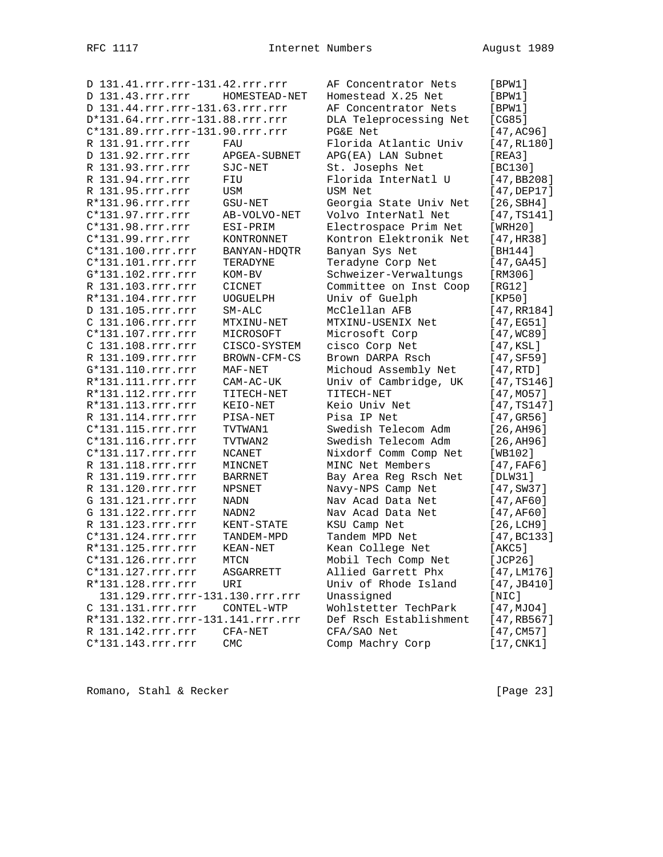| D 131.41.rrr.rrr-131.42.rrr.rrr   |                | AF Concentrator Nets   | [BFW1]              |
|-----------------------------------|----------------|------------------------|---------------------|
| D 131.43.rrr.rrr                  | HOMESTEAD-NET  | Homestead X.25 Net     | [BPW1]              |
| D 131.44.rrr.rrr-131.63.rrr.rrr   |                | AF Concentrator Nets   | [BPW1]              |
| D*131.64.rrr.rrr-131.88.rrr.rrr   |                | DLA Teleprocessing Net | [CG85]              |
| C*131.89.rrr.rrr-131.90.rrr.rrr   |                | PG&E Net               | [47, AC96]          |
| R 131.91.rrr.rrr                  | FAU            | Florida Atlantic Univ  | [47, RL180]         |
| D 131.92.rrr.rrr                  | APGEA-SUBNET   | APG(EA) LAN Subnet     | [REA3]              |
| R 131.93.rrr.rrr                  | SJC-NET        | St. Josephs Net        | [BC130]             |
| R 131.94.rrr.rrr                  | FIU            | Florida InterNatl U    | [47, BB208]         |
| R 131.95.rrr.rrr                  | USM            | USM Net                | $[47,$ DEP $17]$    |
| R*131.96.rrr.rrr                  | GSU-NET        | Georgia State Univ Net | [26,SBH4]           |
| $C*131.97.rrr.rrr$                | AB-VOLVO-NET   | Volvo InterNatl Net    | [47, TS141]         |
| C*131.98.rrr.rrr                  | ESI-PRIM       | Electrospace Prim Net  | [WRH20]             |
| C*131.99.rrr.rrr                  | KONTRONNET     | Kontron Elektronik Net | [47, HR38]          |
| C*131.100.rrr.rrr                 | BANYAN-HDQTR   | Banyan Sys Net         | [BH144]             |
| C*131.101.rrr.rrr                 | TERADYNE       | Teradyne Corp Net      | [47, GAA5]          |
| G*131.102.rrr.rrr                 | KOM-BV         | Schweizer-Verwaltungs  | [RM306]             |
| R 131.103.rrr.rrr                 | <b>CICNET</b>  | Committee on Inst Coop | [RG12]              |
| R*131.104.rrr.rrr                 | UOGUELPH       | Univ of Guelph         | [KP50]              |
| D 131.105.rrr.rrr                 | $SM-ALC$       | McClellan AFB          | [47, RR184]         |
| C 131.106.rrr.rrr                 | MTXINU-NET     | MTXINU-USENIX Net      | [47,EG51]           |
| C*131.107.rrr.rrr                 | MICROSOFT      | Microsoft Corp         | [47, WC89]          |
| C 131.108.rrr.rrr                 | CISCO-SYSTEM   | cisco Corp Net         | [47,KSL]            |
| R 131.109.rrr.rrr                 | BROWN-CFM-CS   | Brown DARPA Rsch       | [47, SF59]          |
| G*131.110.rrr.rrr                 | MAF-NET        | Michoud Assembly Net   | [47, RTD]           |
| R*131.111.rrr.rrr                 | CAM-AC-UK      | Univ of Cambridge, UK  | [47, TS146]         |
| R*131.112.rrr.rrr                 | TITECH-NET     | TITECH-NET             | [47, MO57]          |
| R*131.113.rrr.rrr                 | KEIO-NET       | Keio Univ Net          | [47, TS147]         |
| R 131.114.rrr.rrr                 | PISA-NET       | Pisa IP Net            | [47,GR56]           |
| C*131.115.rrr.rrr                 | TVTWAN1        | Swedish Telecom Adm    | [26, A H 96]        |
| C*131.116.rrr.rrr                 | TVTWAN2        | Swedish Telecom Adm    | [26, A H 96]        |
| $C*131.117.rrr.rrr$               | NCANET         | Nixdorf Comm Comp Net  | [WB102]             |
| R 131.118.rrr.rrr                 | MINCNET        | MINC Net Members       | [47, FAF6]          |
| R 131.119.rrr.rrr                 | <b>BARRNET</b> | Bay Area Reg Rsch Net  | [DLW31]             |
| R 131.120.rrr.rrr                 | NPSNET         | Navy-NPS Camp Net      | $[47, \text{SW37}]$ |
| G 131.121.rrr.rrr                 | NADN           | Nav Acad Data Net      | [47, AF60]          |
| G 131.122.rrr.rrr                 | NADN2          | Nav Acad Data Net      | [47, AF60]          |
| R 131.123.rrr.rrr                 | KENT-STATE     | KSU Camp Net           | [26, LCH9]          |
| C*131.124.rrr.rrr                 | TANDEM-MPD     | Tandem MPD Net         | [47, BC133]         |
| R*131.125.rrr.rrr                 | KEAN-NET       | Kean College Net       | [AKC5]              |
| C*131.126.rrr.rrr                 | MTCN           | Mobil Tech Comp Net    | [ $JCP26$ ]         |
| C*131.127.rrr.rrr                 | ASGARRETT      | Allied Garrett Phx     | [47, LM176]         |
| R*131.128.rrr.rrr                 | URI            | Univ of Rhode Island   | [47, JB410]         |
| 131.129.rrr.rrr-131.130.rrr.rrr   |                | Unassigned             | [NIC]               |
| C 131.131.rrr.rrr                 | CONTEL-WTP     | Wohlstetter TechPark   | [47, MJO4]          |
| R*131.132.rrr.rrr-131.141.rrr.rrr |                | Def Rsch Establishment | [47, RB567]         |
| R 131.142.rrr.rrr                 | CFA-NET        | CFA/SAO Net            | [47, CM57]          |
| C*131.143.rrr.rrr                 | <b>CMC</b>     | Comp Machry Corp       | [17, CNK1]          |

Romano, Stahl & Recker [Page 23]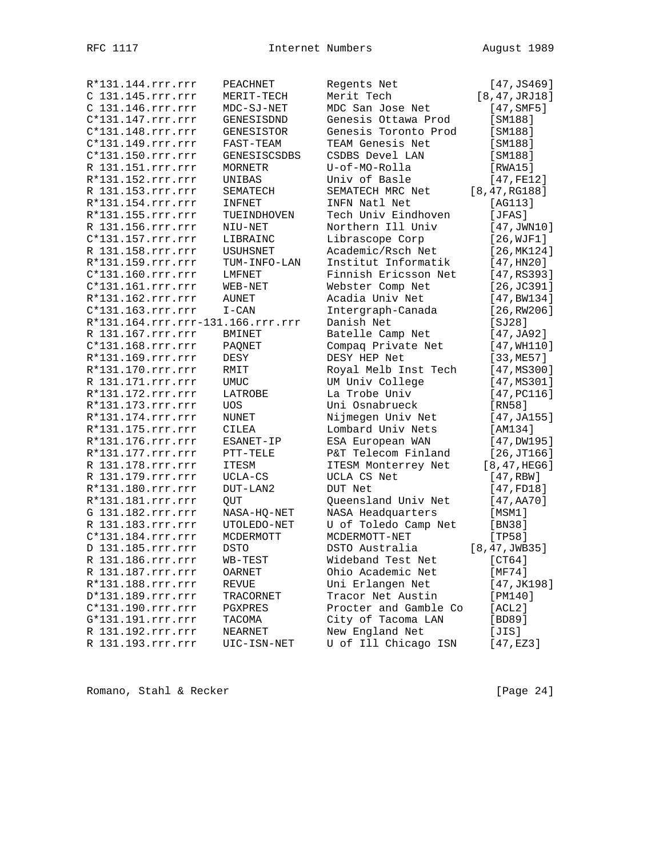| R*131.144.rrr.rrr                 | PEACHNET              | Regents Net           | [47, JS469]              |
|-----------------------------------|-----------------------|-----------------------|--------------------------|
| C 131.145.rrr.rrr                 | MERIT-TECH            | Merit Tech            | [8, 47, JRJ18]           |
| C 131.146.rrr.rrr                 | MDC-SJ-NET            | MDC San Jose Net      | $[47, \text{SMF5}]$      |
| C*131.147.rrr.rrr                 | GENESISDND            | Genesis Ottawa Prod   | [SM188]                  |
| C*131.148.rrr.rrr                 | GENESISTOR            | Genesis Toronto Prod  | [SM188]                  |
| C*131.149.rrr.rrr                 | FAST-TEAM             | TEAM Genesis Net      | [SM188]                  |
| C*131.150.rrr.rrr                 | <b>GENESISCSDBS</b>   | CSDBS Devel LAN       | [SM188]                  |
| R 131.151.rrr.rrr                 | MORNETR               | U-of-MO-Rolla         | [RWA15]                  |
| R*131.152.rrr.rrr                 | UNIBAS                | Univ of Basle         | [47, FE12]               |
| R 131.153.rrr.rrr                 | SEMATECH              | SEMATECH MRC Net      | [8, 47, RG188]           |
| R*131.154.rrr.rrr                 | INFNET                | INFN Natl Net         | [AG113]                  |
| R*131.155.rrr.rrr                 | TUEINDHOVEN           | Tech Univ Eindhoven   | [JFAS]                   |
| R 131.156.rrr.rrr                 | NIU-NET               | Northern Ill Univ     | [47, JWN10]              |
| C*131.157.rrr.rrr                 | LIBRAINC              | Librascope Corp       | [26, WJF1]               |
| R 131.158.rrr.rrr                 | USUHSNET              | Academic/Rsch Net     | [26, MK124]              |
| R*131.159.rrr.rrr                 | TUM-INFO-LAN          | Institut Informatik   | [47, HN20]               |
| C*131.160.rrr.rrr                 | LMFNET                | Finnish Ericsson Net  | [47, RS393]              |
| C*131.161.rrr.rrr                 | WEB-NET               | Webster Comp Net      | [26, JC391]              |
| R*131.162.rrr.rrr                 | <b>AUNET</b>          | Acadia Univ Net       | [47, BW134]              |
| C*131.163.rrr.rrr                 | $\mbox{I}-\mbox{CAN}$ | Intergraph-Canada     | [26, RW206]              |
| R*131.164.rrr.rrr-131.166.rrr.rrr |                       | Danish Net            | [SJ28]                   |
| R 131.167.rrr.rrr                 | <b>BMINET</b>         | Batelle Camp Net      | [47, JA92]               |
| C*131.168.rrr.rrr                 | PAONET                | Compaq Private Net    | [47, WH110]              |
| R*131.169.rrr.rrr                 | DESY                  | DESY HEP Net          | [33,ME57]                |
| R*131.170.rrr.rrr                 | RMIT                  | Royal Melb Inst Tech  | [47, MS300]              |
| R 131.171.rrr.rrr                 | <b>UMUC</b>           | UM Univ College       | [47, MS301]              |
| R*131.172.rrr.rrr                 | LATROBE               | La Trobe Univ         | [47, PC116]              |
| R*131.173.rrr.rrr                 | UOS                   | Uni Osnabrueck        | [RN58]                   |
| R*131.174.rrr.rrr                 | NUNET                 | Nijmegen Univ Net     | [47, JA155]              |
| R*131.175.rrr.rrr                 | CILEA                 | Lombard Univ Nets     | [AM134]                  |
| R*131.176.rrr.rrr                 | ESANET-IP             | ESA European WAN      | $[47,$ DW195]            |
| R*131.177.rrr.rrr                 | PTT-TELE              | P&T Telecom Finland   | [26, JT166]              |
| R 131.178.rrr.rrr                 | <b>ITESM</b>          | ITESM Monterrey Net   | [8, 47, HEG6]            |
| R 131.179.rrr.rrr                 | UCLA-CS               | UCLA CS Net           | [47, RBW]                |
| R*131.180.rrr.rrr                 | DUT-LAN2              | DUT Net               | [47, FD18]               |
| R*131.181.rrr.rrr                 | <b>OUT</b>            | Queensland Univ Net   | [47, A <sub>A</sub> 70]  |
| G 131.182.rrr.rrr                 | NASA-HQ-NET           | NASA Headquarters     | [MSM1]                   |
| R 131.183.rrr.rrr                 | UTOLEDO-NET           | U of Toledo Camp Net  | [BN38]                   |
| C*131.184.rrr.rrr                 | MCDERMOTT             | MCDERMOTT-NET         |                          |
| D 131.185.rrr.rrr                 | <b>DSTO</b>           | DSTO Australia        | [TP58]<br>[8, 47, JWB35] |
|                                   |                       |                       |                          |
| R 131.186.rrr.rrr                 | WB-TEST               | Wideband Test Net     | [CT64]                   |
| R 131.187.rrr.rrr                 | OARNET                | Ohio Academic Net     | [MF74]                   |
| R*131.188.rrr.rrr                 | REVUE                 | Uni Erlangen Net      | [47, JK198]              |
| D*131.189.rrr.rrr                 | TRACORNET             | Tracor Net Austin     | [PM140]                  |
| C*131.190.rrr.rrr                 | PGXPRES               | Procter and Gamble Co | [ACL2]                   |
| G*131.191.rrr.rrr                 | TACOMA                | City of Tacoma LAN    | [BD89]                   |
| R 131.192.rrr.rrr                 | NEARNET               | New England Net       | [JIS]                    |
| R 131.193.rrr.rrr                 | UIC-ISN-NET           | U of Ill Chicago ISN  | $[47, \texttt{EZ3}]$     |

Romano, Stahl & Recker [Page 24]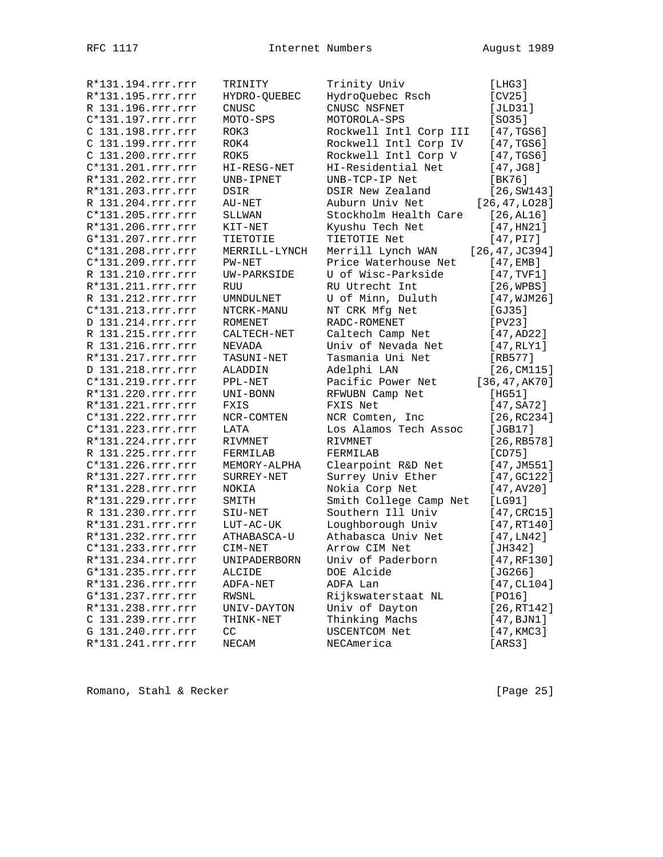| R*131.194.rrr.rrr | TRINITY        | Trinity Univ           | [LHG3]              |
|-------------------|----------------|------------------------|---------------------|
| R*131.195.rrr.rrr | HYDRO-QUEBEC   | HydroQuebec Rsch       | [CV25]              |
| R 131.196.rrr.rrr | CNUSC          | CNUSC NSFNET           | [JLD31]             |
| C*131.197.rrr.rrr | MOTO-SPS       | MOTOROLA-SPS           | $[SO35]$            |
| C 131.198.rrr.rrr | ROK3           | Rockwell Intl Corp III | [47, TGS6]          |
| C 131.199.rrr.rrr | ROK4           | Rockwell Intl Corp IV  | [47, TGS6]          |
| C 131.200.rrr.rrr | ROK5           | Rockwell Intl Corp V   | [47, TGS6]          |
| C*131.201.rrr.rrr | HI-RESG-NET    | HI-Residential Net     | $[47, \text{J}GB]$  |
| R*131.202.rrr.rrr | UNB-IPNET      | UNB-TCP-IP Net         | [BK76]              |
| R*131.203.rrr.rrr | DSIR           | DSIR New Zealand       | [26, SW143]         |
| R 131.204.rrr.rrr | AU-NET         | Auburn Univ Net        | [26, 47, LO28]      |
| C*131.205.rrr.rrr | SLLWAN         | Stockholm Health Care  | $[26, \text{AL}16]$ |
| R*131.206.rrr.rrr | KIT-NET        | Kyushu Tech Net        | [47, HN21]          |
| G*131.207.rrr.rrr | TIETOTIE       | TIETOTIE Net           | [47, P17]           |
| C*131.208.rrr.rrr | MERRILL-LYNCH  | Merrill Lynch WAN      | [26, 47, JC394]     |
| C*131.209.rrr.rrr | PW-NET         | Price Waterhouse Net   | [47, EMB]           |
| R 131.210.rrr.rrr | UW-PARKSIDE    | U of Wisc-Parkside     | [47, TVF1]          |
| R*131.211.rrr.rrr | <b>RUU</b>     | RU Utrecht Int         | [26, WPBS]          |
| R 131.212.rrr.rrr | UMNDULNET      | U of Minn, Duluth      | [47, WJM26]         |
| C*131.213.rrr.rrr | NTCRK-MANU     | NT CRK Mfg Net         | [GJ35]              |
| D 131.214.rrr.rrr | <b>ROMENET</b> | RADC-ROMENET           | [PV23]              |
| R 131.215.rrr.rrr | CALTECH-NET    | Caltech Camp Net       | [47, AD22]          |
| R 131.216.rrr.rrr | NEVADA         | Univ of Nevada Net     | [47, RLY1]          |
| R*131.217.rrr.rrr | TASUNI-NET     | Tasmania Uni Net       | $[RB577]$           |
| D 131.218.rrr.rrr | ALADDIN        | Adelphi LAN            | [26, CM115]         |
| C*131.219.rrr.rrr | PPL-NET        | Pacific Power Net      | [36, 47, AK70]      |
| R*131.220.rrr.rrr |                |                        |                     |
|                   | UNI-BONN       | RFWUBN Camp Net        | [HG51]              |
| R*131.221.rrr.rrr | FXIS           | FXIS Net               | $[47, S_A72]$       |
| C*131.222.rrr.rrr | NCR-COMTEN     | NCR Comten, Inc        | [26, RC234]         |
| C*131.223.rrr.rrr | LATA           | Los Alamos Tech Assoc  | [JGB17]             |
| R*131.224.rrr.rrr | RIVMNET        | RIVMNET                | [26, RB578]         |
| R 131.225.rrr.rrr | FERMILAB       | FERMILAB               | [CD75]              |
| C*131.226.rrr.rrr | MEMORY-ALPHA   | Clearpoint R&D Net     | [47, JM551]         |
| R*131.227.rrr.rrr | SURREY-NET     | Surrey Univ Ether      | [47, 6C122]         |
| R*131.228.rrr.rrr | NOKIA          | Nokia Corp Net         | [47, AV20]          |
| R*131.229.rrr.rrr | SMITH          | Smith College Camp Net | [LG91]              |
| R 131.230.rrr.rrr | SIU-NET        | Southern Ill Univ      | [47, CRC15]         |
| R*131.231.rrr.rrr | $LUT-AC-UK$    | Loughborough Univ      | [47, RT140]         |
| R*131.232.rrr.rrr | ATHABASCA-U    | Athabasca Univ Net     | [47, LN42]          |
| C*131.233.rrr.rrr | CIM-NET        | Arrow CIM Net          | [JH342]             |
| R*131.234.rrr.rrr | UNIPADERBORN   | Univ of Paderborn      | [47,RF130]          |
| G*131.235.rrr.rrr | ALCIDE         | DOE Alcide             | [JG266]             |
| R*131.236.rrr.rrr | ADFA-NET       | ADFA Lan               | [47, CL104]         |
| G*131.237.rrr.rrr | RWSNL          | Rijkswaterstaat NL     | [PO16]              |
| R*131.238.rrr.rrr | UNIV-DAYTON    | Univ of Dayton         | [26, RT142]         |
| C 131.239.rrr.rrr | THINK-NET      | Thinking Machs         | [47, BJM1]          |
| G 131.240.rrr.rrr | CC             | USCENTCOM Net          | [47, KMC3]          |
| R*131.241.rrr.rrr | NECAM          | NECAmerica             | [ARS3]              |

Romano, Stahl & Recker [Page 25]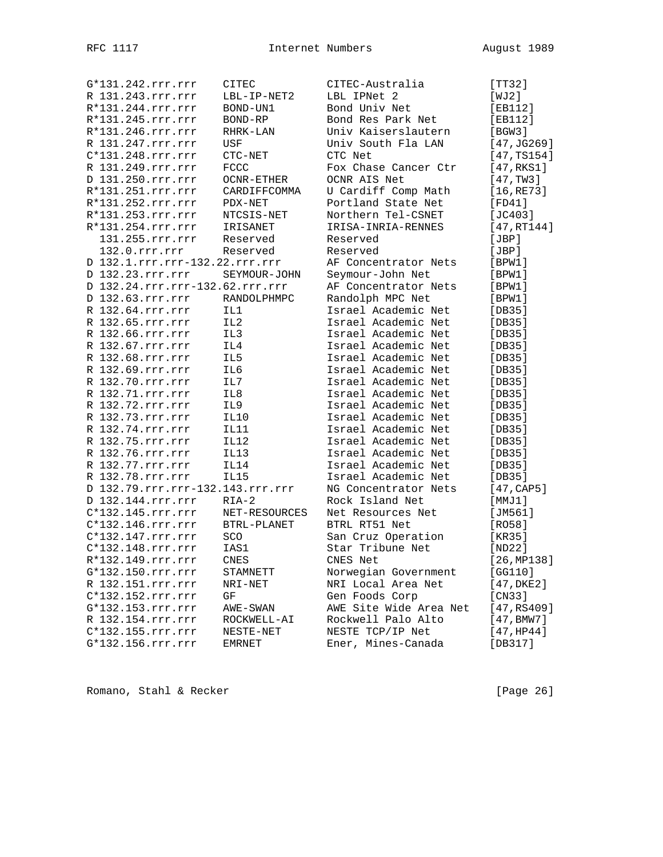| G*131.242.rrr.rrr                | CITEC           | CITEC-Australia                          | [TT32]      |
|----------------------------------|-----------------|------------------------------------------|-------------|
| R 131.243.rrr.rrr                | LBL-IP-NET2     | LBL IPNet 2                              | [WJ2]       |
| R*131.244.rrr.rrr                | BOND-UN1        | Bond Univ Net                            | [EB112]     |
| R*131.245.rrr.rrr                | BOND-RP         | Bond Res Park Net                        | [EB112]     |
| R*131.246.rrr.rrr                | RHRK-LAN        | Univ Kaiserslautern                      | [BGW3]      |
| R 131.247.rrr.rrr                | USF             | Univ South Fla LAN                       | [47, JG269] |
| C*131.248.rrr.rrr                | CTC-NET         | CTC Net                                  | [47, TS154] |
| R 131.249.rrr.rrr                | <b>FCCC</b>     | Fox Chase Cancer Ctr                     | [47, RKS1]  |
| D 131.250.rrr.rrr                | $OCNR-ETHER$    | OCNR AIS Net                             | [47, TW3]   |
| R*131.251.rrr.rrr                | CARDIFFCOMMA    | U Cardiff Comp Math                      | [16, RE73]  |
| R*131.252.rrr.rrr                | PDX-NET         | Portland State Net                       | [FD41]      |
| R*131.253.rrr.rrr                | NTCSIS-NET      | Northern Tel-CSNET                       | $[JC403]$   |
| R*131.254.rrr.rrr                | IRISANET        | IRISA-INRIA-RENNES                       | [47, RT144] |
| 131.255.rrr.rrr                  | Reserved        | Reserved                                 | [JBP]       |
| 132.0.rrr.rrr                    | Reserved        | Reserved                                 | [JBP]       |
| D 132.1.rrr.rrr-132.22.rrr.rrr   |                 | AF Concentrator Nets                     | [BPW1]      |
| D 132.23.rrr.rrr                 | SEYMOUR-JOHN    |                                          | [BPW1]      |
| D 132.24.rrr.rrr-132.62.rrr.rrr  |                 | Seymour-John Net<br>AF Concentrator Nets |             |
| D 132.63.rrr.rrr                 |                 |                                          | [BPW1]      |
|                                  | RANDOLPHMPC     | Randolph MPC Net<br>Israel Academic Net  | [BPW1]      |
| R 132.64.rrr.rrr                 | IL1             |                                          | [DB35]      |
| R 132.65.rrr.rrr                 | IL <sub>2</sub> | Israel Academic Net                      | [DB35]      |
| R 132.66.rrr.rrr                 | IL3             | Israel Academic Net                      | [DB35]      |
| R 132.67.rrr.rrr                 | IL4             | Israel Academic Net                      | [DB35]      |
| R 132.68.rrr.rrr                 | IL5             | Israel Academic Net                      | [DB35]      |
| R 132.69.rrr.rrr                 | IL6             | Israel Academic Net                      | [DB35]      |
| R 132.70.rrr.rrr                 | IL7             | Israel Academic Net                      | [DB35]      |
| R 132.71.rrr.rrr                 | IL8             | Israel Academic Net                      | [DB35]      |
| R 132.72.rrr.rrr                 | IL9             | Israel Academic Net                      | [DB35]      |
| R 132.73.rrr.rrr                 | IL10            | Israel Academic Net                      | [DB35]      |
| R 132.74.rrr.rrr                 | <b>IL11</b>     | Israel Academic Net                      | [DB35]      |
| R 132.75.rrr.rrr                 | IL12            | Israel Academic Net                      | [DB35]      |
| R 132.76.rrr.rrr                 | <b>IL13</b>     | Israel Academic Net                      | [DB35]      |
| R 132.77.rrr.rrr                 | IL14            | Israel Academic Net                      | [DB35]      |
| R 132.78.rrr.rrr                 | <b>IL15</b>     | Israel Academic Net                      | [DB35]      |
| D 132.79.rrr.rrr-132.143.rrr.rrr |                 | NG Concentrator Nets                     | [47, CAP5]  |
| D 132.144.rrr.rrr                | $RIA-2$         | Rock Island Net                          | [MMJ1]      |
| C*132.145.rrr.rrr                | NET-RESOURCES   | Net Resources Net                        | [JM561]     |
| C*132.146.rrr.rrr                | BTRL-PLANET     | BTRL RT51 Net                            | [RO58]      |
| C*132.147.rrr.rrr                | SCO             | San Cruz Operation                       | [KR35]      |
| C*132.148.rrr.rrr                | IAS1            | Star Tribune Net                         | [ND22]      |
| R*132.149.rrr.rrr                | CNES            | CNES Net                                 | [26, MP138] |
| G*132.150.rrr.rrr                | STAMNETT        | Norwegian Government                     | [GG110]     |
| R 132.151.rrr.rrr                | NRI-NET         | NRI Local Area Net                       | [47, DKE2]  |
| C*132.152.rrr.rrr                | GF              | Gen Foods Corp                           | [CN33]      |
| G*132.153.rrr.rrr                | AWE-SWAN        | AWE Site Wide Area Net                   | [47, RS409] |
| R 132.154.rrr.rrr                | ROCKWELL-AI     | Rockwell Palo Alto                       | [47, BMW7]  |
| C*132.155.rrr.rrr                | NESTE-NET       | NESTE TCP/IP Net                         | [47,HP44]   |
| G*132.156.rrr.rrr                | <b>EMRNET</b>   | Ener, Mines-Canada                       | [DB317]     |
|                                  |                 |                                          |             |

Romano, Stahl & Recker [Page 26]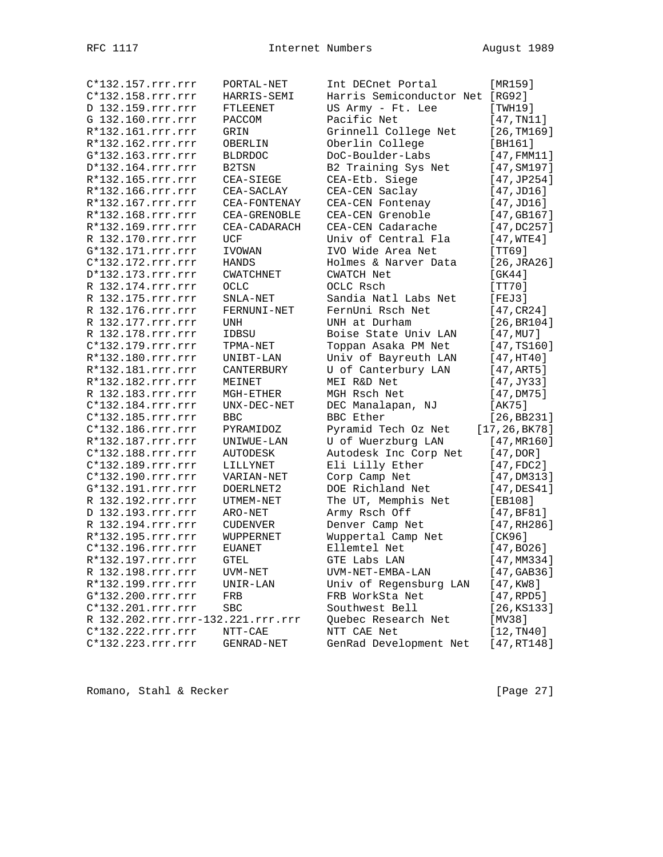| C*132.157.rrr.rrr                 | PORTAL-NET       | Int DECnet Portal                   | [MR159]              |
|-----------------------------------|------------------|-------------------------------------|----------------------|
| C*132.158.rrr.rrr                 | HARRIS-SEMI      | Harris Semiconductor Net [RG92]     |                      |
| D 132.159.rrr.rrr                 | FTLEENET         | US Army - Ft. Lee                   | [TWH19]              |
| G 132.160.rrr.rrr                 | PACCOM           | Pacific Net                         | [47, TN11]           |
| R*132.161.rrr.rrr                 | GRIN             | Grinnell College Net                | [26, TM169]          |
| R*132.162.rrr.rrr                 |                  |                                     |                      |
|                                   | OBERLIN          | Oberlin College<br>DoC-Boulder-Labs | [BH161]              |
| G*132.163.rrr.rrr                 | <b>BLDRDOC</b>   |                                     | $[47,$ FMM11]        |
| D*132.164.rrr.rrr                 | B2TSN            | B2 Training Sys Net                 | [47, SM197]          |
| R*132.165.rrr.rrr                 | CEA-SIEGE        | CEA-Etb. Siege                      | [47, JP254]          |
| R*132.166.rrr.rrr                 | CEA-SACLAY       | CEA-CEN Saclay                      | [47, JDI6]           |
| R*132.167.rrr.rrr                 | CEA-FONTENAY     | CEA-CEN Fontenay                    | [47, JDI6]           |
| R*132.168.rrr.rrr                 | CEA-GRENOBLE     | CEA-CEN Grenoble                    | [47, GB167]          |
| R*132.169.rrr.rrr                 | CEA-CADARACH     | CEA-CEN Cadarache                   | [47,DC257]           |
| R 132.170.rrr.rrr                 | UCF              | Univ of Central Fla                 | [47, WTE4]           |
| G*132.171.rrr.rrr                 | IVOWAN           | IVO Wide Area Net                   | [TT69]               |
| C*132.172.rrr.rrr                 | HANDS            | Holmes & Narver Data                | $[26, \text{JRA}26]$ |
| D*132.173.rrr.rrr                 | <b>CWATCHNET</b> | <b>CWATCH Net</b>                   | [GK44]               |
| R 132.174.rrr.rrr                 | <b>OCLC</b>      | OCLC Rsch                           | [TT70]               |
| R 132.175.rrr.rrr                 | SNLA-NET         | Sandia Natl Labs Net                | [FEJ3]               |
| R 132.176.rrr.rrr                 | FERNUNI-NET      | FernUni Rsch Net                    | [47, CR24]           |
| R 132.177.rrr.rrr                 | UNH              | UNH at Durham                       | [26, BR104]          |
| R 132.178.rrr.rrr                 | IDBSU            | Boise State Univ LAN                | [47, MU7]            |
| C*132.179.rrr.rrr                 | TPMA-NET         | Toppan Asaka PM Net                 | [47, TS160]          |
| R*132.180.rrr.rrr                 | UNIBT-LAN        | Univ of Bayreuth LAN                | [47,HT40]            |
| R*132.181.rrr.rrr                 | CANTERBURY       | U of Canterbury LAN                 | [47,ART5]            |
| R*132.182.rrr.rrr                 | MEINET           | MEI R&D Net                         | $[47,$ JY33]         |
| R 132.183.rrr.rrr                 | MGH-ETHER        | MGH Rsch Net                        | [47,DM75]            |
| C*132.184.rrr.rrr                 | UNX-DEC-NET      | DEC Manalapan, NJ                   | [AK75]               |
| C*132.185.rrr.rrr                 | <b>BBC</b>       | BBC Ether                           | [26, BB231]          |
| C*132.186.rrr.rrr                 | PYRAMIDOZ        | Pyramid Tech Oz Net                 | [17, 26, 8K78]       |
| R*132.187.rrr.rrr                 | UNIWUE-LAN       | U of Wuerzburg LAN                  | [47, MR160]          |
| C*132.188.rrr.rrr                 | <b>AUTODESK</b>  | Autodesk Inc Corp Net               | [47, DOR]            |
| C*132.189.rrr.rrr                 | LILLYNET         | Eli Lilly Ether                     | [47, FDC2]           |
| C*132.190.rrr.rrr                 | VARIAN-NET       | Corp Camp Net                       | [47,DM313]           |
| G*132.191.rrr.rrr                 | DOERLNET2        | DOE Richland Net                    | $[47,$ DES $41]$     |
| R 132.192.rrr.rrr                 | UTMEM-NET        | The UT, Memphis Net                 |                      |
| D 132.193.rrr.rrr                 |                  |                                     | [EB108]              |
|                                   | ARO-NET          | Army Rsch Off                       | [47, BF81]           |
| R 132.194.rrr.rrr                 | <b>CUDENVER</b>  | Denver Camp Net                     | [47, RH286]          |
| R*132.195.rrr.rrr                 | WUPPERNET        | Wuppertal Camp Net                  | [CK96]               |
| C*132.196.rrr.rrr                 | <b>EUANET</b>    | Ellemtel Net                        | [47, B026]           |
| R*132.197.rrr.rrr                 | GTEL             | GTE Labs LAN                        | [47, MM334]          |
| R 132.198.rrr.rrr                 | UVM-NET          | UVM-NET-EMBA-LAN                    | [47, GAB36]          |
| R*132.199.rrr.rrr                 | UNIR-LAN         | Univ of Regensburg LAN              | $[47,$ KW8]          |
| G*132.200.rrr.rrr                 | FRB              | FRB WorkSta Net                     | [47, RPD5]           |
| C*132.201.rrr.rrr                 | <b>SBC</b>       | Southwest Bell                      | [26, KS133]          |
| R 132.202.rrr.rrr-132.221.rrr.rrr |                  | Quebec Research Net                 | [MV38]               |
| C*132.222.rrr.rrr                 | NTT-CAE          | NTT CAE Net                         | [12, TM40]           |
| C*132.223.rrr.rrr                 | GENRAD-NET       | GenRad Development Net              | [47, RT148]          |

Romano, Stahl & Recker [Page 27]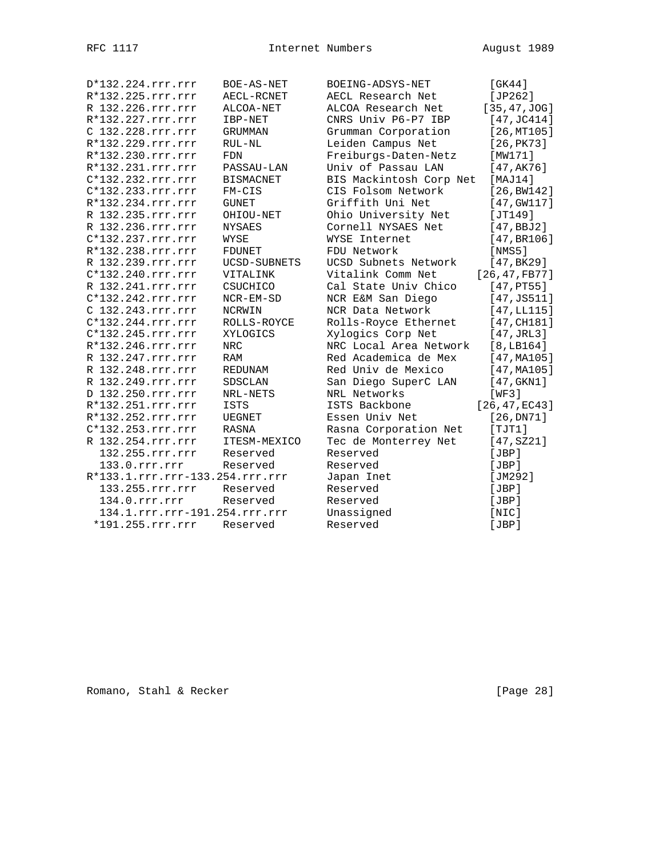| D*132.224.rrr.rrr               | BOE-AS-NET          | BOEING-ADSYS-NET        | [GK44]              |
|---------------------------------|---------------------|-------------------------|---------------------|
| R*132.225.rrr.rrr               | AECL-RCNET          | AECL Research Net       | [JP262]             |
| R 132.226.rrr.rrr               | ALCOA-NET           | ALCOA Research Net      | [35, 47, JOG]       |
| R*132.227.rrr.rrr               | IBP-NET             | CNRS Univ P6-P7 IBP     | [47, JC414]         |
| C 132.228.rrr.rrr               | GRUMMAN             | Grumman Corporation     | [26, MT105]         |
| R*132.229.rrr.rrr               | RUL-NL              | Leiden Campus Net       | [26, PK73]          |
| R*132.230.rrr.rrr               | FDN                 | Freiburgs-Daten-Netz    | [MW171]             |
| R*132.231.rrr.rrr               | PASSAU-LAN          | Univ of Passau LAN      | [47, AK76]          |
| C*132.232.rrr.rrr               | <b>BISMACNET</b>    | BIS Mackintosh Corp Net | [MAJ14]             |
| C*132.233.rrr.rrr               | $FM-CIS$            | CIS Folsom Network      | [26, BW142]         |
| R*132.234.rrr.rrr               | <b>GUNET</b>        | Griffith Uni Net        | $[47,$ GW117]       |
| R 132.235.rrr.rrr               | OHIOU-NET           | Ohio University Net     | [JT149]             |
| R 132.236.rrr.rrr               | <b>NYSAES</b>       | Cornell NYSAES Net      | [47, BBJ2]          |
| C*132.237.rrr.rrr               | WYSE                | WYSE Internet           | [47, BR106]         |
| R*132.238.rrr.rrr               | <b>FDUNET</b>       | FDU Network             | [NMS5]              |
| R 132.239.rrr.rrr               | <b>UCSD-SUBNETS</b> | UCSD Subnets Network    | [47, BK29]          |
| $C*132.240.rrr.rrr$             | VITALINK            | Vitalink Comm Net       | [26, 47, FB77]      |
| R 132.241.rrr.rrr               | CSUCHICO            | Cal State Univ Chico    | [47,PT55]           |
| $C*132.242.rrr.rrr$             | $NCR$ -EM-SD        | NCR E&M San Diego       | [47, JSS11]         |
| C 132.243.rrr.rrr               | NCRWIN              | NCR Data Network        | [47, LL115]         |
| $C*132.244.rrr.rrr$             | ROLLS-ROYCE         | Rolls-Royce Ethernet    | [47, CH181]         |
| C*132.245.rrr.rrr               | XYLOGICS            | Xylogics Corp Net       | $[47, \text{JRL3}]$ |
| R*132.246.rrr.rrr               | <b>NRC</b>          | NRC Local Area Network  | [8, LB164]          |
| R 132.247.rrr.rrr               | RAM                 | Red Academica de Mex    | [47, MA105]         |
| R 132.248.rrr.rrr               | REDUNAM             | Red Univ de Mexico      | [47, MA105]         |
| R 132.249.rrr.rrr               | SDSCLAN             | San Diego SuperC LAN    | [47, GKN1]          |
| D 132.250.rrr.rrr               | NRL-NETS            | NRL Networks            | [WF3]               |
| R*132.251.rrr.rrr               | <b>ISTS</b>         | ISTS Backbone           | [26, 47, EC43]      |
| R*132.252.rrr.rrr               | UEGNET              | Essen Univ Net          | [26, DN71]          |
| C*132.253.rrr.rrr               | RASNA               | Rasna Corporation Net   | [TTI]               |
| R 132.254.rrr.rrr               | ITESM-MEXICO        | Tec de Monterrey Net    | [47, SZ21]          |
| 132.255.rrr.rrr                 | Reserved            | Reserved                | [JBP]               |
| 133.0.rrr.rrr                   | Reserved            | Reserved                | [JBP]               |
| R*133.1.rrr.rrr-133.254.rrr.rrr |                     | Japan Inet              | [JM292]             |
| 133.255.rrr.rrr                 | Reserved            | Reserved                | [JBP]               |
| 134.0.rrr.rrr                   | Reserved            | Reserved                | [JBP]               |
| 134.1.rrr.rrr-191.254.rrr.rrr   |                     | Unassigned              | [NIC]               |
| *191.255.rrr.rrr                | Reserved            | Reserved                | [JBP]               |
|                                 |                     |                         |                     |

Romano, Stahl & Recker [Page 28]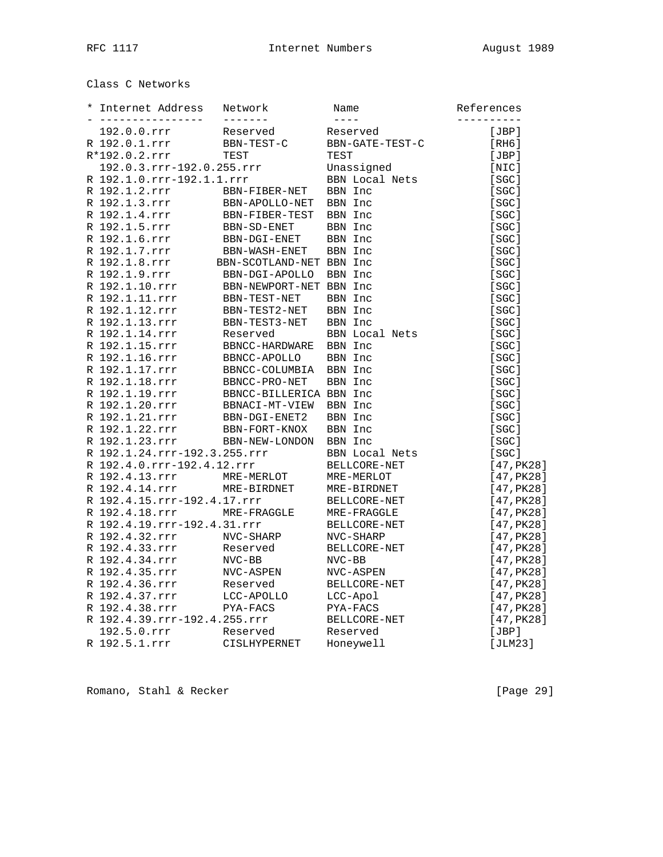Class C Networks

| Internet Address<br>---------------- | Network<br>$- - - - - - - -$ | Name<br>$- - - - -$   | References<br>---------- |
|--------------------------------------|------------------------------|-----------------------|--------------------------|
| 192.0.0.rrr                          | Reserved                     | Reserved              | [JBP]                    |
| R 192.0.1.rrr                        | BBN-TEST-C                   | BBN-GATE-TEST-C       | [RH6]                    |
| R*192.0.2.rrr                        | TEST                         | TEST                  | [JBP]                    |
| 192.0.3.rrr-192.0.255.rrr            |                              | Unassigned            | [NIC]                    |
| R 192.1.0.rrr-192.1.1.rrr            |                              | <b>BBN</b> Local Nets | [SGC]                    |
| R 192.1.2.rrr                        | BBN-FIBER-NET                | BBN Inc               | [SC]                     |
| R 192.1.3.rrr                        | BBN-APOLLO-NET               | BBN Inc               | [SGC]                    |
| R 192.1.4.rrr                        | BBN-FIBER-TEST               | BBN Inc               | [SC]                     |
| R 192.1.5.rrr                        | BBN-SD-ENET                  | BBN Inc               | [SGC]                    |
| R 192.1.6.rrr                        | BBN-DGI-ENET                 | BBN Inc               | [SGC]                    |
| R 192.1.7.rrr                        | BBN-WASH-ENET                | BBN Inc               | [SGC]                    |
| R 192.1.8.rrr                        | BBN-SCOTLAND-NET BBN Inc     |                       | [SC]                     |
| R 192.1.9.rrr                        | BBN-DGI-APOLLO               | BBN Inc               | [SGC]                    |
| R 192.1.10.rrr                       | BBN-NEWPORT-NET BBN Inc      |                       | [SGC]                    |
| R 192.1.11.rrr                       | BBN-TEST-NET                 | BBN Inc               | [SGC]                    |
| R 192.1.12.rrr                       | BBN-TEST2-NET                | BBN Inc               | [SC]                     |
| R 192.1.13.rrr                       | BBN-TEST3-NET                | BBN Inc               | [SGC]                    |
| R 192.1.14.rrr                       | Reserved                     | BBN Local Nets        | [SGC]                    |
| R 192.1.15.rrr                       | BBNCC-HARDWARE               | BBN Inc               | [SGC]                    |
| R 192.1.16.rrr                       | BBNCC-APOLLO                 | BBN Inc               | [SC]                     |
| R 192.1.17.rrr                       | BBNCC-COLUMBIA               | BBN Inc               | [SGC]                    |
| R 192.1.18.rrr                       | BBNCC-PRO-NET                | BBN Inc               | [SGC]                    |
| R 192.1.19.rrr                       | BBNCC-BILLERICA BBN Inc      |                       | [SC]                     |
| R 192.1.20.rrr                       | BBNACI-MT-VIEW               | BBN Inc               | [SC]                     |
| R 192.1.21.rrr                       | BBN-DGI-ENET2                | BBN Inc               | [SGC]                    |
| R 192.1.22.rrr                       | BBN-FORT-KNOX                | BBN Inc               | [SC]                     |
| R 192.1.23.rrr                       | BBN-NEW-LONDON               | BBN Inc               | [SGC]                    |
| R 192.1.24.rrr-192.3.255.rrr         |                              | BBN Local Nets        | [SGC]                    |
| R 192.4.0.rrr-192.4.12.rrr           |                              | BELLCORE-NET          | [47, PK28]               |
| R 192.4.13.rrr                       | MRE-MERLOT                   | MRE-MERLOT            | [47, PK28]               |
| R 192.4.14.rrr                       | MRE-BIRDNET                  | MRE-BIRDNET           | [47, PK28]               |
| R 192.4.15.rrr-192.4.17.rrr          |                              | BELLCORE-NET          | [47, PK28]               |
| R 192.4.18.rrr                       | MRE-FRAGGLE                  | MRE-FRAGGLE           | [47, PK28]               |
| R 192.4.19.rrr-192.4.31.rrr          |                              | BELLCORE-NET          | [47, PK28]               |
| R 192.4.32.rrr                       | NVC-SHARP                    | NVC-SHARP             | [47, PK28]               |
| R 192.4.33.rrr                       | Reserved                     | BELLCORE-NET          | [47, PK28]               |
| R 192.4.34.rrr                       | NVC-BB                       | $NVC-BB$              | [47, PK28]               |
| R 192.4.35.rrr                       | NVC-ASPEN                    | NVC-ASPEN             | [47, PK28]               |
| R 192.4.36.rrr                       |                              |                       |                          |
| R 192.4.37.rrr                       | Reserved                     | BELLCORE-NET          | [47, PK28]               |
|                                      | LCC-APOLLO                   | LCC-Apol              | [47, PK28]               |
| R 192.4.38.rrr                       | PYA-FACS                     | PYA-FACS              | [47, PK28]               |
| R 192.4.39.rrr-192.4.255.rrr         |                              | BELLCORE-NET          | [47, PK28]               |
| 192.5.0.rrr                          | Reserved                     | Reserved              | [JBP]                    |
| R 192.5.1.rrr                        | CISLHYPERNET                 | Honeywell             | [JLM23]                  |

Romano, Stahl & Recker [Page 29]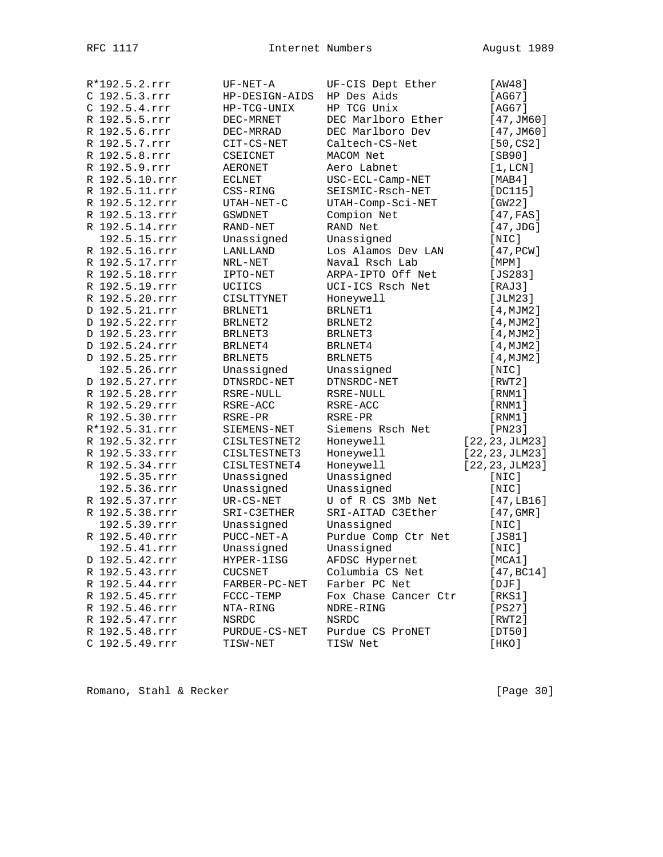| R*192.5.2.rrr  | UF-NET-A       | UF-CIS Dept Ether    | [AW48]          |
|----------------|----------------|----------------------|-----------------|
| C 192.5.3.rrr  | HP-DESIGN-AIDS | HP Des Aids          | [AG67]          |
| C 192.5.4.rrr  | HP-TCG-UNIX    | HP TCG Unix          | [AG67]          |
| R 192.5.5.rrr  | DEC-MRNET      | DEC Marlboro Ether   | [47, JM60]      |
| R 192.5.6.rrr  | DEC-MRRAD      | DEC Marlboro Dev     | [47, JM60]      |
| R 192.5.7.rrr  | CIT-CS-NET     | Caltech-CS-Net       | [50, CS2]       |
| R 192.5.8.rrr  | CSEICNET       | MACOM Net            | [SB90]          |
| R 192.5.9.rrr  | AERONET        | Aero Labnet          | [1,LCN]         |
| R 192.5.10.rrr | ECLNET         | USC-ECL-Camp-NET     | [MAB4]          |
| R 192.5.11.rrr | CSS-RING       | SEISMIC-Rsch-NET     | [DC115]         |
| R 192.5.12.rrr | UTAH-NET-C     | UTAH-Comp-Sci-NET    | [GW22]          |
| R 192.5.13.rrr | <b>GSWDNET</b> | Compion Net          | [47, FAS]       |
| R 192.5.14.rrr | RAND-NET       | RAND Net             | [47,JDG]        |
| 192.5.15.rrr   | Unassigned     | Unassigned           | [NIC]           |
| R 192.5.16.rrr | LANLLAND       | Los Alamos Dev LAN   | [47, PCW]       |
| R 192.5.17.rrr | NRL-NET        | Naval Rsch Lab       | $[$ MPM $]$     |
| R 192.5.18.rrr | IPTO-NET       | ARPA-IPTO Off Net    | $[JS283]$       |
| R 192.5.19.rrr | UCIICS         | UCI-ICS Rsch Net     | [RAJ3]          |
| R 192.5.20.rrr | CISLTTYNET     | Honeywell            | [JLM23]         |
| D 192.5.21.rrr | BRLNET1        | BRLNET1              | [4, MJM2]       |
| D 192.5.22.rrr | BRLNET2        | BRLNET2              | [4, MJM2]       |
| D 192.5.23.rrr | BRLNET3        | BRLNET3              | [4, MJM2]       |
| D 192.5.24.rrr | BRLNET4        | BRLNET4              | [4, MJM2]       |
| D 192.5.25.rrr | BRLNET5        | BRLNET5              | [4, MJM2]       |
| 192.5.26.rrr   | Unassigned     | Unassigned           | $[$ NIC $]$     |
| D 192.5.27.rrr | DTNSRDC-NET    | DTNSRDC-NET          | [RWT2]          |
| R 192.5.28.rrr | RSRE-NULL      | RSRE-NULL            | [RNM1]          |
| R 192.5.29.rrr | RSRE-ACC       | RSRE-ACC             | [RNM1]          |
| R 192.5.30.rrr | RSRE-PR        | RSRE-PR              | [RNM1]          |
| R*192.5.31.rrr | SIEMENS-NET    | Siemens Rsch Net     | [PN23]          |
| R 192.5.32.rrr | CISLTESTNET2   | Honeywell            | [22, 23, JLM23] |
| R 192.5.33.rrr | CISLTESTNET3   | Honeywell            | [22, 23, JLM23] |
| R 192.5.34.rrr | CISLTESTNET4   | Honeywell            | [22, 23, JLM23] |
| 192.5.35.rrr   | Unassigned     | Unassigned           | [NIC]           |
| 192.5.36.rrr   | Unassigned     | Unassigned           | [NIC]           |
| R 192.5.37.rrr | UR-CS-NET      | U of R CS 3Mb Net    | [47, LB16]      |
| R 192.5.38.rrr | SRI-C3ETHER    | SRI-AITAD C3Ether    | $[47$ , GMR $]$ |
| 192.5.39.rrr   | Unassigned     | Unassigned           | [NIC]           |
| R 192.5.40.rrr | PUCC-NET-A     | Purdue Comp Ctr Net  | [JS81]          |
| 192.5.41.rrr   | Unassigned     | Unassigned           | $[$ NIC $]$     |
| D 192.5.42.rrr | HYPER-1ISG     | AFDSC Hypernet       | [MCA1]          |
| R 192.5.43.rrr | CUCSNET        | Columbia CS Net      | [47, BC14]      |
| R 192.5.44.rrr | FARBER-PC-NET  | Farber PC Net        | $[$ $DJF]$      |
| R 192.5.45.rrr | FCCC-TEMP      | Fox Chase Cancer Ctr | [RKS1]          |
| R 192.5.46.rrr | NTA-RING       | NDRE-RING            | [PS27]          |
| R 192.5.47.rrr | NSRDC          | NSRDC                | [RWT2]          |
| R 192.5.48.rrr | PURDUE-CS-NET  | Purdue CS ProNET     | [DT50]          |
| C 192.5.49.rrr | TISW-NET       | TISW Net             | [HKO]           |
|                |                |                      |                 |

Romano, Stahl & Recker [Page 30]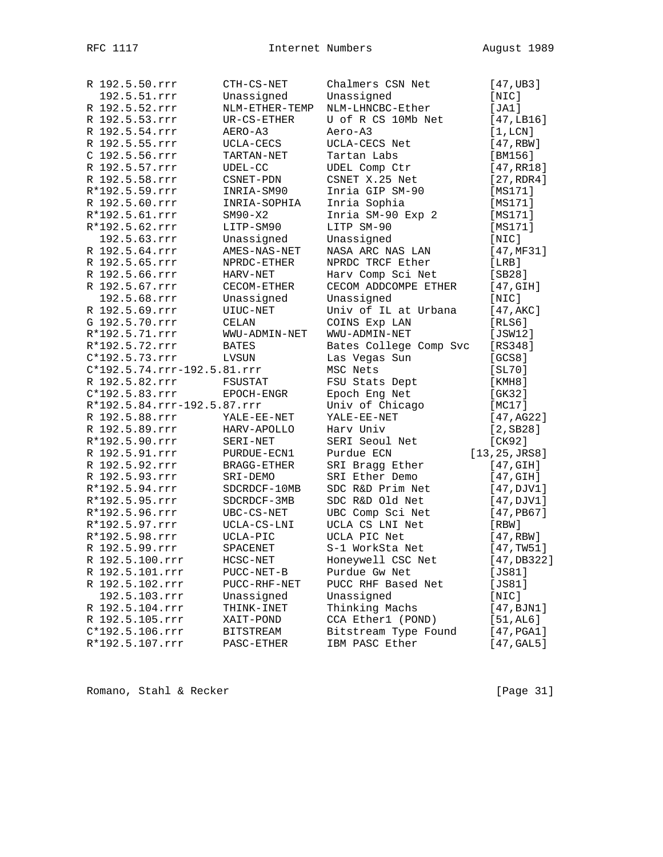| R 192.5.50.rrr              | CTH-CS-NET       | Chalmers CSN Net       | [47,UB3]       |
|-----------------------------|------------------|------------------------|----------------|
| 192.5.51.rrr                | Unassigned       | Unassigned             | [NIC]          |
| R 192.5.52.rrr              | NLM-ETHER-TEMP   | NLM-LHNCBC-Ether       | [JA1]          |
| R 192.5.53.rrr              | UR-CS-ETHER      | U of R CS 10Mb Net     | [47, LB16]     |
| R 192.5.54.rrr              | AERO-A3          | Aero-A3                | [1,LCN]        |
| R 192.5.55.rrr              | UCLA-CECS        | UCLA-CECS Net          | [47, RBW]      |
| C 192.5.56.rrr              | TARTAN-NET       | Tartan Labs            | [BM156]        |
| R 192.5.57.rrr              | UDEL-CC          | UDEL Comp Ctr          | [47,RR18]      |
| R 192.5.58.rrr              | CSNET-PDN        | CSNET X.25 Net         | [27, RDR4]     |
| R*192.5.59.rrr              | INRIA-SM90       | Inria GIP SM-90        | [MS171]        |
| R 192.5.60.rrr              | INRIA-SOPHIA     | Inria Sophia           | [MS171]        |
| R*192.5.61.rrr              | $SM90-X2$        | Inria SM-90 Exp 2      | [MS171]        |
| R*192.5.62.rrr              | LITP-SM90        | LITP SM-90             | [MS171]        |
| 192.5.63.rrr                | Unassigned       | Unassigned             | [NIC]          |
| R 192.5.64.rrr              | AMES-NAS-NET     | NASA ARC NAS LAN       | [47, MF31]     |
| R 192.5.65.rrr              | NPRDC-ETHER      | NPRDC TRCF Ether       | [LRB]          |
| R 192.5.66.rrr              | HARV-NET         | Harv Comp Sci Net      | [SB28]         |
| R 192.5.67.rrr              | CECOM-ETHER      | CECOM ADDCOMPE ETHER   | [47, GIH]      |
| 192.5.68.rrr                | Unassigned       | Unassigned             | [NIC]          |
| R 192.5.69.rrr              | UIUC-NET         | Univ of IL at Urbana   | [47, AKC]      |
| G 192.5.70.rrr              | <b>CELAN</b>     | COINS Exp LAN          | [RLS6]         |
| R*192.5.71.rrr              | WWU-ADMIN-NET    | WWU-ADMIN-NET          | [JSW12]        |
| R*192.5.72.rrr              | <b>BATES</b>     | Bates College Comp Svc | $[RS348]$      |
| C*192.5.73.rrr              | LVSUN            | Las Vegas Sun          | [GCS8]         |
| C*192.5.74.rrr-192.5.81.rrr |                  | MSC Nets               | [SL70]         |
| R 192.5.82.rrr              | FSUSTAT          | FSU Stats Dept         | [KMH8]         |
| $C*192.5.83.rrr$            | EPOCH-ENGR       | Epoch Eng Net          | [GK32]         |
| R*192.5.84.rrr-192.5.87.rrr |                  | Univ of Chicago        | [MC17]         |
| R 192.5.88.rrr              | YALE-EE-NET      | YALE-EE-NET            | [47,AG22]      |
| R 192.5.89.rrr              | HARV-APOLLO      | Harv Univ              | $[2,$ SB28]    |
| R*192.5.90.rrr              | SERI-NET         | SERI Seoul Net         | [CK92]         |
| R 192.5.91.rrr              | PURDUE-ECN1      | Purdue ECN             | [13, 25, JRS8] |
| R 192.5.92.rrr              | BRAGG-ETHER      | SRI Bragg Ether        | [47, GIH]      |
| R 192.5.93.rrr              | SRI-DEMO         | SRI Ether Demo         | [47, GIH]      |
| R*192.5.94.rrr              | SDCRDCF-10MB     | SDC R&D Prim Net       | [47,DJV1]      |
| R*192.5.95.rrr              | SDCRDCF-3MB      | SDC R&D Old Net        | [47,DJV1]      |
| R*192.5.96.rrr              | UBC-CS-NET       | UBC Comp Sci Net       | $[47,$ PB67]   |
| R*192.5.97.rrr              | UCLA-CS-LNI      | UCLA CS LNI Net        | $[$ RBW $]$    |
| R*192.5.98.rrr              | UCLA-PIC         | UCLA PIC Net           | [47, RBW]      |
| R 192.5.99.rrr              | SPACENET         | S-1 WorkSta Net        | [47, TW51]     |
| R 192.5.100.rrr             | HCSC-NET         | Honeywell CSC Net      | [47, DB322]    |
| R 192.5.101.rrr             | PUCC-NET-B       | Purdue Gw Net          | [JS81]         |
| R 192.5.102.rrr             | PUCC-RHF-NET     | PUCC RHF Based Net     | [JS81]         |
| 192.5.103.rrr               | Unassigned       | Unassigned             | [NIC]          |
| R 192.5.104.rrr             | THINK-INET       | Thinking Machs         | [47, BJN1]     |
| R 192.5.105.rrr             | XAIT-POND        | CCA Ether1 (POND)      | [51, AL6]      |
| $C*192.5.106.rrr$           | <b>BITSTREAM</b> | Bitstream Type Found   | [47, PGA1]     |
| R*192.5.107.rrr             | PASC-ETHER       | IBM PASC Ether         | [47, GAL5]     |
|                             |                  |                        |                |

Romano, Stahl & Recker [Page 31]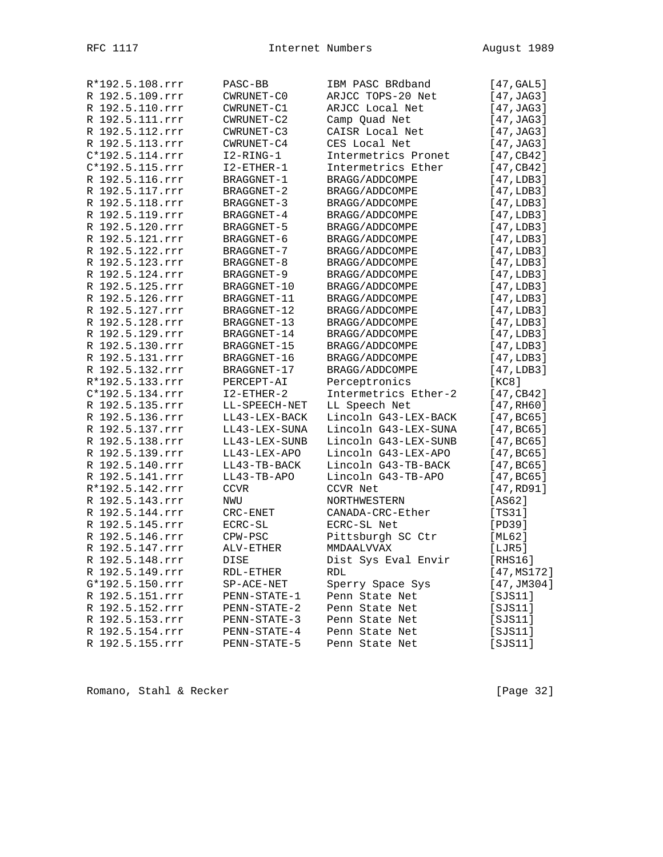| R*192.5.108.rrr | PASC-BB           | IBM PASC BRdband     | [47, GAL5]  |
|-----------------|-------------------|----------------------|-------------|
| R 192.5.109.rrr | CWRUNET-CO        | ARJCC TOPS-20 Net    | [47, JAG3]  |
| R 192.5.110.rrr | CWRUNET-C1        | ARJCC Local Net      | [47, JAG3]  |
| R 192.5.111.rrr | CWRUNET-C2        | Camp Quad Net        | [47, JAG3]  |
| R 192.5.112.rrr | CWRUNET-C3        | CAISR Local Net      | [47, JAG3]  |
| R 192.5.113.rrr | CWRUNET-C4        | CES Local Net        | [47, JAG3]  |
| C*192.5.114.rrr | I2-RING-1         | Intermetrics Pronet  | [47, CB42]  |
| C*192.5.115.rrr | $I2 - ETHER - 1$  | Intermetrics Ether   | [47, CB42]  |
| R 192.5.116.rrr |                   |                      |             |
|                 | BRAGGNET-1        | BRAGG/ADDCOMPE       | [47, LDB3]  |
| R 192.5.117.rrr | <b>BRAGGNET-2</b> | BRAGG/ADDCOMPE       | [47, LDB3]  |
| R 192.5.118.rrr | BRAGGNET-3        | BRAGG/ADDCOMPE       | [47, LDB3]  |
| R 192.5.119.rrr | BRAGGNET-4        | BRAGG/ADDCOMPE       | [47, LDB3]  |
| R 192.5.120.rrr | BRAGGNET-5        | BRAGG/ADDCOMPE       | [47, LDB3]  |
| R 192.5.121.rrr | BRAGGNET-6        | BRAGG/ADDCOMPE       | [47, LDB3]  |
| R 192.5.122.rrr | BRAGGNET-7        | BRAGG/ADDCOMPE       | [47, LDB3]  |
| R 192.5.123.rrr | BRAGGNET-8        | BRAGG/ADDCOMPE       | [47, LDB3]  |
| R 192.5.124.rrr | BRAGGNET-9        | BRAGG/ADDCOMPE       | [47, LDB3]  |
| R 192.5.125.rrr | BRAGGNET-10       | BRAGG/ADDCOMPE       | [47, LDB3]  |
| R 192.5.126.rrr | BRAGGNET-11       | BRAGG/ADDCOMPE       | [47, LDB3]  |
| R 192.5.127.rrr | BRAGGNET-12       | BRAGG/ADDCOMPE       | [47, LDB3]  |
| R 192.5.128.rrr | BRAGGNET-13       | BRAGG/ADDCOMPE       | [47, LDB3]  |
| R 192.5.129.rrr | BRAGGNET-14       | BRAGG/ADDCOMPE       | [47, LDB3]  |
| R 192.5.130.rrr | BRAGGNET-15       | BRAGG/ADDCOMPE       | [47, LDB3]  |
| R 192.5.131.rrr | BRAGGNET-16       | BRAGG/ADDCOMPE       | [47, LDB3]  |
| R 192.5.132.rrr | BRAGGNET-17       | BRAGG/ADDCOMPE       | [47, LDB3]  |
| R*192.5.133.rrr | PERCEPT-AI        | Perceptronics        | [KC8]       |
| C*192.5.134.rrr | $I2 - ETHER-2$    | Intermetrics Ether-2 | [47, CB42]  |
| R 192.5.135.rrr | LL-SPEECH-NET     | LL Speech Net        | [47, RH60]  |
| R 192.5.136.rrr | LL43-LEX-BACK     | Lincoln G43-LEX-BACK | [47, BC65]  |
| R 192.5.137.rrr | LL43-LEX-SUNA     | Lincoln G43-LEX-SUNA | [47, BC65]  |
| R 192.5.138.rrr | LL43-LEX-SUNB     | Lincoln G43-LEX-SUNB | [47, BC65]  |
| R 192.5.139.rrr | LL43-LEX-APO      | Lincoln G43-LEX-APO  | [47, BC65]  |
| R 192.5.140.rrr | LL43-TB-BACK      | Lincoln G43-TB-BACK  | [47, BC65]  |
| R 192.5.141.rrr | LL43-TB-APO       | Lincoln G43-TB-APO   | [47, BC65]  |
| R*192.5.142.rrr | CCVR              | CCVR Net             | [47, RD91]  |
| R 192.5.143.rrr | NWU               | NORTHWESTERN         | [AS62]      |
| R 192.5.144.rrr | CRC-ENET          | CANADA-CRC-Ether     | [TS31]      |
| R 192.5.145.rrr | ECRC-SL           | ECRC-SL Net          | [PD39]      |
|                 |                   |                      |             |
| R 192.5.146.rrr | CPW-PSC           | Pittsburgh SC Ctr    | [ML62]      |
| R 192.5.147.rrr | ALV-ETHER         | MMDAALVVAX           | [LJK5]      |
| R 192.5.148.rrr | DISE              | Dist Sys Eval Envir  | [RHS16]     |
| R 192.5.149.rrr | RDL-ETHER         | RDL                  | [47,MS172]  |
| G*192.5.150.rrr | $SP-ACE-NET$      | Sperry Space Sys     | [47, JM304] |
| R 192.5.151.rrr | PENN-STATE-1      | Penn State Net       | [SJS11]     |
| R 192.5.152.rrr | PENN-STATE-2      | Penn State Net       | [SJS11]     |
| R 192.5.153.rrr | PENN-STATE-3      | Penn State Net       | [SJS11]     |
| R 192.5.154.rrr | PENN-STATE-4      | Penn State Net       | [SJS11]     |
| R 192.5.155.rrr | PENN-STATE-5      | Penn State Net       | [SJS11]     |

Romano, Stahl & Recker [Page 32]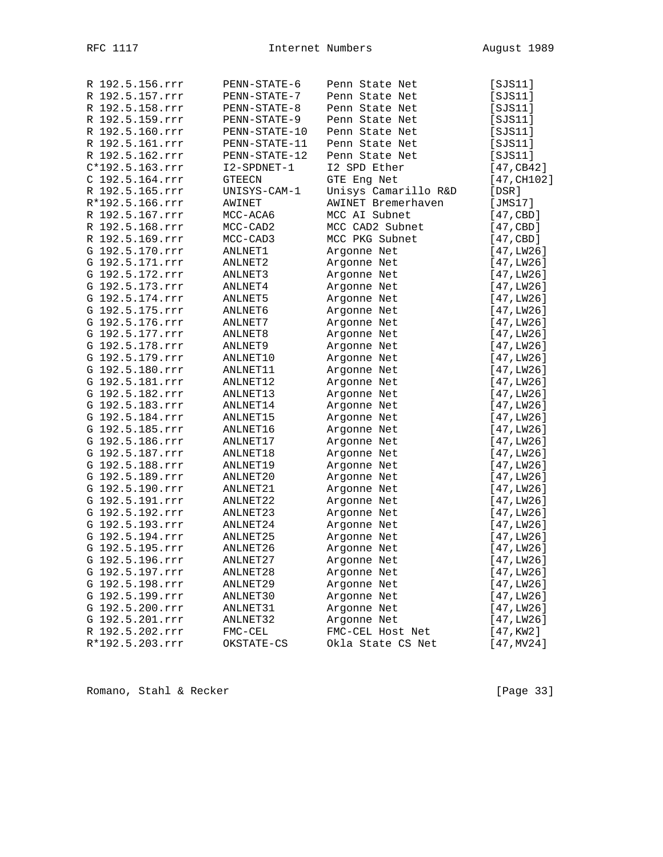| R 192.5.156.rrr                    | PENN-STATE-6  | Penn State Net       | [SJS11]          |
|------------------------------------|---------------|----------------------|------------------|
| R 192.5.157.rrr                    | PENN-STATE-7  | Penn State Net       | [ <i>SJS11</i> ] |
| R 192.5.158.rrr                    | PENN-STATE-8  | Penn State Net       | [SJS11]          |
| R 192.5.159.rrr                    | PENN-STATE-9  | Penn State Net       | [SJS11]          |
| R 192.5.160.rrr                    | PENN-STATE-10 | Penn State Net       | [SJS11]          |
| R 192.5.161.rrr                    | PENN-STATE-11 | Penn State Net       | [SJS11]          |
| R 192.5.162.rrr                    | PENN-STATE-12 | Penn State Net       | [ <i>SJS11</i> ] |
| C*192.5.163.rrr                    | I2-SPDNET-1   | 12 SPD Ether         | [47, CB42]       |
| C 192.5.164.rrr                    | <b>GTEECN</b> | GTE Eng Net          | [47, CH102]      |
| R 192.5.165.rrr                    | UNISYS-CAM-1  | Unisys Camarillo R&D | [DSR]            |
| R*192.5.166.rrr                    | AWINET        | AWINET Bremerhaven   | [JMS17]          |
| R 192.5.167.rrr                    | MCC-ACA6      | MCC AI Subnet        | [47, CBD]        |
| R 192.5.168.rrr                    | MCC-CAD2      | MCC CAD2 Subnet      | [47, CBD]        |
| R 192.5.169.rrr                    | MCC-CAD3      | MCC PKG Subnet       | [47, CBD]        |
| G 192.5.170.rrr                    | ANLNET1       | Argonne Net          | [47, LW26]       |
| G 192.5.171.rrr                    | ANLNET2       | Argonne Net          | [47,LW26]        |
| G 192.5.172.rrr                    | ANLNET3       | Argonne Net          | [47,LW26]        |
| G 192.5.173.rrr                    | ANLNET4       | Argonne Net          | [47,LW26]        |
| G 192.5.174.rrr                    | ANLNET5       | Argonne Net          | [47, LW26]       |
| G 192.5.175.rrr                    | ANLNET6       | Argonne Net          | [47,LW26]        |
| G 192.5.176.rrr                    | ANLNET7       | Argonne Net          | [47, LW26]       |
| G 192.5.177.rrr                    | ANLNET8       | Argonne Net          | [47, LW26]       |
| G 192.5.178.rrr                    | ANLNET9       | Argonne Net          | [47,LW26]        |
| G 192.5.179.rrr                    | ANLNET10      | Argonne Net          | [47,LW26]        |
| G 192.5.180.rrr                    | ANLNET11      | Argonne Net          |                  |
| G 192.5.181.rrr                    | ANLNET12      |                      | [47,LW26]        |
| G 192.5.182.rrr                    | ANLNET13      | Argonne Net          | [47,LW26]        |
|                                    |               | Argonne Net          | [47, LW26]       |
| G 192.5.183.rrr<br>G 192.5.184.rrr | ANLNET14      | Argonne Net          | [47,LW26]        |
|                                    | ANLNET15      | Argonne Net          | [47,LW26]        |
| G 192.5.185.rrr                    | ANLNET16      | Argonne Net          | [47,LW26]        |
| G 192.5.186.rrr                    | ANLNET17      | Argonne Net          | [47,LW26]        |
| G 192.5.187.rrr                    | ANLNET18      | Argonne Net          | [47, LW26]       |
| G 192.5.188.rrr                    | ANLNET19      | Argonne Net          | [47, LW26]       |
| G 192.5.189.rrr                    | ANLNET20      | Argonne Net          | [47, LW26]       |
| G 192.5.190.rrr                    | ANLNET21      | Argonne Net          | [47,LW26]        |
| G 192.5.191.rrr                    | ANLNET22      | Argonne Net          | [47,LW26]        |
| G 192.5.192.rrr                    | ANLNET23      | Argonne Net          | [47,LW26]        |
| G 192.5.193.rrr                    | ANLNET24      | Argonne Net          | [47, LW26]       |
| G 192.5.194.rrr                    | ANLNET25      | Argonne Net          | [47, LW26]       |
| G 192.5.195.rrr                    | ANLNET26      | Argonne Net          | [47, LW26]       |
| G 192.5.196.rrr                    | ANLNET27      | Argonne Net          | [47,LW26]        |
| G 192.5.197.rrr                    | ANLNET28      | Argonne Net          | [47,LW26]        |
| G 192.5.198.rrr                    | ANLNET29      | Argonne Net          | [47, LW26]       |
| G 192.5.199.rrr                    | ANLNET30      | Argonne Net          | [47,LW26]        |
| G 192.5.200.rrr                    | ANLNET31      | Argonne Net          | [47, LW26]       |
| G 192.5.201.rrr                    | ANLNET32      | Argonne Net          | [47,LW26]        |
| R 192.5.202.rrr                    | FMC-CEL       | FMC-CEL Host Net     | [47,KW2]         |
| R*192.5.203.rrr                    | OKSTATE-CS    | Okla State CS Net    | $[47,$ MV $24]$  |

Romano, Stahl & Recker [Page 33]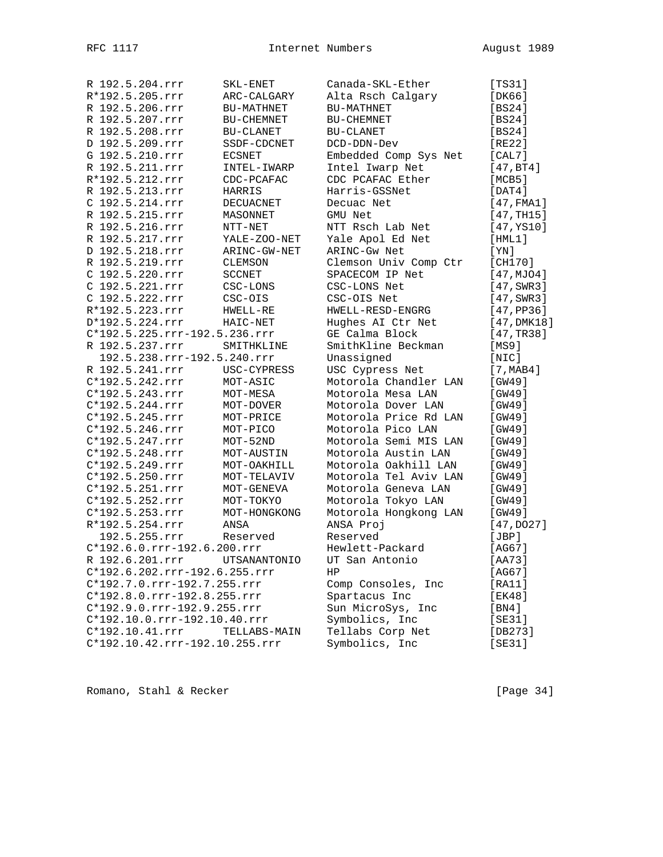| R 192.5.204.rrr                | SKL-ENET          | Canada-SKL-Ether      | [TS31]                |
|--------------------------------|-------------------|-----------------------|-----------------------|
| R*192.5.205.rrr                | ARC-CALGARY       | Alta Rsch Calgary     | [DK66]                |
| R 192.5.206.rrr                | <b>BU-MATHNET</b> | <b>BU-MATHNET</b>     | [BS24]                |
| R 192.5.207.rrr                | BU-CHEMNET        | BU-CHEMNET            | [BS24]                |
| R 192.5.208.rrr                | BU-CLANET         | BU-CLANET             | [BS24]                |
| D 192.5.209.rrr                | SSDF-CDCNET       | DCD-DDN-Dev           | [RE22]                |
| G 192.5.210.rrr                | <b>ECSNET</b>     | Embedded Comp Sys Net | [CAL7]                |
| R 192.5.211.rrr                | INTEL-IWARP       | Intel Iwarp Net       | [47, BT4]             |
| R*192.5.212.rrr                | CDC-PCAFAC        | CDC PCAFAC Ether      | [MCB5]                |
| R 192.5.213.rrr                | HARRIS            | Harris-GSSNet         | $[$ DAT $4$ ]         |
| C 192.5.214.rrr                | DECUACNET         | Decuac Net            | $[47,$ FMA1]          |
| R 192.5.215.rrr                | MASONNET          | GMU Net               | [47, TH15]            |
| R 192.5.216.rrr                | NTT-NET           | NTT Rsch Lab Net      | [47, YS10]            |
| R 192.5.217.rrr                | YALE-ZOO-NET      | Yale Apol Ed Net      | [HML1]                |
| D 192.5.218.rrr                | ARINC-GW-NET      | ARINC-Gw Net          | [YN]                  |
| R 192.5.219.rrr                | CLEMSON           | Clemson Univ Comp Ctr | [CH170]               |
| C 192.5.220.rrr                | SCCNET            | SPACECOM IP Net       | [47, MJO4]            |
| C 192.5.221.rrr                | CSC-LONS          | CSC-LONS Net          | $[47, \text{SWR}3]$   |
| C 192.5.222.rrr                | CSC-OIS           | CSC-OIS Net           | $[47, \texttt{SWR3}]$ |
| R*192.5.223.rrr                | HWELL-RE          | HWELL-RESD-ENGRG      | [47, PP36]            |
| D*192.5.224.rrr                | HAIC-NET          | Hughes AI Ctr Net     | [47, DMK18]           |
| C*192.5.225.rrr-192.5.236.rrr  |                   | GE Calma Block        | [47, TR38]            |
| R 192.5.237.rrr                | SMITHKLINE        | SmithKline Beckman    | [MS9]                 |
| 192.5.238.rrr-192.5.240.rrr    |                   | Unassigned            | [NIC]                 |
| R 192.5.241.rrr                | USC-CYPRESS       | USC Cypress Net       | [7, MAB4]             |
| C*192.5.242.rrr                | MOT-ASIC          | Motorola Chandler LAN | [GW49]                |
| C*192.5.243.rrr                | MOT-MESA          | Motorola Mesa LAN     | [GW49]                |
| C*192.5.244.rrr                | MOT-DOVER         | Motorola Dover LAN    | [GW49]                |
| C*192.5.245.rrr                | MOT-PRICE         | Motorola Price Rd LAN | [GW49]                |
| C*192.5.246.rrr                | MOT-PICO          | Motorola Pico LAN     | [GW49]                |
| $C*192.5.247.rrr$              | MOT-52ND          | Motorola Semi MIS LAN | [GW49]                |
| $C*192.5.248.rrr$              | MOT-AUSTIN        | Motorola Austin LAN   | [GW49]                |
| C*192.5.249.rrr                | MOT-OAKHILL       | Motorola Oakhill LAN  | [GW49]                |
| C*192.5.250.rrr                | MOT-TELAVIV       | Motorola Tel Aviv LAN | [GW49]                |
| $C*192.5.251.rrr$              | MOT-GENEVA        | Motorola Geneva LAN   | [GW49]                |
| C*192.5.252.rrr                | MOT-TOKYO         | Motorola Tokyo LAN    | [GW49]                |
| C*192.5.253.rrr                | MOT-HONGKONG      | Motorola Hongkong LAN | [GW49]                |
| R*192.5.254.rrr                | ANSA              | ANSA Proj             | [47, DO27]            |
| 192.5.255.rrr                  | Reserved          | Reserved              | [JBP]                 |
| C*192.6.0.rrr-192.6.200.rrr    |                   | Hewlett-Packard       | [AG67]                |
| R 192.6.201.rrr                | UTSANANTONIO      | UT San Antonio        | [AA73]                |
| C*192.6.202.rrr-192.6.255.rrr  |                   | HP.                   | [AG67]                |
| C*192.7.0.rrr-192.7.255.rrr    |                   | Comp Consoles, Inc    | [RAI1]                |
| C*192.8.0.rrr-192.8.255.rrr    |                   | Spartacus Inc         | [EK48]                |
| C*192.9.0.rrr-192.9.255.rrr    |                   | Sun MicroSys, Inc     | [BN4]                 |
| C*192.10.0.rrr-192.10.40.rrr   |                   | Symbolics, Inc        | [SE31]                |
| $C*192.10.41.rrr$              | TELLABS-MAIN      | Tellabs Corp Net      | [DB273]               |
| C*192.10.42.rrr-192.10.255.rrr |                   | Symbolics, Inc        | [SE31]                |
|                                |                   |                       |                       |

Romano, Stahl & Recker [Page 34]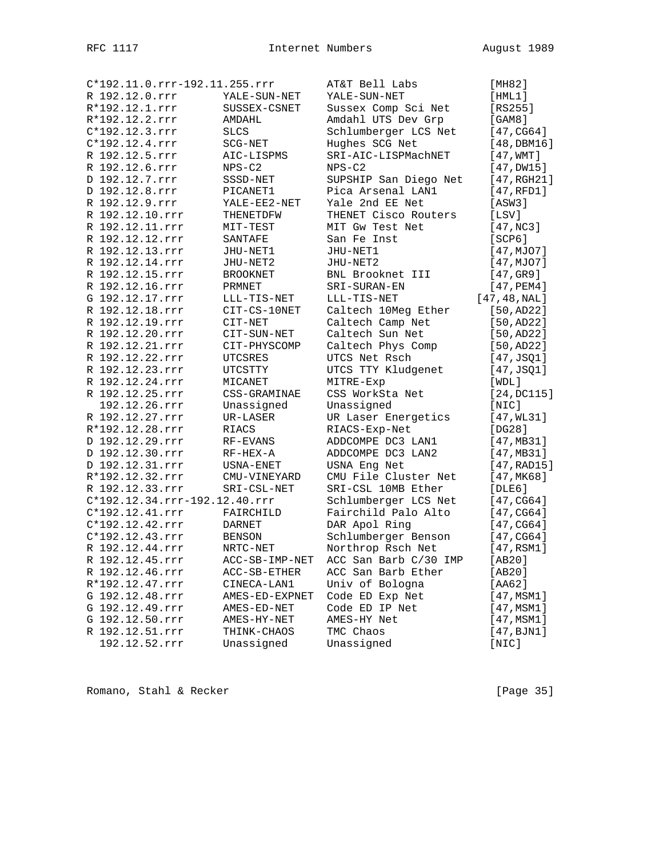|                  | C*192.11.0.rrr-192.11.255.rrr |                 | AT&T Bell Labs        | [MHz2]          |
|------------------|-------------------------------|-----------------|-----------------------|-----------------|
| R 192.12.0.rrr   |                               | YALE-SUN-NET    | YALE-SUN-NET          | [HML1]          |
| R*192.12.1.rrr   |                               | SUSSEX-CSNET    | Sussex Comp Sci Net   | $[RS255]$       |
| R*192.12.2.rrr   |                               | AMDAHL          | Amdahl UTS Dev Grp    | [GAM8]          |
| C*192.12.3.rrr   |                               | <b>SLCS</b>     | Schlumberger LCS Net  | [47, CG64]      |
| $C*192.12.4.rrr$ |                               | $SCG-NET$       | Hughes SCG Net        | [48, DBM16]     |
| R 192.12.5.rrr   |                               | AIC-LISPMS      | SRI-AIC-LISPMachNET   | [47, WMT]       |
| R 192.12.6.rrr   |                               | $NPS-C2$        | $NPS-C2$              | $[47,$ DW15]    |
| D 192.12.7.rrr   |                               | SSSD-NET        | SUPSHIP San Diego Net | [47, RGH21]     |
| D 192.12.8.rrr   |                               | PICANET1        | Pica Arsenal LAN1     | [47,RFD1]       |
| R 192.12.9.rrr   |                               | YALE-EE2-NET    | Yale 2nd EE Net       | [ASW3]          |
|                  | R 192.12.10.rrr               | THENETDFW       | THENET Cisco Routers  | [LSV]           |
|                  | R 192.12.11.rrr               | MIT-TEST        | MIT Gw Test Net       | [47,NC3]        |
|                  | R 192.12.12.rrr               | SANTAFE         | San Fe Inst           | [SCP6]          |
|                  | R 192.12.13.rrr               | JHU-NET1        | JHU-NET1              | [47, MJO7]      |
|                  | R 192.12.14.rrr               | JHU-NET2        | JHU-NET2              | [47,MJO7]       |
|                  | R 192.12.15.rrr               | <b>BROOKNET</b> | BNL Brooknet III      | [47,GR9]        |
|                  | R 192.12.16.rrr               | PRMNET          | SRI-SURAN-EN          | $[47,$ PEM $4]$ |
|                  | G 192.12.17.rrr               | LLL-TIS-NET     | LLL-TIS-NET           | [47, 48, NAL]   |
|                  | R 192.12.18.rrr               | CIT-CS-10NET    | Caltech 10Meg Ether   | [50, AD22]      |
|                  | R 192.12.19.rrr               |                 | Caltech Camp Net      | [50, AD22]      |
|                  | R 192.12.20.rrr               | CIT-NET         | Caltech Sun Net       |                 |
|                  |                               | CIT-SUN-NET     |                       | [50, AD22]      |
|                  | R 192.12.21.rrr               | CIT-PHYSCOMP    | Caltech Phys Comp     | [50, AD22]      |
|                  | R 192.12.22.rrr               | UTCSRES         | UTCS Net Rsch         | [47, JSQ1]      |
|                  | R 192.12.23.rrr               | UTCSTTY         | UTCS TTY Kludgenet    | [47, JSQ1]      |
|                  | R 192.12.24.rrr               | MICANET         | MITRE-Exp             | [WDL]           |
|                  | R 192.12.25.rrr               | CSS-GRAMINAE    | CSS WorkSta Net       | [24, DCI15]     |
|                  | 192.12.26.rrr                 | Unassigned      | Unassigned            | $[$ NIC $]$     |
|                  | R 192.12.27.rrr               | UR-LASER        | UR Laser Energetics   | [47, WL31]      |
|                  | R*192.12.28.rrr               | RIACS           | RIACS-Exp-Net         | [DG28]          |
|                  | D 192.12.29.rrr               | RF-EVANS        | ADDCOMPE DC3 LAN1     | [47, MB31]      |
|                  | D 192.12.30.rrr               | RF-HEX-A        | ADDCOMPE DC3 LAN2     | [47, MB31]      |
|                  | D 192.12.31.rrr               | USNA-ENET       | USNA Eng Net          | [47, RAD15]     |
|                  | R*192.12.32.rrr               | CMU-VINEYARD    | CMU File Cluster Net  | [47, MK68]      |
|                  | R 192.12.33.rrr               | SRI-CSL-NET     | SRI-CSL 10MB Ether    | [DLE6]          |
|                  | C*192.12.34.rrr-192.12.40.rrr |                 | Schlumberger LCS Net  | [47, CG64]      |
|                  | C*192.12.41.rrr               | FAIRCHILD       | Fairchild Palo Alto   | [47, CG64]      |
|                  | C*192.12.42.rrr               | <b>DARNET</b>   | DAR Apol Ring         | [47, CG64]      |
|                  | C*192.12.43.rrr               | <b>BENSON</b>   | Schlumberger Benson   | [47, CG64]      |
|                  | R 192.12.44.rrr               | NRTC-NET        | Northrop Rsch Net     | $[47,$ RSM1]    |
|                  | R 192.12.45.rrr               | ACC-SB-IMP-NET  | ACC San Barb C/30 IMP | [AB20]          |
|                  | R 192.12.46.rrr               | ACC-SB-ETHER    | ACC San Barb Ether    | [AB20]          |
|                  | R*192.12.47.rrr               | CINECA-LAN1     | Univ of Bologna       | [AA62]          |
|                  | G 192.12.48.rrr               | AMES-ED-EXPNET  | Code ED Exp Net       | [47, MSM1]      |
|                  | G 192.12.49.rrr               | AMES-ED-NET     | Code ED IP Net        | [47, MSM1]      |
|                  | G 192.12.50.rrr               | AMES-HY-NET     | AMES-HY Net           | [47, MSM1]      |
|                  | R 192.12.51.rrr               | THINK-CHAOS     | TMC Chaos             | [47, BJM1]      |
|                  | 192.12.52.rrr                 | Unassigned      | Unassigned            | [NIC]           |

Romano, Stahl & Recker [Page 35]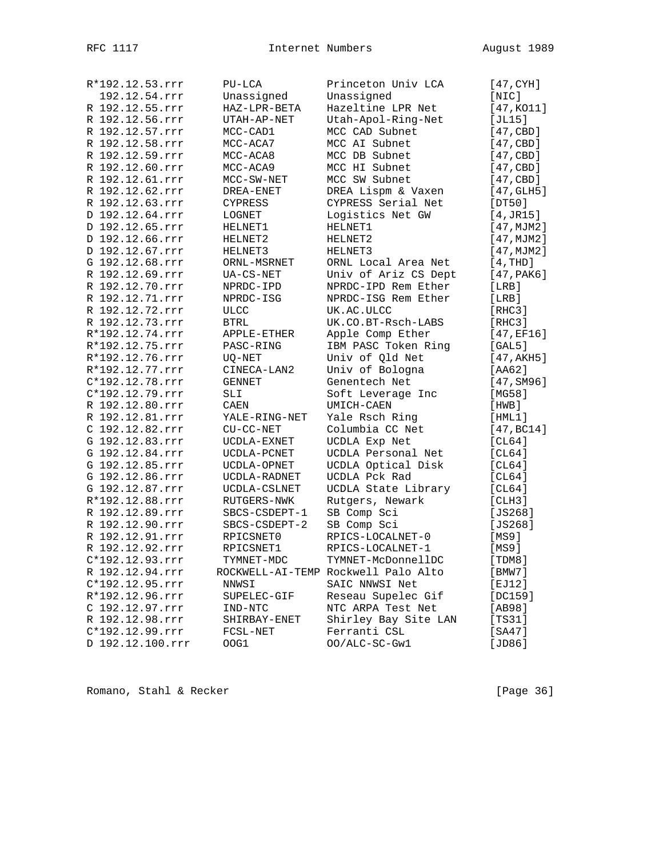| R*192.12.53.rrr   | $PU-LCA$      | Princeton Univ LCA                  | [47, CYH]           |
|-------------------|---------------|-------------------------------------|---------------------|
| 192.12.54.rrr     | Unassigned    | Unassigned                          | [NIC]               |
| R 192.12.55.rrr   | HAZ-LPR-BETA  | Hazeltine LPR Net                   | [47, KO11]          |
| R 192.12.56.rrr   | UTAH-AP-NET   | Utah-Apol-Ring-Net                  | [JL15]              |
| R 192.12.57.rrr   | MCC-CAD1      | MCC CAD Subnet                      | [47, CBD]           |
| R 192.12.58.rrr   | MCC-ACA7      | MCC AI Subnet                       | [47, CBD]           |
| R 192.12.59.rrr   | MCC-ACA8      | MCC DB Subnet                       | [47, CBD]           |
| R 192.12.60.rrr   | MCC-ACA9      | MCC HI Subnet                       | [47, CBD]           |
| R 192.12.61.rrr   | MCC-SW-NET    | MCC SW Subnet                       | [47, CBD]           |
| R 192.12.62.rrr   | DREA-ENET     | DREA Lispm & Vaxen                  | $[47, \text{GLH5}]$ |
| R 192.12.63.rrr   | CYPRESS       | CYPRESS Serial Net                  | [DT50]              |
| D 192.12.64.rrr   | LOGNET        | Logistics Net GW                    | [4, JR15]           |
| D 192.12.65.rrr   | HELNET1       | HELNET1                             | [47, MJM2]          |
| D 192.12.66.rrr   | HELNET2       | HELNET2                             | [47, MJM2]          |
| D 192.12.67.rrr   | HELNET3       | HELNET3                             | [47, MJM2]          |
| G 192.12.68.rrr   | ORNL-MSRNET   | ORNL Local Area Net                 | [4,THD]             |
| R 192.12.69.rrr   | UA-CS-NET     | Univ of Ariz CS Dept                | [47, PAK6]          |
| R 192.12.70.rrr   | NPRDC-IPD     | NPRDC-IPD Rem Ether                 | [LRB]               |
| R 192.12.71.rrr   | NPRDC-ISG     | NPRDC-ISG Rem Ether                 | [LRB]               |
| R 192.12.72.rrr   | <b>ULCC</b>   | UK.AC.ULCC                          | [RHC3]              |
| R 192.12.73.rrr   | BTRL          | UK.CO.BT-Rsch-LABS                  | [RHC3]              |
| R*192.12.74.rrr   | APPLE-ETHER   | Apple Comp Ether                    | [47, EF16]          |
| R*192.12.75.rrr   |               |                                     |                     |
|                   | PASC-RING     | IBM PASC Token Ring                 | [GAL5]              |
| R*192.12.76.rrr   | UO-NET        | Univ of Qld Net                     | [47, AKH5]          |
| R*192.12.77.rrr   | CINECA-LAN2   | Univ of Bologna                     | [AA62]              |
| $C*192.12.78.rrr$ | GENNET        | Genentech Net                       | [47, SM96]          |
| C*192.12.79.rrr   | SLI           | Soft Leverage Inc                   | [MG58]              |
| R 192.12.80.rrr   | CAEN          | UMICH-CAEN                          | [HWB]               |
| R 192.12.81.rrr   | YALE-RING-NET | Yale Rsch Ring                      | [HML1]              |
| C 192.12.82.rrr   | $CU-CC-NET$   | Columbia CC Net                     | [47, BC14]          |
| G 192.12.83.rrr   | UCDLA-EXNET   | UCDLA Exp Net                       | [CL64]              |
| G 192.12.84.rrr   | UCDLA-PCNET   | UCDLA Personal Net                  | [CL64]              |
| G 192.12.85.rrr   | UCDLA-OPNET   | UCDLA Optical Disk                  | [CL64]              |
| G 192.12.86.rrr   | UCDLA-RADNET  | UCDLA Pck Rad                       | [CL64]              |
| G 192.12.87.rrr   | UCDLA-CSLNET  | UCDLA State Library                 | [CL64]              |
| R*192.12.88.rrr   | RUTGERS-NWK   | Rutgers, Newark                     | [CLH3]              |
| R 192.12.89.rrr   | SBCS-CSDEPT-1 | SB Comp Sci                         | [ $JS268$ ]         |
| R 192.12.90.rrr   | SBCS-CSDEPT-2 | SB Comp Sci                         | $[JS268]$           |
| R 192.12.91.rrr   | RPICSNET0     | RPICS-LOCALNET-0                    | [MS9]               |
| R 192.12.92.rrr   | RPICSNET1     | RPICS-LOCALNET-1                    | [MS9]               |
| C*192.12.93.rrr   | TYMNET-MDC    | TYMNET-McDonnellDC                  | [TDM8]              |
| R 192.12.94.rrr   |               | ROCKWELL-AI-TEMP Rockwell Palo Alto | [BMW7]              |
| C*192.12.95.rrr   | NNWSI         | SAIC NNWSI Net                      | [EJ12]              |
| R*192.12.96.rrr   | SUPELEC-GIF   | Reseau Supelec Gif                  | [DC159]             |
| C 192.12.97.rrr   | IND-NTC       | NTC ARPA Test Net                   | [AB98]              |
| R 192.12.98.rrr   | SHIRBAY-ENET  | Shirley Bay Site LAN                | [TS31]              |
| C*192.12.99.rrr   | FCSL-NET      | Ferranti CSL                        | [SA47]              |
| D 192.12.100.rrr  | OOG1          | OO/ALC-SC-Gwl                       | [JD86]              |

Romano, Stahl & Recker [Page 36]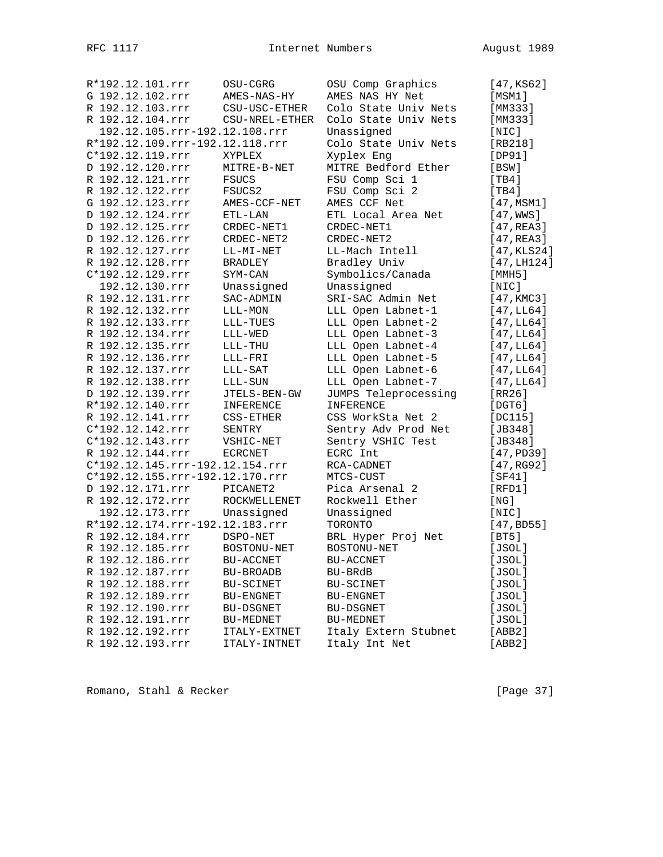| R*192.12.101.rrr                                  | OSU-CGRG         | OSU Comp Graphics     | [47, KS62]      |
|---------------------------------------------------|------------------|-----------------------|-----------------|
| G 192.12.102.rrr                                  | AMES-NAS-HY      | AMES NAS HY Net       | [MSM1]          |
| R 192.12.103.rrr                                  | CSU-USC-ETHER    | Colo State Univ Nets  | [MM333]         |
| R 192.12.104.rrr                                  | CSU-NREL-ETHER   | Colo State Univ Nets  | [MM333]         |
| 192.12.105.rrr-192.12.108.rrr                     |                  | Unassigned            | [NIC]           |
| R*192.12.109.rrr-192.12.118.rrr                   |                  | Colo State Univ Nets  | [RB218]         |
| C*192.12.119.rrr                                  | XYPLEX           | Xyplex Eng            | [DP91]          |
| D 192.12.120.rrr                                  | MITRE-B-NET      | MITRE Bedford Ether   | [BSW]           |
| R 192.12.121.rrr                                  | FSUCS            | FSU Comp Sci 1        | [TH4]           |
| R 192.12.122.rrr                                  | FSUCS2           | FSU Comp Sci 2        | [TH4]           |
| G 192.12.123.rrr                                  | AMES-CCF-NET     | AMES CCF Net          | [47, MSM1]      |
| D 192.12.124.rrr                                  | ETL-LAN          | ETL Local Area Net    | $[47,$ WWS]     |
| D 192.12.125.rrr                                  | CRDEC-NET1       | CRDEC-NET1            | [47, REA3]      |
| D 192.12.126.rrr                                  | CRDEC-NET2       | CRDEC-NET2            | [47, REA3]      |
| R 192.12.127.rrr                                  | LL-MI-NET        | LL-Mach Intell        | [47, KLS24]     |
| R 192.12.128.rrr                                  | <b>BRADLEY</b>   | Bradley Univ          | [47, LH124]     |
| C*192.12.129.rrr                                  | SYM-CAN          | Symbolics/Canada      | [MMH5]          |
| 192.12.130.rrr                                    | Unassigned       | Unassigned            | $[$ NIC $]$     |
| R 192.12.131.rrr                                  | SAC-ADMIN        | SRI-SAC Admin Net     | [47, KMC3]      |
| R 192.12.132.rrr                                  | LLL-MON          | LLL Open Labnet-1     | [47,LL64]       |
| R 192.12.133.rrr                                  | LLL-TUES         | LLL Open Labnet-2     | [47, LL64]      |
| R 192.12.134.rrr                                  | LLL-WED          | LLL Open Labnet-3     | [47, LL64]      |
| R 192.12.135.rrr                                  | $LLL-THU$        | LLL Open Labnet-4     | [47,LL64]       |
| R 192.12.136.rrr                                  | LLL-FRI          | LLL Open Labnet-5     | [47, LL64]      |
| R 192.12.137.rrr                                  | LLL-SAT          | LLL Open Labnet-6     | [47,LL64]       |
| R 192.12.138.rrr                                  | LLL-SUN          | LLL Open Labnet-7     | [47, LL64]      |
| D 192.12.139.rrr                                  | JTELS-BEN-GW     | JUMPS Teleprocessing  | [RR26]          |
| R*192.12.140.rrr                                  | INFERENCE        | INFERENCE             | $[$ DGT $6$ ]   |
| R 192.12.141.rrr                                  | CSS-ETHER        | CSS WorkSta Net 2     | [DC115]         |
| C*192.12.142.rrr                                  | SENTRY           | Sentry Adv Prod Net   | [JB348]         |
| C*192.12.143.rrr                                  | VSHIC-NET        | Sentry VSHIC Test     | [ $JB348$ ]     |
| R 192.12.144.rrr                                  | ECRCNET          | ECRC Int              | [47, PD39]      |
| C*192.12.145.rrr-192.12.154.rrr                   |                  | RCA-CADNET            | [47, RG92]      |
| C*192.12.155.rrr-192.12.170.rrr                   |                  | MTCS-CUST             | [SF41]          |
| D 192.12.171.rrr                                  | PICANET2         | Pica Arsenal 2        | [RFD1]          |
| R 192.12.172.rrr                                  | ROCKWELLENET     | Rockwell Ether        |                 |
|                                                   | Unassigned       |                       | [ NG ]<br>[NIC] |
| 192.12.173.rrr<br>R*192.12.174.rrr-192.12.183.rrr |                  | Unassigned<br>TORONTO |                 |
| R 192.12.184.rrr                                  |                  |                       | [47, BDS5]      |
|                                                   | DSPO-NET         | BRL Hyper Proj Net    | [BT5]           |
| R 192.12.185.rrr                                  | BOSTONU-NET      | BOSTONU-NET           | [JSOL]          |
| R 192.12.186.rrr                                  | <b>BU-ACCNET</b> | BU-ACCNET             | [JSOL]          |
| R 192.12.187.rrr                                  | BU-BROADB        | BU-BRdB               | [JSOL]          |
| R 192.12.188.rrr                                  | BU-SCINET        | BU-SCINET             | [JSOL]          |
| R 192.12.189.rrr                                  | BU-ENGNET        | <b>BU-ENGNET</b>      | [JSOL]          |
| R 192.12.190.rrr                                  | BU-DSGNET        | <b>BU-DSGNET</b>      | [JSOL]          |
| R 192.12.191.rrr                                  | BU-MEDNET        | BU-MEDNET             | [JSOL]          |
| R 192.12.192.rrr                                  | ITALY-EXTNET     | Italy Extern Stubnet  | [ABB2]          |
| R 192.12.193.rrr                                  | ITALY-INTNET     | Italy Int Net         | [ABB2]          |

Romano, Stahl & Recker [Page 37]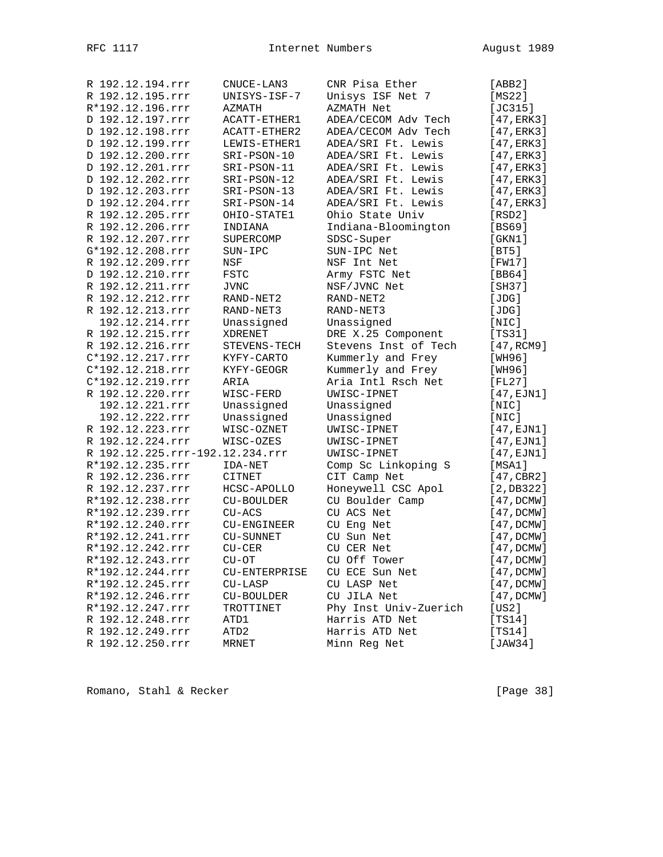| R 192.12.194.rrr                | CNUCE-LAN3       | CNR Pisa Ether        | [ABB2]                |
|---------------------------------|------------------|-----------------------|-----------------------|
| R 192.12.195.rrr                | UNISYS-ISF-7     | Unisys ISF Net 7      | [MS22]                |
| R*192.12.196.rrr                | AZMATH           | AZMATH Net            | [JC315]               |
| D 192.12.197.rrr                | ACATT-ETHER1     | ADEA/CECOM Adv Tech   | [47, ERK3]            |
| D 192.12.198.rrr                | ACATT-ETHER2     | ADEA/CECOM Adv Tech   | [47, ERK3]            |
| D 192.12.199.rrr                | LEWIS-ETHER1     | ADEA/SRI Ft. Lewis    | [47, ERK3]            |
| D 192.12.200.rrr                | SRI-PSON-10      | ADEA/SRI Ft. Lewis    | [47, ERK3]            |
| D 192.12.201.rrr                | SRI-PSON-11      | ADEA/SRI Ft. Lewis    | [47, ERK3]            |
| D 192.12.202.rrr                | SRI-PSON-12      | ADEA/SRI Ft. Lewis    | [47, ERK3]            |
| D 192.12.203.rrr                | SRI-PSON-13      | ADEA/SRI Ft. Lewis    | [47, ERK3]            |
| D 192.12.204.rrr                | SRI-PSON-14      | ADEA/SRI Ft. Lewis    | [47,ERK3]             |
| R 192.12.205.rrr                | OHIO-STATE1      | Ohio State Univ       | [RSD2]                |
| R 192.12.206.rrr                | INDIANA          | Indiana-Bloomington   | [BS69]                |
| R 192.12.207.rrr                | SUPERCOMP        | SDSC-Super            | $[$ GKN $1$ $]$       |
| G*192.12.208.rrr                | SUN-IPC          | SUN-IPC Net           | [BT5]                 |
| R 192.12.209.rrr                | NSF              | NSF Int Net           | [FW17]                |
| D 192.12.210.rrr                | FSTC             | Army FSTC Net         | [BB64]                |
| R 192.12.211.rrr                | <b>JVNC</b>      | NSF/JVNC Net          | [SH37]                |
| R 192.12.212.rrr                | RAND-NET2        | RAND-NET2             | [JDG]                 |
| R 192.12.213.rrr                | RAND-NET3        | RAND-NET3             | [JDG]                 |
| 192.12.214.rrr                  | Unassigned       | Unassigned            | [NIC]                 |
| R 192.12.215.rrr                | XDRENET          | DRE X.25 Component    | [TS31]                |
| R 192.12.216.rrr                | STEVENS-TECH     | Stevens Inst of Tech  | [47, RCM9]            |
| C*192.12.217.rrr                | KYFY-CARTO       | Kummerly and Frey     | [WH96]                |
| C*192.12.218.rrr                | KYFY-GEOGR       | Kummerly and Frey     | [WH96]                |
| C*192.12.219.rrr                | ARIA             | Aria Intl Rsch Net    | [FL27]                |
| R 192.12.220.rrr                | WISC-FERD        | UWISC-IPNET           | $[47, \text{EJN1}]$   |
| 192.12.221.rrr                  | Unassigned       | Unassigned            | $[$ NIC $]$           |
| 192.12.222.rrr                  | Unassigned       | Unassigned            | $[$ NIC $]$           |
| R 192.12.223.rrr                | WISC-OZNET       | UWISC-IPNET           | [47,EJN1]             |
| R 192.12.224.rrr                | WISC-OZES        | UWISC-IPNET           | [47,EJN1]             |
| R 192.12.225.rrr-192.12.234.rrr |                  | UWISC-IPNET           | $[47, \texttt{EJN1}]$ |
| R*192.12.235.rrr                | IDA-NET          | Comp Sc Linkoping S   | [MSA1]                |
| R 192.12.236.rrr                | CITNET           | CIT Camp Net          | [47, CBR2]            |
| R 192.12.237.rrr                | HCSC-APOLLO      | Honeywell CSC Apol    | [2,DB322]             |
| R*192.12.238.rrr                | CU-BOULDER       | CU Boulder Camp       | [47,DCMW]             |
| R*192.12.239.rrr                | $CU-ACS$         | CU ACS Net            | [47, DCMW]            |
| R*192.12.240.rrr                | CU-ENGINEER      | CU Eng Net            | [47, DCMW]            |
| R*192.12.241.rrr                | <b>CU-SUNNET</b> | CU Sun Net            | [47, DCMW]            |
| R*192.12.242.rrr                | $CU-CER$         | CU CER Net            | [47, DCMW]            |
| R*192.12.243.rrr                | CU-OT            | CU Off Tower          | [47, DCMW]            |
| R*192.12.244.rrr                | CU-ENTERPRISE    | CU ECE Sun Net        | [47, DCMW]            |
| R*192.12.245.rrr                | $CU-LASP$        | CU LASP Net           | [47, DCMW]            |
| R*192.12.246.rrr                | CU-BOULDER       | CU JILA Net           | [47, DCMW]            |
| R*192.12.247.rrr                | TROTTINET        | Phy Inst Univ-Zuerich | [US2]                 |
| R 192.12.248.rrr                | ATD1             | Harris ATD Net        | [TS14]                |
| R 192.12.249.rrr                | ATD2             | Harris ATD Net        | [TS14]                |
| R 192.12.250.rrr                | MRNET            | Minn Reg Net          | [JAW34]               |
|                                 |                  |                       |                       |

Romano, Stahl & Recker [Page 38]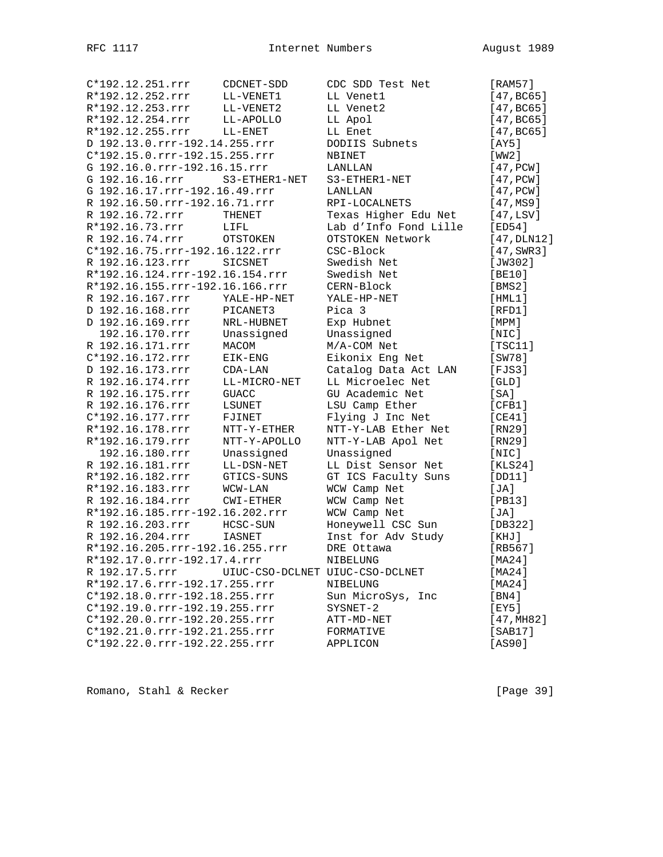C\*192.12.251.rrr CDCNET-SDD CDC SDD Test Net [RAM57] R\*192.12.252.rrr LL-VENET1 LL Venet1 [47,BC65] R\*192.12.253.rrr LL-VENET2 LL Venet2 [47,BC65] R\*192.12.254.rrr LL-APOLLO LL Apol [47,BC65] R\*192.12.255.rrr LL-ENET LL Enet [47, BC65] D 192.13.0.rrr-192.14.255.rrr DODIIS Subnets [AY5] C\*192.15.0.rrr-192.15.255.rrr NBINET [WW2] G 192.16.0.rrr-192.16.15.rrr LANLLAN [47, PCW] G 192.16.16.rrr S3-ETHER1-NET S3-ETHER1-NET [47,PCW] G 192.16.17.rrr-192.16.49.rrr LANLLAN [47,PCW] R 192.16.50.rrr-192.16.71.rrr RPI-LOCALNETS [47,MS9] R 192.16.72.rrr THENET Texas Higher Edu Net [47,LSV] R\*192.16.73.rrr LIFL Lab d'Info Fond Lille [ED54] R 192.16.74.rrr OTSTOKEN OTSTOKEN Network [47,DLN12] C\*192.16.75.rrr-192.16.122.rrr CSC-Block [47,SWR3] R 192.16.123.rrr SICSNET Swedish Net [JW302] R\*192.16.124.rrr-192.16.154.rrr Swedish Net [BE10] R\*192.16.155.rrr-192.16.166.rrr CERN-Block [BMS2] R 192.16.167.rrr YALE-HP-NET YALE-HP-NET [HML1] D 192.16.168.rrr PICANET3 Pica 3 [RFD1] D 192.16.169.rrr NRL-HUBNET Exp Hubnet [MPM] 192.16.170.rrr Unassigned Unassigned [NIC] R 192.16.171.rrr MACOM M/A-COM Net [TSC11] C\*192.16.172.rrr EIK-ENG Eikonix Eng Net [SW78] D 192.16.173.rrr CDA-LAN Catalog Data Act LAN [FJS3] R 192.16.174.rrr LL-MICRO-NET LL Microelec Net [GLD] R 192.16.175.rrr GUACC GU Academic Net [SA] R 192.16.176.rrr LSUNET LSU Camp Ether [CFB1] C\*192.16.177.rrr FJINET Flying J Inc Net [CE41] R\*192.16.178.rrr NTT-Y-ETHER NTT-Y-LAB Ether Net [RN29] R\*192.16.179.rrr NTT-Y-APOLLO NTT-Y-LAB Apol Net [RN29] 192.16.180.rrr Unassigned Unassigned [NIC] R 192.16.181.rrr LL-DSN-NET LL Dist Sensor Net [KLS24] R\*192.16.182.rrr GTICS-SUNS GT ICS Faculty Suns [DD11] R\*192.16.183.rrr WCW-LAN WCW Camp Net [JA] R 192.16.184.rrr CWI-ETHER WCW Camp Net [PB13] R\*192.16.185.rrr-192.16.202.rrr WCW Camp Net [JA] R 192.16.203.rrr HCSC-SUN Honeywell CSC Sun [DB322] R 192.16.204.rrr IASNET Inst for Adv Study [KHJ] R\*192.16.205.rrr-192.16.255.rrr DRE Ottawa [RB567] R\*192.17.0.rrr-192.17.4.rrr NIBELUNG [MA24] R 192.17.5.rrr UIUC-CSO-DCLNET UIUC-CSO-DCLNET [MA24] R\*192.17.6.rrr-192.17.255.rrr NIBELUNG [MA24] C\*192.18.0.rrr-192.18.255.rrr Sun MicroSys, Inc [BN4] C\*192.19.0.rrr-192.19.255.rrr SYSNET-2 [EY5] C\*192.20.0.rrr-192.20.255.rrr ATT-MD-NET [47,MH82] C\*192.21.0.rrr-192.21.255.rrr FORMATIVE [SAB17] C\*192.22.0.rrr-192.22.255.rrr APPLICON [AS90]

Romano, Stahl & Recker [Page 39]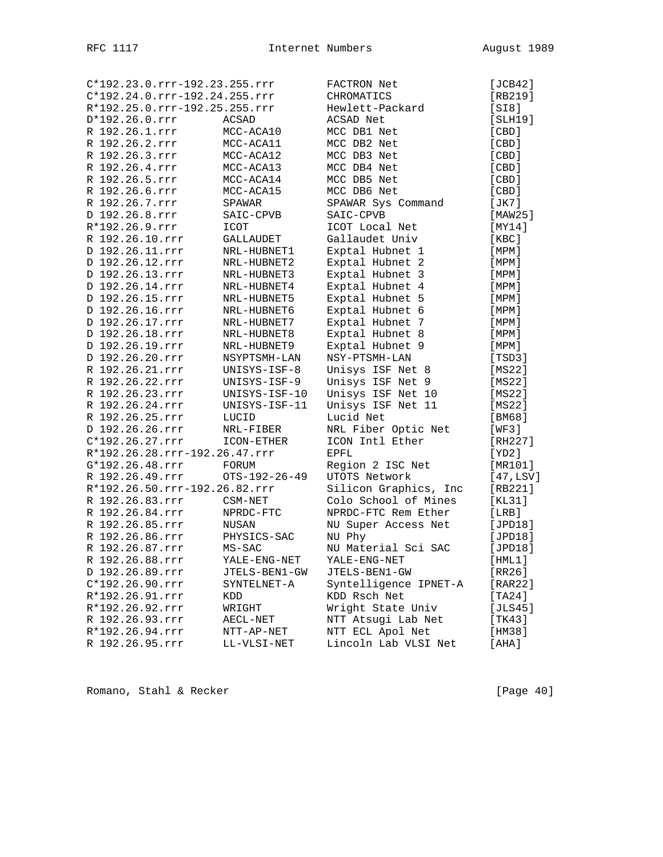|                   | C*192.23.0.rrr-192.23.255.rrr | FACTRON Net           | [JCB42]     |
|-------------------|-------------------------------|-----------------------|-------------|
|                   | C*192.24.0.rrr-192.24.255.rrr | CHROMATICS            | $[RB219]$   |
|                   | R*192.25.0.rrr-192.25.255.rrr | Hewlett-Packard       | [S18]       |
| $D*192.26.0.rrr$  | ACSAD                         | ACSAD Net             | [SLH19]     |
| R 192.26.1.rrr    | MCC-ACA10                     | MCC DB1 Net           | [ CBD ]     |
| R 192.26.2.rrr    | MCC-ACA11                     | MCC DB2 Net           | [CBD]       |
| R 192.26.3.rrr    | MCC-ACA12                     | MCC DB3 Net           | [ CBD ]     |
| R 192.26.4.rrr    | MCC-ACA13                     | MCC DB4 Net           | [ CBD ]     |
| R 192.26.5.rrr    | MCC-ACA14                     | MCC DB5 Net           | $[$ CBD $]$ |
| R 192.26.6.rrr    | MCC-ACA15                     | MCC DB6 Net           | [CBD]       |
| R 192.26.7.rrr    | SPAWAR                        | SPAWAR Sys Command    | [JK7]       |
| D 192.26.8.rrr    | SAIC-CPVB                     | SAIC-CPVB             | [MAW25]     |
| R*192.26.9.rrr    | ICOT                          | ICOT Local Net        | [MY14]      |
| R 192.26.10.rrr   | <b>GALLAUDET</b>              | Gallaudet Univ        | [KBC]       |
| D 192.26.11.rrr   | NRL-HUBNET1                   | Exptal Hubnet 1       | [MPM]       |
| D 192.26.12.rrr   | NRL-HUBNET2                   | Exptal Hubnet 2       | [MPM]       |
| D 192.26.13.rrr   | NRL-HUBNET3                   | Exptal Hubnet 3       | [ MPM ]     |
| D 192.26.14.rrr   | NRL-HUBNET4                   | Exptal Hubnet 4       | [MPM]       |
| D 192.26.15.rrr   | NRL-HUBNET5                   | Exptal Hubnet 5       | [MPM]       |
| D 192.26.16.rrr   | NRL-HUBNET6                   | Exptal Hubnet 6       | [MPM]       |
| D 192.26.17.rrr   | NRL-HUBNET7                   | Exptal Hubnet 7       | [MPM]       |
| D 192.26.18.rrr   | NRL-HUBNET8                   | Exptal Hubnet 8       | [MPM]       |
| D 192.26.19.rrr   | NRL-HUBNET9                   | Exptal Hubnet 9       | [ MPM ]     |
| D 192.26.20.rrr   | NSYPTSMH-LAN                  | NSY-PTSMH-LAN         | [TSD3]      |
| R 192.26.21.rrr   | UNISYS-ISF-8                  | Unisys ISF Net 8      | [MS22]      |
| R 192.26.22.rrr   | UNISYS-ISF-9                  | Unisys ISF Net 9      | [MS22]      |
| R 192.26.23.rrr   | UNISYS-ISF-10                 | Unisys ISF Net 10     | [MS22]      |
| R 192.26.24.rrr   | UNISYS-ISF-11                 | Unisys ISF Net 11     | [MS22]      |
| R 192.26.25.rrr   | LUCID                         | Lucid Net             | [BM68]      |
| D 192.26.26.rrr   | NRL-FIBER                     | NRL Fiber Optic Net   | [WF3]       |
| $C*192.26.27.rrr$ | ICON-ETHER                    | ICON Intl Ether       | [RH227]     |
|                   | R*192.26.28.rrr-192.26.47.rrr | <b>EPFL</b>           | [YD2]       |
| G*192.26.48.rrr   | FORUM                         | Region 2 ISC Net      | [MR101]     |
| R 192.26.49.rrr   | OTS-192-26-49                 | UTOTS Network         | [47, LSV]   |
|                   | R*192.26.50.rrr-192.26.82.rrr | Silicon Graphics, Inc | [RB221]     |
| R 192.26.83.rrr   | CSM-NET                       | Colo School of Mines  | [KL31]      |
| R 192.26.84.rrr   | NPRDC-FTC                     | NPRDC-FTC Rem Ether   | [LRB]       |
| R 192.26.85.rrr   | NUSAN                         | NU Super Access Net   | [JPD18]     |
| R 192.26.86.rrr   | PHYSICS-SAC                   | NU Phy                | [JPD18]     |
| R 192.26.87.rrr   | $MS-SAC$                      | NU Material Sci SAC   | [JPD18]     |
| R 192.26.88.rrr   | YALE-ENG-NET                  | YALE-ENG-NET          | [HML1]      |
| D 192.26.89.rrr   | JTELS-BEN1-GW                 | JTELS-BEN1-GW         | [RR26]      |
| $C*192.26.90.rrr$ | SYNTELNET-A                   | Syntelligence IPNET-A | [RAR22]     |
| R*192.26.91.rrr   | KDD                           | KDD Rsch Net          | [TA24]      |
| R*192.26.92.rrr   | WRIGHT                        | Wright State Univ     | [JLS45]     |
| R 192.26.93.rrr   | AECL-NET                      | NTT Atsugi Lab Net    | [TK43]      |
| R*192.26.94.rrr   | NTT-AP-NET                    | NTT ECL Apol Net      | [HM38]      |
| R 192.26.95.rrr   | LL-VLSI-NET                   | Lincoln Lab VLSI Net  | [AHA]       |
|                   |                               |                       |             |

Romano, Stahl & Recker [Page 40]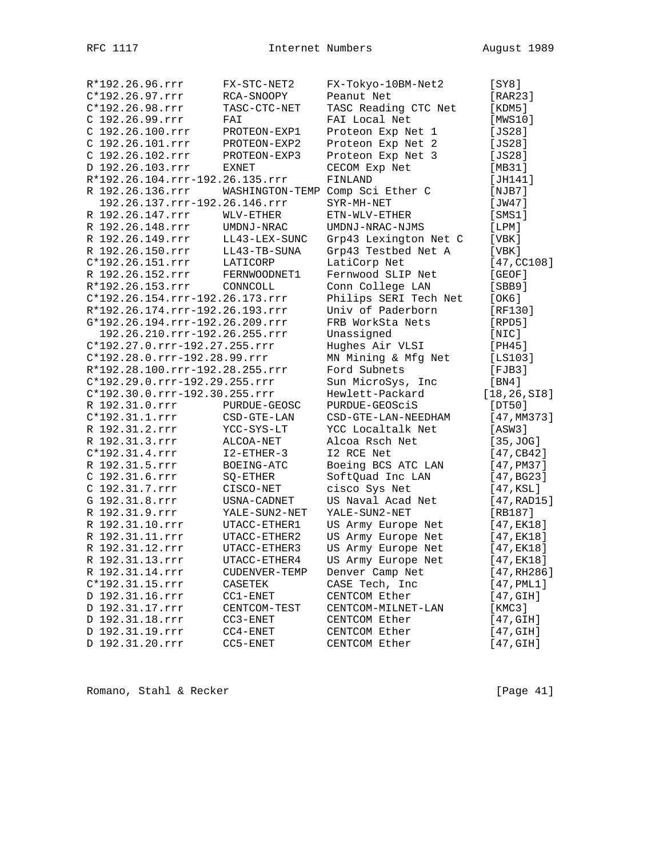| R*192.26.96.rrr                 | FX-STC-NET2     | FX-Tokyo-10BM-Net2    | [SY8]                   |
|---------------------------------|-----------------|-----------------------|-------------------------|
| C*192.26.97.rrr                 | RCA-SNOOPY      | Peanut Net            | [RAR23]                 |
| C*192.26.98.rrr                 | TASC-CTC-NET    | TASC Reading CTC Net  | [KDM5]                  |
| C 192.26.99.rrr                 | FAI             | FAI Local Net         | [MWS10]                 |
| C 192.26.100.rrr                | PROTEON-EXP1    | Proteon Exp Net 1     | [JS28]                  |
| C 192.26.101.rrr                | PROTEON-EXP2    | Proteon Exp Net 2     | [JS28]                  |
| C 192.26.102.rrr                | PROTEON-EXP3    | Proteon Exp Net 3     | [JS28]                  |
| D 192.26.103.rrr                | EXNET           | CECOM Exp Net         | [MB31]                  |
| R*192.26.104.rrr-192.26.135.rrr |                 | FINLAND               | [JH141]                 |
| R 192.26.136.rrr                | WASHINGTON-TEMP | Comp Sci Ether C      | [NJB7]                  |
| 192.26.137.rrr-192.26.146.rrr   |                 | SYR-MH-NET            | [JW47]                  |
| R 192.26.147.rrr                | WLV-ETHER       | $ETN-WLV-ETHER$       | [SMS1]                  |
| R 192.26.148.rrr                |                 |                       |                         |
|                                 | UMDNJ-NRAC      | UMDNJ-NRAC-NJMS       | [LPM]                   |
| R 192.26.149.rrr                | LL43-LEX-SUNC   | Grp43 Lexington Net C | [VBK]                   |
| R 192.26.150.rrr                | LL43-TB-SUNA    | Grp43 Testbed Net A   | [VBK]                   |
| C*192.26.151.rrr                | LATICORP        | LatiCorp Net          | [47, CC108]             |
| R 192.26.152.rrr                | FERNWOODNET1    | Fernwood SLIP Net     | [GEOF]                  |
| R*192.26.153.rrr                | CONNCOLL        | Conn College LAN      | [SBB9]                  |
| C*192.26.154.rrr-192.26.173.rrr |                 | Philips SERI Tech Net | [OK6]                   |
| R*192.26.174.rrr-192.26.193.rrr |                 | Univ of Paderborn     | [RF130]                 |
| G*192.26.194.rrr-192.26.209.rrr |                 | FRB WorkSta Nets      | [RPD5]                  |
| 192.26.210.rrr-192.26.255.rrr   |                 | Unassigned            | [NIC]                   |
| C*192.27.0.rrr-192.27.255.rrr   |                 | Hughes Air VLSI       | [PH45]                  |
| C*192.28.0.rrr-192.28.99.rrr    |                 | MN Mining & Mfg Net   | [LS103]                 |
| R*192.28.100.rrr-192.28.255.rrr |                 | Ford Subnets          | $[$ FJB $3]$            |
| C*192.29.0.rrr-192.29.255.rrr   |                 | Sun MicroSys, Inc     | [BN4]                   |
| C*192.30.0.rrr-192.30.255.rrr   |                 | Hewlett-Packard       | [18, 26, SIB]           |
| R 192.31.0.rrr                  | PURDUE-GEOSC    | PURDUE-GEOSCIS        | [DT50]                  |
| $C*192.31.1.rrr$                | CSD-GTE-LAN     | CSD-GTE-LAN-NEEDHAM   | [47, MM373]             |
| R 192.31.2.rrr                  | YCC-SYS-LT      | YCC Localtalk Net     | [ASW3]                  |
| R 192.31.3.rrr                  | ALCOA-NET       | Alcoa Rsch Net        | [35, JOG]               |
| C*192.31.4.rrr                  | $I2-FTHER-3$    | I2 RCE Net            | [47, CB42]              |
| R 192.31.5.rrr                  | BOEING-ATC      | Boeing BCS ATC LAN    | [47, P <sub>M37</sub> ] |
| C 192.31.6.rrr                  | SQ-ETHER        | SoftQuad Inc LAN      | [47, BG23]              |
| C 192.31.7.rrr                  | CISCO-NET       | cisco Sys Net         | [47,KSL]                |
| G 192.31.8.rrr                  | USNA-CADNET     | US Naval Acad Net     | [47, RAD15]             |
| R 192.31.9.rrr                  | YALE-SUN2-NET   | YALE-SUN2-NET         | [RB187]                 |
| R 192.31.10.rrr                 | UTACC-ETHER1    | US Army Europe Net    | [47, EK18]              |
| R 192.31.11.rrr                 | UTACC-ETHER2    | US Army Europe Net    | $[47,$ EK18]            |
| R 192.31.12.rrr                 | UTACC-ETHER3    | US Army Europe Net    | $[47,$ EK18]            |
|                                 |                 | US Army Europe Net    |                         |
| R 192.31.13.rrr                 | UTACC-ETHER4    |                       | [47,EK18]               |
| R 192.31.14.rrr                 | CUDENVER-TEMP   | Denver Camp Net       | [47, RH286]             |
| C*192.31.15.rrr                 | CASETEK         | CASE Tech, Inc        | $[47,$ PML1]            |
| D 192.31.16.rrr                 | $CC1-ENET$      | CENTCOM Ether         | [47, GIH]               |
| D 192.31.17.rrr                 | CENTCOM-TEST    | CENTCOM-MILNET-LAN    | [KMC3]                  |
| D 192.31.18.rrr                 | $CC3 - ENET$    | CENTCOM Ether         | [47, GIH]               |
| D 192.31.19.rrr                 | $CC4-ENET$      | CENTCOM Ether         | [47,GIH]                |
| D 192.31.20.rrr                 | CC5-ENET        | CENTCOM Ether         | [47, GIH]               |

Romano, Stahl & Recker [Page 41]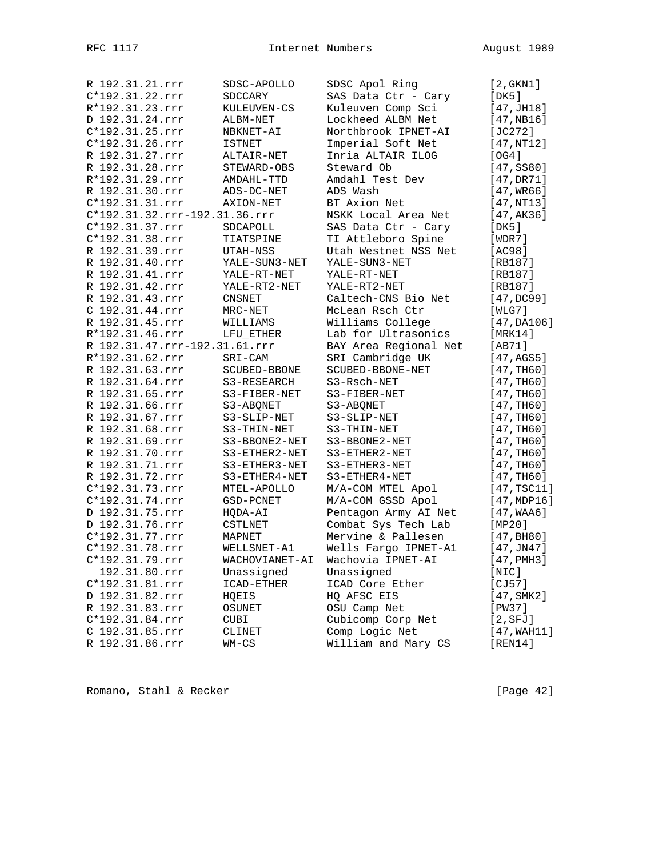| R 192.31.21.rrr |               |                               | SDSC-APOLLO              | SDSC Apol Ring        | [2, GKN1]               |
|-----------------|---------------|-------------------------------|--------------------------|-----------------------|-------------------------|
| C*192.31.22.rrr |               |                               | SDCCARY                  | SAS Data Ctr - Cary   | [DK5]                   |
| R*192.31.23.rrr |               |                               | KULEUVEN-CS              | Kuleuven Comp Sci     | [47, JH18]              |
| D 192.31.24.rrr |               |                               | ALBM-NET                 | Lockheed ALBM Net     | [47,NB16]               |
| C*192.31.25.rrr |               |                               | NBKNET-AI                | Northbrook IPNET-AI   | [JC272]                 |
| C*192.31.26.rrr |               |                               | ISTNET                   | Imperial Soft Net     | [47,NT12]               |
| R 192.31.27.rrr |               |                               | ALTAIR-NET               | Inria ALTAIR ILOG     | [ OG4 ]                 |
| R 192.31.28.rrr |               |                               | STEWARD-OBS              | Steward Ob            | [47, S580]              |
| R*192.31.29.rrr |               |                               | AMDAHL-TTD               | Amdahl Test Dev       | [47,DR71]               |
| R 192.31.30.rrr |               |                               | ADS-DC-NET               | ADS Wash              | $[47,$ WR66]            |
| C*192.31.31.rrr |               |                               | AXION-NET                | BT Axion Net          | [47,NT13]               |
|                 |               | C*192.31.32.rrr-192.31.36.rrr |                          | NSKK Local Area Net   | [47,AK36]               |
| C*192.31.37.rrr |               |                               | SDCAPOLL                 | SAS Data Ctr - Cary   | [DK5]                   |
| C*192.31.38.rrr |               |                               | TIATSPINE                | TI Attleboro Spine    | [WDR7]                  |
| R 192.31.39.rrr |               |                               | UTAH-NSS                 | Utah Westnet NSS Net  | [AC98]                  |
| R 192.31.40.rrr |               |                               | YALE-SUN3-NET            | YALE-SUN3-NET         | [RB187]                 |
| R 192.31.41.rrr |               |                               | YALE-RT-NET              | YALE-RT-NET           | [RB187]                 |
| R 192.31.42.rrr |               |                               | YALE-RT2-NET             | YALE-RT2-NET          | [RB187]                 |
| R 192.31.43.rrr |               |                               |                          | Caltech-CNS Bio Net   |                         |
| C 192.31.44.rrr |               |                               | <b>CNSNET</b><br>MRC-NET | McLean Rsch Ctr       | [47,DC99]<br>[WLG7]     |
|                 |               |                               |                          |                       |                         |
| R 192.31.45.rrr |               |                               | WILLIAMS                 | Williams College      | [47,DA106]              |
| R*192.31.46.rrr |               |                               | LFU ETHER                | Lab for Ultrasonics   | [MRK14]                 |
|                 |               | R 192.31.47.rrr-192.31.61.rrr |                          | BAY Area Regional Net | [AB71]                  |
| R*192.31.62.rrr |               |                               | SRI-CAM                  | SRI Cambridge UK      | [47, AGS5]              |
| R 192.31.63.rrr |               |                               | SCUBED-BBONE             | SCUBED-BBONE-NET      | [47, TH60]              |
| R 192.31.64.rrr |               |                               | S3-RESEARCH              | S3-Rsch-NET           | [47, TH60]              |
| R 192.31.65.rrr |               |                               | S3-FIBER-NET             | S3-FIBER-NET          | [47, TH60]              |
| R 192.31.66.rrr |               |                               | S3-ABONET                | S3-ABQNET             | [47, TH60]              |
| R 192.31.67.rrr |               |                               | S3-SLIP-NET              | S3-SLIP-NET           | [47,TH60]               |
| R 192.31.68.rrr |               |                               | S3-THIN-NET              | S3-THIN-NET           | [47, TH60]              |
| R 192.31.69.rrr |               |                               | S3-BBONE2-NET            | S3-BBONE2-NET         | [47, TH60]              |
| R 192.31.70.rrr |               |                               | S3-ETHER2-NET            | S3-ETHER2-NET         | [47, TH60]              |
| R 192.31.71.rrr |               |                               | S3-ETHER3-NET            | S3-ETHER3-NET         | [47, TH60]              |
| R 192.31.72.rrr |               |                               | S3-ETHER4-NET            | S3-ETHER4-NET         | [47,TH60]               |
| C*192.31.73.rrr |               |                               | MTEL-APOLLO              | M/A-COM MTEL Apol     | $[47, \text{TSC11}]$    |
| C*192.31.74.rrr |               |                               | GSD-PCNET                | M/A-COM GSSD Apol     | [47, MDP16]             |
| D 192.31.75.rrr |               |                               | HQDA-AI                  | Pentagon Army AI Net  | [47, WAA6]              |
| D 192.31.76.rrr |               |                               | CSTLNET                  | Combat Sys Tech Lab   | [MP20]                  |
| C*192.31.77.rrr |               |                               | MAPNET                   | Mervine & Pallesen    | [47, B <sub>H80</sub> ] |
| C*192.31.78.rrr |               |                               | WELLSNET-A1              | Wells Fargo IPNET-A1  | [47, JN47]              |
| C*192.31.79.rrr |               |                               | WACHOVIANET-AI           | Wachovia IPNET-AI     | $[47,$ PMH3 $]$         |
|                 | 192.31.80.rrr |                               | Unassigned               | Unassigned            | [NIC]                   |
| C*192.31.81.rrr |               |                               | ICAD-ETHER               | ICAD Core Ether       | [CI57]                  |
| D 192.31.82.rrr |               |                               | HQEIS                    | HQ AFSC EIS           | [47, SMK2]              |
| R 192.31.83.rrr |               |                               | OSUNET                   | OSU Camp Net          | [PW37]                  |
| C*192.31.84.rrr |               |                               | CUBI                     | Cubicomp Corp Net     | [2, SFJ]                |
| C 192.31.85.rrr |               |                               | CLINET                   | Comp Logic Net        | [47, WAH11]             |
| R 192.31.86.rrr |               |                               | $WM-CS$                  | William and Mary CS   | [REN14]                 |
|                 |               |                               |                          |                       |                         |

Romano, Stahl & Recker [Page 42]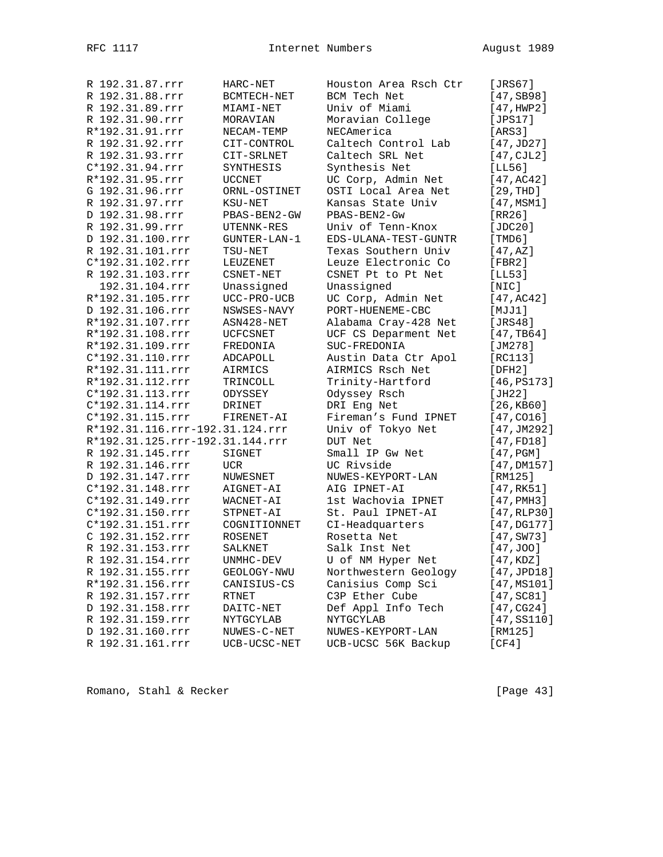| R 192.31.87.rrr                 | HARC-NET             | Houston Area Rsch Ctr | [JRS67]               |
|---------------------------------|----------------------|-----------------------|-----------------------|
| R 192.31.88.rrr                 | BCMTECH-NET          | BCM Tech Net          | [47, SB98]            |
| R 192.31.89.rrr                 | MIAMI-NET            | Univ of Miami         | [47, HWP2]            |
| R 192.31.90.rrr                 | MORAVIAN             | Moravian College      | [JPS17]               |
| R*192.31.91.rrr                 | NECAM-TEMP           | NECAmerica            | [ARS3]                |
| R 192.31.92.rrr                 | CIT-CONTROL          | Caltech Control Lab   | [47,JD27]             |
| R 192.31.93.rrr                 | CIT-SRLNET           | Caltech SRL Net       | [47,CJL2]             |
| C*192.31.94.rrr                 | SYNTHESIS            | Synthesis Net         | [LL56]                |
| R*192.31.95.rrr                 | <b>UCCNET</b>        | UC Corp, Admin Net    | [47, AC42]            |
| G 192.31.96.rrr                 | ORNL-OSTINET         | OSTI Local Area Net   | [29, THD]             |
| R 192.31.97.rrr                 | KSU-NET              | Kansas State Univ     | [47, MSM1]            |
| D 192.31.98.rrr                 | PBAS-BEN2-GW         | PBAS-BEN2-Gw          | [RR26]                |
| R 192.31.99.rrr                 | UTENNK-RES           | Univ of Tenn-Knox     | [JDC20]               |
| D 192.31.100.rrr                | GUNTER-LAN-1         | EDS-ULANA-TEST-GUNTR  | [TMD6]                |
| R 192.31.101.rrr                | TSU-NET              | Texas Southern Univ   | [47, AZ]              |
| C*192.31.102.rrr                | LEUZENET             | Leuze Electronic Co   | [FBR2]                |
| R 192.31.103.rrr                | $\texttt{CSNET-NET}$ | CSNET Pt to Pt Net    | [LL53]                |
| 192.31.104.rrr                  | Unassigned           | Unassigned            | [NIC]                 |
| R*192.31.105.rrr                | UCC-PRO-UCB          | UC Corp, Admin Net    | [47, AC42]            |
| D 192.31.106.rrr                | NSWSES-NAVY          | PORT-HUENEME-CBC      | [MJJ1]                |
| R*192.31.107.rrr                | ASN428-NET           | Alabama Cray-428 Net  | [JRS48]               |
| R*192.31.108.rrr                | UCFCSNET             | UCF CS Deparment Net  | [47, TB64]            |
| R*192.31.109.rrr                | FREDONIA             | SUC-FREDONIA          | [JM278]               |
| C*192.31.110.rrr                | ADCAPOLL             | Austin Data Ctr Apol  | [RC113]               |
| R*192.31.111.rrr                | AIRMICS              | AIRMICS Rsch Net      | [DFH2]                |
| R*192.31.112.rrr                | TRINCOLL             | Trinity-Hartford      | [46, PS173]           |
| C*192.31.113.rrr                | ODYSSEY              | Odyssey Rsch          | [JH22]                |
| C*192.31.114.rrr                | DRINET               | DRI Eng Net           | [26, KB60]            |
| C*192.31.115.rrr                | FIRENET-AI           | Fireman's Fund IPNET  | $[47, \texttt{CO16}]$ |
| R*192.31.116.rrr-192.31.124.rrr |                      | Univ of Tokyo Net     | [47, JM292]           |
| R*192.31.125.rrr-192.31.144.rrr |                      | DUT Net               | [47, FD18]            |
| R 192.31.145.rrr                | SIGNET               | Small IP Gw Net       | [47,PGM]              |
| R 192.31.146.rrr                | <b>UCR</b>           | UC Rivside            | [47,DM157]            |
| D 192.31.147.rrr                | NUWESNET             | NUWES-KEYPORT-LAN     | [RM125]               |
| C*192.31.148.rrr                | AIGNET-AI            | AIG IPNET-AI          | [47, RK51]            |
| C*192.31.149.rrr                | WACNET-AI            | 1st Wachovia IPNET    | $[47,$ PMH $3]$       |
| C*192.31.150.rrr                | STPNET-AI            | St. Paul IPNET-AI     | [47, RLP30]           |
| C*192.31.151.rrr                | COGNITIONNET         | CI-Headquarters       | [47, DG177]           |
| C 192.31.152.rrr                | ROSENET              | Rosetta Net           | $[47, \text{SW}73]$   |
| R 192.31.153.rrr                | SALKNET              | Salk Inst Net         | [47,JOO]              |
| R 192.31.154.rrr                | UNMHC-DEV            | U of NM Hyper Net     | [47, KDZ]             |
| R 192.31.155.rrr                | GEOLOGY-NWU          | Northwestern Geology  | [47,JPD18]            |
| R*192.31.156.rrr                | CANISIUS-CS          | Canisius Comp Sci     | [47, MS101]           |
| R 192.31.157.rrr                | RTNET                | C3P Ether Cube        | [47, SC81]            |
| D 192.31.158.rrr                | DAITC-NET            | Def Appl Info Tech    | [47, CG24]            |
| R 192.31.159.rrr                | NYTGCYLAB            | NYTGCYLAB             | [47, S5110]           |
| D 192.31.160.rrr                | NUWES-C-NET          | NUWES-KEYPORT-LAN     | [RM125]               |
| R 192.31.161.rrr                | UCB-UCSC-NET         | UCB-UCSC 56K Backup   | [CF4]                 |
|                                 |                      |                       |                       |

Romano, Stahl & Recker [Page 43]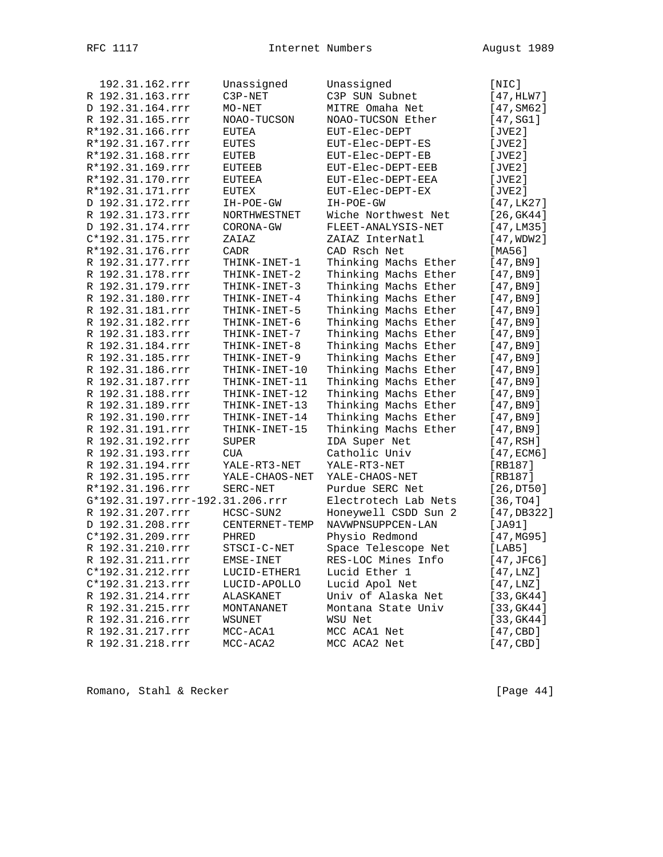| 192.31.162.rrr                  | Unassigned                   | Unassigned           | [NIC]                  |
|---------------------------------|------------------------------|----------------------|------------------------|
| R 192.31.163.rrr                | C3P-NET                      | C3P SUN Subnet       | [47, HLW7]             |
| D 192.31.164.rrr                | $MO-NET$                     | MITRE Omaha Net      | [47, SM62]             |
| R 192.31.165.rrr                | NOAO-TUCSON                  | NOAO-TUCSON Ether    | [47, SG1]              |
| R*192.31.166.rrr                | EUTEA                        | EUT-Elec-DEPT        | [JVE2]                 |
| R*192.31.167.rrr                | EUTES                        | EUT-Elec-DEPT-ES     | [JVE2]                 |
| R*192.31.168.rrr                | EUTEB                        | EUT-Elec-DEPT-EB     | [JVE2]                 |
| R*192.31.169.rrr                | EUTEEB                       | EUT-Elec-DEPT-EEB    | [JVE2]                 |
| R*192.31.170.rrr                | EUTEEA                       | EUT-Elec-DEPT-EEA    | [JVE2]                 |
| R*192.31.171.rrr                | EUTEX                        | EUT-Elec-DEPT-EX     | [JVE2]                 |
| D 192.31.172.rrr                | IH-POE-GW                    | IH-POE-GW            | [47, LK27]             |
| R 192.31.173.rrr                | NORTHWESTNET                 | Wiche Northwest Net  | [26, GK44]             |
| D 192.31.174.rrr                | CORONA-GW                    | FLEET-ANALYSIS-NET   | [47, LMS5]             |
| C*192.31.175.rrr                | ZAIAZ                        | ZAIAZ InterNatl      | [47,WDW2]              |
| R*192.31.176.rrr                | CADR                         | CAD Rsch Net         | [MA56]                 |
| R 192.31.177.rrr                | THINK-INET-1                 | Thinking Machs Ether | [47, B <sub>N</sub> 9] |
| R 192.31.178.rrr                | THINK-INET-2                 | Thinking Machs Ether | [47, B <sub>N</sub> 9] |
| R 192.31.179.rrr                | THINK-INET-3                 | Thinking Machs Ether | [47, B <sub>N</sub> 9] |
| R 192.31.180.rrr                | THINK-INET-4                 | Thinking Machs Ether | [47, B <sub>N</sub> 9] |
| R 192.31.181.rrr                | THINK-INET-5                 | Thinking Machs Ether | [47, B <sub>N</sub> 9] |
| R 192.31.182.rrr                | THINK-INET-6                 | Thinking Machs Ether | [47, B <sub>N</sub> 9] |
| R 192.31.183.rrr                | THINK-INET-7                 | Thinking Machs Ether | [47, B <sub>N</sub> 9] |
| R 192.31.184.rrr                | THINK-INET-8                 | Thinking Machs Ether | [47, B <sub>N</sub> 9] |
| R 192.31.185.rrr                | THINK-INET-9                 | Thinking Machs Ether | [47, B <sub>N</sub> 9] |
| R 192.31.186.rrr                | THINK-INET-10                | Thinking Machs Ether | [47, B <sub>N</sub> 9] |
| R 192.31.187.rrr                | THINK-INET-11                | Thinking Machs Ether | [47, B <sub>N</sub> 9] |
| R 192.31.188.rrr                | THINK-INET-12                | Thinking Machs Ether | [47, B <sub>N</sub> 9] |
| R 192.31.189.rrr                | THINK-INET-13                | Thinking Machs Ether | [47, B <sub>N</sub> 9] |
| R 192.31.190.rrr                | THINK-INET-14                | Thinking Machs Ether | [47, B <sub>N</sub> 9] |
| R 192.31.191.rrr                | THINK-INET-15                | Thinking Machs Ether | [47, B <sub>N</sub> 9] |
| R 192.31.192.rrr                | <b>SUPER</b>                 | IDA Super Net        | [47,RSH]               |
| R 192.31.193.rrr                | <b>CUA</b>                   | Catholic Univ        | [47,ECM6]              |
| R 192.31.194.rrr                | YALE-RT3-NET                 | YALE-RT3-NET         | [RB187]                |
| R 192.31.195.rrr                | YALE-CHAOS-NET               | YALE-CHAOS-NET       | [RB187]                |
| R*192.31.196.rrr                | SERC-NET                     | Purdue SERC Net      | [26,DT50]              |
| G*192.31.197.rrr-192.31.206.rrr |                              | Electrotech Lab Nets | [36, TO4]              |
| R 192.31.207.rrr                | HCSC-SUN2                    | Honeywell CSDD Sun 2 | [47, DB322]            |
| D 192.31.208.rrr                | CENTERNET-TEMP               | NAVWPNSUPPCEN-LAN    | [JA91]                 |
| C*192.31.209.rrr                | PHRED                        | Physio Redmond       | [47, MG95]             |
| R 192.31.210.rrr                | STSCI-C-NET                  | Space Telescope Net  | [LAB5]                 |
| R 192.31.211.rrr                | EMSE-INET                    | RES-LOC Mines Info   | [47,JFC6]              |
| C*192.31.212.rrr                |                              | Lucid Ether 1        | [47, LNZ]              |
| C*192.31.213.rrr                | LUCID-ETHER1<br>LUCID-APOLLO | Lucid Apol Net       | [47, LNZ]              |
|                                 |                              | Univ of Alaska Net   |                        |
| R 192.31.214.rrr                | ALASKANET                    | Montana State Univ   | [33, GK44]             |
| R 192.31.215.rrr                | MONTANANET                   |                      | [33, GK44]             |
| R 192.31.216.rrr                | WSUNET                       | WSU Net              | [33, GK44]             |
| R 192.31.217.rrr                | MCC-ACA1                     | MCC ACA1 Net         | [47, CBD]              |
| R 192.31.218.rrr                | MCC-ACA2                     | MCC ACA2 Net         | [47, CBD]              |

Romano, Stahl & Recker [Page 44]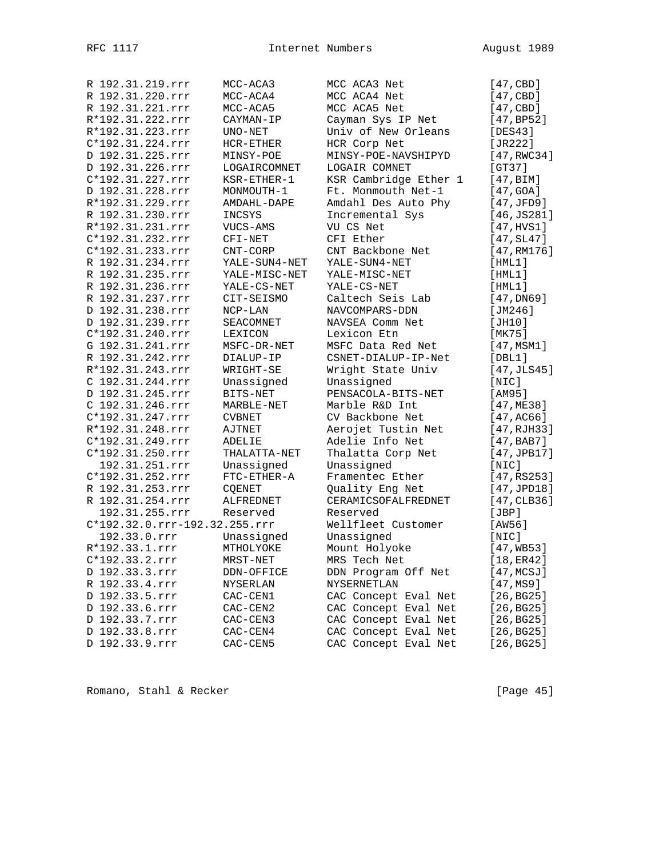| R 192.31.219.rrr              | MCC-ACA3       | MCC ACA3 Net          | [47, CBD]           |
|-------------------------------|----------------|-----------------------|---------------------|
| R 192.31.220.rrr              | MCC-ACA4       | MCC ACA4 Net          | [47, CBD]           |
| R 192.31.221.rrr              | MCC-ACA5       | MCC ACA5 Net          | [47, CBD]           |
| R*192.31.222.rrr              | CAYMAN-IP      | Cayman Sys IP Net     | [47, BP52]          |
| R*192.31.223.rrr              | UNO-NET        | Univ of New Orleans   | [DES43]             |
| C*192.31.224.rrr              | HCR-ETHER      | HCR Corp Net          | [JR222]             |
| D 192.31.225.rrr              | MINSY-POE      | MINSY-POE-NAVSHIPYD   | [47, RWC34]         |
| D 192.31.226.rrr              | LOGAIRCOMNET   | LOGAIR COMNET         | [GT37]              |
| C*192.31.227.rrr              | $KSR-ETHER-1$  | KSR Cambridge Ether 1 | [47, BIM]           |
| D 192.31.228.rrr              | MONMOUTH-1     | Ft. Monmouth Net-1    | [47, GOA]           |
| R*192.31.229.rrr              | AMDAHL-DAPE    | Amdahl Des Auto Phy   | [47,JFD9]           |
| R 192.31.230.rrr              | INCSYS         | Incremental Sys       | [46, JS281]         |
| R*192.31.231.rrr              | VUCS-AMS       | VU CS Net             | [47,HVS1]           |
| C*192.31.232.rrr              | $CFI-NET$      | CFI Ether             | $[47, \text{SL}47]$ |
| C*192.31.233.rrr              | CNT-CORP       | CNT Backbone Net      | [47, RM176]         |
| R 192.31.234.rrr              | YALE-SUN4-NET  | YALE-SUN4-NET         | [HML1]              |
|                               |                |                       |                     |
| R 192.31.235.rrr              | YALE-MISC-NET  | YALE-MISC-NET         | [HML1]              |
| R 192.31.236.rrr              | YALE-CS-NET    | YALE-CS-NET           | [HML1]              |
| R 192.31.237.rrr              | CIT-SEISMO     | Caltech Seis Lab      | [47,DN69]           |
| D 192.31.238.rrr              | $NCP-LAN$      | NAVCOMPARS-DDN        | [ $JM246$ ]         |
| D 192.31.239.rrr              | SEACOMNET      | NAVSEA Comm Net       | [JH10]              |
| C*192.31.240.rrr              | <b>LEXICON</b> | Lexicon Etn           | [MK75]              |
| G 192.31.241.rrr              | MSFC-DR-NET    | MSFC Data Red Net     | [47, MSM1]          |
| R 192.31.242.rrr              | DIALUP-IP      | CSNET-DIALUP-IP-Net   | [DBL1]              |
| R*192.31.243.rrr              | WRIGHT-SE      | Wright State Univ     | [47, JLS45]         |
| C 192.31.244.rrr              | Unassigned     | Unassigned            | [NIC]               |
| D 192.31.245.rrr              | BITS-NET       | PENSACOLA-BITS-NET    | [AM95]              |
| C 192.31.246.rrr              | MARBLE-NET     | Marble R&D Int        | [47,ME38]           |
| C*192.31.247.rrr              | <b>CVBNET</b>  | CV Backbone Net       | [47, AC66]          |
| R*192.31.248.rrr              | AJTNET         | Aerojet Tustin Net    | [47, RJH33]         |
| C*192.31.249.rrr              | ADELIE         | Adelie Info Net       | [47,BAB7]           |
| C*192.31.250.rrr              | THALATTA-NET   | Thalatta Corp Net     | [47, JPB17]         |
| 192.31.251.rrr                | Unassigned     | Unassigned            | [NIC]               |
| C*192.31.252.rrr              | $FTC-ETHER-A$  | Framentec Ether       | [47,RS253]          |
| R 192.31.253.rrr              | COENET         | Quality Eng Net       | [47, JPD18]         |
| R 192.31.254.rrr              | ALFREDNET      | CERAMICSOFALFREDNET   | [47, CLB36]         |
| 192.31.255.rrr                | Reserved       | Reserved              | [JBP]               |
| C*192.32.0.rrr-192.32.255.rrr |                | Wellfleet Customer    | [AW56]              |
| 192.33.0.rrr                  | Unassigned     | Unassigned            | [NIC]               |
| R*192.33.1.rrr                | MTHOLYOKE      | Mount Holyoke         | [47, WB53]          |
| $C*192.33.2.rrr$              |                |                       |                     |
|                               | MRST-NET       | MRS Tech Net          | [18, ER42]          |
| D 192.33.3.rrr                | DDN-OFFICE     | DDN Program Off Net   | [47,MCSJ]           |
| R 192.33.4.rrr                | NYSERLAN       | NYSERNETLAN           | [47,MS9]            |
| D 192.33.5.rrr                | CAC-CEN1       | CAC Concept Eval Net  | [26, BG25]          |
| D 192.33.6.rrr                | CAC-CEN2       | CAC Concept Eval Net  | [26, BG25]          |
| D 192.33.7.rrr                | CAC-CEN3       | CAC Concept Eval Net  | [26, BG25]          |
| D 192.33.8.rrr                | CAC-CEN4       | CAC Concept Eval Net  | [26, BG25]          |
| D 192.33.9.rrr                | CAC-CEN5       | CAC Concept Eval Net  | [26,BG25]           |

Romano, Stahl & Recker [Page 45]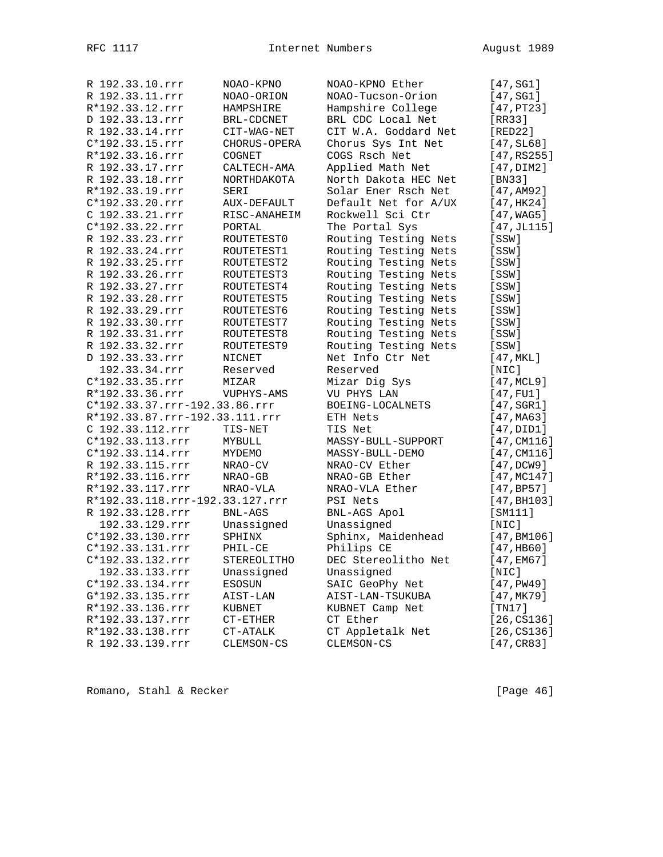| R 192.33.10.rrr                 | NOAO-KPNO          | NOAO-KPNO Ether      | [47,SG1]                |
|---------------------------------|--------------------|----------------------|-------------------------|
| R 192.33.11.rrr                 | NOAO-ORION         | NOAO-Tucson-Orion    | [47, SG1]               |
| R*192.33.12.rrr                 | HAMPSHIRE          | Hampshire College    | [47,PT23]               |
| D 192.33.13.rrr                 | BRL-CDCNET         | BRL CDC Local Net    | [RR33]                  |
| R 192.33.14.rrr                 | CIT-WAG-NET        | CIT W.A. Goddard Net | [RED22]                 |
| C*192.33.15.rrr                 | CHORUS-OPERA       | Chorus Sys Int Net   | [47, SL68]              |
| R*192.33.16.rrr                 | COGNET             | COGS Rsch Net        | [47,RS255]              |
| R 192.33.17.rrr                 | CALTECH-AMA        | Applied Math Net     | [47, DIM2]              |
| R 192.33.18.rrr                 | NORTHDAKOTA        | North Dakota HEC Net | [BN33]                  |
| R*192.33.19.rrr                 | SERI               | Solar Ener Rsch Net  | [47, AM92]              |
| $C*192.33.20.rrr$               | <b>AUX-DEFAULT</b> | Default Net for A/UX | [47,HK24]               |
| C 192.33.21.rrr                 | RISC-ANAHEIM       | Rockwell Sci Ctr     | [47, WAG5]              |
| C*192.33.22.rrr                 | PORTAL             | The Portal Sys       | [47, JL115]             |
| R 192.33.23.rrr                 | ROUTETEST0         | Routing Testing Nets | [SSW]                   |
| R 192.33.24.rrr                 | ROUTETEST1         | Routing Testing Nets | [SSW]                   |
| R 192.33.25.rrr                 | ROUTETEST2         | Routing Testing Nets | [SSW]                   |
| R 192.33.26.rrr                 | ROUTETEST3         | Routing Testing Nets | [SSW]                   |
| R 192.33.27.rrr                 | ROUTETEST4         | Routing Testing Nets | [SSW]                   |
| R 192.33.28.rrr                 | ROUTETEST5         | Routing Testing Nets |                         |
| R 192.33.29.rrr                 |                    | Routing Testing Nets | [SSW]                   |
| R 192.33.30.rrr                 | ROUTETEST6         | Routing Testing Nets | [SSW]                   |
|                                 | ROUTETEST7         |                      | [SSW]                   |
| R 192.33.31.rrr                 | ROUTETEST8         | Routing Testing Nets | [SSW]                   |
| R 192.33.32.rrr                 | ROUTETEST9         | Routing Testing Nets | [SSW]                   |
| D 192.33.33.rrr                 | NICNET             | Net Info Ctr Net     | [47, MKL]               |
| 192.33.34.rrr                   | Reserved           | Reserved             | [NIC]                   |
| C*192.33.35.rrr                 | MIZAR              | Mizar Dig Sys        | [47, MCL9]              |
| R*192.33.36.rrr                 | VUPHYS-AMS         | VU PHYS LAN          | [47, FU1]               |
| C*192.33.37.rrr-192.33.86.rrr   |                    | BOEING-LOCALNETS     | [47, SGR1]              |
| R*192.33.87.rrr-192.33.111.rrr  |                    | ETH Nets             | [47, MA63]              |
| C 192.33.112.rrr                | TIS-NET            | TIS Net              | [47, DID1]              |
| C*192.33.113.rrr                | MYBULL             | MASSY-BULL-SUPPORT   | [47, CM116]             |
| C*192.33.114.rrr                | MYDEMO             | MASSY-BULL-DEMO      | [47, CM116]             |
| R 192.33.115.rrr                | NRAO-CV            | NRAO-CV Ether        | [47,DCW9]               |
| R*192.33.116.rrr                | NRAO-GB            | NRAO-GB Ether        | [47, MC147]             |
| R*192.33.117.rrr                | NRAO-VLA           | NRAO-VLA Ether       | [47, BPS7]              |
| R*192.33.118.rrr-192.33.127.rrr |                    | PSI Nets             | [47, B <sub>H103]</sub> |
| R 192.33.128.rrr                | <b>BNL-AGS</b>     | BNL-AGS Apol         | [SM111]                 |
| 192.33.129.rrr                  | Unassigned         | Unassigned           | [NIC]                   |
| C*192.33.130.rrr                | SPHINX             | Sphinx, Maidenhead   | [47, B M 106]           |
| C*192.33.131.rrr                | PHIL-CE            | Philips CE           | [47,HB60]               |
| C*192.33.132.rrr                | STEREOLITHO        | DEC Stereolitho Net  | [47,EM67]               |
| 192.33.133.rrr                  | Unassigned         | Unassigned           | [NIC]                   |
| C*192.33.134.rrr                | ESOSUN             | SAIC GeoPhy Net      | [47, PWA9]              |
| G*192.33.135.rrr                | AIST-LAN           | AIST-LAN-TSUKUBA     | [47,MK79]               |
| R*192.33.136.rrr                | KUBNET             | KUBNET Camp Net      | [TM17]                  |
| R*192.33.137.rrr                | CT-ETHER           | CT Ether             | [26, C S 1 36]          |
| R*192.33.138.rrr                | CT-ATALK           | CT Appletalk Net     | [26, C S 1 36]          |
| R 192.33.139.rrr                | CLEMSON-CS         | CLEMSON-CS           | [47, CR83]              |

Romano, Stahl & Recker [Page 46]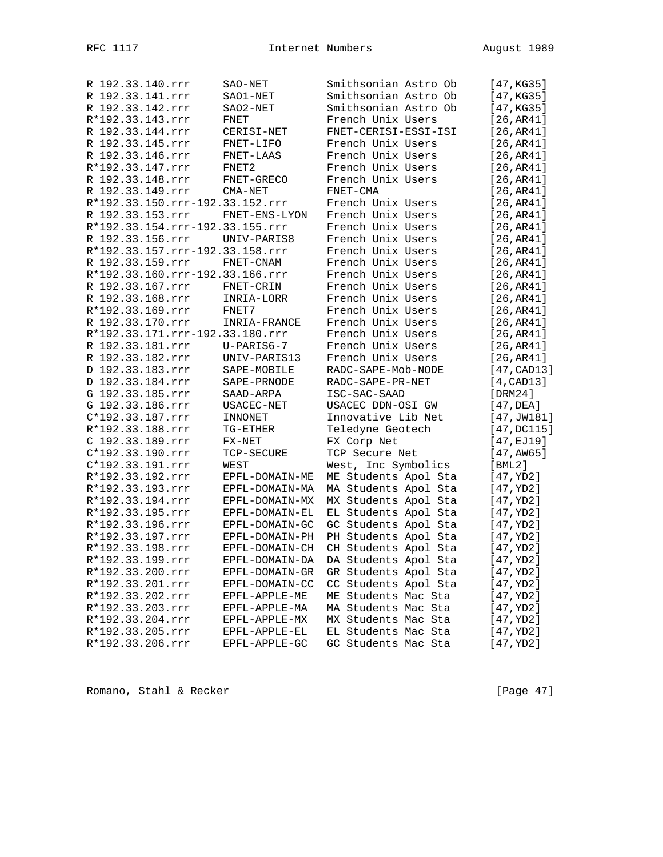| R 192.33.140.rrr | SAO-NET                         | Smithsonian Astro Ob | [47, KG35]       |
|------------------|---------------------------------|----------------------|------------------|
| R 192.33.141.rrr | SAO1-NET                        | Smithsonian Astro Ob | [47, KG35]       |
| R 192.33.142.rrr | SAO2-NET                        | Smithsonian Astro Ob | [47, KG35]       |
| R*192.33.143.rrr | FNET                            | French Unix Users    | [26, AR41]       |
| R 192.33.144.rrr | CERISI-NET                      | FNET-CERISI-ESSI-ISI | [26, AR41]       |
| R 192.33.145.rrr | FNET-LIFO                       | French Unix Users    | [26, AR41]       |
| R 192.33.146.rrr | FNET-LAAS                       | French Unix Users    | [26, AR41]       |
| R*192.33.147.rrr | FNET2                           | French Unix Users    | [26, AR41]       |
| R 192.33.148.rrr | FNET-GRECO                      | French Unix Users    | [26, AR41]       |
| R 192.33.149.rrr | CMA-NET                         | FNET-CMA             | [26, AR41]       |
|                  | R*192.33.150.rrr-192.33.152.rrr | French Unix Users    | [26, AR41]       |
| R 192.33.153.rrr | FNET-ENS-LYON                   | French Unix Users    | [26, AR41]       |
|                  | R*192.33.154.rrr-192.33.155.rrr | French Unix Users    | [26, AR41]       |
| R 192.33.156.rrr | UNIV-PARIS8                     | French Unix Users    | [26, AR41]       |
|                  | R*192.33.157.rrr-192.33.158.rrr | French Unix Users    | [26, AR41]       |
| R 192.33.159.rrr | FNET-CNAM                       | French Unix Users    | [26, AR41]       |
|                  | R*192.33.160.rrr-192.33.166.rrr | French Unix Users    | [26, AR41]       |
| R 192.33.167.rrr | FNET-CRIN                       | French Unix Users    | [26, AR41]       |
| R 192.33.168.rrr | INRIA-LORR                      | French Unix Users    | [26, AR41]       |
| R*192.33.169.rrr | FNET7                           | French Unix Users    | [26, AR41]       |
| R 192.33.170.rrr | INRIA-FRANCE                    | French Unix Users    | [26, AR41]       |
|                  | R*192.33.171.rrr-192.33.180.rrr | French Unix Users    | [26, AR41]       |
| R 192.33.181.rrr | $U-PARIS6-7$                    | French Unix Users    | [26, AR41]       |
| R 192.33.182.rrr | UNIV-PARIS13                    | French Unix Users    | [26, AR41]       |
| D 192.33.183.rrr | SAPE-MOBILE                     | RADC-SAPE-Mob-NODE   | [47, CAD13]      |
| D 192.33.184.rrr | SAPE-PRNODE                     | RADC-SAPE-PR-NET     | $[4$ , CAD $13]$ |
| G 192.33.185.rrr | SAAD-ARPA                       | ISC-SAC-SAAD         | [DRM24]          |
| G 192.33.186.rrr | USACEC-NET                      | USACEC DDN-OSI GW    | [47,DEA]         |
| C*192.33.187.rrr | INNONET                         | Innovative Lib Net   | [47, JW181]      |
| R*192.33.188.rrr | TG-ETHER                        | Teledyne Geotech     | [47, DCI15]      |
| C 192.33.189.rrr | $FX-NET$                        | FX Corp Net          | [47, EJ19]       |
| C*192.33.190.rrr | TCP-SECURE                      | TCP Secure Net       | [47, AWS]        |
| C*192.33.191.rrr | WEST                            | West, Inc Symbolics  | $[$ BML $2$ ]    |
| R*192.33.192.rrr | EPFL-DOMAIN-ME                  | ME Students Apol Sta | [47,YD2]         |
| R*192.33.193.rrr | EPFL-DOMAIN-MA                  | MA Students Apol Sta | [47,YD2]         |
| R*192.33.194.rrr | EPFL-DOMAIN-MX                  | MX Students Apol Sta | [47,YD2]         |
| R*192.33.195.rrr | EPFL-DOMAIN-EL                  | EL Students Apol Sta | [47,YD2]         |
| R*192.33.196.rrr | EPFL-DOMAIN-GC                  | GC Students Apol Sta | [47,YD2]         |
| R*192.33.197.rrr | EPFL-DOMAIN-PH                  | PH Students Apol Sta | [47,YD2]         |
| R*192.33.198.rrr | EPFL-DOMAIN-CH                  | CH Students Apol Sta | [47,YD2]         |
| R*192.33.199.rrr | EPFL-DOMAIN-DA                  | DA Students Apol Sta | [47, YD2]        |
| R*192.33.200.rrr | EPFL-DOMAIN-GR                  | GR Students Apol Sta | [47,YD2]         |
| R*192.33.201.rrr | EPFL-DOMAIN-CC                  | CC Students Apol Sta | [47,YD2]         |
| R*192.33.202.rrr | EPFL-APPLE-ME                   | ME Students Mac Sta  | [47, YD2]        |
| R*192.33.203.rrr | EPFL-APPLE-MA                   | MA Students Mac Sta  | [47,YD2]         |
| R*192.33.204.rrr | EPFL-APPLE-MX                   | MX Students Mac Sta  | [47, YD2]        |
| R*192.33.205.rrr | EPFL-APPLE-EL                   | EL Students Mac Sta  | [47,YD2]         |
| R*192.33.206.rrr | EPFL-APPLE-GC                   | GC Students Mac Sta  | [47,YD2]         |

Romano, Stahl & Recker [Page 47]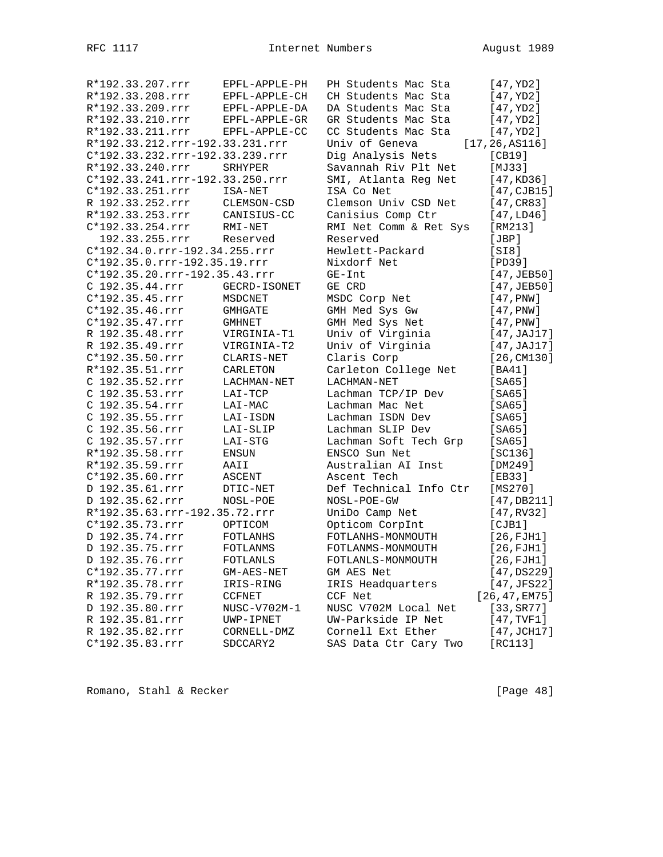|  | R*192.33.207.rrr                | EPFL-APPLE-PH   | PH Students Mac Sta    | [47, YD2]               |
|--|---------------------------------|-----------------|------------------------|-------------------------|
|  | R*192.33.208.rrr                | EPFL-APPLE-CH   | CH Students Mac Sta    | [47,YD2]                |
|  | R*192.33.209.rrr                | EPFL-APPLE-DA   | DA Students Mac Sta    | [47,YD2]                |
|  | R*192.33.210.rrr                | EPFL-APPLE-GR   | GR Students Mac Sta    | [47, YD2]               |
|  | R*192.33.211.rrr                | EPFL-APPLE-CC   | CC Students Mac Sta    | [47,YD2]                |
|  | R*192.33.212.rrr-192.33.231.rrr |                 | Univ of Geneva         | [17, 26, ASI16]         |
|  | C*192.33.232.rrr-192.33.239.rrr |                 | Dig Analysis Nets      | [CB19]                  |
|  | R*192.33.240.rrr                | SRHYPER         | Savannah Riv Plt Net   | [MJ33]                  |
|  | C*192.33.241.rrr-192.33.250.rrr |                 | SMI, Atlanta Reg Net   | [47, KD36]              |
|  | C*192.33.251.rrr                | ISA-NET         | ISA Co Net             | [47,CJB15]              |
|  | R 192.33.252.rrr                | CLEMSON-CSD     | Clemson Univ CSD Net   | [47, CR83]              |
|  | R*192.33.253.rrr                | CANISIUS-CC     | Canisius Comp Ctr      | [47, LD46]              |
|  | C*192.33.254.rrr                | RMI-NET         | RMI Net Comm & Ret Sys | [RM213]                 |
|  | 192.33.255.rrr                  | Reserved        | Reserved               | [JBP]                   |
|  | C*192.34.0.rrr-192.34.255.rrr   |                 | Hewlett-Packard        | [S18]                   |
|  | C*192.35.0.rrr-192.35.19.rrr    |                 | Nixdorf Net            | [PD39]                  |
|  | C*192.35.20.rrr-192.35.43.rrr   |                 | $GE-Int$               | [47,JEB50]              |
|  | C 192.35.44.rrr                 | GECRD-ISONET    | GE CRD                 | [47,JEB50]              |
|  | $C*192.35.45.rrr$               | MSDCNET         | MSDC Corp Net          | [47, PNW]               |
|  | $C*192.35.46.rrr$               | GMHGATE         | GMH Med Sys Gw         | [47, PNW]               |
|  | C*192.35.47.rrr                 | <b>GMHNET</b>   | GMH Med Sys Net        | [47, PNW]               |
|  | R 192.35.48.rrr                 | VIRGINIA-T1     | Univ of Virginia       | [47, JAJ17]             |
|  | R 192.35.49.rrr                 | VIRGINIA-T2     | Univ of Virginia       | [47, JAJ17]             |
|  | C*192.35.50.rrr                 | CLARIS-NET      | Claris Corp            | [26, CM130]             |
|  | R*192.35.51.rrr                 | CARLETON        | Carleton College Net   | [BA41]                  |
|  | C 192.35.52.rrr                 | LACHMAN-NET     | LACHMAN-NET            | [SA65]                  |
|  | C 192.35.53.rrr                 | LAI-TCP         | Lachman TCP/IP Dev     | $[SA65]$                |
|  | C 192.35.54.rrr                 | LAI-MAC         | Lachman Mac Net        | [SA65]                  |
|  | C 192.35.55.rrr                 | LAI-ISDN        | Lachman ISDN Dev       | [SA65]                  |
|  | C 192.35.56.rrr                 | LAI-SLIP        | Lachman SLIP Dev       | [SA65]                  |
|  | C 192.35.57.rrr                 | LAI-STG         | Lachman Soft Tech Grp  | [SA65]                  |
|  | R*192.35.58.rrr                 | ENSUN           | ENSCO Sun Net          | [SC136]                 |
|  | R*192.35.59.rrr                 | AAII            | Australian AI Inst     | [DM249]                 |
|  | C*192.35.60.rrr                 | ASCENT          | Ascent Tech            | [EB33]                  |
|  | D 192.35.61.rrr                 | DTIC-NET        | Def Technical Info Ctr | [MS270]                 |
|  | D 192.35.62.rrr                 | NOSL-POE        | NOSL-POE-GW            | [47, DB211]             |
|  | R*192.35.63.rrr-192.35.72.rrr   |                 | UniDo Camp Net         | [47, RV32]              |
|  | C*192.35.73.rrr                 | OPTICOM         | Opticom CorpInt        | [CIB1]                  |
|  | D 192.35.74.rrr                 | <b>FOTLANHS</b> | FOTLANHS-MONMOUTH      | [26, FJH1]              |
|  | D 192.35.75.rrr                 | FOTLANMS        | FOTLANMS-MONMOUTH      | [26, FJH1]              |
|  | D 192.35.76.rrr                 | FOTLANLS        | FOTLANLS-MONMOUTH      | [26,FJH1]               |
|  | C*192.35.77.rrr                 | GM-AES-NET      | GM AES Net             | [47,DS229]              |
|  | R*192.35.78.rrr                 | IRIS-RING       | IRIS Headquarters      | [47, JFS22]             |
|  | R 192.35.79.rrr                 | CCFNET          | CCF Net                | [26, 47, EM75]          |
|  | D 192.35.80.rrr                 | NUSC-V702M-1    | NUSC V702M Local Net   | [33, S <sub>R</sub> 77] |
|  | R 192.35.81.rrr                 | UWP-IPNET       | UW-Parkside IP Net     | [47, TVF1]              |
|  | R 192.35.82.rrr                 | CORNELL-DMZ     | Cornell Ext Ether      | $[47, \text{JCH17}]$    |
|  | C*192.35.83.rrr                 | SDCCARY2        | SAS Data Ctr Cary Two  | [RC113]                 |
|  |                                 |                 |                        |                         |

Romano, Stahl & Recker [Page 48]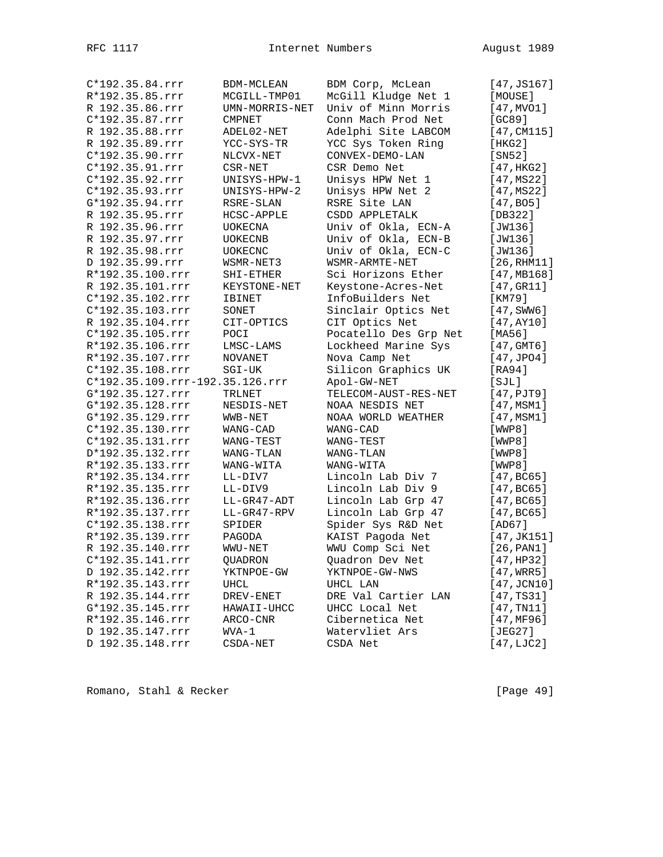| C*192.35.84.rrr                 | BDM-MCLEAN             | BDM Corp, McLean      | [47, JS167]           |
|---------------------------------|------------------------|-----------------------|-----------------------|
| R*192.35.85.rrr                 | MCGILL-TMP01           | McGill Kludge Net 1   | [MOUSE]               |
| R 192.35.86.rrr                 | UMN-MORRIS-NET         | Univ of Minn Morris   | [47, MVO1]            |
| C*192.35.87.rrr                 | CMPNET                 | Conn Mach Prod Net    | [GC89]                |
| R 192.35.88.rrr                 | ADEL02-NET             | Adelphi Site LABCOM   | [47, CM115]           |
| R 192.35.89.rrr                 | YCC-SYS-TR             | YCC Sys Token Ring    | [HKG2]                |
| C*192.35.90.rrr                 | NLCVX-NET              | CONVEX-DEMO-LAN       | [SN52]                |
| C*192.35.91.rrr                 | CSR-NET                | CSR Demo Net          | [47, HKG2]            |
| C*192.35.92.rrr                 | UNISYS-HPW-1           | Unisys HPW Net 1      | [47, MS22]            |
| C*192.35.93.rrr                 | UNISYS-HPW-2           | Unisys HPW Net 2      | [47, MS22]            |
| G*192.35.94.rrr                 | RSRE-SLAN              | RSRE Site LAN         | [47, B05]             |
| R 192.35.95.rrr                 | HCSC-APPLE             | CSDD APPLETALK        | [DB322]               |
| R 192.35.96.rrr                 | UOKECNA                | Univ of Okla, ECN-A   | [JW136]               |
| R 192.35.97.rrr                 | UOKECNB                | Univ of Okla, ECN-B   | [JW136]               |
| R 192.35.98.rrr                 | <b>UOKECNC</b>         | Univ of Okla, ECN-C   | [JW136]               |
| D 192.35.99.rrr                 | WSMR-NET3              | WSMR-ARMTE-NET        | [26, RHM11]           |
| R*192.35.100.rrr                | SHI-ETHER              | Sci Horizons Ether    | [47, MB168]           |
| R 192.35.101.rrr                | KEYSTONE-NET           | Keystone-Acres-Net    | [47,GR11]             |
| C*192.35.102.rrr                | IBINET                 | InfoBuilders Net      | [KM79]                |
| C*192.35.103.rrr                | SONET                  | Sinclair Optics Net   | $[47, \texttt{SWW6}]$ |
| R 192.35.104.rrr                | CIT-OPTICS             | CIT Optics Net        | [47, AY10]            |
| C*192.35.105.rrr                | POCI                   | Pocatello Des Grp Net | [MA56]                |
| R*192.35.106.rrr                | LMSC-LAMS              | Lockheed Marine Sys   | [47, GMT6]            |
| R*192.35.107.rrr                | NOVANET                | Nova Camp Net         | [47, JPO4]            |
| C*192.35.108.rrr                | $SGI-UK$               | Silicon Graphics UK   | [RA94]                |
| C*192.35.109.rrr-192.35.126.rrr |                        | Apol-GW-NET           | [SJL]                 |
| G*192.35.127.rrr                | <b>TRLNET</b>          | TELECOM-AUST-RES-NET  | $[47,$ PJT9]          |
| G*192.35.128.rrr                | NESDIS-NET             | NOAA NESDIS NET       | [47, MSM1]            |
| G*192.35.129.rrr                |                        | NOAA WORLD WEATHER    | [47, MSM1]            |
| C*192.35.130.rrr                | WWB-NET                | WANG-CAD              |                       |
|                                 | WANG-CAD               |                       | [WWP8]                |
| C*192.35.131.rrr                | WANG-TEST<br>WANG-TLAN | WANG-TEST             | [WWP8]                |
| D*192.35.132.rrr                |                        | WANG-TLAN             | [WWP8]                |
| R*192.35.133.rrr                | WANG-WITA              | WANG-WITA             | [WWP8]                |
| R*192.35.134.rrr                | LL-DIV7                | Lincoln Lab Div 7     | [47, BC65]            |
| R*192.35.135.rrr                | LL-DIV9                | Lincoln Lab Div 9     | [47, BC65]            |
| R*192.35.136.rrr                | LL-GR47-ADT            | Lincoln Lab Grp 47    | [47, BC65]            |
| R*192.35.137.rrr                | LL-GR47-RPV            | Lincoln Lab Grp 47    | [47, BC65]            |
| C*192.35.138.rrr                | SPIDER                 | Spider Sys R&D Net    | [AD67]                |
| R*192.35.139.rrr                | PAGODA                 | KAIST Pagoda Net      | [47, JK151]           |
| R 192.35.140.rrr                | WWU-NET                | WWU Comp Sci Net      | [26, PAN1]            |
| $C*192.35.141.rrr$              | QUADRON                | Quadron Dev Net       | [47, HP32]            |
| D 192.35.142.rrr                | YKTNPOE-GW             | YKTNPOE-GW-NWS        | $[47, \text{WRR}5]$   |
| R*192.35.143.rrr                | UHCL                   | UHCL LAN              | $[47,$ JCN10]         |
| R 192.35.144.rrr                | DREV-ENET              | DRE Val Cartier LAN   | [47, TS31]            |
| G*192.35.145.rrr                | HAWAII-UHCC            | UHCC Local Net        | [47, TN11]            |
| R*192.35.146.rrr                | ARCO-CNR               | Cibernetica Net       | [47, MF96]            |
| D 192.35.147.rrr                | WVA-1                  | Watervliet Ars        | [JEG27]               |
| D 192.35.148.rrr                | CSDA-NET               | CSDA Net              | [47, LJC2]            |

Romano, Stahl & Recker [Page 49]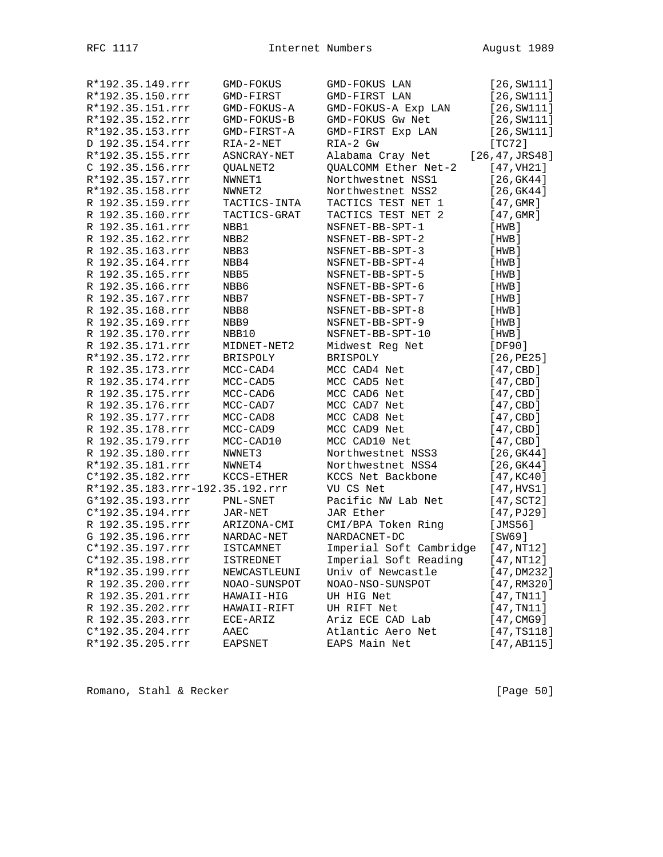| R*192.35.149.rrr                | GMD-FOKUS        | GMD-FOKUS LAN           | [26, SW111]         |
|---------------------------------|------------------|-------------------------|---------------------|
| R*192.35.150.rrr                | GMD-FIRST        | GMD-FIRST LAN           | [26, SW111]         |
| R*192.35.151.rrr                | GMD-FOKUS-A      | GMD-FOKUS-A Exp LAN     | [26, SW111]         |
| R*192.35.152.rrr                | GMD-FOKUS-B      | GMD-FOKUS Gw Net        | [26, SW111]         |
| R*192.35.153.rrr                | GMD-FIRST-A      | GMD-FIRST Exp LAN       | [26, SW111]         |
| D 192.35.154.rrr                | RIA-2-NET        | RIA-2 Gw                | [TC72]              |
| R*192.35.155.rrr                | ASNCRAY-NET      | Alabama Cray Net        | [26, 47, JRS48]     |
| C 192.35.156.rrr                | QUALNET2         | QUALCOMM Ether Net-2    | [47, TH21]          |
| R*192.35.157.rrr                | NWNET1           | Northwestnet NSS1       | [26, GK44]          |
| R*192.35.158.rrr                | NWNET2           | Northwestnet NSS2       | [26, GK44]          |
| R 192.35.159.rrr                | TACTICS-INTA     | TACTICS TEST NET 1      | [47, GMR]           |
| R 192.35.160.rrr                | TACTICS-GRAT     | TACTICS TEST NET 2      | [47, GMR]           |
| R 192.35.161.rrr                | NBB1             | NSFNET-BB-SPT-1         | [HWB]               |
| R 192.35.162.rrr                | NBB2             | NSFNET-BB-SPT-2         | [HWB]               |
| R 192.35.163.rrr                | NBB3             | NSFNET-BB-SPT-3         | [HWB]               |
| R 192.35.164.rrr                | NBB4             | NSFNET-BB-SPT-4         | [HWB]               |
| R 192.35.165.rrr                | NBB5             | NSFNET-BB-SPT-5         | [HWB]               |
| R 192.35.166.rrr                | NBB6             | NSFNET-BB-SPT-6         | [HWB]               |
| R 192.35.167.rrr                | NBB7             | NSFNET-BB-SPT-7         | [HWB]               |
| R 192.35.168.rrr                | NBB8             | NSFNET-BB-SPT-8         | [HWB]               |
| R 192.35.169.rrr                | NBB9             | NSFNET-BB-SPT-9         | [HWB]               |
| R 192.35.170.rrr                | NBB10            | NSFNET-BB-SPT-10        | [HWB]               |
| R 192.35.171.rrr                | MIDNET-NET2      | Midwest Reg Net         | [DF90]              |
| R*192.35.172.rrr                | BRISPOLY         | <b>BRISPOLY</b>         | [26, PE25]          |
| R 192.35.173.rrr                | MCC-CAD4         | MCC CAD4 Net            | [47, CBD]           |
| R 192.35.174.rrr                | MCC-CAD5         | MCC CAD5 Net            | [47, CBD]           |
| R 192.35.175.rrr                | MCC-CAD6         | MCC CAD6 Net            | [47, CBD]           |
| R 192.35.176.rrr                | MCC-CAD7         | MCC CAD7 Net            | [47, CBD]           |
| R 192.35.177.rrr                | MCC-CAD8         | MCC CAD8 Net            | [47, CBD]           |
| R 192.35.178.rrr                | MCC-CAD9         | MCC CAD9 Net            | [47, CBD]           |
| R 192.35.179.rrr                | MCC-CAD10        | MCC CAD10 Net           | [47, CBD]           |
| R 192.35.180.rrr                | NWNET3           | Northwestnet NSS3       | [26, GK44]          |
| R*192.35.181.rrr                | NWNET4           | Northwestnet NSS4       | [26, GK44]          |
| C*192.35.182.rrr                | KCCS-ETHER       | KCCS Net Backbone       | [47, KC40]          |
| R*192.35.183.rrr-192.35.192.rrr |                  | VU CS Net               | [47, HVS1]          |
| G*192.35.193.rrr                | PNL-SNET         | Pacific NW Lab Net      | $[47, \text{SCT2}]$ |
| C*192.35.194.rrr                | JAR-NET          | JAR Ether               | [47, PJ29]          |
| R 192.35.195.rrr                | ARIZONA-CMI      | CMI/BPA Token Ring      | [JMS56]             |
| G 192.35.196.rrr                | NARDAC-NET       | NARDACNET-DC            | [SW69]              |
| C*192.35.197.rrr                | <b>ISTCAMNET</b> | Imperial Soft Cambridge | [47,NT12]           |
| C*192.35.198.rrr                | <b>ISTREDNET</b> | Imperial Soft Reading   | [47,NT12]           |
| R*192.35.199.rrr                | NEWCASTLEUNI     | Univ of Newcastle       | [47,DM232]          |
| R 192.35.200.rrr                | NOAO-SUNSPOT     | NOAO-NSO-SUNSPOT        | [47, RM320]         |
| R 192.35.201.rrr                | HAWAII-HIG       | UH HIG Net              | [47, TN11]          |
| R 192.35.202.rrr                | HAWAII-RIFT      | UH RIFT Net             | [47, TN11]          |
| R 192.35.203.rrr                | ECE-ARIZ         | Ariz ECE CAD Lab        | [47, CMG9]          |
| C*192.35.204.rrr                | AAEC             | Atlantic Aero Net       | [47, TS118]         |
| R*192.35.205.rrr                | EAPSNET          | EAPS Main Net           | [47, AB115]         |
|                                 |                  |                         |                     |

Romano, Stahl & Recker [Page 50]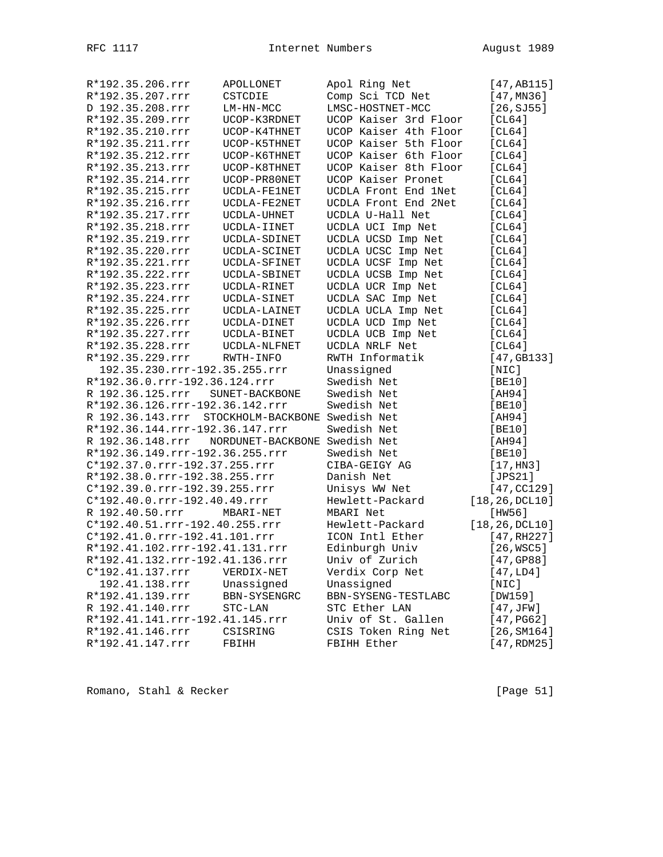| R*192.35.206.rrr<br>APOLLONET                      | Apol Ring Net         | [47, AB115]            |
|----------------------------------------------------|-----------------------|------------------------|
| R*192.35.207.rrr<br>CSTCDIE                        | Comp Sci TCD Net      | [47, MN36]             |
| D 192.35.208.rrr<br>LM-HN-MCC                      | LMSC-HOSTNET-MCC      | [26, SJ55]             |
| R*192.35.209.rrr<br>UCOP-K3RDNET                   | UCOP Kaiser 3rd Floor | [CL64]                 |
| R*192.35.210.rrr<br>UCOP-K4THNET                   | UCOP Kaiser 4th Floor | [CL64]                 |
| R*192.35.211.rrr<br>UCOP-K5THNET                   | UCOP Kaiser 5th Floor | [CL64]                 |
| R*192.35.212.rrr<br>UCOP-K6THNET                   | UCOP Kaiser 6th Floor | [CL64]                 |
| R*192.35.213.rrr<br>UCOP-K8THNET                   | UCOP Kaiser 8th Floor | [CL64]                 |
| R*192.35.214.rrr<br>UCOP-PR80NET                   | UCOP Kaiser Pronet    | [CL64]                 |
| R*192.35.215.rrr<br>UCDLA-FE1NET                   | UCDLA Front End 1Net  | [CL64]                 |
| R*192.35.216.rrr<br>UCDLA-FE2NET                   | UCDLA Front End 2Net  | [CL64]                 |
| R*192.35.217.rrr<br>UCDLA-UHNET                    | UCDLA U-Hall Net      | [CL64]                 |
| R*192.35.218.rrr<br>UCDLA-IINET                    | UCDLA UCI Imp Net     | [CL64]                 |
| R*192.35.219.rrr<br>UCDLA-SDINET                   | UCDLA UCSD Imp Net    | [CL64]                 |
| R*192.35.220.rrr<br>UCDLA-SCINET                   | UCDLA UCSC Imp Net    | [CL64]                 |
| R*192.35.221.rrr<br>UCDLA-SFINET                   | UCDLA UCSF Imp Net    | [CL64]                 |
| R*192.35.222.rrr<br>UCDLA-SBINET                   | UCDLA UCSB Imp Net    | [CL64]                 |
| R*192.35.223.rrr<br>UCDLA-RINET                    | UCDLA UCR Imp Net     | [CL64]                 |
| R*192.35.224.rrr<br>UCDLA-SINET                    | UCDLA SAC Imp Net     | [CL64]                 |
| R*192.35.225.rrr<br>UCDLA-LAINET                   | UCDLA UCLA Imp Net    | [CL64]                 |
| R*192.35.226.rrr<br>UCDLA-DINET                    | UCDLA UCD Imp Net     | [CL64]                 |
| R*192.35.227.rrr<br>UCDLA-BINET                    | UCDLA UCB Imp Net     | [CL64]                 |
| R*192.35.228.rrr<br>UCDLA-NLFNET                   | UCDLA NRLF Net        | [CL64]                 |
| R*192.35.229.rrr<br>RWTH-INFO                      | RWTH Informatik       | [47, GB133]            |
| 192.35.230.rrr-192.35.255.rrr                      | Unassigned            | [NIC]                  |
| R*192.36.0.rrr-192.36.124.rrr                      | Swedish Net           | [BE10]                 |
| R 192.36.125.rrr<br>SUNET-BACKBONE                 | Swedish Net           | [AH94]                 |
| R*192.36.126.rrr-192.36.142.rrr                    | Swedish Net           | [BE10]                 |
| R 192.36.143.rrr<br>STOCKHOLM-BACKBONE Swedish Net |                       | [AH94]                 |
| R*192.36.144.rrr-192.36.147.rrr                    | Swedish Net           | [BE10]                 |
| R 192.36.148.rrr NORDUNET-BACKBONE Swedish Net     |                       | [AH94]                 |
| R*192.36.149.rrr-192.36.255.rrr                    | Swedish Net           | [BE10]                 |
| C*192.37.0.rrr-192.37.255.rrr                      | CIBA-GEIGY AG         | [17, H <sub>N3</sub> ] |
| R*192.38.0.rrr-192.38.255.rrr                      | Danish Net            | [JPS21]                |
| C*192.39.0.rrr-192.39.255.rrr                      | Unisys WW Net         | [47, CC129]            |
| C*192.40.0.rrr-192.40.49.rrr                       | Hewlett-Packard       | [18, 26, DCL10]        |
| R 192.40.50.rrr<br>MBARI-NET                       | MBARI Net             | [HW56]                 |
| C*192.40.51.rrr-192.40.255.rrr                     | Hewlett-Packard       | [18, 26, DCL10]        |
| C*192.41.0.rrr-192.41.101.rrr                      | ICON Intl Ether       | [47, RH227]            |
| R*192.41.102.rrr-192.41.131.rrr                    | Edinburgh Univ        | [26, WSC5]             |
| R*192.41.132.rrr-192.41.136.rrr                    | Univ of Zurich        | [47, GP88]             |
| C*192.41.137.rrr<br>VERDIX-NET                     | Verdix Corp Net       | [47,LD4]               |
| 192.41.138.rrr<br>Unassigned                       | Unassigned            | [NIC]                  |
| R*192.41.139.rrr<br>BBN-SYSENGRC                   | BBN-SYSENG-TESTLABC   | [DW159]                |
| R 192.41.140.rrr<br>STC-LAN                        | STC Ether LAN         | [47,JFW]               |
| R*192.41.141.rrr-192.41.145.rrr                    | Univ of St. Gallen    | [47, PG62]             |
| R*192.41.146.rrr<br>CSISRING                       | CSIS Token Ring Net   | [26, SM164]            |
| R*192.41.147.rrr<br>FBIHH                          | FBIHH Ether           | [47, RDM25]            |

Romano, Stahl & Recker [Page 51]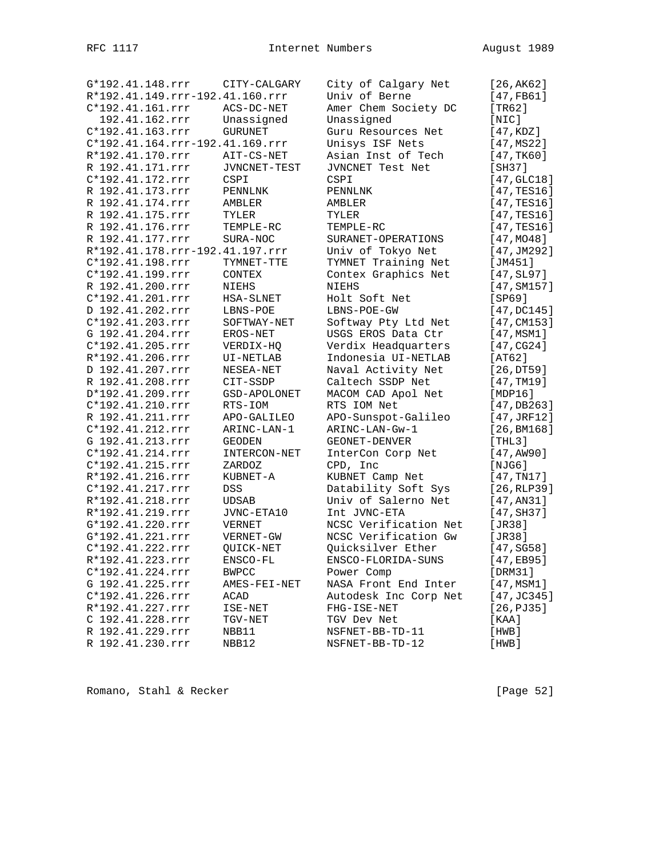| G*192.41.148.rrr                | CITY-CALGARY   | City of Calgary Net   | [26,AK62]                     |
|---------------------------------|----------------|-----------------------|-------------------------------|
| R*192.41.149.rrr-192.41.160.rrr |                | Univ of Berne         | [47,FB61]                     |
| C*192.41.161.rrr                | ACS-DC-NET     | Amer Chem Society DC  | [TR62]                        |
| 192.41.162.rrr                  | Unassigned     | Unassigned            | [NIC]                         |
| C*192.41.163.rrr                | <b>GURUNET</b> | Guru Resources Net    | [47, KDZ]                     |
| C*192.41.164.rrr-192.41.169.rrr |                | Unisys ISF Nets       | [47, MS22]                    |
| R*192.41.170.rrr                | AIT-CS-NET     | Asian Inst of Tech    | [47, TK60]                    |
| R 192.41.171.rrr                | JVNCNET-TEST   | JVNCNET Test Net      | [SH37]                        |
| C*192.41.172.rrr                | CSPI           | CSPI                  | [47, GLC18]                   |
| R 192.41.173.rrr                | PENNLNK        | PENNLNK               | $[47, \text{TES}16]$          |
| R 192.41.174.rrr                | AMBLER         | AMBLER                | $[47, \text{TES}16]$          |
| R 192.41.175.rrr                | TYLER          | TYLER                 | $[47, \text{TES}16]$          |
| R 192.41.176.rrr                | TEMPLE-RC      | TEMPLE-RC             | $[47, \text{TES}16]$          |
| R 192.41.177.rrr                | SURA-NOC       | SURANET-OPERATIONS    | [47, MO48]                    |
| R*192.41.178.rrr-192.41.197.rrr |                | Univ of Tokyo Net     | [47, JM292]                   |
| C*192.41.198.rrr                | TYMNET-TTE     | TYMNET Training Net   | [JM451]                       |
| C*192.41.199.rrr                | CONTEX         | Contex Graphics Net   | $[47, \text{SL}97]$           |
| R 192.41.200.rrr                | NIEHS          | NIEHS                 | [47, SM157]                   |
| C*192.41.201.rrr                | HSA-SLNET      | Holt Soft Net         | [SP69]                        |
| D 192.41.202.rrr                | LBNS-POE       | LBNS-POE-GW           | [47, DC145]                   |
| C*192.41.203.rrr                | SOFTWAY-NET    | Softway Pty Ltd Net   | [47, CM153]                   |
| G 192.41.204.rrr                | EROS-NET       | USGS EROS Data Ctr    | [47, MSM1]                    |
| C*192.41.205.rrr                | VERDIX-HQ      | Verdix Headquarters   | [47, CG24]                    |
| R*192.41.206.rrr                | UI-NETLAB      | Indonesia UI-NETLAB   | [AT62]                        |
| D 192.41.207.rrr                | NESEA-NET      | Naval Activity Net    | [26,DT59]                     |
| R 192.41.208.rrr                | CIT-SSDP       | Caltech SSDP Net      | [47, TM19]                    |
| D*192.41.209.rrr                | GSD-APOLONET   | MACOM CAD Apol Net    | [MDP16]                       |
| C*192.41.210.rrr                | RTS-IOM        | RTS IOM Net           | [47, DB263]                   |
| R 192.41.211.rrr                | APO-GALILEO    | APO-Sunspot-Galileo   | $[47, \text{JRF12}]$          |
| C*192.41.212.rrr                | ARINC-LAN-1    | ARINC-LAN-Gw-1        | [26, BM168]                   |
| G 192.41.213.rrr                | <b>GEODEN</b>  | GEONET-DENVER         | [THL3]                        |
| C*192.41.214.rrr                | INTERCON-NET   | InterCon Corp Net     | [47, A W90]                   |
| C*192.41.215.rrr                | ZARDOZ         | CPD, Inc              | [NJG6]                        |
| R*192.41.216.rrr                | KUBNET-A       | KUBNET Camp Net       | [47, TNI7]                    |
| C*192.41.217.rrr                | DSS            | Datability Soft Sys   | [26, RLP39]                   |
| R*192.41.218.rrr                | <b>UDSAB</b>   | Univ of Salerno Net   | [47, AN31]                    |
| R*192.41.219.rrr                | JVNC-ETA10     | Int JVNC-ETA          | [47, SH37]                    |
| G*192.41.220.rrr                | VERNET         | NCSC Verification Net | [JR38]                        |
| G*192.41.221.rrr                | VERNET-GW      | NCSC Verification Gw  | [JR38]                        |
| C*192.41.222.rrr                | QUICK-NET      | Quicksilver Ether     | [47, SGS8]                    |
| R*192.41.223.rrr                | ENSCO-FL       | ENSCO-FLORIDA-SUNS    | [47,EB95]                     |
| C*192.41.224.rrr                | <b>BWPCC</b>   | Power Comp            | [DRM31]                       |
| G 192.41.225.rrr                | AMES-FEI-NET   | NASA Front End Inter  | [47, MSM1]                    |
| C*192.41.226.rrr                | ACAD           | Autodesk Inc Corp Net | $[47, \text{J} \text{C} 345]$ |
| R*192.41.227.rrr                | ISE-NET        | FHG-ISE-NET           | [26, PJ35]                    |
| C 192.41.228.rrr                | TGV-NET        | TGV Dev Net           | [KAA]                         |
| R 192.41.229.rrr                | NBB11          | NSFNET-BB-TD-11       | [HWB]                         |
| R 192.41.230.rrr                | NBB12          | NSFNET-BB-TD-12       | [HWB]                         |
|                                 |                |                       |                               |

Romano, Stahl & Recker [Page 52]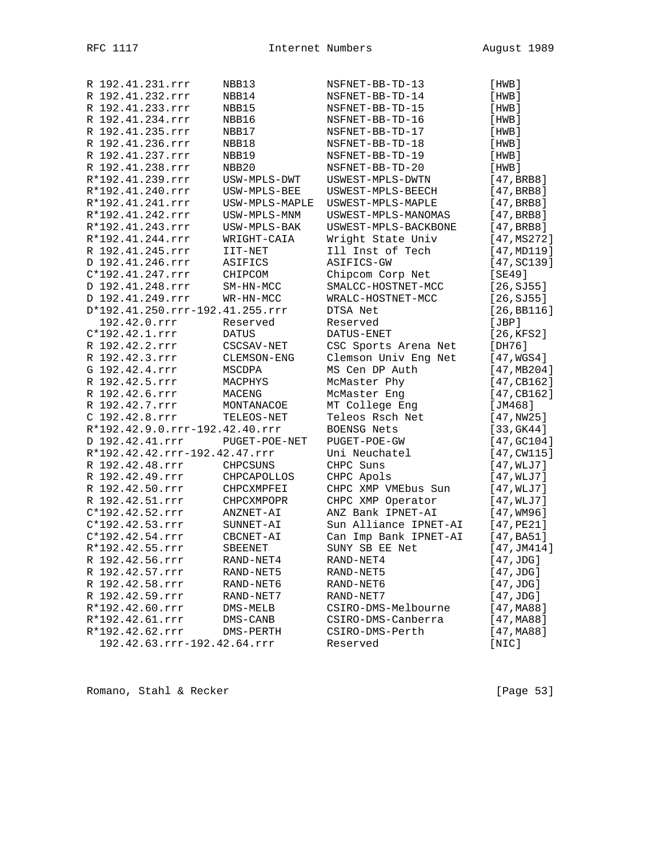| R 192.41.231.rrr                | NBB13                  | NSFNET-BB-TD-13       | [HWB]                     |
|---------------------------------|------------------------|-----------------------|---------------------------|
| R 192.41.232.rrr                | NBB14                  | NSFNET-BB-TD-14       | [HWB]                     |
| R 192.41.233.rrr                | NBB15                  | NSFNET-BB-TD-15       | [HWB]                     |
| R 192.41.234.rrr                | NBB16                  | NSFNET-BB-TD-16       | [HWB]                     |
| R 192.41.235.rrr                | NBB17                  | NSFNET-BB-TD-17       | [HWB]                     |
| R 192.41.236.rrr                | NBB18                  | NSFNET-BB-TD-18       | [HWB]                     |
| R 192.41.237.rrr                | NBB19                  | NSFNET-BB-TD-19       | [HWB]                     |
| R 192.41.238.rrr                | NBB20                  | NSFNET-BB-TD-20       | [HWB]                     |
| R*192.41.239.rrr                | USW-MPLS-DWT           | USWEST-MPLS-DWTN      | [47, BRB]                 |
| R*192.41.240.rrr                | USW-MPLS-BEE           | USWEST-MPLS-BEECH     | [47, BRB]                 |
| R*192.41.241.rrr                | USW-MPLS-MAPLE         | USWEST-MPLS-MAPLE     | [47, BRB]                 |
| R*192.41.242.rrr                | USW-MPLS-MNM           | USWEST-MPLS-MANOMAS   | [47, BRB]                 |
| R*192.41.243.rrr                | USW-MPLS-BAK           | USWEST-MPLS-BACKBONE  | [47, BRB]                 |
| R*192.41.244.rrr                | WRIGHT-CAIA            | Wright State Univ     | [47, MS272]               |
| R 192.41.245.rrr                | IIT-NET                | Ill Inst of Tech      | [47, MD119]               |
| D 192.41.246.rrr                | ASIFICS                | ASIFICS-GW            | [47, SC139]               |
| C*192.41.247.rrr                | CHIPCOM                | Chipcom Corp Net      | [SE49]                    |
| D 192.41.248.rrr                |                        |                       |                           |
| D 192.41.249.rrr                | SM-HN-MCC<br>WR-HN-MCC | SMALCC-HOSTNET-MCC    | [26, SJ55]                |
| D*192.41.250.rrr-192.41.255.rrr |                        | WRALC-HOSTNET-MCC     | [26, SJ55]<br>[26, BB116] |
| 192.42.0.rrr                    |                        | DTSA Net              |                           |
|                                 | Reserved               | Reserved              | [JBP]                     |
| $C*192.42.1.rrr$                | <b>DATUS</b>           | DATUS-ENET            | [26, KFS2]                |
| R 192.42.2.rrr                  | CSCSAV-NET             | CSC Sports Arena Net  | [DH76]                    |
| R 192.42.3.rrr                  | CLEMSON-ENG            | Clemson Univ Eng Net  | [47, WGS4]                |
| G 192.42.4.rrr                  | MSCDPA                 | MS Cen DP Auth        | [47, MB204]               |
| R 192.42.5.rrr                  | MACPHYS                | McMaster Phy          | [47, CB162]               |
| R 192.42.6.rrr                  | MACENG                 | McMaster Eng          | [47, CB162]               |
| R 192.42.7.rrr                  | MONTANACOE             | MT College Eng        | [ $JM468$ ]               |
| C 192.42.8.rrr                  | TELEOS-NET             | Teleos Rsch Net       | [47, NW25]                |
| R*192.42.9.0.rrr-192.42.40.rrr  |                        | BOENSG Nets           | [33, GK44]                |
| D 192.42.41.rrr                 | PUGET-POE-NET          | PUGET-POE-GW          | [47, 6C104]               |
| R*192.42.42.rrr-192.42.47.rrr   |                        | Uni Neuchatel         | $[47, \text{CW115}]$      |
| R 192.42.48.rrr                 | <b>CHPCSUNS</b>        | CHPC Suns             | [47, WLJ7]                |
| R 192.42.49.rrr                 | CHPCAPOLLOS            | CHPC Apols            | [47, WLJ7]                |
| R 192.42.50.rrr                 | CHPCXMPFEI             | CHPC XMP VMEbus Sun   | [47, WLJ7]                |
| R 192.42.51.rrr                 | CHPCXMPOPR             | CHPC XMP Operator     | [47, WLJ7]                |
| C*192.42.52.rrr                 | ANZNET-AI              | ANZ Bank IPNET-AI     | $[47,$ WM96]              |
| C*192.42.53.rrr                 | SUNNET-AI              | Sun Alliance IPNET-AI | [47, PE21]                |
| C*192.42.54.rrr                 | CBCNET-AI              | Can Imp Bank IPNET-AI | [47, B <sub>451</sub> ]   |
| R*192.42.55.rrr                 | SBEENET                | SUNY SB EE Net        | [47, JM414]               |
| R 192.42.56.rrr                 | RAND-NET4              | RAND-NET4             | $[47,$ JDG]               |
| R 192.42.57.rrr                 | RAND-NET5              | RAND-NET5             | $[47,$ JDG]               |
| R 192.42.58.rrr                 | RAND-NET6              | RAND-NET6             | [47,JDG]                  |
| R 192.42.59.rrr                 | RAND-NET7              | RAND-NET7             | $[47,$ JDG]               |
| R*192.42.60.rrr                 | DMS-MELB               | CSIRO-DMS-Melbourne   | [47,MA88]                 |
| R*192.42.61.rrr                 | DMS-CANB               | CSIRO-DMS-Canberra    | [47,MA88]                 |
| R*192.42.62.rrr                 | DMS-PERTH              | CSIRO-DMS-Perth       | [47, MA88]                |
| 192.42.63.rrr-192.42.64.rrr     |                        | Reserved              | [NIC]                     |

Romano, Stahl & Recker [Page 53]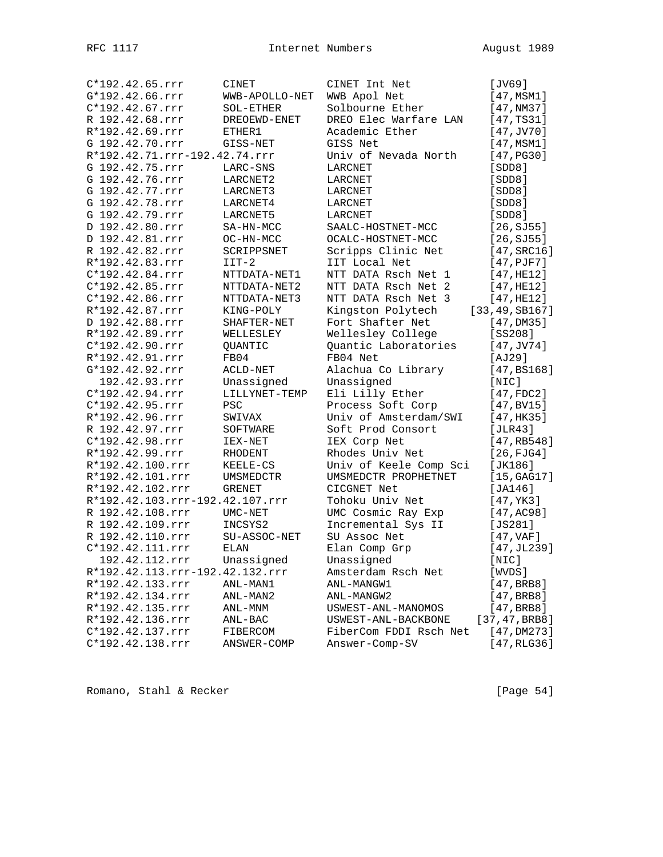| C*192.42.65.rrr                 | CINET          | CINET Int Net          | [JV69]               |
|---------------------------------|----------------|------------------------|----------------------|
| G*192.42.66.rrr                 | WWB-APOLLO-NET | WWB Apol Net           | [47, MSM1]           |
| C*192.42.67.rrr                 | SOL-ETHER      | Solbourne Ether        | [47, NM37]           |
| R 192.42.68.rrr                 | DREOEWD-ENET   | DREO Elec Warfare LAN  | [47, TS31]           |
| R*192.42.69.rrr                 | ETHER1         | Academic Ether         | $[47,$ JV $70]$      |
| G 192.42.70.rrr                 | GISS-NET       | GISS Net               | [47,MSM1]            |
| R*192.42.71.rrr-192.42.74.rrr   |                | Univ of Nevada North   | [47, PG30]           |
| G 192.42.75.rrr                 | LARC-SNS       | LARCNET                | [SDD8]               |
| G 192.42.76.rrr                 | LARCNET2       | LARCNET                | [SDD8]               |
| G 192.42.77.rrr                 | LARCNET3       | LARCNET                | [SDD8]               |
| G 192.42.78.rrr                 | LARCNET4       | LARCNET                | [SDD8]               |
| G 192.42.79.rrr                 | LARCNET5       | LARCNET                | [SDD8]               |
| D 192.42.80.rrr                 | SA-HN-MCC      | SAALC-HOSTNET-MCC      | [26, SJ55]           |
| D 192.42.81.rrr                 | OC-HN-MCC      | OCALC-HOSTNET-MCC      | [26, SJ55]           |
| R 192.42.82.rrr                 | SCRIPPSNET     | Scripps Clinic Net     | $[47, \text{SRC}16]$ |
| R*192.42.83.rrr                 | $IIT-2$        | IIT Local Net          | $[47,$ PJF $7]$      |
| $C*192.42.84.rrr$               | NTTDATA-NET1   | NTT DATA Rsch Net 1    | [47, HE12]           |
| C*192.42.85.rrr                 | NTTDATA-NET2   | NTT DATA Rsch Net 2    | [47, HE12]           |
| C*192.42.86.rrr                 | NTTDATA-NET3   | NTT DATA Rsch Net 3    | [47, HE12]           |
| R*192.42.87.rrr                 | KING-POLY      | Kingston Polytech      | [33, 49, SB167]      |
| D 192.42.88.rrr                 | SHAFTER-NET    | Fort Shafter Net       | [47,DM35]            |
| R*192.42.89.rrr                 | WELLESLEY      | Wellesley College      | $[SS208]$            |
| $C*192.42.90.rrr$               | QUANTIC        | Quantic Laboratories   | $[47,$ JV74]         |
| R*192.42.91.rrr                 | FB04           | FB04 Net               | [AJ29]               |
| G*192.42.92.rrr                 | ACLD-NET       | Alachua Co Library     | [47, B S168]         |
| 192.42.93.rrr                   | Unassigned     | Unassigned             | [NIC]                |
| C*192.42.94.rrr                 | LILLYNET-TEMP  | Eli Lilly Ether        | [47, FDC2]           |
| C*192.42.95.rrr                 | PSC            | Process Soft Corp      | [47, BVI5]           |
| R*192.42.96.rrr                 | SWIVAX         | Univ of Amsterdam/SWI  | [47,HK35]            |
| R 192.42.97.rrr                 | SOFTWARE       | Soft Prod Consort      | [JLR43]              |
| C*192.42.98.rrr                 | IEX-NET        | IEX Corp Net           | [47, RB548]          |
| R*192.42.99.rrr                 | RHODENT        | Rhodes Univ Net        | [26, FJG4]           |
| R*192.42.100.rrr                | KEELE-CS       | Univ of Keele Comp Sci | [JK186]              |
| R*192.42.101.rrr                | UMSMEDCTR      | UMSMEDCTR PROPHETNET   | [15, GAG17]          |
| R*192.42.102.rrr                | GRENET         | CICGNET Net            | [JA146]              |
| R*192.42.103.rrr-192.42.107.rrr |                | Tohoku Univ Net        | [47, YK3]            |
| R 192.42.108.rrr                | UMC-NET        | UMC Cosmic Ray Exp     | [47, AC98]           |
| R 192.42.109.rrr                | INCSYS2        | Incremental Sys II     | [JS281]              |
| R 192.42.110.rrr                | SU-ASSOC-NET   | SU Assoc Net           | [47, VAF]            |
| C*192.42.111.rrr                | <b>ELAN</b>    | Elan Comp Grp          | [47, JL239]          |
| 192.42.112.rrr                  | Unassigned     | Unassigned             | [NIC]                |
| R*192.42.113.rrr-192.42.132.rrr |                | Amsterdam Rsch Net     | [WVDS]               |
| R*192.42.133.rrr                | ANL-MAN1       | ANL-MANGW1             | [47, BRB]            |
| R*192.42.134.rrr                | ANL-MAN2       | ANL-MANGW2             | [47, BRB]            |
| R*192.42.135.rrr                | ANL-MNM        | USWEST-ANL-MANOMOS     | [47, BRB]            |
| R*192.42.136.rrr                | ANL-BAC        | USWEST-ANL-BACKBONE    | [37, 47, BRB]        |
| C*192.42.137.rrr                | FIBERCOM       | FiberCom FDDI Rsch Net | [47,DM273]           |
| C*192.42.138.rrr                | ANSWER-COMP    | Answer-Comp-SV         | [47, RLG36]          |

Romano, Stahl & Recker [Page 54]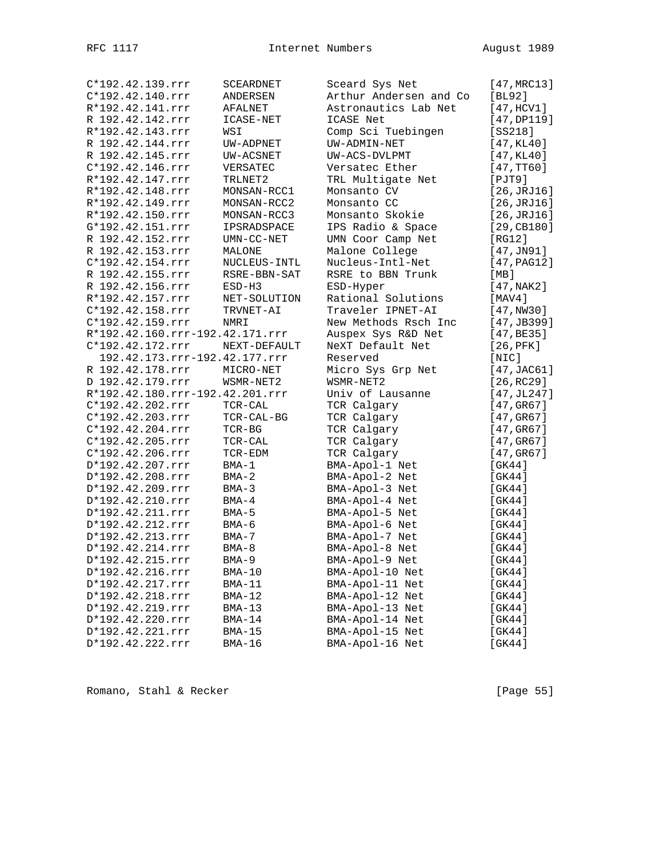| C*192.42.139.rrr                | SCEARDNET    | Sceard Sys Net         | [47, MRC13]           |
|---------------------------------|--------------|------------------------|-----------------------|
| C*192.42.140.rrr                | ANDERSEN     | Arthur Andersen and Co | [BL92]                |
| R*192.42.141.rrr                | AFALNET      | Astronautics Lab Net   | [47, HCV1]            |
| R 192.42.142.rrr                | ICASE-NET    | ICASE Net              | [47,DP119]            |
| R*192.42.143.rrr                | WSI          | Comp Sci Tuebingen     | [SS218]               |
| R 192.42.144.rrr                | UW-ADPNET    | UW-ADMIN-NET           | [47, KL40]            |
| R 192.42.145.rrr                | UW-ACSNET    | UW-ACS-DVLPMT          | [47, KL40]            |
| C*192.42.146.rrr                | VERSATEC     | Versatec Ether         | [47,TT60]             |
| R*192.42.147.rrr                | TRLNET2      | TRL Multigate Net      | $[$ PJT9 $]$          |
| R*192.42.148.rrr                | MONSAN-RCC1  | Monsanto CV            | [26, JRJ16]           |
| R*192.42.149.rrr                | MONSAN-RCC2  | Monsanto CC            | [26, JRJ16]           |
| R*192.42.150.rrr                | MONSAN-RCC3  | Monsanto Skokie        | [26, JRJ16]           |
| G*192.42.151.rrr                | IPSRADSPACE  | IPS Radio & Space      | [29, CB180]           |
| R 192.42.152.rrr                | UMN-CC-NET   | UMN Coor Camp Net      | [RG12]                |
| R 192.42.153.rrr                | MALONE       | Malone College         | $[47,$ JN $91]$       |
| C*192.42.154.rrr                | NUCLEUS-INTL | Nucleus-Intl-Net       | [47, PAG12]           |
| R 192.42.155.rrr                | RSRE-BBN-SAT | RSRE to BBN Trunk      | [ MB ]                |
| R 192.42.156.rrr                | $ESD-H3$     | ESD-Hyper              | [47, NAK2]            |
| R*192.42.157.rrr                | NET-SOLUTION | Rational Solutions     | [MAV4]                |
| C*192.42.158.rrr                | TRVNET-AI    | Traveler IPNET-AI      | [47,NW30]             |
| C*192.42.159.rrr                |              |                        |                       |
|                                 | NMRI         | New Methods Rsch Inc   | [47, JB399]           |
| R*192.42.160.rrr-192.42.171.rrr |              | Auspex Sys R&D Net     | [47, BE35]            |
| C*192.42.172.rrr                | NEXT-DEFAULT | NeXT Default Net       | $[26,$ PFK $]$        |
| 192.42.173.rrr-192.42.177.rrr   |              | Reserved               | [NIC]                 |
| R 192.42.178.rrr                | MICRO-NET    | Micro Sys Grp Net      | $[47, \text{JAC61}]$  |
| D 192.42.179.rrr                | WSMR-NET2    | WSMR-NET2              | [26, RC29]            |
| R*192.42.180.rrr-192.42.201.rrr |              | Univ of Lausanne       | [47, JL247]           |
| C*192.42.202.rrr                | TCR-CAL      | TCR Calgary            | [47,GR67]             |
| C*192.42.203.rrr                | TCR-CAL-BG   | TCR Calgary            | [47,GR67]             |
| C*192.42.204.rrr                | $TCR-BG$     | TCR Calgary            | [47,GR67]             |
| C*192.42.205.rrr                | TCR-CAL      | TCR Calgary            | $[47, \mathrm{GR}67]$ |
| $C*192.42.206.rrr$              | TCR-EDM      | TCR Calgary            | [47,GR67]             |
| D*192.42.207.rrr                | $BMA-1$      | BMA-Apol-1 Net         | [GK44]                |
| D*192.42.208.rrr                | $BMA-2$      | BMA-Apol-2 Net         | [GK44]                |
| D*192.42.209.rrr                | $BMA-3$      | BMA-Apol-3 Net         | [GK44]                |
| D*192.42.210.rrr                | $BMA-4$      | BMA-Apol-4 Net         | [GK44]                |
| D*192.42.211.rrr                | $BMA-5$      | BMA-Apol-5 Net         | [GK44]                |
| D*192.42.212.rrr                | $BMA-6$      | BMA-Apol-6 Net         | [GK44]                |
| D*192.42.213.rrr                | $BMA-7$      | BMA-Apol-7 Net         | [GK44]                |
| D*192.42.214.rrr                | $BMA-8$      | BMA-Apol-8 Net         | [GK44]                |
| D*192.42.215.rrr                | $BMA-9$      | BMA-Apol-9 Net         | [GK44]                |
| D*192.42.216.rrr                | $BMA-10$     | BMA-Apol-10 Net        | [GK44]                |
| D*192.42.217.rrr                | $BMA-11$     | BMA-Apol-11 Net        | [GK44]                |
| D*192.42.218.rrr                | $BMA-12$     | BMA-Apol-12 Net        | [GK44]                |
| D*192.42.219.rrr                | $BMA-13$     | BMA-Apol-13 Net        | [GK44]                |
| D*192.42.220.rrr                | $BMA-14$     | BMA-Apol-14 Net        | [GK44]                |
| D*192.42.221.rrr                | BMA-15       | BMA-Apol-15 Net        | [GK44]                |
| D*192.42.222.rrr                | $BMA-16$     | BMA-Apol-16 Net        | $[$ GK44 $]$          |
|                                 |              |                        |                       |

Romano, Stahl & Recker [Page 55]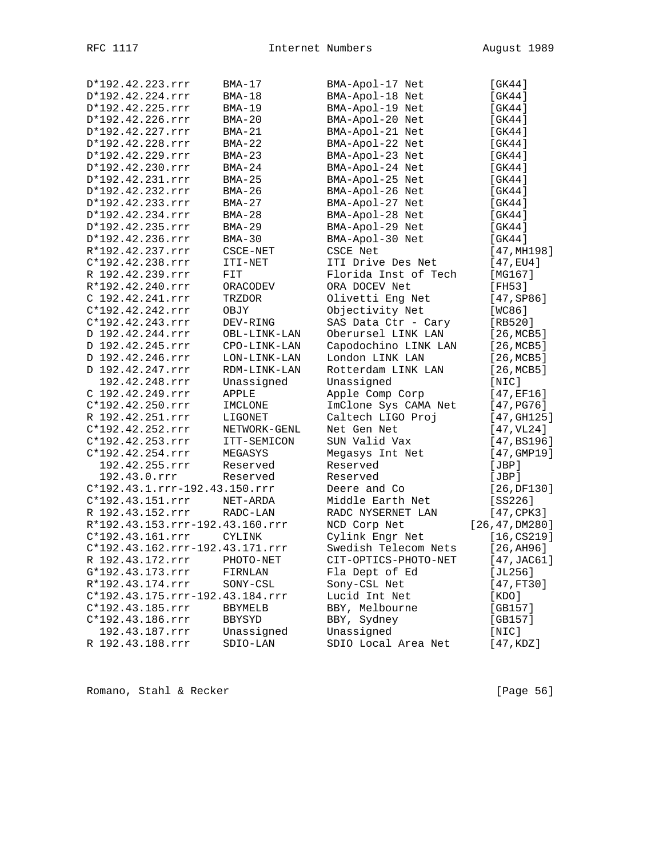| D*192.42.223.rrr                | $BMA-17$            | BMA-Apol-17 Net      | [GK44]               |
|---------------------------------|---------------------|----------------------|----------------------|
| D*192.42.224.rrr                | $BMA-18$            | BMA-Apol-18 Net      | [GK44]               |
| D*192.42.225.rrr                | $BMA-19$            | BMA-Apol-19 Net      | [GK44]               |
| D*192.42.226.rrr                | $BMA-20$            | BMA-Apol-20 Net      | [GK44]               |
| D*192.42.227.rrr                | $BMA-21$            | BMA-Apol-21 Net      | [GK44]               |
| D*192.42.228.rrr                | $BMA-22$            | BMA-Apol-22 Net      | [GK44]               |
| D*192.42.229.rrr                | $BMA-23$            | BMA-Apol-23 Net      | [GK44]               |
| D*192.42.230.rrr                | $BMA-24$            | BMA-Apol-24 Net      | $[$ GK44 $]$         |
| D*192.42.231.rrr                | $BMA-25$            | BMA-Apol-25 Net      | [GK44]               |
| D*192.42.232.rrr                | $BMA-26$            | BMA-Apol-26 Net      | [GK44]               |
| D*192.42.233.rrr                | $BMA-27$            | BMA-Apol-27 Net      | [GK44]               |
| D*192.42.234.rrr                | $BMA-28$            | BMA-Apol-28 Net      | [GK44]               |
| D*192.42.235.rrr                | $BMA-29$            | BMA-Apol-29 Net      | [GK44]               |
| D*192.42.236.rrr                | $BMA-30$            | BMA-Apol-30 Net      | [GK44]               |
| R*192.42.237.rrr                | CSCE-NET            | <b>CSCE Net</b>      | [47, MHz98]          |
| C*192.42.238.rrr                | ITI-NET             | ITI Drive Des Net    | $[47, \text{EU4}]$   |
| R 192.42.239.rrr                | FIT                 | Florida Inst of Tech | [MG167]              |
| R*192.42.240.rrr                | ORACODEV            | ORA DOCEV Net        | [FH53]               |
| C 192.42.241.rrr                | TRZDOR              | Olivetti Eng Net     | [47, SP86]           |
| C*192.42.242.rrr                | OBJY                | Objectivity Net      | [WC86]               |
| C*192.42.243.rrr                | DEV-RING            | SAS Data Ctr - Cary  | [RB520]              |
| D 192.42.244.rrr                | OBL-LINK-LAN        | Oberursel LINK LAN   | [26, MCB5]           |
| D 192.42.245.rrr                | CPO-LINK-LAN        | Capodochino LINK LAN | [26, MCB5]           |
| D 192.42.246.rrr                | LON-LINK-LAN        | London LINK LAN      | [26, MCB5]           |
| D 192.42.247.rrr                | RDM-LINK-LAN        | Rotterdam LINK LAN   | [26, MCB5]           |
| 192.42.248.rrr                  | Unassigned          | Unassigned           | [NIC]                |
| C 192.42.249.rrr                | APPLE               | Apple Comp Corp      | [47, EF16]           |
| C*192.42.250.rrr                | IMCLONE             | ImClone Sys CAMA Net | [47, PG76]           |
| R 192.42.251.rrr                | LIGONET             | Caltech LIGO Proj    | $[47, \text{GH}125]$ |
| C*192.42.252.rrr                | NETWORK-GENL        | Net Gen Net          | [47, VL24]           |
| C*192.42.253.rrr                | ITT-SEMICON         | SUN Valid Vax        | [47, BSI96]          |
| C*192.42.254.rrr                | MEGASYS             | Megasys Int Net      | [47, GMP19]          |
| 192.42.255.rrr                  | Reserved            | Reserved             | [JBP]                |
| 192.43.0.rrr                    | Reserved            | Reserved             | [JBP]                |
| C*192.43.1.rrr-192.43.150.rrr   |                     | Deere and Co         | [26,DF130]           |
| C*192.43.151.rrr                | $\texttt{NET-ARDA}$ | Middle Earth Net     | $[SS226]$            |
| R 192.43.152.rrr                | RADC-LAN            | RADC NYSERNET LAN    | $[47, \text{CPK3}]$  |
| R*192.43.153.rrr-192.43.160.rrr |                     | NCD Corp Net         | [26, 47, DM280]      |
| C*192.43.161.rrr                | <b>CYLINK</b>       | Cylink Engr Net      | [16, C S 2 19]       |
| C*192.43.162.rrr-192.43.171.rrr |                     | Swedish Telecom Nets | [26, A H 96]         |
| R 192.43.172.rrr                | PHOTO-NET           | CIT-OPTICS-PHOTO-NET | [47,JAC61]           |
| G*192.43.173.rrr                | FIRNLAN             | Fla Dept of Ed       | [JL256]              |
| R*192.43.174.rrr                | SONY-CSL            | Sony-CSL Net         | [47,FT30]            |
| C*192.43.175.rrr-192.43.184.rrr |                     | Lucid Int Net        | [ KDO ]              |
| C*192.43.185.rrr                | BBYMELB             | BBY, Melbourne       | [GB157]              |
| C*192.43.186.rrr                | <b>BBYSYD</b>       | BBY, Sydney          | [GB157]              |
| 192.43.187.rrr                  | Unassigned          | Unassigned           | [NIC]                |
| R 192.43.188.rrr                | SDIO-LAN            | SDIO Local Area Net  | [47,KDZ]             |

Romano, Stahl & Recker [Page 56]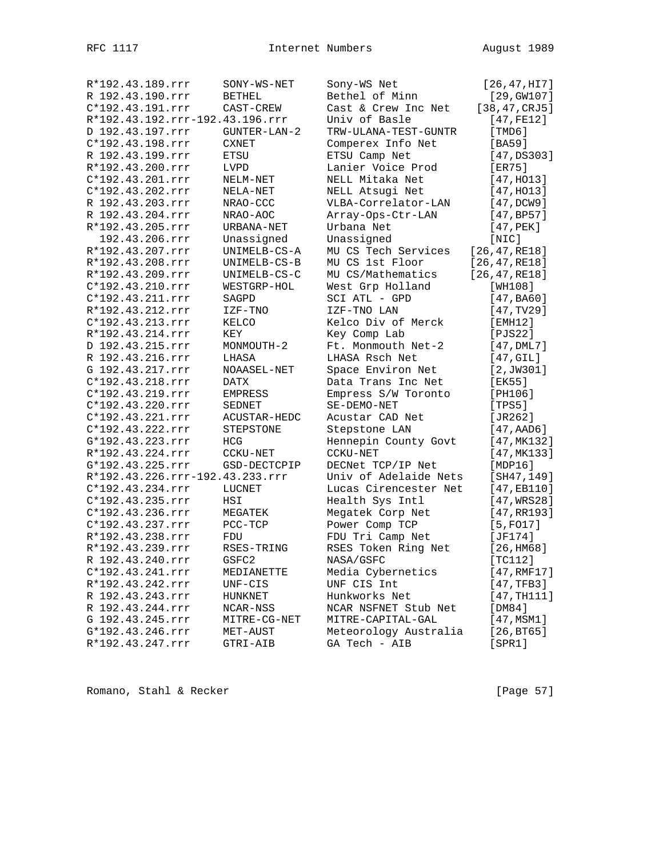| R*192.43.189.rrr                | SONY-WS-NET    | Sony-WS Net           | [26, 47, HI7]   |
|---------------------------------|----------------|-----------------------|-----------------|
| R 192.43.190.rrr                | <b>BETHEL</b>  | Bethel of Minn        | [29, GW107]     |
| C*192.43.191.rrr                | CAST-CREW      | Cast & Crew Inc Net   | [38, 47, CRJ5]  |
| R*192.43.192.rrr-192.43.196.rrr |                | Univ of Basle         | [47, FE12]      |
| D 192.43.197.rrr                | GUNTER-LAN-2   | TRW-ULANA-TEST-GUNTR  | [TMD6]          |
| C*192.43.198.rrr                | <b>CXNET</b>   | Comperex Info Net     | [BA59]          |
| R 192.43.199.rrr                | ETSU           | ETSU Camp Net         | [47,DS303]      |
| R*192.43.200.rrr                | <b>LVPD</b>    | Lanier Voice Prod     | [ER75]          |
| C*192.43.201.rrr                | NELM-NET       | NELL Mitaka Net       | [47, H013]      |
| C*192.43.202.rrr                | NELA-NET       | NELL Atsugi Net       | [47, H013]      |
| R 192.43.203.rrr                | NRAO-CCC       | VLBA-Correlator-LAN   | [47,DCW9]       |
| R 192.43.204.rrr                | NRAO-AOC       | Array-Ops-Ctr-LAN     | [47, BP57]      |
| R*192.43.205.rrr                | URBANA-NET     | Urbana Net            | $[47,$ PEK]     |
| 192.43.206.rrr                  | Unassigned     | Unassigned            | [NIC]           |
| R*192.43.207.rrr                | UNIMELB-CS-A   | MU CS Tech Services   | [26, 47, RE18]  |
| R*192.43.208.rrr                | UNIMELB-CS-B   | MU CS 1st Floor       | [26, 47, RE18]  |
| R*192.43.209.rrr                | UNIMELB-CS-C   | MU CS/Mathematics     | [26, 47, RE18]  |
| C*192.43.210.rrr                | WESTGRP-HOL    | West Grp Holland      | [WH108]         |
| C*192.43.211.rrr                | SAGPD          | SCI ATL - GPD         | [47,BA60]       |
| R*192.43.212.rrr                | IZF-TNO        | IZF-TNO LAN           | [47, TV29]      |
| C*192.43.213.rrr                | KELCO          | Kelco Div of Merck    | [EMH12]         |
| R*192.43.214.rrr                | KEY            | Key Comp Lab          | [PJS22]         |
| D 192.43.215.rrr                | MONMOUTH-2     | Ft. Monmouth Net-2    | $[47,$ DML $7]$ |
| R 192.43.216.rrr                | LHASA          | LHASA Rsch Net        | [47, GII]       |
| G 192.43.217.rrr                | NOAASEL-NET    | Space Environ Net     | [2, JW301]      |
| C*192.43.218.rrr                | DATX           | Data Trans Inc Net    | [EK55]          |
| C*192.43.219.rrr                | <b>EMPRESS</b> | Empress S/W Toronto   | [PH106]         |
| C*192.43.220.rrr                | SEDNET         | SE-DEMO-NET           | [TPS5]          |
| C*192.43.221.rrr                | ACUSTAR-HEDC   | Acustar CAD Net       | [JR262]         |
| C*192.43.222.rrr                | STEPSTONE      | Stepstone LAN         | [47, AAD6]      |
| G*192.43.223.rrr                | HCG            | Hennepin County Govt  | [47, MK132]     |
| R*192.43.224.rrr                | CCKU-NET       | CCKU-NET              | [47, MK133]     |
| G*192.43.225.rrr                | GSD-DECTCPIP   | DECNet TCP/IP Net     | [MDP16]         |
| R*192.43.226.rrr-192.43.233.rrr |                | Univ of Adelaide Nets | [SH47, 149]     |
| C*192.43.234.rrr                | LUCNET         | Lucas Cirencester Net | [47,EB110]      |
| C*192.43.235.rrr                | HSI            | Health Sys Intl       | [47, WRS28]     |
| C*192.43.236.rrr                | MEGATEK        | Megatek Corp Net      | [47, RR193]     |
| C*192.43.237.rrr                | PCC-TCP        | Power Comp TCP        | $[5,$ FO17]     |
| R*192.43.238.rrr                | FDU            | FDU Tri Camp Net      | [JF174]         |
| R*192.43.239.rrr                | RSES-TRING     | RSES Token Ring Net   | [26, HMS8]      |
| R 192.43.240.rrr                | GSFC2          | NASA/GSFC             | [TC112]         |
| C*192.43.241.rrr                | MEDIANETTE     | Media Cybernetics     | [47, RMF17]     |
| R*192.43.242.rrr                | UNF-CIS        | UNF CIS Int           | [47, TFB3]      |
| R 192.43.243.rrr                | HUNKNET        | Hunkworks Net         | [47, TH111]     |
| R 192.43.244.rrr                | NCAR-NSS       | NCAR NSFNET Stub Net  | [DM84]          |
| G 192.43.245.rrr                | MITRE-CG-NET   | MITRE-CAPITAL-GAL     | [47, MSM1]      |
| G*192.43.246.rrr                | MET-AUST       | Meteorology Australia | [26, BT65]      |
| R*192.43.247.rrr                | GTRI-AIB       | GA Tech - AIB         | [SPR1]          |
|                                 |                |                       |                 |

Romano, Stahl & Recker [Page 57]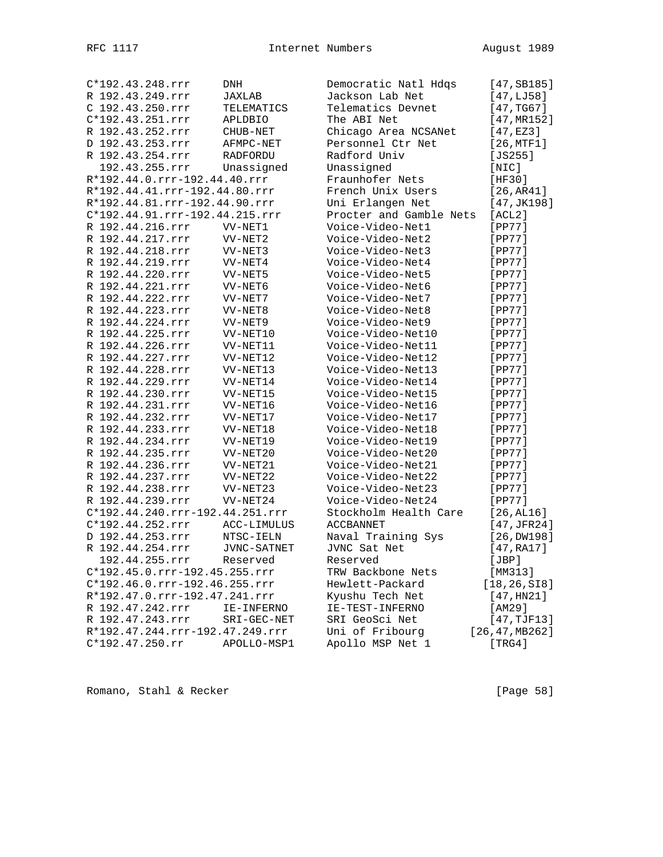| C*192.43.248.rrr                | DNH             | Democratic Natl Hdqs    | [47,SB185]      |
|---------------------------------|-----------------|-------------------------|-----------------|
| R 192.43.249.rrr                | JAXLAB          | Jackson Lab Net         | [47, LJ58]      |
| C 192.43.250.rrr                | TELEMATICS      | Telematics Devnet       | [47, TG67]      |
| C*192.43.251.rrr                | <b>APLDBIO</b>  | The ABI Net             | [47, MR152]     |
| R 192.43.252.rrr                | CHUB-NET        | Chicago Area NCSANet    | [47, EZ3]       |
| D 192.43.253.rrr                | AFMPC-NET       | Personnel Ctr Net       | [26, MTF1]      |
| R 192.43.254.rrr                | <b>RADFORDU</b> | Radford Univ            | $[JS255]$       |
| 192.43.255.rrr                  | Unassigned      | Unassigned              | [NIC]           |
| R*192.44.0.rrr-192.44.40.rrr    |                 | Fraunhofer Nets         | [HF30]          |
| R*192.44.41.rrr-192.44.80.rrr   |                 | French Unix Users       | [26, AR41]      |
| R*192.44.81.rrr-192.44.90.rrr   |                 | Uni Erlangen Net        | [47, JK198]     |
| C*192.44.91.rrr-192.44.215.rrr  |                 | Procter and Gamble Nets | [ACL2]          |
| R 192.44.216.rrr                | VV-NET1         | Voice-Video-Net1        | [PP77]          |
| R 192.44.217.rrr                | VV-NET2         | Voice-Video-Net2        | [PP77]          |
| R 192.44.218.rrr                | VV-NET3         | Voice-Video-Net3        | $[PP77]$        |
| R 192.44.219.rrr                | VV-NET4         | Voice-Video-Net4        | $[PP77]$        |
| R 192.44.220.rrr                | VV-NET5         | Voice-Video-Net5        | [PP77]          |
| R 192.44.221.rrr                | VV-NET6         | Voice-Video-Net6        | $[PP77]$        |
| R 192.44.222.rrr                | VV-NET7         | Voice-Video-Net7        | $[PP77]$        |
| R 192.44.223.rrr                | VV-NET8         | Voice-Video-Net8        | [PP77]          |
| R 192.44.224.rrr                | VV-NET9         | Voice-Video-Net9        | $[PP77]$        |
| R 192.44.225.rrr                | VV-NET10        | Voice-Video-Net10       | $[PP77]$        |
| R 192.44.226.rrr                | VV-NET11        | Voice-Video-Net11       | [PP77]          |
| R 192.44.227.rrr                | VV-NET12        | Voice-Video-Net12       | $[PP77]$        |
| R 192.44.228.rrr                | VV-NET13        | Voice-Video-Net13       | [PP77]          |
| R 192.44.229.rrr                | VV-NET14        | Voice-Video-Net14       | [PP77]          |
| R 192.44.230.rrr                | VV-NET15        | Voice-Video-Net15       | $[PP77]$        |
| R 192.44.231.rrr                | VV-NET16        | Voice-Video-Net16       | $[PP77]$        |
| R 192.44.232.rrr                | VV-NET17        | Voice-Video-Net17       | [PP77]          |
| R 192.44.233.rrr                | VV-NET18        | Voice-Video-Net18       | [PP77]          |
| R 192.44.234.rrr                | VV-NET19        | Voice-Video-Net19       | $[PP77]$        |
| R 192.44.235.rrr                | VV-NET20        | Voice-Video-Net20       | [PP77]          |
| R 192.44.236.rrr                | VV-NET21        | Voice-Video-Net21       | $[PP77]$        |
| R 192.44.237.rrr                | VV-NET22        | Voice-Video-Net22       | [PP77]          |
| R 192.44.238.rrr                | VV-NET23        | Voice-Video-Net23       | [PP77]          |
| R 192.44.239.rrr                | VV-NET24        | Voice-Video-Net24       | $[PP77]$        |
| C*192.44.240.rrr-192.44.251.rrr |                 | Stockholm Health Care   | [26, AL16]      |
| C*192.44.252.rrr                | ACC-LIMULUS     | <b>ACCBANNET</b>        | [47,JFR24]      |
| D 192.44.253.rrr                | NTSC-IELN       | Naval Training Sys      | [26, DW198]     |
| R 192.44.254.rrr                | JVNC-SATNET     | JVNC Sat Net            | [47, RA17]      |
| 192.44.255.rrr                  | Reserved        | Reserved                | [JBP]           |
| C*192.45.0.rrr-192.45.255.rrr   |                 | TRW Backbone Nets       | [MM313]         |
| C*192.46.0.rrr-192.46.255.rrr   |                 | Hewlett-Packard         | [18, 26, SIB]   |
| R*192.47.0.rrr-192.47.241.rrr   |                 | Kyushu Tech Net         | [47, HN21]      |
| R 192.47.242.rrr                | IE-INFERNO      | IE-TEST-INFERNO         | [AM29]          |
| R 192.47.243.rrr                | SRI-GEC-NET     | SRI GeoSci Net          | [47, TJF13]     |
| R*192.47.244.rrr-192.47.249.rrr |                 | Uni of Fribourg         | [26, 47, MB262] |
| $C*192.47.250.rr$               | APOLLO-MSP1     | Apollo MSP Net 1        | [TRG4]          |
|                                 |                 |                         |                 |

Romano, Stahl & Recker [Page 58]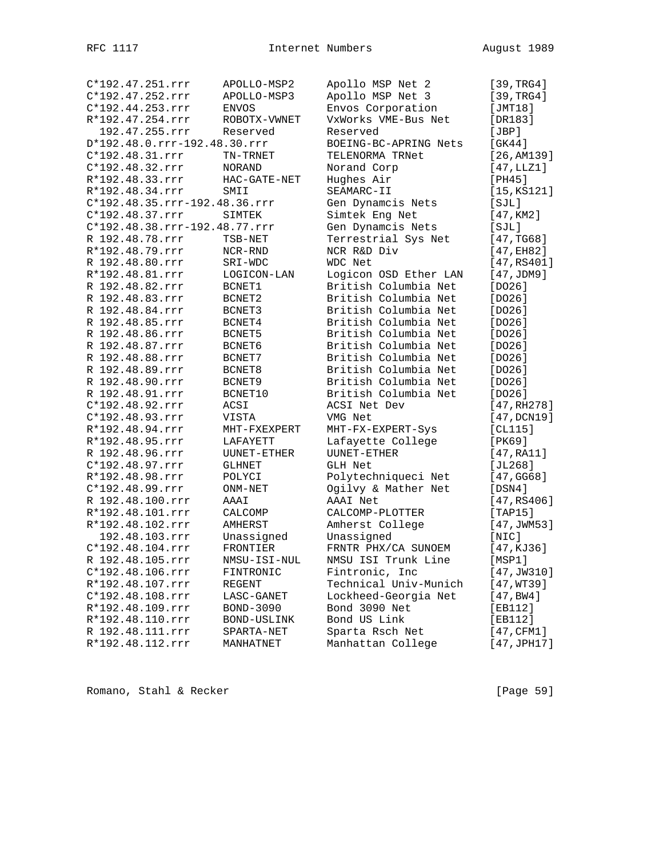|                 | C*192.47.251.rrr              | APOLLO-MSP2   | Apollo MSP Net 2      | [39, TRG4]  |
|-----------------|-------------------------------|---------------|-----------------------|-------------|
|                 | C*192.47.252.rrr              | APOLLO-MSP3   | Apollo MSP Net 3      | [39, TRG4]  |
|                 | C*192.44.253.rrr              | <b>ENVOS</b>  | Envos Corporation     | [JMT18]     |
|                 | R*192.47.254.rrr              | ROBOTX-VWNET  | VxWorks VME-Bus Net   | [DR183]     |
|                 | 192.47.255.rrr                | Reserved      | Reserved              | [JBP]       |
|                 | D*192.48.0.rrr-192.48.30.rrr  |               | BOEING-BC-APRING Nets | [GK44]      |
|                 | C*192.48.31.rrr               | TN-TRNET      | TELENORMA TRNet       | [26, AM139] |
|                 | C*192.48.32.rrr               | NORAND        | Norand Corp           | [47,LLZ1]   |
|                 | R*192.48.33.rrr               | HAC-GATE-NET  | Hughes Air            | [PH45]      |
|                 | R*192.48.34.rrr               | SMII          | SEAMARC-II            | [15, KS121] |
|                 | C*192.48.35.rrr-192.48.36.rrr |               | Gen Dynamcis Nets     | [SJL]       |
|                 | C*192.48.37.rrr               | SIMTEK        | Simtek Eng Net        | [47, KM2]   |
|                 | C*192.48.38.rrr-192.48.77.rrr |               | Gen Dynamcis Nets     | [SJL]       |
|                 | R 192.48.78.rrr               | TSB-NET       | Terrestrial Sys Net   | [47, TG68]  |
|                 | R*192.48.79.rrr               | NCR-RND       | NCR R&D Div           | [47, EH82]  |
|                 | R 192.48.80.rrr               | SRI-WDC       | WDC Net               | [47,RS401]  |
|                 | R*192.48.81.rrr               | LOGICON-LAN   | Logicon OSD Ether LAN | [47,JDM9]   |
|                 | R 192.48.82.rrr               | BCNET1        | British Columbia Net  | [DO26]      |
|                 | R 192.48.83.rrr               | BCNET2        | British Columbia Net  | [DO26]      |
|                 | R 192.48.84.rrr               | BCNET3        | British Columbia Net  | [DO26]      |
|                 | R 192.48.85.rrr               | BCNET4        | British Columbia Net  | [DO26]      |
|                 | R 192.48.86.rrr               | BCNET5        | British Columbia Net  | [DO26]      |
|                 | R 192.48.87.rrr               | BCNET6        | British Columbia Net  | [DO26]      |
|                 | R 192.48.88.rrr               | BCNET7        | British Columbia Net  | [DO26]      |
|                 | R 192.48.89.rrr               | BCNET8        | British Columbia Net  | [DO26]      |
|                 | R 192.48.90.rrr               | BCNET9        | British Columbia Net  | [DO26]      |
|                 | R 192.48.91.rrr               | BCNET10       | British Columbia Net  |             |
|                 | C*192.48.92.rrr               |               | ACSI Net Dev          | [DO26]      |
|                 |                               | ACSI          |                       | [47, RH278] |
|                 | C*192.48.93.rrr               | VISTA         | VMG Net               | [47,DCN19]  |
|                 | R*192.48.94.rrr               | MHT-FXEXPERT  | MHT-FX-EXPERT-Sys     | [CL115]     |
|                 | R*192.48.95.rrr               | LAFAYETT      | Lafayette College     | [PK69]      |
|                 | R 192.48.96.rrr               | UUNET-ETHER   | UUNET-ETHER           | [47, RA11]  |
|                 | C*192.48.97.rrr               | <b>GLHNET</b> | <b>GLH Net</b>        | [JL268]     |
| R*192.48.98.rrr |                               | POLYCI        | Polytechniqueci Net   | [47, GG68]  |
|                 | C*192.48.99.rrr               | ONM-NET       | Ogilvy & Mather Net   | [DSN4]      |
|                 | R 192.48.100.rrr              | AAAI          | AAAI Net              | [47,RS406]  |
|                 | R*192.48.101.rrr              | CALCOMP       | CALCOMP-PLOTTER       | [TAP15]     |
|                 | R*192.48.102.rrr              | AMHERST       | Amherst College       | [47, JWM53] |
|                 | 192.48.103.rrr                | Unassigned    | Unassigned            | [NIC]       |
|                 | C*192.48.104.rrr              | FRONTIER      | FRNTR PHX/CA SUNOEM   | [47, KJ36]  |
|                 | R 192.48.105.rrr              | NMSU-ISI-NUL  | NMSU ISI Trunk Line   | [MSP1]      |
|                 | C*192.48.106.rrr              | FINTRONIC     | Fintronic, Inc        | [47, JW310] |
|                 | R*192.48.107.rrr              | REGENT        | Technical Univ-Munich | [47, WT39]  |
|                 | $C*192.48.108.rrr$            | LASC-GANET    | Lockheed-Georgia Net  | [47, BW4]   |
|                 | R*192.48.109.rrr              | BOND-3090     | Bond 3090 Net         | [EB112]     |
|                 | R*192.48.110.rrr              | BOND-USLINK   | Bond US Link          | [EB112]     |
|                 | R 192.48.111.rrr              | SPARTA-NET    | Sparta Rsch Net       | [47, CFM1]  |
|                 | R*192.48.112.rrr              | MANHATNET     | Manhattan College     | [47,JPH17]  |

Romano, Stahl & Recker [Page 59]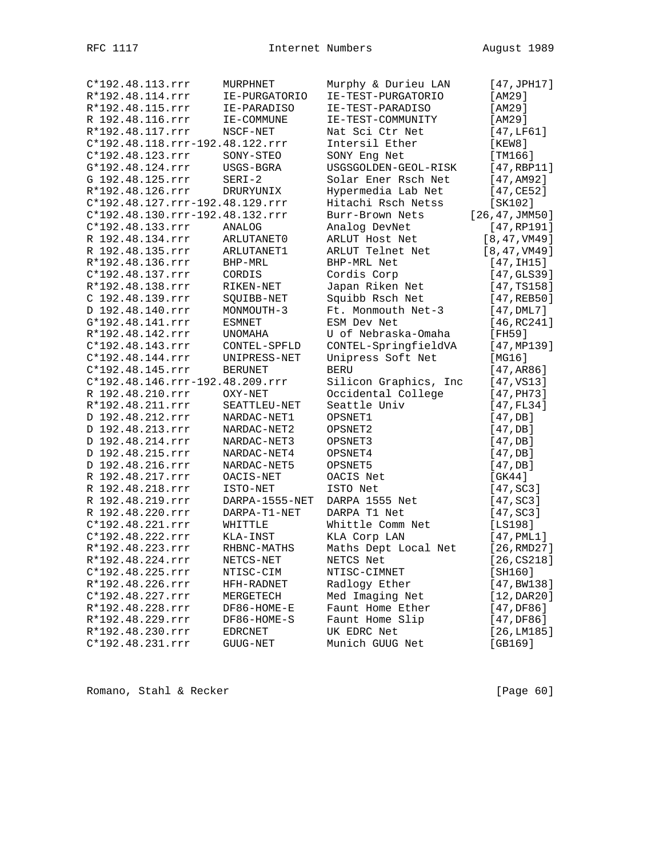| C*192.48.113.rrr | MURPHNET                        | Murphy & Durieu LAN   | [47, JPH17]     |
|------------------|---------------------------------|-----------------------|-----------------|
| R*192.48.114.rrr | IE-PURGATORIO                   | IE-TEST-PURGATORIO    | [AM29]          |
| R*192.48.115.rrr | IE-PARADISO                     | IE-TEST-PARADISO      | [AM29]          |
| R 192.48.116.rrr | IE-COMMUNE                      | IE-TEST-COMMUNITY     | [AM29]          |
| R*192.48.117.rrr | NSCF-NET                        | Nat Sci Ctr Net       | [47,LF61]       |
|                  | C*192.48.118.rrr-192.48.122.rrr | Intersil Ether        | [KEW8]          |
| C*192.48.123.rrr | SONY-STEO                       | SONY Eng Net          | [TM166]         |
| G*192.48.124.rrr | USGS-BGRA                       | USGSGOLDEN-GEOL-RISK  | $[47,$ RBP11]   |
| G 192.48.125.rrr | $SERI-2$                        | Solar Ener Rsch Net   | [47, AM92]      |
| R*192.48.126.rrr | DRURYUNIX                       | Hypermedia Lab Net    | [47, CE52]      |
|                  | C*192.48.127.rrr-192.48.129.rrr | Hitachi Rsch Netss    | [SK102]         |
|                  | C*192.48.130.rrr-192.48.132.rrr | Burr-Brown Nets       | [26, 47, JMM50] |
| C*192.48.133.rrr | ANALOG                          | Analog DevNet         | [47, RP191]     |
| R 192.48.134.rrr | ARLUTANET0                      | ARLUT Host Net        | [8, 47, VM49]   |
| R 192.48.135.rrr | ARLUTANET1                      | ARLUT Telnet Net      | [8, 47, VM49]   |
| R*192.48.136.rrr | BHP-MRL                         | BHP-MRL Net           | [47,1H15]       |
| C*192.48.137.rrr | CORDIS                          | Cordis Corp           | [47, GLS39]     |
| R*192.48.138.rrr | RIKEN-NET                       | Japan Riken Net       | [47, TS158]     |
| C 192.48.139.rrr | SQUIBB-NET                      | Squibb Rsch Net       | [47, REB50]     |
| D 192.48.140.rrr | MONMOUTH-3                      | Ft. Monmouth Net-3    | $[47,$ DML $7]$ |
| G*192.48.141.rrr | ESMNET                          | ESM Dev Net           | [46, RC241]     |
| R*192.48.142.rrr | <b>UNOMAHA</b>                  | U of Nebraska-Omaha   | [FH59]          |
| C*192.48.143.rrr | CONTEL-SPFLD                    | CONTEL-SpringfieldVA  | [47, MP139]     |
| C*192.48.144.rrr | UNIPRESS-NET                    | Unipress Soft Net     | [MG16]          |
| C*192.48.145.rrr | <b>BERUNET</b>                  | <b>BERU</b>           | [47, AR86]      |
|                  | C*192.48.146.rrr-192.48.209.rrr | Silicon Graphics, Inc | [47, VS13]      |
| R 192.48.210.rrr | OXY-NET                         | Occidental College    | $[47,$ PH73]    |
| R*192.48.211.rrr | SEATTLEU-NET                    | Seattle Univ          | [47, FL34]      |
| D 192.48.212.rrr | NARDAC-NET1                     | OPSNET1               | [47, DB]        |
| D 192.48.213.rrr | NARDAC-NET2                     | OPSNET2               | [47, DB]        |
| D 192.48.214.rrr | NARDAC-NET3                     | OPSNET3               | [47, DB]        |
| D 192.48.215.rrr | NARDAC-NET4                     | OPSNET4               | [47, DB]        |
| D 192.48.216.rrr | NARDAC-NET5                     | OPSNET5               | [47, DB]        |
| R 192.48.217.rrr | OACIS-NET                       | OACIS Net             | [GK44]          |
| R 192.48.218.rrr | ISTO-NET                        | ISTO Net              | [47, SC3]       |
| R 192.48.219.rrr | DARPA-1555-NET                  | DARPA 1555 Net        | [47, SC3]       |
| R 192.48.220.rrr | DARPA-T1-NET                    | DARPA T1 Net          |                 |
| C*192.48.221.rrr | WHITTLE                         | Whittle Comm Net      | [47, SC3]       |
| C*192.48.222.rrr |                                 | KLA Corp LAN          | [LS198]         |
| R*192.48.223.rrr | KLA-INST<br>RHBNC-MATHS         | Maths Dept Local Net  | $[47,$ PML $1]$ |
| R*192.48.224.rrr | NETCS-NET                       | NETCS Net             | [26, RMD27]     |
|                  |                                 |                       | [26, C S 218]   |
| C*192.48.225.rrr | NTISC-CIM                       | NTISC-CIMNET          | [SH160]         |
| R*192.48.226.rrr | HFH-RADNET                      | Radlogy Ether         | [47, BW138]     |
| C*192.48.227.rrr | MERGETECH                       | Med Imaging Net       | [12, DAR20]     |
| R*192.48.228.rrr | DF86-HOME-E                     | Faunt Home Ether      | [47,DF86]       |
| R*192.48.229.rrr | DF86-HOME-S                     | Faunt Home Slip       | [47,DF86]       |
| R*192.48.230.rrr | EDRCNET                         | UK EDRC Net           | [26, LM185]     |
| C*192.48.231.rrr | GUUG-NET                        | Munich GUUG Net       | $[GB169]$       |

Romano, Stahl & Recker [Page 60]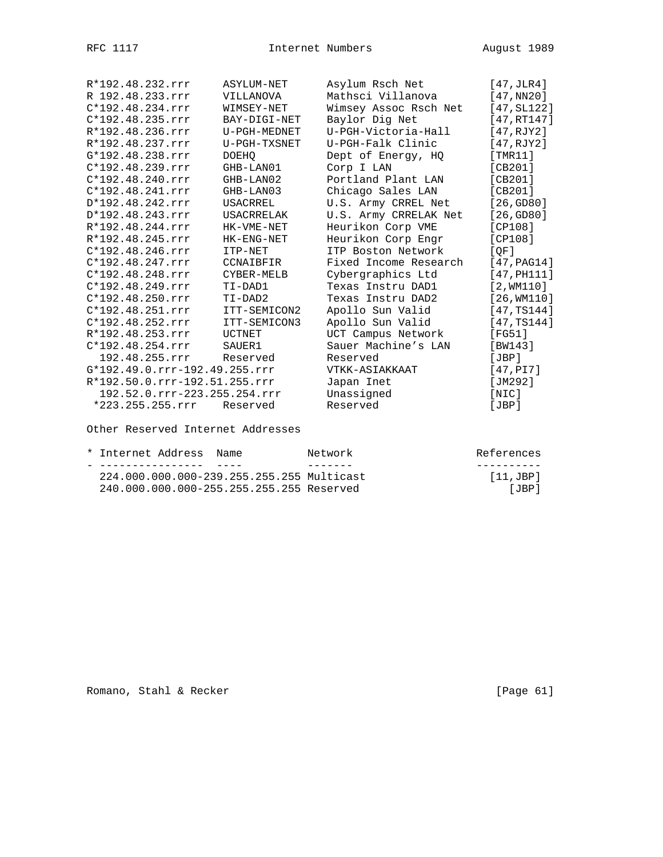| R*192.48.232.rrr              | ASYLUM-NET        | Asylum Rsch Net       | [47, JLR4]    |
|-------------------------------|-------------------|-----------------------|---------------|
| R 192.48.233.rrr              | VILLANOVA         | Mathsci Villanova     | [47,NN20]     |
| $C*192.48.234.rrr$            | WIMSEY-NET        | Wimsey Assoc Rsch Net | [47, SL122]   |
| $C*192.48.235.rrr$            | BAY-DIGI-NET      | Baylor Dig Net        | [47, RT147]   |
| R*192.48.236.rrr              | U-PGH-MEDNET      | U-PGH-Victoria-Hall   | [47,RJY2]     |
| R*192.48.237.rrr              | U-PGH-TXSNET      | U-PGH-Falk Clinic     | [47, RJY2]    |
| G*192.48.238.rrr              | <b>DOEHO</b>      | Dept of Energy, HQ    | [TMR11]       |
| $C*192.48.239.rrr$            | GHB-LAN01         | Corp I LAN            | [CB201]       |
| $C*192.48.240.rrr$            | GHB-LAN02         | Portland Plant LAN    | [CB201]       |
| $C*192.48.241.rrr$            | GHB-LAN03         | Chicago Sales LAN     | [CB201]       |
| D*192.48.242.rrr              | USACRREL          | U.S. Army CRREL Net   | [26, GDS0]    |
| D*192.48.243.rrr              | <b>USACRRELAK</b> | U.S. Army CRRELAK Net | [26, GDS0]    |
| R*192.48.244.rrr              | HK-VME-NET        | Heurikon Corp VME     | [CP108]       |
| R*192.48.245.rrr              | HK-ENG-NET        | Heurikon Corp Engr    | [CP108]       |
| $C*192.48.246.rrr$            | ITP-NET           | ITP Boston Network    | [OF]          |
| $C*192.48.247.rrr$            | CCNAIBFIR         | Fixed Income Research | [47, PAG14]   |
| $C*192.48.248.rrr$            | CYBER-MELB        | Cybergraphics Ltd     | $[47,$ PH111] |
| $C*192.48.249.rrr$            | TI-DAD1           | Texas Instru DAD1     | $[2,$ WM110]  |
| C*192.48.250.rrr              | TI-DAD2           | Texas Instru DAD2     | $[26,$ WM110] |
| $C*192.48.251.rrr$            | ITT-SEMICON2      | Apollo Sun Valid      | [47, TS144]   |
| $C*192.48.252.rrr$            | ITT-SEMICON3      | Apollo Sun Valid      | [47, TS144]   |
| R*192.48.253.rrr              | <b>UCTNET</b>     | UCT Campus Network    | [FG51]        |
| $C*192.48.254.rrr$            | SAUER1            | Sauer Machine's LAN   | [BW143]       |
| 192.48.255.rrr                | Reserved          | Reserved              | JBP           |
| G*192.49.0.rrr-192.49.255.rrr |                   | VTKK-ASIAKKAAT        | [47,PI7]      |
| R*192.50.0.rrr-192.51.255.rrr |                   | Japan Inet            | [JM292]       |
| 192.52.0.rrr-223.255.254.rrr  |                   | Unassigned            | [NIC]         |
| *223.255.255.rrr              | Reserved          | Reserved              | JBP           |

Other Reserved Internet Addresses

| * Internet Address, Name                  | Network | References     |
|-------------------------------------------|---------|----------------|
|                                           |         |                |
| 224.000.000.000-239.255.255.255 Multicast |         | $[11,$ JBP $]$ |
| 240.000.000.000-255.255.255.255 Reserved  |         | [JBP]          |

Romano, Stahl & Recker [Page 61]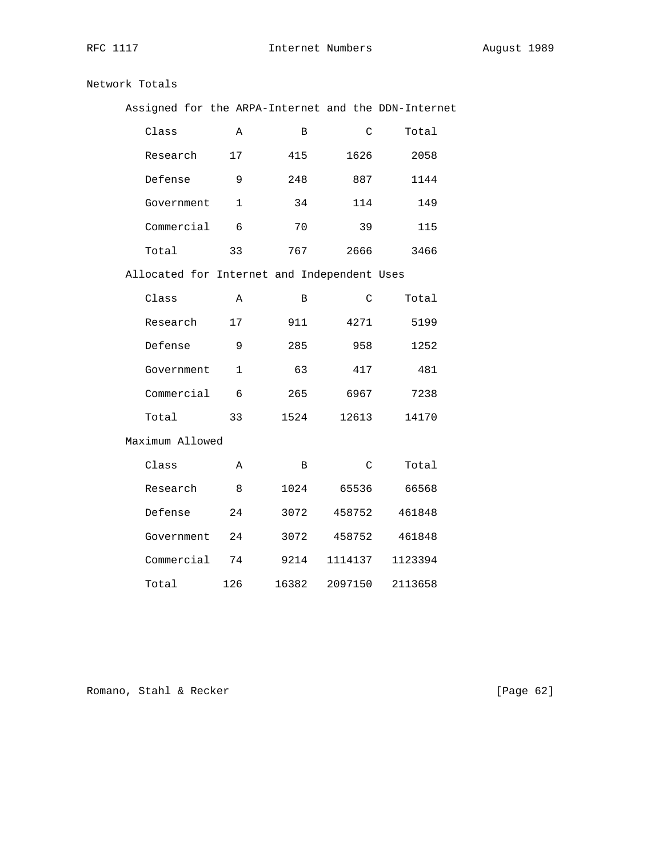## Network Totals

| Assigned for the ARPA-Internet and the DDN-Internet |                |       |               |         |
|-----------------------------------------------------|----------------|-------|---------------|---------|
| Class                                               | Α              | В     | $\mathsf C$   | Total   |
| Research                                            | 17             | 415   | 1626          | 2058    |
| Defense                                             | 9              | 248   | 887           | 1144    |
| Government                                          | $\mathbf 1$    | 34    | 114           | 149     |
| Commercial                                          | 6              | 70    | 39            | 115     |
| Total                                               | 33             | 767   | 2666          | 3466    |
| Allocated for Internet and Independent Uses         |                |       |               |         |
| Class                                               | Α              | B     | C             | Total   |
| Research                                            | 17             | 911   | 4271          | 5199    |
| Defense                                             | 9              | 285   | 958           | 1252    |
| Government                                          | $\mathbf{1}$   | 63    | 417           | 481     |
| Commercial                                          | 6              | 265   | 6967          | 7238    |
| Total                                               | 33             | 1524  | 12613         | 14170   |
| Maximum Allowed                                     |                |       |               |         |
| Class                                               | Α              | B     | $\mathcal{C}$ | Total   |
| Research                                            | 8 <sup>8</sup> | 1024  | 65536         | 66568   |
| Defense                                             | 24             | 3072  | 458752        | 461848  |
| Government                                          | 24             | 3072  | 458752        | 461848  |
| Commercial                                          | 74             | 9214  | 1114137       | 1123394 |
| Total                                               | 126            | 16382 | 2097150       | 2113658 |

Romano, Stahl & Recker [Page 62]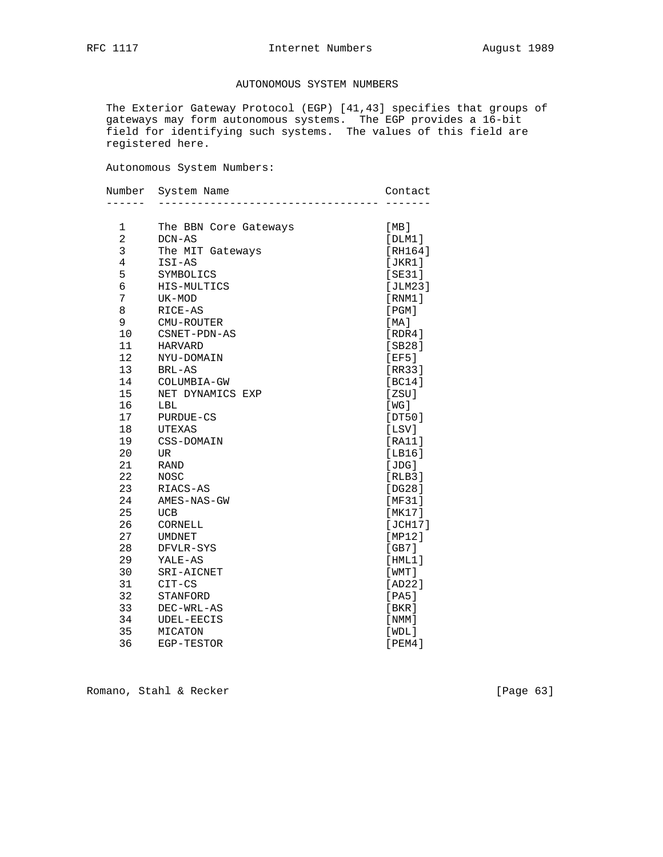## AUTONOMOUS SYSTEM NUMBERS

 The Exterior Gateway Protocol (EGP) [41,43] specifies that groups of gateways may form autonomous systems. The EGP provides a 16-bit field for identifying such systems. The values of this field are registered here.

Autonomous System Numbers:

| Number         | System Name           | Contact     |
|----------------|-----------------------|-------------|
|                |                       |             |
| 1              | The BBN Core Gateways | [MB]        |
| $\overline{2}$ | DCN-AS                | [DIM1]      |
| 3              | The MIT Gateways      | [RH164]     |
| $\overline{4}$ | ISI-AS                | [JKR1]      |
| 5              | SYMBOLICS             | [SE31]      |
| 6              | HIS-MULTICS           | [JLM23]     |
| 7              | UK-MOD                | [RNM1]      |
| 8              | RICE-AS               | [PGM]       |
| 9              | CMU-ROUTER            | [MA]        |
| 10             | CSNET-PDN-AS          | [RDR4]      |
| 11             | <b>HARVARD</b>        | [SB28]      |
| 12             | NYU-DOMAIN            | [EF5]       |
| 13             | BRL-AS                | [RR33]      |
| 14             | COLUMBIA-GW           | [BC14]      |
| 15             | NET DYNAMICS EXP      | [ZSU]       |
| 16             | LBL                   | [WG]        |
| 17             | <b>PURDUE-CS</b>      | [DT50]      |
| 18             | <b>UTEXAS</b>         | [LSV]       |
| 19             | CSS-DOMAIN            | [RA11]      |
| 20             | UR                    | [LBI6]      |
| 21             | <b>RAND</b>           | [JDG]       |
| 22             | NOSC                  | [RLB3]      |
| 23             | RIACS-AS              | [DG28]      |
| 24             | AMES-NAS-GW           | [MF31]      |
| 25             | <b>UCB</b>            | [MK17]      |
| 26             | CORNELL               | [JCH17]     |
| 27             | <b>UMDNET</b>         | MPI21       |
| 28             | DFVLR-SYS             | [GB7]       |
| 29             | YALE-AS               | [HML1]      |
| 30             | SRI-AICNET            | $[$ WMT $]$ |
| 31             | $CIT-CS$              | [AD22]      |
| 32             | STANFORD              | [PA5]       |
| 33             | DEC-WRL-AS            | [ BKR ]     |
| 34             | UDEL-EECIS            | [NMM]       |
| 35             | MICATON               | [WDL]       |
| 36             | EGP-TESTOR            | [PEM4]      |

Romano, Stahl & Recker [Page 63]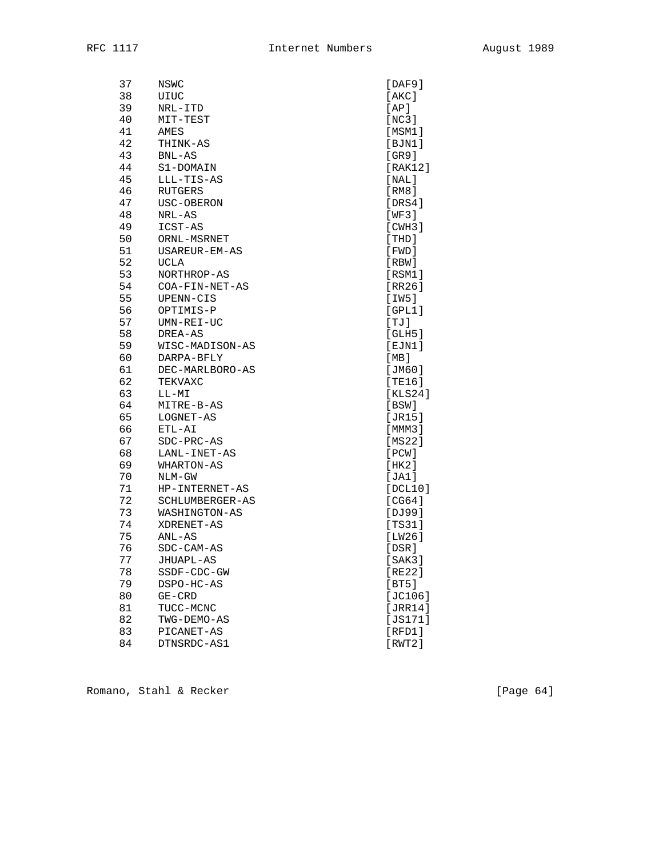| 37 | NSWC            | [DAF9]       |
|----|-----------------|--------------|
| 38 | UIUC            | [AKC]        |
| 39 | NRL-ITD         | [AP]         |
| 40 | MIT-TEST        | [NC3]        |
| 41 | AMES            | [MSM1]       |
| 42 | THINK-AS        | [BJN1]       |
| 43 | $BNL-AS$        | [GR9]        |
| 44 | S1-DOMAIN       | [RAK12]      |
| 45 | LLL-TIS-AS      | [NAL]        |
| 46 | RUTGERS         | [RM8]        |
| 47 | USC-OBERON      | [DRS4]       |
| 48 | NRL-AS          | [WF3]        |
| 49 | ICST-AS         | [CHH3]       |
| 50 | ORNL-MSRNET     | [THD]        |
| 51 | USAREUR-EM-AS   | [FWD]        |
| 52 | UCLA            | $[$ RBW $]$  |
| 53 | NORTHROP-AS     | [RSM1]       |
| 54 | COA-FIN-NET-AS  | [RR26]       |
| 55 | UPENN-CIS       | [ IW5 ]      |
| 56 | OPTIMIS-P       | [GPL1]       |
| 57 | UMN-REI-UC      | [TJ]         |
| 58 | DREA-AS         | [GLH5]       |
| 59 | WISC-MADISON-AS | $[$ EJN $1]$ |
| 60 | DARPA-BFLY      | [MB]         |
| 61 | DEC-MARLBORO-AS | [JM60]       |
| 62 | TEKVAXC         | [TE16]       |
| 63 | $LL-MI$         | [KLS24]      |
| 64 | MITRE-B-AS      | [BSW]        |
| 65 | LOGNET-AS       | [JR15]       |
| 66 | ETL-AI          | [MMM3]       |
| 67 | SDC-PRC-AS      | [MS22]       |
| 68 | LANL-INET-AS    | [PCW]        |
| 69 | WHARTON-AS      | [HK2]        |
| 70 | NLM-GW          | [JA1]        |
| 71 | HP-INTERNET-AS  | [DCL10]      |
| 72 | SCHLUMBERGER-AS | [CG64]       |
| 73 | WASHINGTON-AS   | [DJ99]       |
| 74 | XDRENET-AS      | [TS31]       |
| 75 | $ANL-AS$        | [LW26]       |
| 76 | SDC-CAM-AS      | [DSR]        |
| 77 | JHUAPL-AS       | [SAK3]       |
| 78 | SSDF-CDC-GW     | [RE22]       |
| 79 | DSPO-HC-AS      | [BT5]        |
| 80 | $GE-CRD$        | [JC106]      |
| 81 | TUCC-MCNC       | [JRR14]      |
| 82 | TWG-DEMO-AS     | [JS171]      |
| 83 | PICANET-AS      | [RFD1]       |
| 84 | DTNSRDC-AS1     | [RWT2]       |

Romano, Stahl & Recker [Page 64]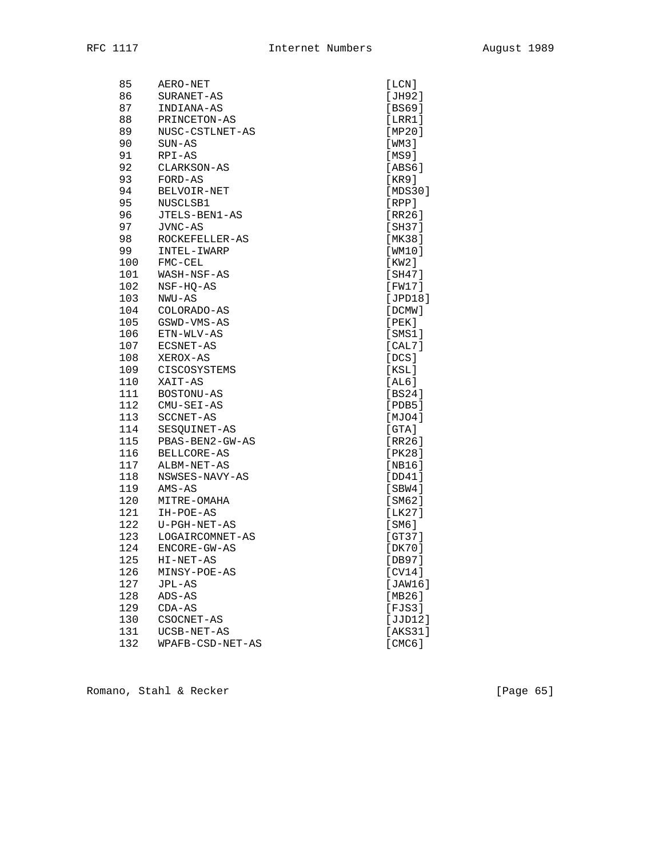| 85  | AERO-NET         | [LCN]   |
|-----|------------------|---------|
| 86  | SURANET-AS       | [JH92]  |
| 87  | INDIANA-AS       | [BS69]  |
| 88  | PRINCETON-AS     | [LRR1]  |
| 89  | NUSC-CSTLNET-AS  | [MP20]  |
| 90  | $SUN-AS$         | [WM3]   |
| 91  | RPI-AS           | [MS9]   |
| 92  | CLARKSON-AS      | [ABS6]  |
| 93  | FORD-AS          | [KR9]   |
| 94  | BELVOIR-NET      | [MDS30] |
| 95  | NUSCLSB1         | [RPP]   |
| 96  | JTELS-BEN1-AS    | [RR26]  |
| 97  | JVNC-AS          | [SH37]  |
| 98  | ROCKEFELLER-AS   | [MK38]  |
| 99  | INTEL-IWARP      | [WM10]  |
| 100 | FMC-CEL          | [KW2]   |
| 101 | WASH-NSF-AS      | [SH47]  |
| 102 | NSF-HQ-AS        | [FW17]  |
| 103 | NWU-AS           | [JPD18] |
| 104 | COLORADO-AS      | [DCMW]  |
| 105 | GSWD-VMS-AS      | [PEK]   |
| 106 | ETN-WLV-AS       | [SMS1]  |
| 107 | ECSNET-AS        | [CAL7]  |
| 108 | XEROX-AS         | [DCS]   |
| 109 | CISCOSYSTEMS     | [KSL]   |
| 110 | XAIT-AS          | [AL6]   |
| 111 | BOSTONU-AS       | [BS24]  |
| 112 | CMU-SEI-AS       | [PDB5]  |
| 113 | SCCNET-AS        | [MJO4]  |
| 114 | SESQUINET-AS     | [GTA]   |
| 115 | PBAS-BEN2-GW-AS  | [RR26]  |
| 116 | BELLCORE-AS      | [PK28]  |
| 117 | ALBM-NET-AS      | [NB16]  |
| 118 | NSWSES-NAVY-AS   | [DD41]  |
| 119 | AMS-AS           | [SBW4]  |
| 120 | MITRE-OMAHA      | [SM62]  |
| 121 | IH-POE-AS        | [LLK27] |
| 122 | U-PGH-NET-AS     | [SM6]   |
| 123 | LOGAIRCOMNET-AS  | [GT37]  |
| 124 | ENCORE-GW-AS     | [DK70]  |
| 125 | HI-NET-AS        | IDB971  |
| 126 | MINSY-POE-AS     | [CV14]  |
| 127 | JPL-AS           | [JAW16] |
| 128 | $ADS-AS$         | [MB26]  |
| 129 | $CDA-AS$         | [FJS3]  |
| 130 | CSOCNET-AS       | [JJD12] |
| 131 | UCSB-NET-AS      | [AKS31] |
| 132 | WPAFB-CSD-NET-AS | [CMC6]  |

Romano, Stahl & Recker [Page 65]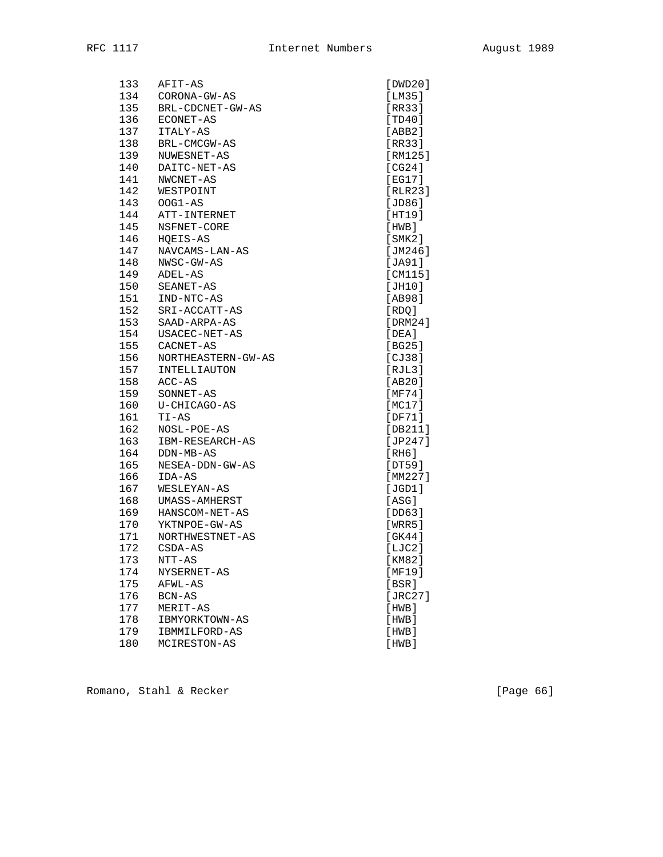| 133 | AFIT-AS              | [DWD20]     |
|-----|----------------------|-------------|
| 134 | CORONA-GW-AS         | [LM35]      |
| 135 | BRL-CDCNET-GW-AS     | [RR33]      |
| 136 | ECONET-AS            | [TD40]      |
| 137 | ITALY-AS             | [ABB2]      |
| 138 | BRL-CMCGW-AS         | [RR33]      |
| 139 | NUWESNET-AS          | [RM125]     |
| 140 | DAITC-NET-AS         | [CG24]      |
| 141 | NWCNET-AS            | [EG17]      |
| 142 | WESTPOINT            | [RLR23]     |
| 143 | $OOG1-AS$            | JDB6        |
| 144 | ATT-INTERNET         | [HT19]      |
| 145 | NSFNET-CORE          | [HWB]       |
| 146 | HOEIS-AS             | [SMK2]      |
| 147 | NAVCAMS-LAN-AS       | [JM246]     |
| 148 | NWSC-GW-AS           | [JA91]      |
| 149 | ADEL-AS              | [CM115]     |
| 150 | SEANET-AS            | [JH10]      |
| 151 | IND-NTC-AS           | [AB98]      |
| 152 | SRI-ACCATT-AS        | [RDQ]       |
| 153 | SAAD-ARPA-AS         | [DRM24]     |
| 154 | USACEC-NET-AS        | [DEA]       |
| 155 | CACNET-AS            | [BG25]      |
| 156 | NORTHEASTERN-GW-AS   | [CI38]      |
| 157 | INTELLIAUTON         | [RIL3]      |
| 158 | ACC-AS               | [AB20]      |
| 159 | SONNET-AS            | [MF74]      |
| 160 | U-CHICAGO-AS         | [MC17]      |
| 161 | TI-AS                | [DF71]      |
| 162 | NOSL-POE-AS          | [DB211]     |
| 163 | IBM-RESEARCH-AS      | [ $JP247$ ] |
| 164 | DDN-MB-AS            | [RH6]       |
| 165 | NESEA-DDN-GW-AS      | [DT59]      |
| 166 | IDA-AS               | [MM227]     |
| 167 | WESLEYAN-AS          | [JGD1]      |
| 168 | <b>UMASS-AMHERST</b> | [ASG]       |
| 169 | HANSCOM-NET-AS       | [DD63]      |
| 170 | YKTNPOE-GW-AS        | [WRR5]      |
| 171 | NORTHWESTNET-AS      | [GK44]      |
| 172 | CSDA-AS              | [LIC2]      |
| 173 | NTT-AS               | [KM82]      |
| 174 | NYSERNET-AS          | [MT9]       |
| 175 | AFWL-AS              | [BSR]       |
| 176 | BCN-AS               | [ $JRC27$ ] |
| 177 | MERIT-AS             | [HWB]       |
| 178 | IBMYORKTOWN-AS       | [HWB]       |
| 179 | IBMMILFORD-AS        | [HWB]       |
| 180 | MCIRESTON-AS         | [HWB]       |

Romano, Stahl & Recker [Page 66]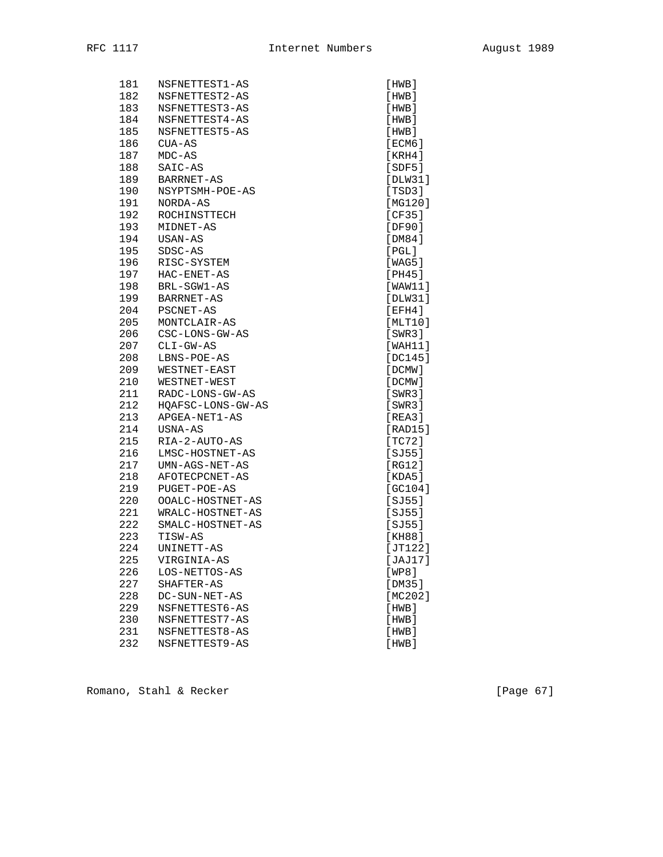| 181 | NSFNETTEST1-AS    | [HWB]       |
|-----|-------------------|-------------|
| 182 | NSFNETTEST2-AS    | [HWB]       |
| 183 | NSFNETTEST3-AS    | [HWB]       |
| 184 | NSFNETTEST4-AS    | [HWB]       |
| 185 | NSFNETTEST5-AS    | [HWB]       |
| 186 | $CUA-AS$          | [ECM6]      |
| 187 | $MDC-AS$          | [KRH4]      |
| 188 | SAIC-AS           | [SDF5]      |
| 189 | BARRNET-AS        | [DLW31]     |
| 190 | NSYPTSMH-POE-AS   | [TSD3]      |
| 191 | NORDA-AS          | [MG120]     |
| 192 | ROCHINSTTECH      | [CF35]      |
| 193 | MIDNET-AS         | [DF90]      |
| 194 | USAN-AS           | [DM84]      |
| 195 | SDSC-AS           | $[$ PGL $]$ |
| 196 | RISC-SYSTEM       | [WAG5]      |
| 197 | HAC-ENET-AS       | [PH45]      |
| 198 | BRL-SGW1-AS       | [WAW11]     |
| 199 | BARRNET-AS        | [DIW31]     |
| 204 | PSCNET-AS         | [EFH4]      |
| 205 | MONTCLAIR-AS      | [MLT10]     |
| 206 | CSC-LONS-GW-AS    | [SWR3]      |
| 207 | $CLI-GW-AS$       | [WAH11]     |
| 208 | LBNS-POE-AS       | [DC145]     |
| 209 | WESTNET-EAST      | [DCMW]      |
| 210 | WESTNET-WEST      | [DCMW]      |
| 211 | RADC-LONS-GW-AS   | [SWR3]      |
| 212 | HQAFSC-LONS-GW-AS | [SWR3]      |
| 213 | APGEA-NET1-AS     | [REA3]      |
| 214 | USNA-AS           | [RAD15]     |
| 215 | RIA-2-AUTO-AS     | [TC72]      |
| 216 | LMSC-HOSTNET-AS   | $[SJ55]$    |
| 217 | UMN-AGS-NET-AS    | [RG12]      |
| 218 | AFOTECPCNET-AS    | [KDA5]      |
| 219 | PUGET-POE-AS      | [GC104]     |
| 220 | OOALC-HOSTNET-AS  | $[SJ55]$    |
| 221 | WRALC-HOSTNET-AS  | $[SJ55]$    |
| 222 | SMALC-HOSTNET-AS  | $[SJ55]$    |
| 223 | TISW-AS           | [KH88]      |
| 224 | UNINETT-AS        | [JT122]     |
| 225 | VIRGINIA-AS       | [JAJ17]     |
| 226 | LOS-NETTOS-AS     | [WP8]       |
| 227 | SHAFTER-AS        | [DM35]      |
| 228 | DC-SUN-NET-AS     | [ $MC202$ ] |
| 229 | NSFNETTEST6-AS    | [HWB]       |
| 230 | NSFNETTEST7-AS    | [HWB]       |
| 231 | NSFNETTEST8-AS    | [HWB]       |
| 232 | NSFNETTEST9-AS    | [HWB]       |

Romano, Stahl & Recker [Page 67]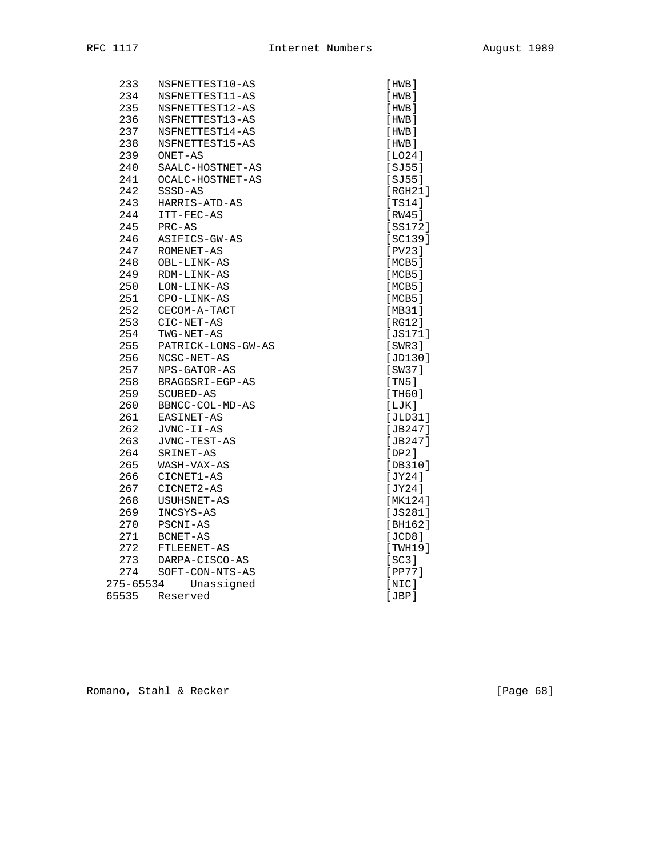| 233       | NSFNETTEST10-AS    | [HWB]       |
|-----------|--------------------|-------------|
| 234       | NSFNETTEST11-AS    | [HWB]       |
| 235       | NSFNETTEST12-AS    | [HWB]       |
| 236       | NSFNETTEST13-AS    | [HWB]       |
| 237       | NSFNETTEST14-AS    | [HWB]       |
| 238       | NSFNETTEST15-AS    | [HWB]       |
| 239       | ONET-AS            | [LO24]      |
| 240       | SAALC-HOSTNET-AS   | [SJ55]      |
| 241       | OCALC-HOSTNET-AS   | [SJ55]      |
| 242       | SSSD-AS            | [RGH21]     |
| 243       | HARRIS-ATD-AS      | [TS14]      |
| 244       | ITT-FEC-AS         | [RW45]      |
| 245       | PRC-AS             | [SS172]     |
| 246       | ASIFICS-GW-AS      | [SC139]     |
| 247       | ROMENET-AS         | [PV23]      |
| 248       | OBL-LINK-AS        | [MCB5]      |
| 249       | RDM-LINK-AS        | [MCB5]      |
| 250       | LON-LINK-AS        | [MCB5]      |
| 251       | CPO-LINK-AS        | [MCB5]      |
| 252       | CECOM-A-TACT       | [MB31]      |
| 253       | CIC-NET-AS         | IRG121      |
| 254       | TWG-NET-AS         | [JS171]     |
| 255       | PATRICK-LONS-GW-AS | [SWR3]      |
| 256       | NCSC-NET-AS        | [JD130]     |
| 257       | NPS-GATOR-AS       | [SW37]      |
| 258       | BRAGGSRI-EGP-AS    | [TN5]       |
| 259       | SCUBED-AS          | [TH60]      |
| 260       | BBNCC-COL-MD-AS    | [LJK]       |
| 261       | EASINET-AS         | [JLD31]     |
| 262       | JVNC-II-AS         | [JB247]     |
| 263       | JVNC-TEST-AS       | [ $JB247$ ] |
| 264       | SRINET-AS          | [DP2]       |
| 265       | WASH-VAX-AS        | [DB310]     |
| 266       | CICNET1-AS         | [JY24]      |
| 267       | CICNET2-AS         | [JY24]      |
| 268       | USUHSNET-AS        | [MK124]     |
| 269       | INCSYS-AS          | [JS281]     |
| 270       | PSCNI-AS           | [BH162]     |
| 271       | BCNET-AS           | [JCD8]      |
| 272       | FTLEENET-AS        | [TWH19]     |
| 273       | DARPA-CISCO-AS     | [SC3]       |
| 274       | SOFT-CON-NTS-AS    | $[PP77]$    |
| 275-65534 | Unassigned         | [NIC]       |
| 65535     | Reserved           | [JBP]       |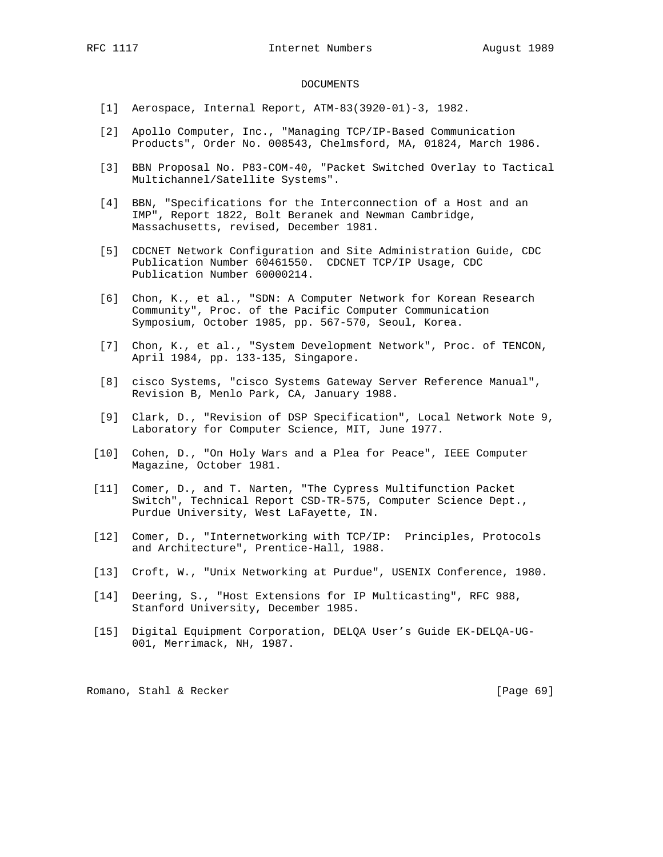## DOCUMENTS

- [1] Aerospace, Internal Report, ATM-83(3920-01)-3, 1982.
- [2] Apollo Computer, Inc., "Managing TCP/IP-Based Communication Products", Order No. 008543, Chelmsford, MA, 01824, March 1986.
- [3] BBN Proposal No. P83-COM-40, "Packet Switched Overlay to Tactical Multichannel/Satellite Systems".
- [4] BBN, "Specifications for the Interconnection of a Host and an IMP", Report 1822, Bolt Beranek and Newman Cambridge, Massachusetts, revised, December 1981.
- [5] CDCNET Network Configuration and Site Administration Guide, CDC Publication Number 60461550. CDCNET TCP/IP Usage, CDC Publication Number 60000214.
- [6] Chon, K., et al., "SDN: A Computer Network for Korean Research Community", Proc. of the Pacific Computer Communication Symposium, October 1985, pp. 567-570, Seoul, Korea.
- [7] Chon, K., et al., "System Development Network", Proc. of TENCON, April 1984, pp. 133-135, Singapore.
- [8] cisco Systems, "cisco Systems Gateway Server Reference Manual", Revision B, Menlo Park, CA, January 1988.
- [9] Clark, D., "Revision of DSP Specification", Local Network Note 9, Laboratory for Computer Science, MIT, June 1977.
- [10] Cohen, D., "On Holy Wars and a Plea for Peace", IEEE Computer Magazine, October 1981.
- [11] Comer, D., and T. Narten, "The Cypress Multifunction Packet Switch", Technical Report CSD-TR-575, Computer Science Dept., Purdue University, West LaFayette, IN.
- [12] Comer, D., "Internetworking with TCP/IP: Principles, Protocols and Architecture", Prentice-Hall, 1988.
- [13] Croft, W., "Unix Networking at Purdue", USENIX Conference, 1980.
- [14] Deering, S., "Host Extensions for IP Multicasting", RFC 988, Stanford University, December 1985.
- [15] Digital Equipment Corporation, DELQA User's Guide EK-DELQA-UG- 001, Merrimack, NH, 1987.

Romano, Stahl & Recker [Page 69]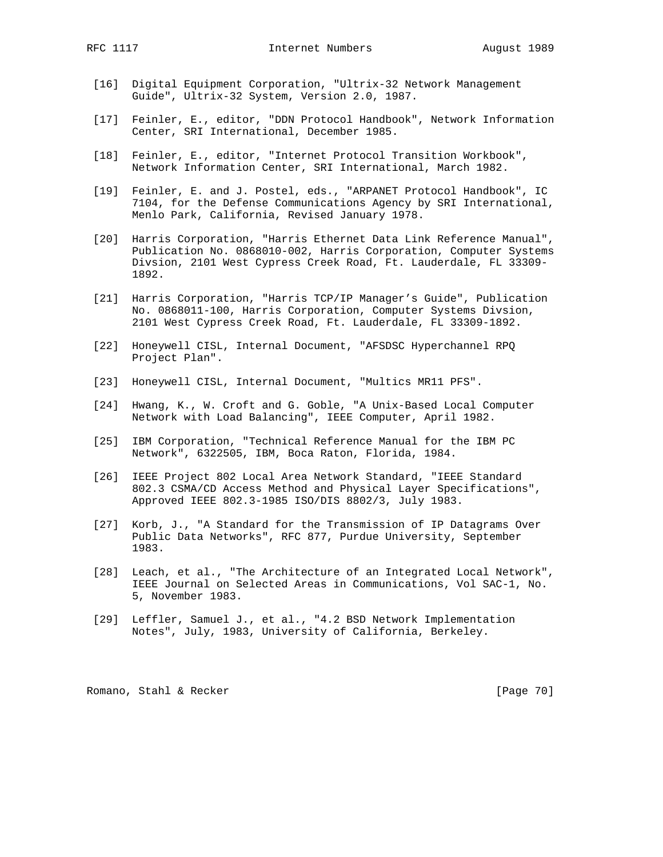- [16] Digital Equipment Corporation, "Ultrix-32 Network Management Guide", Ultrix-32 System, Version 2.0, 1987.
- [17] Feinler, E., editor, "DDN Protocol Handbook", Network Information Center, SRI International, December 1985.
- [18] Feinler, E., editor, "Internet Protocol Transition Workbook", Network Information Center, SRI International, March 1982.
- [19] Feinler, E. and J. Postel, eds., "ARPANET Protocol Handbook", IC 7104, for the Defense Communications Agency by SRI International, Menlo Park, California, Revised January 1978.
- [20] Harris Corporation, "Harris Ethernet Data Link Reference Manual", Publication No. 0868010-002, Harris Corporation, Computer Systems Divsion, 2101 West Cypress Creek Road, Ft. Lauderdale, FL 33309- 1892.
- [21] Harris Corporation, "Harris TCP/IP Manager's Guide", Publication No. 0868011-100, Harris Corporation, Computer Systems Divsion, 2101 West Cypress Creek Road, Ft. Lauderdale, FL 33309-1892.
- [22] Honeywell CISL, Internal Document, "AFSDSC Hyperchannel RPQ Project Plan".
- [23] Honeywell CISL, Internal Document, "Multics MR11 PFS".
- [24] Hwang, K., W. Croft and G. Goble, "A Unix-Based Local Computer Network with Load Balancing", IEEE Computer, April 1982.
- [25] IBM Corporation, "Technical Reference Manual for the IBM PC Network", 6322505, IBM, Boca Raton, Florida, 1984.
- [26] IEEE Project 802 Local Area Network Standard, "IEEE Standard 802.3 CSMA/CD Access Method and Physical Layer Specifications", Approved IEEE 802.3-1985 ISO/DIS 8802/3, July 1983.
- [27] Korb, J., "A Standard for the Transmission of IP Datagrams Over Public Data Networks", RFC 877, Purdue University, September 1983.
- [28] Leach, et al., "The Architecture of an Integrated Local Network", IEEE Journal on Selected Areas in Communications, Vol SAC-1, No. 5, November 1983.
- [29] Leffler, Samuel J., et al., "4.2 BSD Network Implementation Notes", July, 1983, University of California, Berkeley.

Romano, Stahl & Recker [Page 70]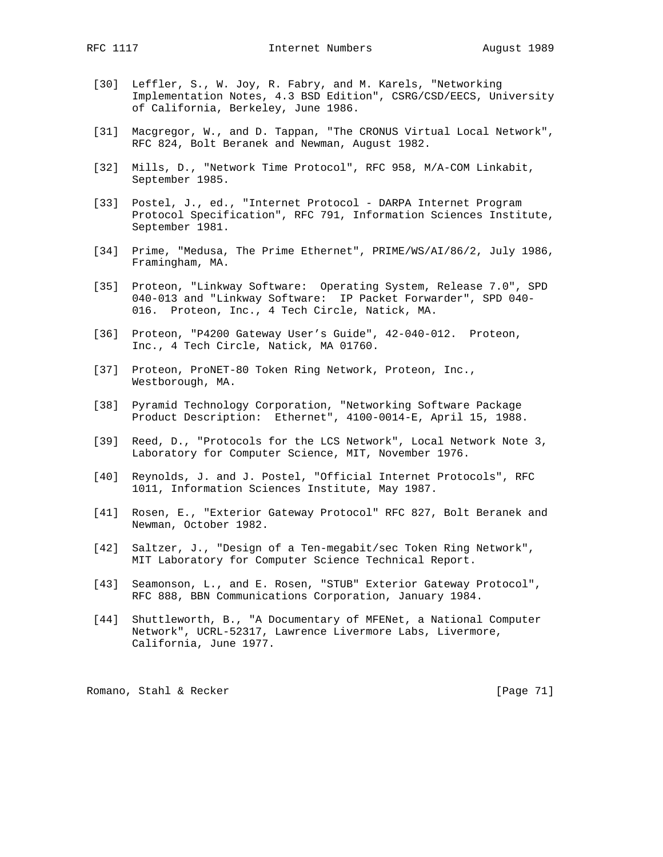- [30] Leffler, S., W. Joy, R. Fabry, and M. Karels, "Networking Implementation Notes, 4.3 BSD Edition", CSRG/CSD/EECS, University of California, Berkeley, June 1986.
- [31] Macgregor, W., and D. Tappan, "The CRONUS Virtual Local Network", RFC 824, Bolt Beranek and Newman, August 1982.
- [32] Mills, D., "Network Time Protocol", RFC 958, M/A-COM Linkabit, September 1985.
- [33] Postel, J., ed., "Internet Protocol DARPA Internet Program Protocol Specification", RFC 791, Information Sciences Institute, September 1981.
- [34] Prime, "Medusa, The Prime Ethernet", PRIME/WS/AI/86/2, July 1986, Framingham, MA.
- [35] Proteon, "Linkway Software: Operating System, Release 7.0", SPD 040-013 and "Linkway Software: IP Packet Forwarder", SPD 040- 016. Proteon, Inc., 4 Tech Circle, Natick, MA.
- [36] Proteon, "P4200 Gateway User's Guide", 42-040-012. Proteon, Inc., 4 Tech Circle, Natick, MA 01760.
- [37] Proteon, ProNET-80 Token Ring Network, Proteon, Inc., Westborough, MA.
- [38] Pyramid Technology Corporation, "Networking Software Package Product Description: Ethernet", 4100-0014-E, April 15, 1988.
- [39] Reed, D., "Protocols for the LCS Network", Local Network Note 3, Laboratory for Computer Science, MIT, November 1976.
- [40] Reynolds, J. and J. Postel, "Official Internet Protocols", RFC 1011, Information Sciences Institute, May 1987.
- [41] Rosen, E., "Exterior Gateway Protocol" RFC 827, Bolt Beranek and Newman, October 1982.
- [42] Saltzer, J., "Design of a Ten-megabit/sec Token Ring Network", MIT Laboratory for Computer Science Technical Report.
- [43] Seamonson, L., and E. Rosen, "STUB" Exterior Gateway Protocol", RFC 888, BBN Communications Corporation, January 1984.
- [44] Shuttleworth, B., "A Documentary of MFENet, a National Computer Network", UCRL-52317, Lawrence Livermore Labs, Livermore, California, June 1977.

Romano, Stahl & Recker [Page 71]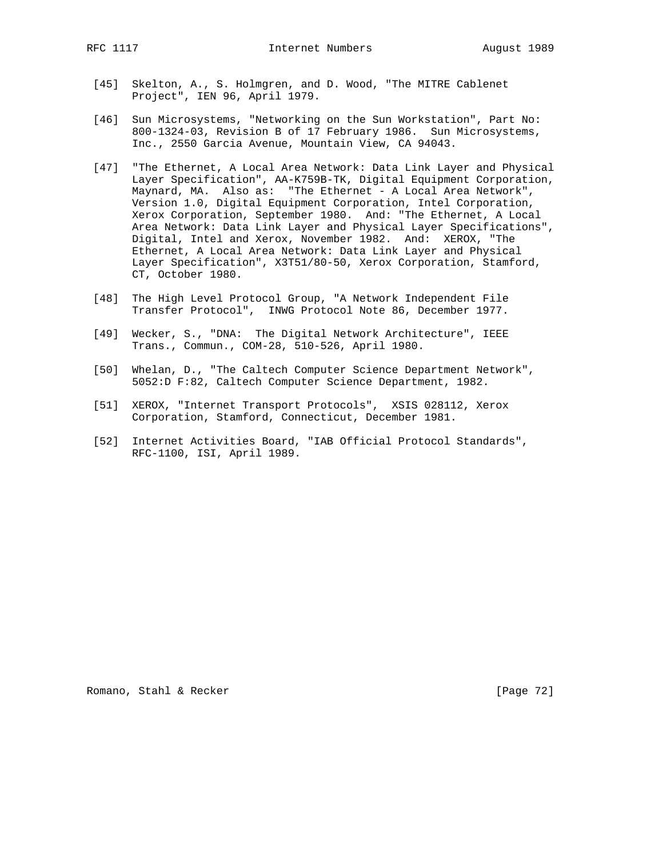RFC 1117 **Internet Numbers** August 1989

- [45] Skelton, A., S. Holmgren, and D. Wood, "The MITRE Cablenet Project", IEN 96, April 1979.
- [46] Sun Microsystems, "Networking on the Sun Workstation", Part No: 800-1324-03, Revision B of 17 February 1986. Sun Microsystems, Inc., 2550 Garcia Avenue, Mountain View, CA 94043.
- [47] "The Ethernet, A Local Area Network: Data Link Layer and Physical Layer Specification", AA-K759B-TK, Digital Equipment Corporation, Maynard, MA. Also as: "The Ethernet - A Local Area Network", Version 1.0, Digital Equipment Corporation, Intel Corporation, Xerox Corporation, September 1980. And: "The Ethernet, A Local Area Network: Data Link Layer and Physical Layer Specifications", Digital, Intel and Xerox, November 1982. And: XEROX, "The Ethernet, A Local Area Network: Data Link Layer and Physical Layer Specification", X3T51/80-50, Xerox Corporation, Stamford, CT, October 1980.
- [48] The High Level Protocol Group, "A Network Independent File Transfer Protocol", INWG Protocol Note 86, December 1977.
- [49] Wecker, S., "DNA: The Digital Network Architecture", IEEE Trans., Commun., COM-28, 510-526, April 1980.
- [50] Whelan, D., "The Caltech Computer Science Department Network", 5052:D F:82, Caltech Computer Science Department, 1982.
- [51] XEROX, "Internet Transport Protocols", XSIS 028112, Xerox Corporation, Stamford, Connecticut, December 1981.
- [52] Internet Activities Board, "IAB Official Protocol Standards", RFC-1100, ISI, April 1989.

Romano, Stahl & Recker [Page 72]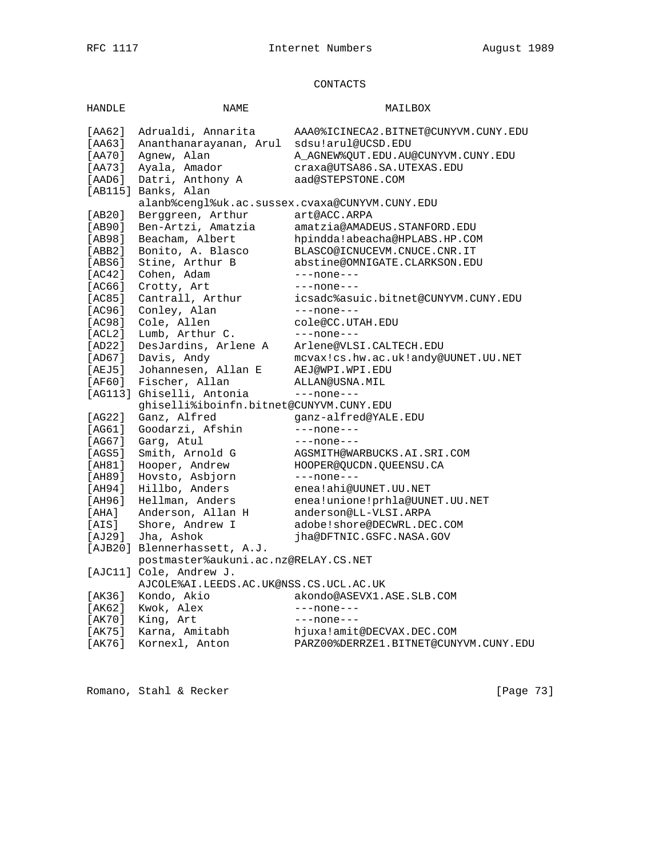## CONTACTS

| <b>HANDLE</b>    | NAME                                           | MAILBOX                                                          |
|------------------|------------------------------------------------|------------------------------------------------------------------|
| [AA62]           | Adrualdi, Annarita                             | AAA0%ICINECA2.BITNET@CUNYVM.CUNY.EDU                             |
|                  |                                                |                                                                  |
| [AA63]           | Ananthanarayanan, Arul                         | sdsu!arul@UCSD.EDU                                               |
| [AA70]<br>[AA73] | Agnew, Alan<br>Ayala, Amador                   | A AGNEW%OUT.EDU.AU@CUNYVM.CUNY.EDU<br>craxa@UTSA86.SA.UTEXAS.EDU |
|                  |                                                | aad@STEPSTONE.COM                                                |
| $[$ AAD6 $]$     | Datri, Anthony A<br>[AB115] Banks, Alan        |                                                                  |
|                  | alanb%cenql%uk.ac.sussex.cvaxa@CUNYVM.CUNY.EDU |                                                                  |
| [AB20]           | Berggreen, Arthur                              | art@ACC.ARPA                                                     |
| [AB90]           | Ben-Artzi, Amatzia                             | amatzia@AMADEUS.STANFORD.EDU                                     |
| [AB98]           | Beacham, Albert                                | hpindda!abeacha@HPLABS.HP.COM                                    |
| [ABB2]           | Bonito, A. Blasco                              | BLASCO@ICNUCEVM.CNUCE.CNR.IT                                     |
| [ABS6]           | Stine, Arthur B                                | abstine@OMNIGATE.CLARKSON.EDU                                    |
| [AC42]           | Cohen, Adam                                    | $---none---$                                                     |
| [AC66]           | Crotty, Art                                    | $---none---$                                                     |
| [AC85]           | Cantrall, Arthur                               | icsadc%asuic.bitnet@CUNYVM.CUNY.EDU                              |
| [AC96]           | Conley, Alan                                   | ---none---                                                       |
| [AC98]           | Cole, Allen                                    | cole@CC.UTAH.EDU                                                 |
| [ACL2]           | Lumb, Arthur C.                                | $---none---$                                                     |
| [AD22]           | DesJardins, Arlene A                           | Arlene@VLSI.CALTECH.EDU                                          |
| [AD67]           | Davis, Andy                                    | mcvax!cs.hw.ac.uk!andy@UUNET.UU.NET                              |
| [AEJ5]           | Johannesen, Allan E                            | AEJ@WPI.WPI.EDU                                                  |
| [AF60]           | Fischer, Allan                                 | ALLAN@USNA.MIL                                                   |
|                  | [AG113] Ghiselli, Antonia                      | $---none---$                                                     |
|                  | ghiselli%iboinfn.bitnet@CUNYVM.CUNY.EDU        |                                                                  |
| [AG22]           | Ganz, Alfred                                   | qanz-alfred@YALE.EDU                                             |
| [AG61]           | Goodarzi, Afshin                               | $---none---$                                                     |
| [AG67]           | Garg, Atul                                     | $---none---$                                                     |
| [AGS5]           | Smith, Arnold G                                | AGSMITH@WARBUCKS.AI.SRI.COM                                      |
| [AH81]           | Hooper, Andrew                                 | HOOPER@QUCDN.QUEENSU.CA                                          |
| [AH89]           | Hovsto, Asbjorn                                | $---none---$                                                     |
| [AH94]           | Hillbo, Anders                                 | enea!ahi@UUNET.UU.NET                                            |
| [AH96]           | Hellman, Anders                                | enea!unione!prhla@UUNET.UU.NET                                   |
| [AHA]            | Anderson, Allan H                              | anderson@LL-VLSI.ARPA                                            |
| [AIS]            | Shore, Andrew I                                | adobe!shore@DECWRL.DEC.COM                                       |
| [AJ29]           | Jha, Ashok                                     | jha@DFTNIC.GSFC.NASA.GOV                                         |
|                  | [AJB20] Blennerhassett, A.J.                   |                                                                  |
|                  | postmaster%aukuni.ac.nz@RELAY.CS.NET           |                                                                  |
|                  | [AJC11] Cole, Andrew J.                        |                                                                  |
|                  | AJCOLE & AI.LEEDS. AC.UK@NSS. CS.UCL. AC.UK    |                                                                  |
| [AK36]           | Kondo, Akio                                    | akondo@ASEVX1.ASE.SLB.COM                                        |
| [AK62]           | Kwok, Alex                                     | $---none---$                                                     |
| [AK70]           | King, Art                                      | $---none---$                                                     |
| [AK75]           | Karna, Amitabh                                 | hjuxa!amit@DECVAX.DEC.COM                                        |
| [AK76]           | Kornexl, Anton                                 | PARZ00%DERRZE1.BITNET@CUNYVM.CUNY.EDU                            |
|                  |                                                |                                                                  |

Romano, Stahl & Recker [Page 73]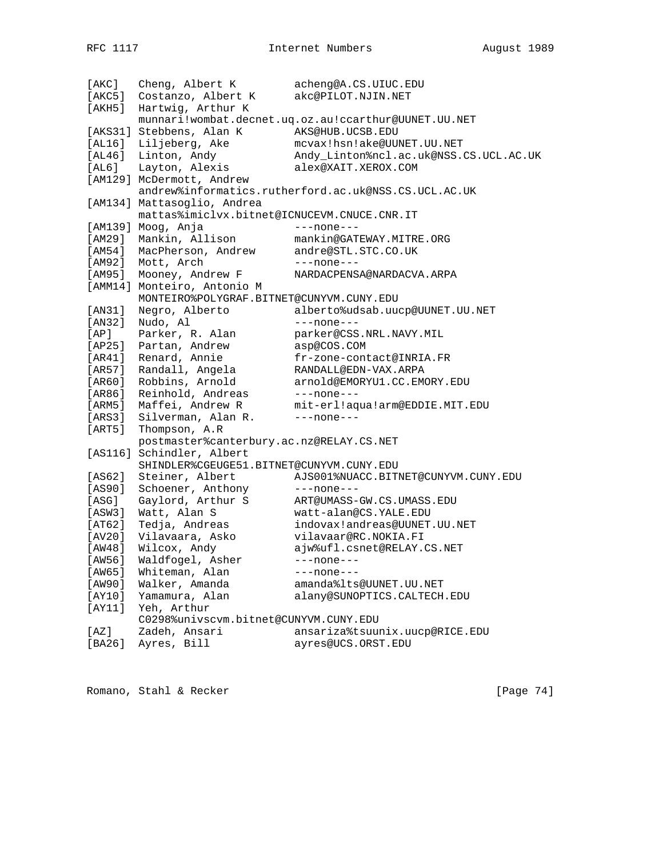|          | [AKC] Cheng, Albert K                       | acheng@A.CS.UIUC.EDU                                 |
|----------|---------------------------------------------|------------------------------------------------------|
| [AKC5 ]  | Costanzo, Albert K                          | akc@PILOT.NJIN.NET                                   |
| [AKH5]   | Hartwig, Arthur K                           |                                                      |
|          |                                             | munnari!wombat.decnet.uq.oz.au!ccarthur@UUNET.UU.NET |
|          | [AKS31] Stebbens, Alan K                    | AKS@HUB.UCSB.EDU                                     |
|          | [AL16] Liljeberg, Ake                       | mcvax!hsn!ake@UUNET.UU.NET                           |
| [AL46]   | Linton, Andy                                | Andy_Linton%ncl.ac.uk@NSS.CS.UCL.AC.UK               |
| [AL6]    | Layton, Alexis                              | alex@XAIT.XEROX.COM                                  |
|          | [AM129] McDermott, Andrew                   |                                                      |
|          |                                             | andrew%informatics.rutherford.ac.uk@NSS.CS.UCL.AC.UK |
|          | [AM134] Mattasoglio, Andrea                 |                                                      |
|          | mattas%imiclvx.bitnet@ICNUCEVM.CNUCE.CNR.IT |                                                      |
|          | [AM139] Moog, Anja                          | $---none---$                                         |
| [AM29]   | Mankin, Allison                             | mankin@GATEWAY.MITRE.ORG                             |
| [AM54]   | MacPherson, Andrew                          | andre@STL.STC.CO.UK                                  |
| [AM92]   | Mott, Arch                                  | $---none---$                                         |
| [AM95]   | Mooney, Andrew F                            | NARDACPENSA@NARDACVA.ARPA                            |
|          | [AMM14] Monteiro, Antonio M                 |                                                      |
|          | MONTEIRO%POLYGRAF.BITNET@CUNYVM.CUNY.EDU    |                                                      |
| [AN31]   | Negro, Alberto                              | alberto%udsab.uucp@UUNET.UU.NET                      |
| [AN32]   | Nudo, Al                                    | $---none---$                                         |
| [AP]     | Parker, R. Alan                             | parker@CSS.NRL.NAVY.MIL                              |
| [AP25]   | Partan, Andrew                              | asp@COS.COM                                          |
| [AR41]   | Renard, Annie                               | fr-zone-contact@INRIA.FR                             |
| [AR57]   | Randall, Angela                             | RANDALL@EDN-VAX.ARPA                                 |
| [AR60]   | Robbins, Arnold                             | arnold@EMORYU1.CC.EMORY.EDU                          |
| [AR86]   | Reinhold, Andreas                           |                                                      |
|          | Maffei, Andrew R                            | $---none---$                                         |
| [ ARM5 ] |                                             | mit-erl!aqua!arm@EDDIE.MIT.EDU                       |
| [ARS3]   | Silverman, Alan R.                          | $---none---$                                         |
| [ART5 ]  | Thompson, A.R                               |                                                      |
|          | postmaster%canterbury.ac.nz@RELAY.CS.NET    |                                                      |
|          | [AS116] Schindler, Albert                   |                                                      |
|          | SHINDLER%CGEUGE51.BITNET@CUNYVM.CUNY.EDU    |                                                      |
| [AS62]   | Steiner, Albert                             | AJS001%NUACC.BITNET@CUNYVM.CUNY.EDU                  |
| [AS90]   | Schoener, Anthony                           | $---none---$                                         |
| [ASG]    | Gaylord, Arthur S                           | ART@UMASS-GW.CS.UMASS.EDU                            |
| [ASW3]   | Watt, Alan S                                | watt-alan@CS.YALE.EDU                                |
| [AT62]   | Tedja, Andreas                              | indovax!andreas@UUNET.UU.NET                         |
| [AV20]   | Vilavaara, Asko                             | vilavaar@RC.NOKIA.FI                                 |
| [AW48]   | Wilcox, Andy                                | ajw%ufl.csnet@RELAY.CS.NET                           |
| [AW56]   | Waldfogel, Asher                            | ---none---                                           |
| [AW65]   | Whiteman, Alan                              | $---none---$                                         |
| [AW90]   | Walker, Amanda                              | amanda%lts@UUNET.UU.NET                              |
| [AY10]   | Yamamura, Alan                              | alany@SUNOPTICS.CALTECH.EDU                          |
| [AY11]   | Yeh, Arthur                                 |                                                      |
|          | C0298%univscvm.bitnet@CUNYVM.CUNY.EDU       |                                                      |
| [AZ]     | Zadeh, Ansari                               | ansariza%tsuunix.uucp@RICE.EDU                       |
| [BA26]   | Ayres, Bill                                 | ayres@UCS.ORST.EDU                                   |

Romano, Stahl & Recker [Page 74]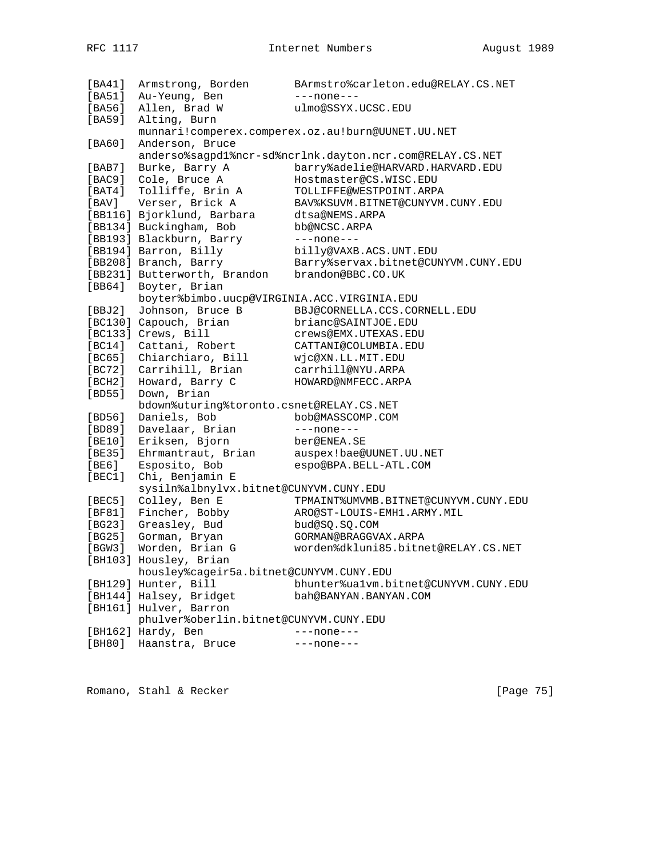| [BA41]   | Armstrong, Borden                           | BArmstro%carleton.edu@RELAY.CS.NET                       |
|----------|---------------------------------------------|----------------------------------------------------------|
| [BA51]   | Au-Yeung, Ben                               | $---none---$                                             |
| [BA56]   | Allen, Brad W                               | ulmo@SSYX.UCSC.EDU                                       |
| [BA59]   | Alting, Burn                                |                                                          |
|          |                                             | munnari!comperex.comperex.oz.au!burn@UUNET.UU.NET        |
|          |                                             |                                                          |
| [BA60]   | Anderson, Bruce                             |                                                          |
|          |                                             | anderso%sagpd1%ncr-sd%ncrlnk.dayton.ncr.com@RELAY.CS.NET |
| [BAB7]   | Burke, Barry A                              | barry%adelie@HARVARD.HARVARD.EDU                         |
| [BAC9]   | Cole, Bruce A                               | Hostmaster@CS.WISC.EDU                                   |
| [ BAT4 ] | Tolliffe, Brin A                            | TOLLIFFE@WESTPOINT.ARPA                                  |
| [ BAV ]  | Verser, Brick A                             | BAV%KSUVM.BITNET@CUNYVM.CUNY.EDU                         |
|          | [BB116] Bjorklund, Barbara                  | dtsa@NEMS.ARPA                                           |
|          | [BB134] Buckingham, Bob                     | bb@NCSC.ARPA                                             |
|          | [BB193] Blackburn, Barry                    | $---none---$                                             |
|          |                                             |                                                          |
|          | [BB194] Barron, Billy                       | billy@VAXB.ACS.UNT.EDU                                   |
|          | [BB208] Branch, Barry                       | Barry%servax.bitnet@CUNYVM.CUNY.EDU                      |
|          | [BB231] Butterworth, Brandon                | brandon@BBC.CO.UK                                        |
| [BB64]   | Boyter, Brian                               |                                                          |
|          | boyter%bimbo.uucp@VIRGINIA.ACC.VIRGINIA.EDU |                                                          |
| [BBJ2]   | Johnson, Bruce B                            | BBJ@CORNELLA.CCS.CORNELL.EDU                             |
|          | [BC130] Capouch, Brian                      | brianc@SAINTJOE.EDU                                      |
|          | [BC133] Crews, Bill                         | CYEWS@EMX.UTEXAS.EDU                                     |
|          | [BC14] Cattani, Robert                      | CATTANI@COLUMBIA.EDU                                     |
|          | [BC65] Chiarchiaro, Bill                    | wjc@XN.LL.MIT.EDU                                        |
|          | [BC72] Carrihill, Brian                     | carrhill@NYU.ARPA                                        |
| [BCH2]   | Howard, Barry C                             | HOWARD@NMFECC.ARPA                                       |
|          |                                             |                                                          |
| [BD55]   | Down, Brian                                 |                                                          |
|          | bdown%uturing%toronto.csnet@RELAY.CS.NET    |                                                          |
| [BD56]   | Daniels, Bob                                | bob@MASSCOMP.COM                                         |
| [BD89]   | Davelaar, Brian                             | $---none---$                                             |
| [BE10]   | Eriksen, Bjorn                              | ber@ENEA.SE                                              |
| [BE35]   | Ehrmantraut, Brian                          | auspex!bae@UUNET.UU.NET                                  |
| [BE6]    | Esposito, Bob                               | espo@BPA.BELL-ATL.COM                                    |
| [BEC1]   | Chi, Benjamin E                             |                                                          |
|          | sysiln%albnylvx.bitnet@CUNYVM.CUNY.EDU      |                                                          |
| [BEC5]   | Colley, Ben E                               | TPMAINT%UMVMB.BITNET@CUNYVM.CUNY.EDU                     |
| [BF81]   | Fincher, Bobby                              | ARO@ST-LOUIS-EMH1.ARMY.MIL                               |
| [BG23]   | Greasley, Bud                               | bud@SQ.SQ.COM                                            |
| [BG25]   | Gorman, Bryan                               | GORMAN@BRAGGVAX.ARPA                                     |
| [BGW3]   | Worden, Brian G                             | worden%dkluni85.bitnet@RELAY.CS.NET                      |
|          |                                             |                                                          |
|          | [BH103] Housley, Brian                      |                                                          |
|          | housley%cageir5a.bitnet@CUNYVM.CUNY.EDU     |                                                          |
|          | [BH129] Hunter, Bill                        | bhunter%ualvm.bitnet@CUNYVM.CUNY.EDU                     |
|          | [BH144] Halsey, Bridget                     | bah@BANYAN.BANYAN.COM                                    |
|          | [BH161] Hulver, Barron                      |                                                          |
|          | phulver%oberlin.bitnet@CUNYVM.CUNY.EDU      |                                                          |
|          | [BH162] Hardy, Ben                          | $---none---$                                             |
| [BH80]   | Haanstra, Bruce                             | ---none---                                               |

Romano, Stahl & Recker [Page 75]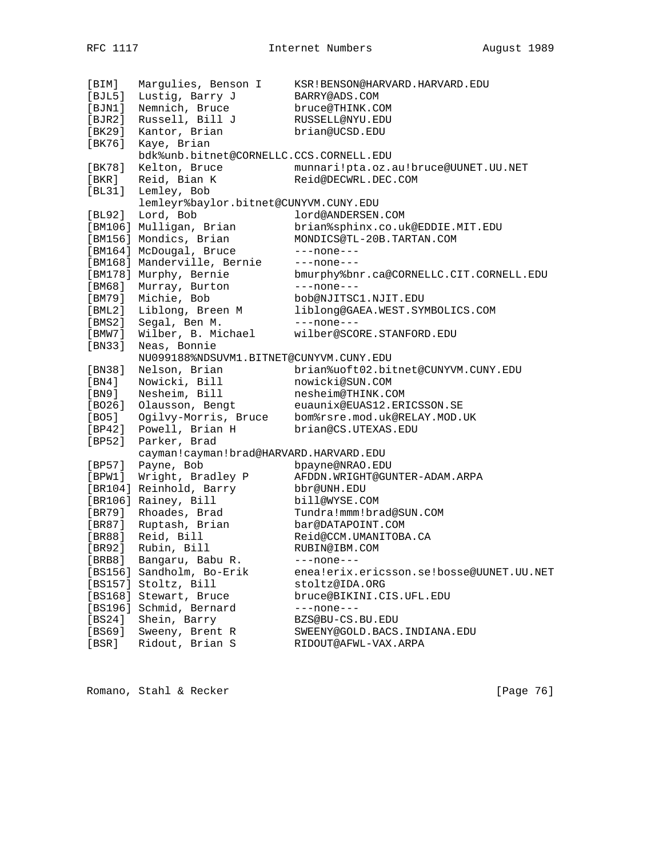[BIM] Margulies, Benson I KSR!BENSON@HARVARD.HARVARD.EDU [BJL5] Lustig, Barry J BARRY@ADS.COM [BJN1] Nemnich, Bruce bruce@THINK.COM [BJR2] Russell, Bill J RUSSELL@NYU.EDU [BK29] Kantor, Brian brian@UCSD.EDU [BK76] Kaye, Brian bdk%unb.bitnet@CORNELLC.CCS.CORNELL.EDU [BK78] Kelton, Bruce munnari!pta.oz.au!bruce@UUNET.UU.NET [BKR] Reid, Bian K Reid@DECWRL.DEC.COM [BL31] Lemley, Bob<br>lemleyr%baylor.bitnet@CUNYVM.CUNY.EDU lemleyr%baylor.bitnet@CUNYVM.CUNY.EDU [BL92] Lord, Bob lord@ANDERSEN.COM [BM106] Mulligan, Brian brian%sphinx.co.uk@EDDIE.MIT.EDU [BM156] Mondics, Brian MONDICS@TL-20B.TARTAN.COM [BM164] McDougal, Bruce ---none---[BM168] Manderville, Bernie ---none---[BM178] Murphy, Bernie bmurphy%bnr.ca@CORNELLC.CIT.CORNELL.EDU [BM68] Murray, Burton ---none---[BM79] Michie, Bob bob@NJITSC1.NJIT.EDU [BML2] Liblong, Breen M liblong@GAEA.WEST.SYMBOLICS.COM [BMS2] Segal, Ben M. ---none---[BMW7] Wilber, B. Michael wilber@SCORE.STANFORD.EDU [BN33] Neas, Bonnie NU099188%NDSUVM1.BITNET@CUNYVM.CUNY.EDU [BN38] Nelson, Brian brian%uoft02.bitnet@CUNYVM.CUNY.EDU [BN4] Nowicki, Bill nowicki@SUN.COM [BN9] Nesheim, Bill nesheim@THINK.COM [BO26] Olausson, Bengt euaunix@EUAS12.ERICSSON.SE [BO5] Ogilvy-Morris, Bruce bom%rsre.mod.uk@RELAY.MOD.UK [BP42] Powell, Brian H brian@CS.UTEXAS.EDU [BP52] Parker, Brad<br>cayman!cayman!brad@HARVARD.HARVARD.EDU cayman!cayman!brad@HARVARD.HARVARD.EDU [BP57] Payne, Bob bpayne@NRAO.EDU [BPW1] Wright, Bradley P AFDDN.WRIGHT@GUNTER-ADAM.ARPA [BR104] Reinhold, Barry bbr@UNH.EDU [BR106] Rainey, Bill bill@WYSE.COM [BR79] Rhoades, Brad Tundra!mmm!brad@SUN.COM [BR87] Ruptash, Brian bar@DATAPOINT.COM [BR88] Reid, Bill Reid@CCM.UMANITOBA.CA [BR92] Rubin, Bill RUBIN@IBM.COM [BRB8] Bangaru, Babu R. ---none---[BS156] Sandholm, Bo-Erik enea!erix.ericsson.se!bosse@UUNET.UU.NET [BS157] Stoltz, Bill stoltz@IDA.ORG [BS168] Stewart, Bruce bruce@BIKINI.CIS.UFL.EDU [BS196] Schmid, Bernard ---none---[BS24] Shein, Barry BZS@BU-CS.BU.EDU [BS69] Sweeny, Brent R SWEENY@GOLD.BACS.INDIANA.EDU [BSR] Ridout, Brian S RIDOUT@AFWL-VAX.ARPA

Romano, Stahl & Recker [Page 76]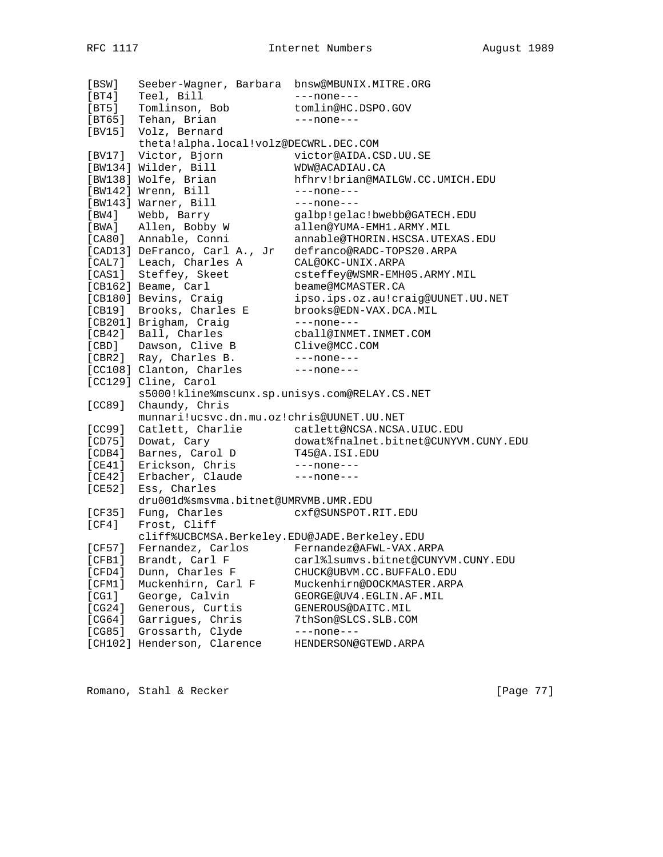| [BSW]   | Seeber-Wagner, Barbara bnsw@MBUNIX.MITRE.ORG  |                                      |
|---------|-----------------------------------------------|--------------------------------------|
| [BT4]   | Teel, Bill                                    | $---none---$                         |
| $[BT5]$ | Tomlinson, Bob                                | tomlin@HC.DSPO.GOV                   |
| [BT65]  | Tehan, Brian                                  | $---none---$                         |
| [BV15]  | Volz, Bernard                                 |                                      |
|         | theta!alpha.local!volz@DECWRL.DEC.COM         |                                      |
|         | [BV17] Victor, Bjorn                          | victor@AIDA.CSD.UU.SE                |
|         | [BW134] Wilder, Bill                          | WDW@ACADIAU.CA                       |
|         | [BW138] Wolfe, Brian                          | hfhrv!brian@MAILGW.CC.UMICH.EDU      |
|         | [BW142] Wrenn, Bill                           | $---none---$                         |
|         | [BW143] Warner, Bill                          | $---none---$                         |
| [BW4]   | Webb, Barry                                   | galbp!gelac!bwebb@GATECH.EDU         |
|         | [BWA] Allen, Bobby W                          | allen@YUMA-EMH1.ARMY.MIL             |
|         | [CA80] Annable, Conni                         | annable@THORIN.HSCSA.UTEXAS.EDU      |
|         | [CAD13] DeFranco, Carl A., Jr                 | defranco@RADC-TOPS20.ARPA            |
|         | [CAL7] Leach, Charles A                       | CAL@OKC-UNIX.ARPA                    |
|         | [CAS1] Steffey, Skeet                         | csteffey@WSMR-EMH05.ARMY.MIL         |
|         | [CB162] Beame, Carl                           | beame@MCMASTER.CA                    |
|         | [CB180] Bevins, Craiq                         | ipso.ips.oz.au!craig@UUNET.UU.NET    |
|         | [CB19] Brooks, Charles E                      | brooks@EDN-VAX.DCA.MIL               |
|         | [CB201] Brigham, Craig                        | $---none---$                         |
|         | [CB42] Ball, Charles                          | cball@INMET.INMET.COM                |
|         | [CBD] Dawson, Clive B                         | Clive@MCC.COM                        |
|         | [CBR2] Ray, Charles B.                        | $---none---$                         |
|         | [CC108] Clanton, Charles                      | $---none---$                         |
|         | [CC129] Cline, Carol                          |                                      |
|         | s5000!kline%mscunx.sp.unisys.com@RELAY.CS.NET |                                      |
| [CC89]  | Chaundy, Chris                                |                                      |
|         | munnari!ucsvc.dn.mu.oz!chris@UUNET.UU.NET     |                                      |
| [CC99]  | Catlett, Charlie                              | catlett@NCSA.NCSA.UIUC.EDU           |
| [CD75]  | Dowat, Cary                                   | dowat%fnalnet.bitnet@CUNYVM.CUNY.EDU |
| [CDB4]  | Barnes, Carol D                               | T45@A.ISI.EDU                        |
| [CE41]  | Erickson, Chris                               | $---none---$                         |
| [CE42]  | Erbacher, Claude                              | $---none---$                         |
| [CE52]  | Ess, Charles                                  |                                      |
|         | dru001d%smsvma.bitnet@UMRVMB.UMR.EDU          |                                      |
| [CF35]  | Fung, Charles                                 | CXf@SUNSPOT.RIT.EDU                  |
| [CF4]   | Frost, Cliff                                  |                                      |
|         | cliff%UCBCMSA.Berkeley.EDU@JADE.Berkeley.EDU  |                                      |
| [CF57]  | Fernandez, Carlos                             | Fernandez@AFWL-VAX.ARPA              |
| [CFB1]  | Brandt, Carl F                                | carl%lsumvs.bitnet@CUNYVM.CUNY.EDU   |
| [CFD4]  | Dunn, Charles F                               | CHUCK@UBVM.CC.BUFFALO.EDU            |
| [CFM1]  | Muckenhirn, Carl F                            | Muckenhirn@DOCKMASTER.ARPA           |
| [CG1]   | George, Calvin                                | GEORGE@UV4.EGLIN.AF.MIL              |
| [CG24]  | Generous, Curtis                              | GENEROUS@DAITC.MIL                   |
| [CG64]  | Garrigues, Chris                              | 7thSon@SLCS.SLB.COM                  |
| [CG85]  | Grossarth, Clyde                              | $---none---$                         |
| [CH102] | Henderson, Clarence                           | HENDERSON@GTEWD.ARPA                 |

Romano, Stahl & Recker [Page 77]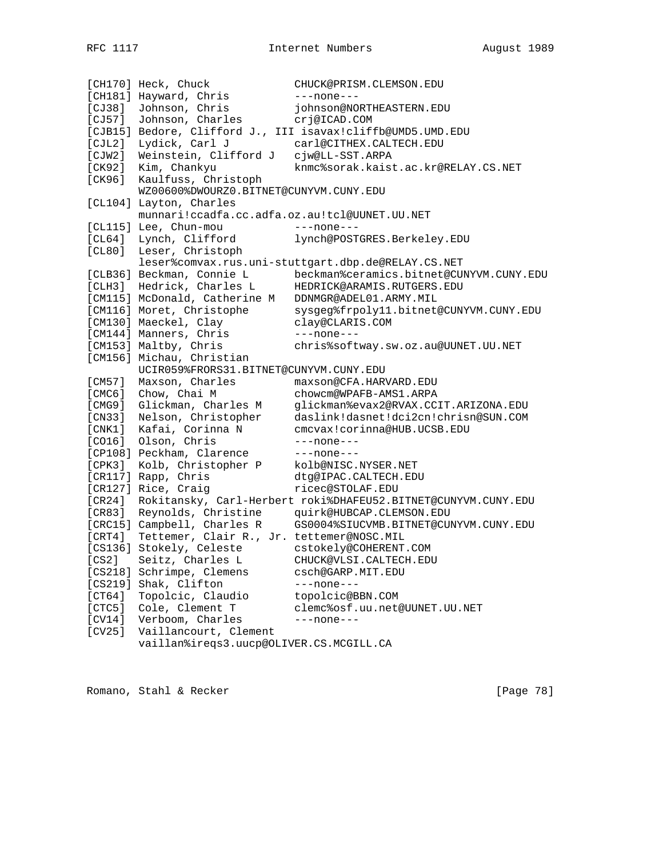[CH170] Heck, Chuck CHUCK@PRISM.CLEMSON.EDU [CH181] Hayward, Chris ---none---[CJ38] Johnson, Chris johnson@NORTHEASTERN.EDU [CJ57] Johnson, Charles crj@ICAD.COM [CJB15] Bedore, Clifford J., III isavax!cliffb@UMD5.UMD.EDU [CJL2] Lydick, Carl J carl@CITHEX.CALTECH.EDU [CJW2] Weinstein, Clifford J cjw@LL-SST.ARPA [CK92] Kim, Chankyu knmc%sorak.kaist.ac.kr@RELAY.CS.NET [CK96] Kaulfuss, Christoph WZ00600%DWOURZ0.BITNET@CUNYVM.CUNY.EDU [CL104] Layton, Charles munnari!ccadfa.cc.adfa.oz.au!tcl@UUNET.UU.NET [CL115] Lee, Chun-mou ---none---[CL64] Lynch, Clifford lynch@POSTGRES.Berkeley.EDU [CL80] Leser, Christoph leser%comvax.rus.uni-stuttgart.dbp.de@RELAY.CS.NET [CLB36] Beckman, Connie L beckman%ceramics.bitnet@CUNYVM.CUNY.EDU [CLH3] Hedrick, Charles L HEDRICK@ARAMIS.RUTGERS.EDU [CM115] McDonald, Catherine M DDNMGR@ADEL01.ARMY.MIL [CM116] Moret, Christophe sysgeg%frpoly11.bitnet@CUNYVM.CUNY.EDU [CM130] Maeckel, Clay clay@CLARIS.COM [CM144] Manners, Chris ---none---[CM153] Maltby, Chris chris%softway.sw.oz.au@UUNET.UU.NET [CM156] Michau, Christian UCIR059%FRORS31.BITNET@CUNYVM.CUNY.EDU [CM57] Maxson, Charles maxson@CFA.HARVARD.EDU [CMC6] Chow, Chai M chowcm@WPAFB-AMS1.ARPA [CMG9] Glickman, Charles M glickman%evax2@RVAX.CCIT.ARIZONA.EDU [CN33] Nelson, Christopher daslink!dasnet!dci2cn!chrisn@SUN.COM [CNK1] Kafai, Corinna N cmcvax!corinna@HUB.UCSB.EDU [CO16] Olson, Chris ---none---[CP108] Peckham, Clarence ---none---[CPK3] Kolb, Christopher P kolb@NISC.NYSER.NET [CR117] Rapp, Chris dtg@IPAC.CALTECH.EDU [CR127] Rice, Craig [CR127] ricec@STOLAF.EDU [CR24] Rokitansky, Carl-Herbert roki%DHAFEU52.BITNET@CUNYVM.CUNY.EDU [CR83] Reynolds, Christine quirk@HUBCAP.CLEMSON.EDU [CRC15] Campbell, Charles R GS0004%SIUCVMB.BITNET@CUNYVM.CUNY.EDU [CRT4] Tettemer, Clair R., Jr. tettemer@NOSC.MIL [CS136] Stokely, Celeste cstokely@COHERENT.COM [CS2] Seitz, Charles L CHUCK@VLSI.CALTECH.EDU [CS218] Schrimpe, Clemens csch@GARP.MIT.EDU [CS219] Shak, Clifton ---none---[CT64] Topolcic, Claudio topolcic@BBN.COM [CTC5] Cole, Clement T clemc%osf.uu.net@UUNET.UU.NET [CV14] Verboom, Charles ---none---[CV25] Vaillancourt, Clement vaillan%ireqs3.uucp@OLIVER.CS.MCGILL.CA

Romano, Stahl & Recker [Page 78]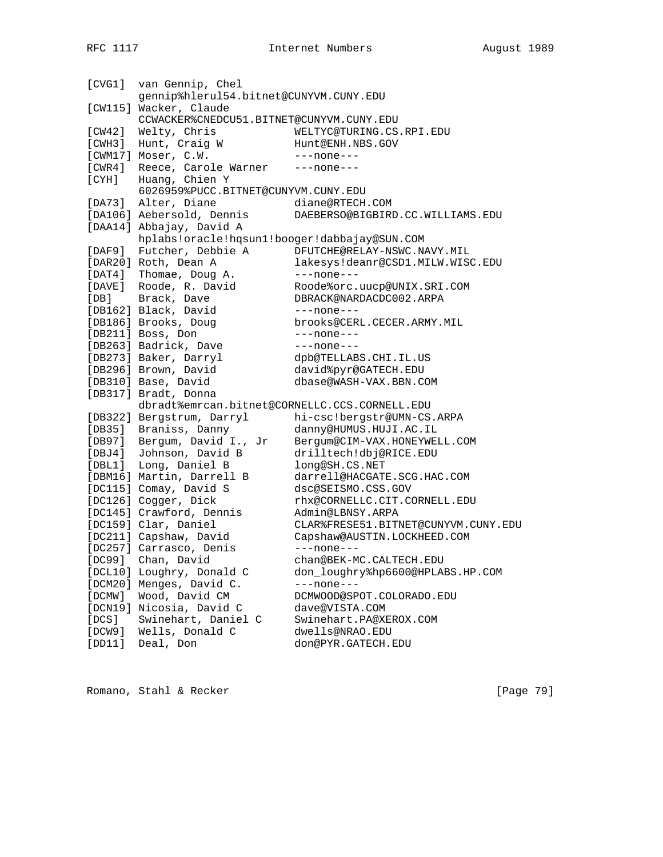| [CVG1]        | van Gennip, Chel                              |                                     |
|---------------|-----------------------------------------------|-------------------------------------|
|               | gennip%hlerul54.bitnet@CUNYVM.CUNY.EDU        |                                     |
|               | [CW115] Wacker, Claude                        |                                     |
|               | CCWACKER%CNEDCU51.BITNET@CUNYVM.CUNY.EDU      |                                     |
| [CW42]        | Welty, Chris                                  | WELTYC@TURING.CS.RPI.EDU            |
| [CWH3]        | Hunt, Craig W                                 | Hunt@ENH.NBS.GOV                    |
|               | [CWM17] Moser, C.W.                           | $---none---$                        |
| [CWR4]        | Reece, Carole Warner                          | $---none---$                        |
| $[{\rm CYH}]$ | Huang, Chien Y                                |                                     |
|               | 6026959%PUCC.BITNET@CUNYVM.CUNY.EDU           |                                     |
|               | [DA73] Alter, Diane                           | diane@RTECH.COM                     |
|               | [DA106] Aebersold, Dennis                     | DAEBERSO@BIGBIRD.CC.WILLIAMS.EDU    |
|               | [DAA14] Abbajay, David A                      |                                     |
|               | hplabs!oracle!hqsun1!booger!dabbajay@SUN.COM  |                                     |
| [DAF9]        | Futcher, Debbie A                             | DFUTCHE@RELAY-NSWC.NAVY.MIL         |
|               | [DAR20] Roth, Dean A                          | lakesys!deanr@CSD1.MILW.WISC.EDU    |
|               | [DAT4] Thomae, Doug A.                        | $---none---$                        |
|               |                                               |                                     |
|               | [DAVE] Roode, R. David                        | Roode%orc.uucp@UNIX.SRI.COM         |
| [DB]          | Brack, Dave                                   | DBRACK@NARDACDC002.ARPA             |
|               | [DB162] Black, David                          | $---none---$                        |
|               | [DB186] Brooks, Doug                          | brooks@CERL.CECER.ARMY.MIL          |
|               | [DB211] Boss, Don                             | $---none---$                        |
|               | [DB263] Badrick, Dave                         | $---none---$                        |
|               | [DB273] Baker, Darryl                         | dpb@TELLABS.CHI.IL.US               |
|               | [DB296] Brown, David                          | david%pyr@GATECH.EDU                |
|               | [DB310] Base, David                           | dbase@WASH-VAX.BBN.COM              |
|               | [DB317] Bradt, Donna                          |                                     |
|               | dbradt%emrcan.bitnet@CORNELLC.CCS.CORNELL.EDU |                                     |
|               | [DB322] Bergstrum, Darryl                     | hi-csc!bergstr@UMN-CS.ARPA          |
|               | [DB35] Braniss, Danny                         | danny@HUMUS.HUJI.AC.IL              |
| [DB97]        | Bergum, David I., Jr                          | Bergum@CIM-VAX.HONEYWELL.COM        |
| [DBJ4]        | Johnson, David B                              | drilltech!dbj@RICE.EDU              |
|               | [DBL1] Long, Daniel B                         | long@SH.CS.NET                      |
|               | [DBM16] Martin, Darrell B                     | darrell@HACGATE.SCG.HAC.COM         |
|               | [DC115] Comay, David S                        | dsc@SEISMO.CSS.GOV                  |
|               | [DC126] Cogger, Dick                          | rhx@CORNELLC.CIT.CORNELL.EDU        |
|               | [DC145] Crawford, Dennis                      | Admin@LBNSY.ARPA                    |
|               | [DC159] Clar, Daniel                          | CLAR%FRESE51.BITNET@CUNYVM.CUNY.EDU |
|               | [DC211] Capshaw, David                        | Capshaw@AUSTIN.LOCKHEED.COM         |
|               | [DC257] Carrasco, Denis                       | $---none---$                        |
| [DC99]        | Chan, David                                   | chan@BEK-MC.CALTECH.EDU             |
|               | [DCL10] Loughry, Donald C                     | don_loughry%hp6600@HPLABS.HP.COM    |
|               | [DCM20] Menges, David C.                      | $---none---$                        |
| [DCMW]        | Wood, David CM                                | DCMWOOD@SPOT.COLORADO.EDU           |
|               | [DCN19] Nicosia, David C                      | dave@VISTA.COM                      |
| [DCS]         | Swinehart, Daniel C                           | Swinehart.PA@XEROX.COM              |
| [DCW9]        | Wells, Donald C                               | dwells@NRAO.EDU                     |
| [DD11]        | Deal, Don                                     | don@PYR.GATECH.EDU                  |
|               |                                               |                                     |

Romano, Stahl & Recker [Page 79]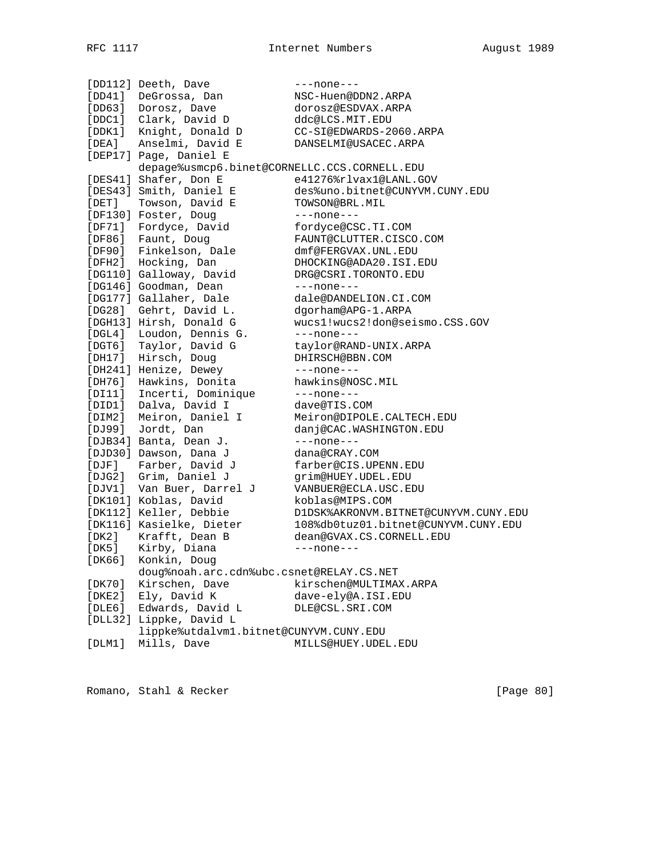|              | [DD112] Deeth, Dave                          | $---none---$                         |
|--------------|----------------------------------------------|--------------------------------------|
| [DD41]       | DeGrossa, Dan                                | NSC-Huen@DDN2.ARPA                   |
| [DD63]       | Dorosz, Dave                                 | dorosz@ESDVAX.ARPA                   |
|              | [DDC1] Clark, David D                        | ddc@LCS.MIT.EDU                      |
|              | [DDK1] Knight, Donald D                      | CC-SI@EDWARDS-2060.ARPA              |
| [DEA]        | Anselmi, David E                             | DANSELMI@USACEC.ARPA                 |
|              | [DEP17] Page, Daniel E                       |                                      |
|              | depage%usmcp6.binet@CORNELLC.CCS.CORNELL.EDU |                                      |
|              | [DES41] Shafer, Don E                        | e41276%rlvax1@LANL.GOV               |
|              | [DES43] Smith, Daniel E                      | des%uno.bitnet@CUNYVM.CUNY.EDU       |
| $[$ DET $]$  | Towson, David E                              | TOWSON@BRL.MIL                       |
|              | [DF130] Foster, Doug                         | $---none---$                         |
|              | Fordyce, David                               | fordyce@CSC.TI.COM                   |
| [DF71]       |                                              |                                      |
| [DF86]       | Faunt, Doug                                  | FAUNT@CLUTTER.CISCO.COM              |
|              | [DF90] Finkelson, Dale                       | dmf@FERGVAX.UNL.EDU                  |
|              | [DFH2] Hocking, Dan                          | DHOCKING@ADA20.ISI.EDU               |
|              | [DG110] Galloway, David                      | DRG@CSRI.TORONTO.EDU                 |
|              | [DG146] Goodman, Dean                        | $---none---$                         |
|              | [DG177] Gallaher, Dale                       | dale@DANDELION.CI.COM                |
| [DG28]       | Gehrt, David L.                              | dgorham@APG-1.ARPA                   |
|              | [DGH13] Hirsh, Donald G                      | wucs1!wucs2!don@seismo.CSS.GOV       |
| $[$ DGL4 $]$ | Loudon, Dennis G.                            | $---none---$                         |
|              | [DGT6] Taylor, David G                       | taylor@RAND-UNIX.ARPA                |
| [DH17]       | Hirsch, Doug                                 | DHIRSCH@BBN.COM                      |
|              | [DH241] Henize, Dewey                        | $---none---$                         |
| [DH76]       | Hawkins, Donita                              | hawkins@NOSC.MIL                     |
| [DI11]       | Incerti, Dominique                           | $---none---$                         |
| [DID1]       | Dalva, David I                               | dave@TIS.COM                         |
| [DIM2]       | Meiron, Daniel I                             | Meiron@DIPOLE.CALTECH.EDU            |
| [DJ99]       | Jordt, Dan                                   | danj@CAC.WASHINGTON.EDU              |
|              | [DJB34] Banta, Dean J.                       | $---none---$                         |
|              | [DJD30] Dawson, Dana J                       | dana@CRAY.COM                        |
| [DJF]        | Farber, David J                              | farber@CIS.UPENN.EDU                 |
|              | [DJG2] Grim, Daniel J                        | grim@HUEY.UDEL.EDU                   |
|              | [DJV1] Van Buer, Darrel J                    | VANBUER@ECLA.USC.EDU                 |
|              | [DK101] Koblas, David                        | koblas@MIPS.COM                      |
|              | [DK112] Keller, Debbie                       | D1DSK%AKRONVM.BITNET@CUNYVM.CUNY.EDU |
|              | [DK116] Kasielke, Dieter                     | 108%db0tuz01.bitnet@CUNYVM.CUNY.EDU  |
| [DK2]        | Krafft, Dean B                               | dean@GVAX.CS.CORNELL.EDU             |
| [DK5]        | Kirby, Diana                                 | $---none---$                         |
| [DK66]       | Konkin, Doug                                 |                                      |
|              | doug%noah.arc.cdn%ubc.csnet@RELAY.CS.NET     |                                      |
|              | Kirschen, Dave                               | kirschen@MULTIMAX.ARPA               |
| [DK70]       |                                              | dave-ely@A.ISI.EDU                   |
| [DKE2]       | Ely, David K                                 |                                      |
| [DLE6]       | Edwards, David L                             | DLE@CSL.SRI.COM                      |
|              | [DLL32] Lippke, David L                      |                                      |
|              | lippke%utdalvm1.bitnet@CUNYVM.CUNY.EDU       |                                      |
| [DIM1]       | Mills, Dave                                  | MILLS@HUEY.UDEL.EDU                  |

Romano, Stahl & Recker [Page 80]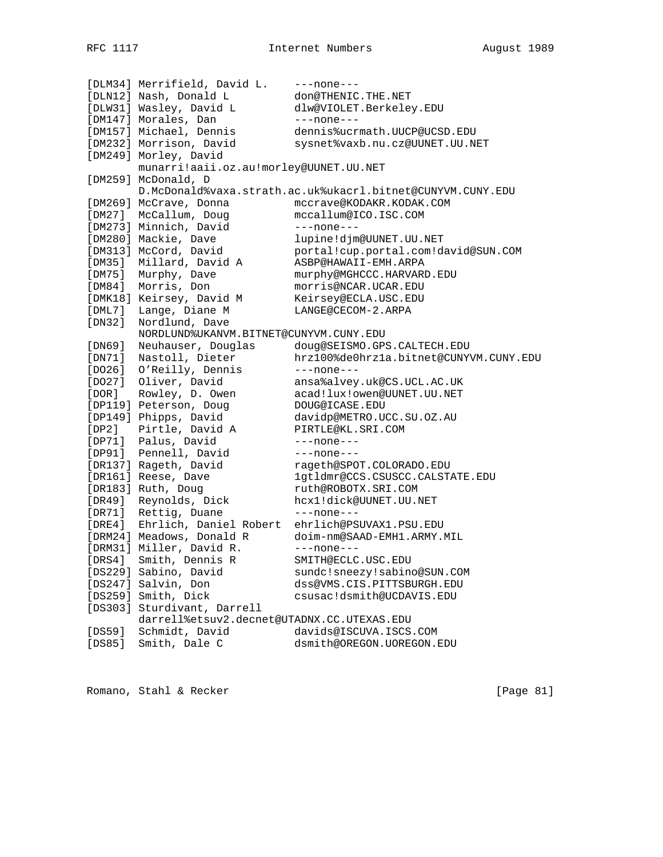[DLM34] Merrifield, David L. ---none--- [DLN12] Nash, Donald L don@THENIC.THE.NET [DLW31] Wasley, David L dlw@VIOLET.Berkeley.EDU [DM147] Morales, Dan ---none---[DM157] Michael, Dennis dennis%ucrmath.UUCP@UCSD.EDU [DM232] Morrison, David sysnet%vaxb.nu.cz@UUNET.UU.NET [DM249] Morley, David munarri!aaii.oz.au!morley@UUNET.UU.NET [DM259] McDonald, D D.McDonald%vaxa.strath.ac.uk%ukacrl.bitnet@CUNYVM.CUNY.EDU [DM269] McCrave, Donna mccrave@KODAKR.KODAK.COM [DM27] McCallum, Doug mccallum@ICO.ISC.COM [DM273] Minnich, David ---none---[DM280] Mackie, Dave lupine!djm@UUNET.UU.NET [DM313] McCord, David portal!cup.portal.com!david@SUN.COM [DM35] Millard, David A ASBP@HAWAII-EMH.ARPA [DM75] Murphy, Dave murphy@MGHCCC.HARVARD.EDU [DM84] Morris, Don morris@NCAR.UCAR.EDU [DMK18] Keirsey, David M Keirsey@ECLA.USC.EDU [DML7] Lange, Diane M LANGE@CECOM-2.ARPA [DN32] Nordlund, Dave NORDLUND%UKANVM.BITNET@CUNYVM.CUNY.EDU [DN69] Neuhauser, Douglas doug@SEISMO.GPS.CALTECH.EDU [DN71] Nastoll, Dieter hrz100%de0hrz1a.bitnet@CUNYVM.CUNY.EDU [DO26] O'Reilly, Dennis ---none---[DO27] Oliver, David ansa%alvey.uk@CS.UCL.AC.UK [DOR] Rowley, D. Owen acad!lux!owen@UUNET.UU.NET [DP119] Peterson, Doug DOUG@ICASE.EDU [DP149] Phipps, David davidp@METRO.UCC.SU.OZ.AU [DP2] Pirtle, David A PIRTLE@KL.SRI.COM [DP71] Palus, David ---none---[DP91] Pennell, David ---none--- [DR137] Rageth, David rageth@SPOT.COLORADO.EDU [DR161] Reese, Dave 1gtldmr@CCS.CSUSCC.CALSTATE.EDU [DR183] Ruth, Doug ruth@ROBOTX.SRI.COM [DR49] Reynolds, Dick hcx1!dick@UUNET.UU.NET [DR71] Rettig, Duane ---- none---[DRE4] Ehrlich, Daniel Robert ehrlich@PSUVAX1.PSU.EDU [DRM24] Meadows, Donald R doim-nm@SAAD-EMH1.ARMY.MIL [DRM31] Miller, David R. ---none--- [DRS4] Smith, Dennis R SMITH@ECLC.USC.EDU [DS229] Sabino, David sundc!sneezy!sabino@SUN.COM [DS247] Salvin, Don dss@VMS.CIS.PITTSBURGH.EDU [DS259] Smith, Dick csusac!dsmith@UCDAVIS.EDU [DS303] Sturdivant, Darrell darrell%etsuv2.decnet@UTADNX.CC.UTEXAS.EDU [DS59] Schmidt, David davids@ISCUVA.ISCS.COM [DS85] Smith, Dale C dsmith@OREGON.UOREGON.EDU

Romano, Stahl & Recker [Page 81]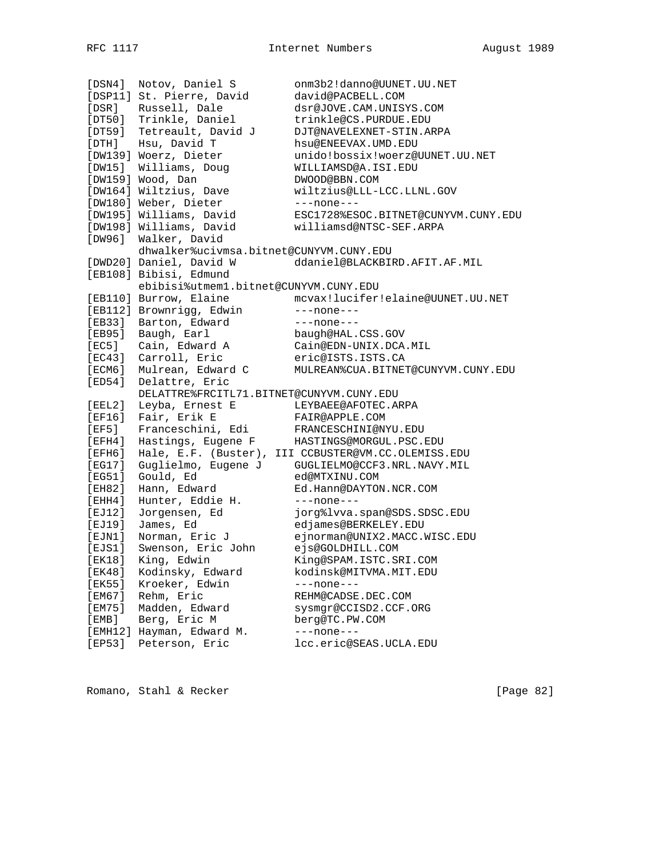[DSN4] Notov, Daniel S onm3b2!danno@UUNET.UU.NET [DSP11] St. Pierre, David david@PACBELL.COM [DSR] Russell, Dale dsr@JOVE.CAM.UNISYS.COM [DT50] Trinkle, Daniel trinkle@CS.PURDUE.EDU [DT59] Tetreault, David J DJT@NAVELEXNET-STIN.ARPA [DTH] Hsu, David T hsu@ENEEVAX.UMD.EDU [DW139] Woerz, Dieter unido!bossix!woerz@UUNET.UU.NET [DW15] Williams, Doug WILLIAMSD@A.ISI.EDU [DW159] Wood, Dan DWOOD@BBN.COM [DW164] Wiltzius, Dave wiltzius@LLL-LCC.LLNL.GOV [DW180] Weber, Dieter ---none---[DW195] Williams, David ESC1728%ESOC.BITNET@CUNYVM.CUNY.EDU [DW198] Williams, David williamsd@NTSC-SEF.ARPA [DW96] Walker, David dhwalker%ucivmsa.bitnet@CUNYVM.CUNY.EDU [DWD20] Daniel, David W ddaniel@BLACKBIRD.AFIT.AF.MIL [EB108] Bibisi, Edmund ebibisi%utmem1.bitnet@CUNYVM.CUNY.EDU [EB110] Burrow, Elaine mcvax!lucifer!elaine@UUNET.UU.NET [EB112] Brownrigg, Edwin ---none---[EB33] Barton, Edward ---none---[EB95] Baugh, Earl baugh@HAL.CSS.GOV [EC5] Cain, Edward A Cain@EDN-UNIX.DCA.MIL [EC43] Carroll, Eric eric@ISTS.ISTS.CA [ECM6] Mulrean, Edward C MULREAN%CUA.BITNET@CUNYVM.CUNY.EDU [ED54] Delattre, Eric DELATTRE%FRCITL71.BITNET@CUNYVM.CUNY.EDU [EEL2] Leyba, Ernest E LEYBAEE@AFOTEC.ARPA [EF16] Fair, Erik E FAIR@APPLE.COM [EF5] Franceschini, Edi FRANCESCHINI@NYU.EDU [EFH4] Hastings, Eugene F HASTINGS@MORGUL.PSC.EDU [EFH6] Hale, E.F. (Buster), III CCBUSTER@VM.CC.OLEMISS.EDU [EG17] Guglielmo, Eugene J GUGLIELMO@CCF3.NRL.NAVY.MIL [EG51] Gould, Ed ed@MTXINU.COM [EH82] Hann, Edward Ed.Hann@DAYTON.NCR.COM [EHH4] Hunter, Eddie H. ---none---[EJ12] Jorgensen, Ed jorg%lvva.span@SDS.SDSC.EDU [EJ19] James, Ed edjames@BERKELEY.EDU [EJN1] Norman, Eric J ejnorman@UNIX2.MACC.WISC.EDU [EJS1] Swenson, Eric John ejs@GOLDHILL.COM [EK18] King, Edwin King@SPAM.ISTC.SRI.COM [EK48] Kodinsky, Edward kodinsk@MITVMA.MIT.EDU [EK55] Kroeker, Edwin ---none---[EM67] Rehm, Eric REHM@CADSE.DEC.COM [EM75] Madden, Edward sysmgr@CCISD2.CCF.ORG [EMB] Berg, Eric M berg@TC.PW.COM [EMH12] Hayman, Edward M. ---none---[EP53] Peterson, Eric lcc.eric@SEAS.UCLA.EDU

Romano, Stahl & Recker [Page 82]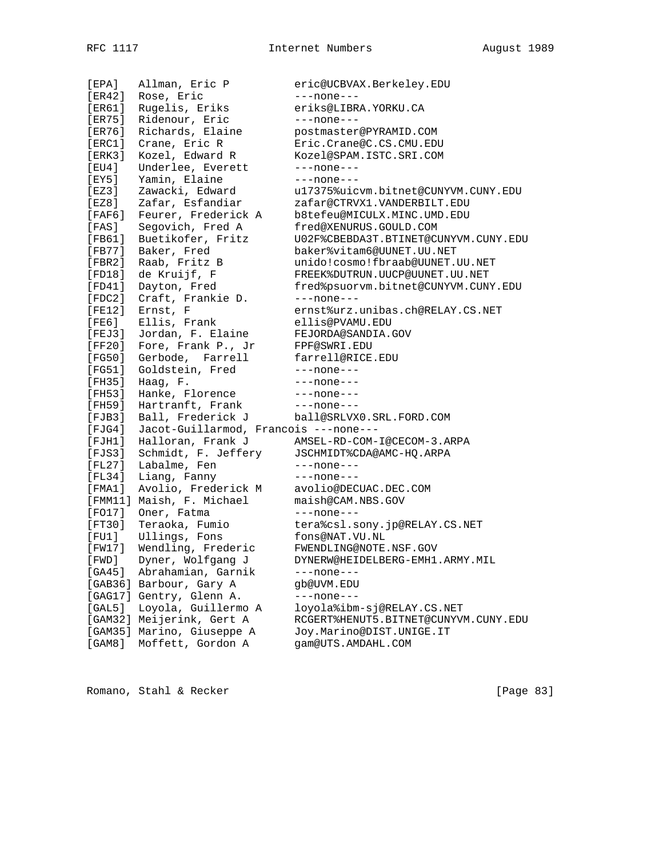[EPA] Allman, Eric P eric@UCBVAX.Berkeley.EDU [ER42] Rose, Eric ---none---[ER61] Rugelis, Eriks eriks@LIBRA.YORKU.CA [ER75] Ridenour, Eric ---none---[ER76] Richards, Elaine postmaster@PYRAMID.COM [ERC1] Crane, Eric R Eric.Crane@C.CS.CMU.EDU [ERK3] Kozel, Edward R Kozel@SPAM.ISTC.SRI.COM [EU4] Underlee, Everett ---none---[EY5] Yamin, Elaine ---none---[EZ3] Zawacki, Edward u17375%uicvm.bitnet@CUNYVM.CUNY.EDU [EZ8] Zafar, Esfandiar zafar@CTRVX1.VANDERBILT.EDU [FAF6] Feurer, Frederick A b8tefeu@MICULX.MINC.UMD.EDU [FAS] Segovich, Fred A fred@XENURUS.GOULD.COM [FB61] Buetikofer, Fritz U02F%CBEBDA3T.BTINET@CUNYVM.CUNY.EDU [FB77] Baker, Fred baker%vitam6@UUNET.UU.NET [FBR2] Raab, Fritz B unido!cosmo!fbraab@UUNET.UU.NET [FD18] de Kruijf, F FREEK%DUTRUN.UUCP@UUNET.UU.NET [FD41] Dayton, Fred fred%psuorvm.bitnet@CUNYVM.CUNY.EDU [FDC2] Craft, Frankie D. ---none--- [FE12] Ernst, F ernst%urz.unibas.ch@RELAY.CS.NET [FE6] Ellis, Frank ellis@PVAMU.EDU [FEJ3] Jordan, F. Elaine FEJORDA@SANDIA.GOV [FF20] Fore, Frank P., Jr FPF@SWRI.EDU [FG50] Gerbode, Farrell farrell@RICE.EDU [FG51] Goldstein, Fred ---none---[FH35] Haag, F. --- none---[FH53] Hanke, Florence ---none---[FH59] Hartranft, Frank ---none---[FJB3] Ball, Frederick J ball@SRLVX0.SRL.FORD.COM [FJG4] Jacot-Guillarmod, Francois ---none--- [FJH1] Halloran, Frank J AMSEL-RD-COM-I@CECOM-3.ARPA [FJS3] Schmidt, F. Jeffery JSCHMIDT%CDA@AMC-HQ.ARPA [FL27] Labalme, Fen ---none---[FL34] Liang, Fanny ---none---[FMA1] Avolio, Frederick M avolio@DECUAC.DEC.COM [FMM11] Maish, F. Michael maish@CAM.NBS.GOV [FO17] Oner, Fatma ---none---[FT30] Teraoka, Fumio tera%csl.sony.jp@RELAY.CS.NET [FU1] Ullings, Fons fons@NAT.VU.NL [FW17] Wendling, Frederic FWENDLING@NOTE.NSF.GOV [FWD] Dyner, Wolfgang J DYNERW@HEIDELBERG-EMH1.ARMY.MIL [GA45] Abrahamian, Garnik ---none---[GAB36] Barbour, Gary A gb@UVM.EDU [GAG17] Gentry, Glenn A. ---none---[GAL5] Loyola, Guillermo A loyola%ibm-sj@RELAY.CS.NET [GAM32] Meijerink, Gert A RCGERT%HENUT5.BITNET@CUNYVM.CUNY.EDU [GAM35] Marino, Giuseppe A Joy.Marino@DIST.UNIGE.IT [GAM8] Moffett, Gordon A gam@UTS.AMDAHL.COM

Romano, Stahl & Recker [Page 83]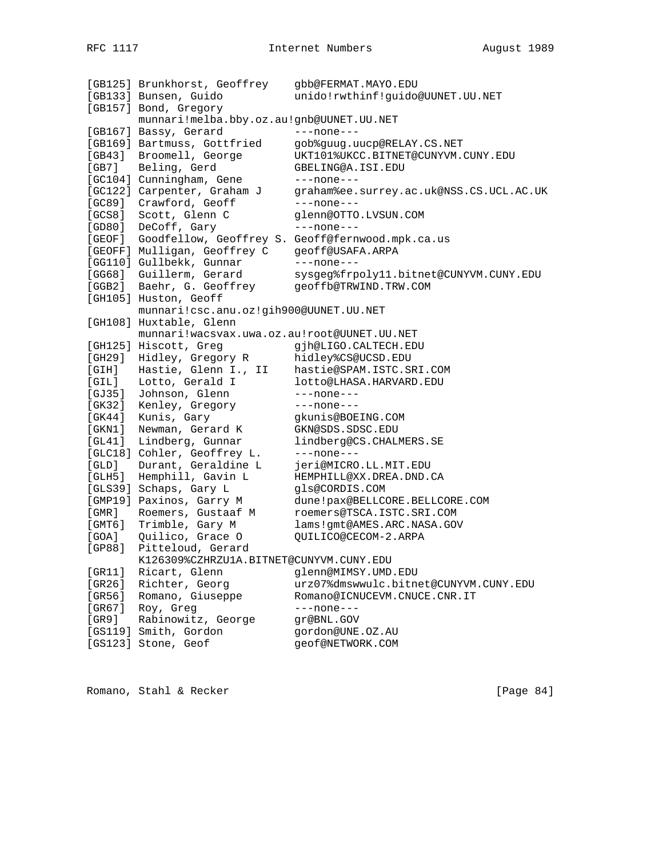|          | [GB125] Brunkhorst, Geoffrey                | gbb@FERMAT.MAYO.EDU                              |
|----------|---------------------------------------------|--------------------------------------------------|
|          | [GB133] Bunsen, Guido                       | unido!rwthinf!guido@UUNET.UU.NET                 |
|          | [GB157] Bond, Gregory                       |                                                  |
|          | munnari!melba.bby.oz.au!gnb@UUNET.UU.NET    |                                                  |
|          | [GB167] Bassy, Gerard                       | $---none---$                                     |
|          | [GB169] Bartmuss, Gottfried                 | gob%guug.uucp@RELAY.CS.NET                       |
| [GB43]   | Broomell, George                            | UKT101%UKCC.BITNET@CUNYVM.CUNY.EDU               |
| [GB7]    | Beling, Gerd                                | GBELING@A.ISI.EDU                                |
|          | [GC104] Cunningham, Gene                    | $---none---$                                     |
|          | [GC122] Carpenter, Graham J                 | graham%ee.surrey.ac.uk@NSS.CS.UCL.AC.UK          |
| [GC89]   | Crawford, Geoff                             | $---none---$                                     |
| [GCS8]   | Scott, Glenn C                              | glenn@OTTO.LVSUN.COM                             |
| [GD80]   | DeCoff, Gary                                | $---none---$                                     |
| [ GEOF ] |                                             | Goodfellow, Geoffrey S. Geoff@fernwood.mpk.ca.us |
|          | [GEOFF] Mulligan, Geoffrey C                | geoff@USAFA.ARPA                                 |
|          | [GG110] Gullbekk, Gunnar                    | $---none---$                                     |
|          | [GG68] Guillerm, Gerard                     | sysgeg%frpoly11.bitnet@CUNYVM.CUNY.EDU           |
|          | [GGB2] Baehr, G. Geoffrey                   | geoffb@TRWIND.TRW.COM                            |
|          | [GH105] Huston, Geoff                       |                                                  |
|          | munnari!csc.anu.oz!gih900@UUNET.UU.NET      |                                                  |
|          | [GH108] Huxtable, Glenn                     |                                                  |
|          | munnari!wacsvax.uwa.oz.au!root@UUNET.UU.NET |                                                  |
|          | [GH125] Hiscott, Greq                       | gjh@LIGO.CALTECH.EDU                             |
| [GH29]   | Hidley, Gregory R                           | hidley%CS@UCSD.EDU                               |
| [GIH]    | Hastie, Glenn I., II                        | hastie@SPAM.ISTC.SRI.COM                         |
| [GIL]    | Lotto, Gerald I                             | lotto@LHASA.HARVARD.EDU                          |
| [GJ35]   | Johnson, Glenn                              | $---none---$                                     |
| [GK32]   | Kenley, Gregory                             | ---none---                                       |
| [GK44]   | Kunis, Gary                                 | gkunis@BOEING.COM                                |
| [ GKN1 ] | Newman, Gerard K                            | GKN@SDS.SDSC.EDU                                 |
| [GL41]   | Lindberg, Gunnar                            | lindberg@CS.CHALMERS.SE                          |
|          | [GLC18] Cohler, Geoffrey L.                 | $---none---$                                     |
| [GLD]    | Durant, Geraldine L                         | jeri@MICRO.LL.MIT.EDU                            |
| [GLH5]   | Hemphill, Gavin L                           | HEMPHILL@XX.DREA.DND.CA                          |
|          | [GLS39] Schaps, Gary L                      | gls@CORDIS.COM                                   |
|          | [GMP19] Paxinos, Garry M                    | dune!pax@BELLCORE.BELLCORE.COM                   |
| [ GMR ]  | Roemers, Gustaaf M                          | roemers@TSCA.ISTC.SRI.COM                        |
| [GMT6]   | Trimble, Gary M                             | lams!gmt@AMES.ARC.NASA.GOV                       |
| [GOA]    | Quilico, Grace O                            | QUILICO@CECOM-2.ARPA                             |
| [GP88]   | Pitteloud, Gerard                           |                                                  |
|          | K126309%CZHRZU1A.BITNET@CUNYVM.CUNY.EDU     |                                                  |
| [GR11]   | Ricart, Glenn                               | glenn@MIMSY.UMD.EDU                              |
| [GR26]   | Richter, Georg                              | urz07%dmswwulc.bitnet@CUNYVM.CUNY.EDU            |
| [GR56]   | Romano, Giuseppe                            | Romano@ICNUCEVM.CNUCE.CNR.IT                     |
| [GR67]   | Roy, Greg                                   | $---none---$                                     |
| [GR9]    | Rabinowitz, George                          | qr@BNL.GOV                                       |
|          | [GS119] Smith, Gordon                       | gordon@UNE.0Z.AU                                 |
|          | [GS123] Stone, Geof                         | geof@NETWORK.COM                                 |

Romano, Stahl & Recker [Page 84]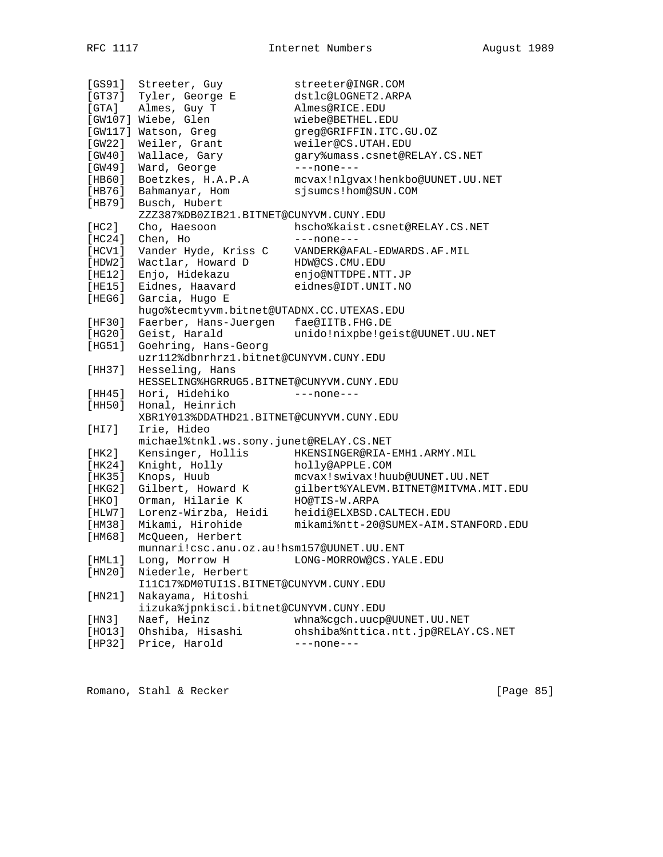[GS91] Streeter, Guy streeter@INGR.COM [GT37] Tyler, George E dstlc@LOGNET2.ARPA [GTA] Almes, Guy T Almes@RICE.EDU [GW107] Wiebe, Glen wiebe@BETHEL.EDU [GW117] Watson, Greg greg@GRIFFIN.ITC.GU.OZ [GW22] Weiler, Grant weiler@CS.UTAH.EDU [GW40] Wallace, Gary gary%umass.csnet@RELAY.CS.NET [GW49] Ward, George ---none--- [HB60] Boetzkes, H.A.P.A mcvax!nlgvax!henkbo@UUNET.UU.NET [HB76] Bahmanyar, Hom sjsumcs!hom@SUN.COM [HB79] Busch, Hubert ZZZ387%DB0ZIB21.BITNET@CUNYVM.CUNY.EDU [HC2] Cho, Haesoon hscho%kaist.csnet@RELAY.CS.NET [HC24] Chen, Ho ---none---[HCV1] Vander Hyde, Kriss C VANDERK@AFAL-EDWARDS.AF.MIL [HDW2] Wactlar, Howard D HDW@CS.CMU.EDU [HE12] Enjo, Hidekazu enjo@NTTDPE.NTT.JP [HE15] Eidnes, Haavard eidnes@IDT.UNIT.NO [HEG6] Garcia, Hugo E hugo%tecmtyvm.bitnet@UTADNX.CC.UTEXAS.EDU [HF30] Faerber, Hans-Juergen fae@IITB.FHG.DE [HG20] Geist, Harald unido!nixpbe!geist@UUNET.UU.NET [HG51] Goehring, Hans-Georg uzr112%dbnrhrz1.bitnet@CUNYVM.CUNY.EDU [HH37] Hesseling, Hans HESSELING%HGRRUG5.BITNET@CUNYVM.CUNY.EDU [HH45] Hori, Hidehiko ---none--- [HH50] Honal, Heinrich XBR1Y013%DDATHD21.BITNET@CUNYVM.CUNY.EDU [HI7] Irie, Hideo michael%tnkl.ws.sony.junet@RELAY.CS.NET [HK2] Kensinger, Hollis HKENSINGER@RIA-EMH1.ARMY.MIL [HK24] Knight, Holly holly@APPLE.COM [HK35] Knops, Huub mcvax!swivax!huub@UUNET.UU.NET [HKG2] Gilbert, Howard K gilbert%YALEVM.BITNET@MITVMA.MIT.EDU [HKO] Orman, Hilarie K HO@TIS-W.ARPA [HLW7] Lorenz-Wirzba, Heidi heidi@ELXBSD.CALTECH.EDU [HM38] Mikami, Hirohide mikami%ntt-20@SUMEX-AIM.STANFORD.EDU [HM68] McQueen, Herbert munnari!csc.anu.oz.au!hsm157@UUNET.UU.ENT [HML1] Long, Morrow H LONG-MORROW@CS.YALE.EDU [HN20] Niederle, Herbert I11C17%DM0TUI1S.BITNET@CUNYVM.CUNY.EDU [HN21] Nakayama, Hitoshi iizuka%jpnkisci.bitnet@CUNYVM.CUNY.EDU [HN3] Naef, Heinz whna%cgch.uucp@UUNET.UU.NET [HO13] Ohshiba, Hisashi ohshiba%nttica.ntt.jp@RELAY.CS.NET [HP32] Price, Harold ---none---

Romano, Stahl & Recker [Page 85]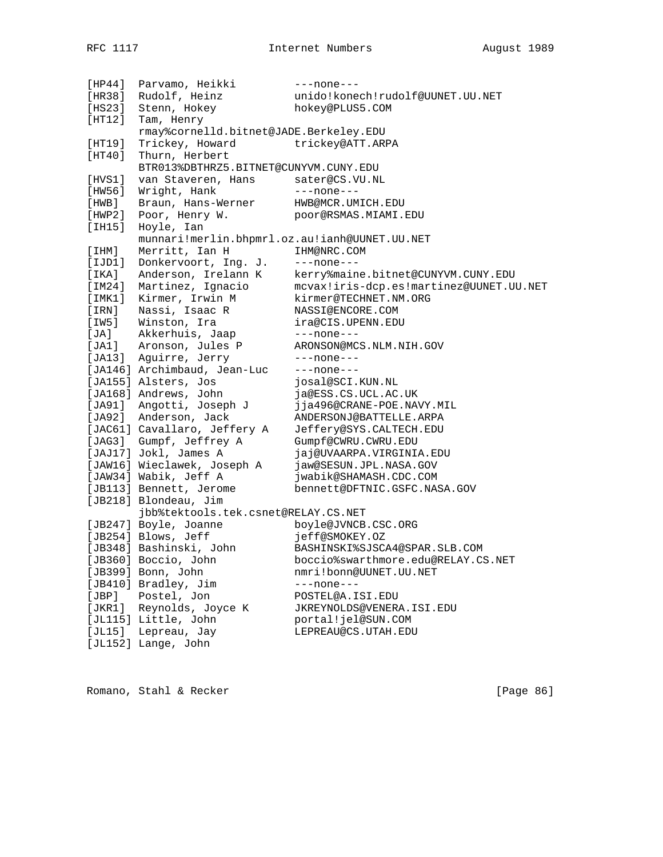| [HP44] | Parvamo, Heikki                               | $---none---$                            |
|--------|-----------------------------------------------|-----------------------------------------|
| [HR38] | Rudolf, Heinz                                 | unido!konech!rudolf@UUNET.UU.NET        |
| [HS23] | Stenn, Hokey                                  | hokey@PLUS5.COM                         |
| [HT12] | Tam, Henry                                    |                                         |
|        | rmay%cornelld.bitnet@JADE.Berkeley.EDU        |                                         |
| [HT19] | Trickey, Howard                               | trickey@ATT.ARPA                        |
| [HT40] | Thurn, Herbert                                |                                         |
|        | BTR013%DBTHRZ5.BITNET@CUNYVM.CUNY.EDU         |                                         |
| [HVS1] | van Staveren, Hans                            | sater@CS.VU.NL                          |
| [HW56] | Wright, Hank                                  | $---none---$                            |
| [HWB]  | Braun, Hans-Werner                            | HWB@MCR.UMICH.EDU                       |
| [HWP2] | Poor, Henry W.                                | poor@RSMAS.MIAMI.EDU                    |
| [IHI5] | Hoyle, Ian                                    |                                         |
|        | munnari!merlin.bhpmrl.oz.au!ianh@UUNET.UU.NET |                                         |
| [IHM]  | Merritt, Ian H                                | IHM@NRC.COM                             |
| [IJD1] | Donkervoort, Ing. J.                          | $---none---$                            |
| [IKA]  | Anderson, Irelann K                           | kerry%maine.bitnet@CUNYVM.CUNY.EDU      |
| [IM24] | Martinez, Ignacio                             | mcvax!iris-dcp.es!martinez@UUNET.UU.NET |
| [IMK1] | Kirmer, Irwin M                               | kirmer@TECHNET.NM.ORG                   |
| [IRN]  | Nassi, Isaac R                                | NASSI@ENCORE.COM                        |
| [IW5]  | Winston, Ira                                  | ira@CIS.UPENN.EDU                       |
| [JA]   | Akkerhuis, Jaap                               | $---none---$                            |
|        | [JA1] Aronson, Jules P                        | ARONSON@MCS.NLM.NIH.GOV                 |
|        | [JA13] Aguirre, Jerry                         | $---none---$                            |
|        | [JA146] Archimbaud, Jean-Luc                  | $---none---$                            |
|        | [JA155] Alsters, Jos                          | josal@SCI.KUN.NL                        |
|        | [JA168] Andrews, John                         | ja@ESS.CS.UCL.AC.UK                     |
|        | [JA91] Angotti, Joseph J                      | jja496@CRANE-POE.NAVY.MIL               |
|        | [JA92] Anderson, Jack                         | ANDERSONJ@BATTELLE.ARPA                 |
|        | [JAC61] Cavallaro, Jeffery A                  | Jeffery@SYS.CALTECH.EDU                 |
|        | [JAG3] Gumpf, Jeffrey A                       | Gumpf@CWRU.CWRU.EDU                     |
|        | [JAJ17] Jokl, James A                         | jaj@UVAARPA.VIRGINIA.EDU                |
|        | [JAW16] Wieclawek, Joseph A                   | jaw@SESUN.JPL.NASA.GOV                  |
|        | [JAW34] Wabik, Jeff A                         | jwabik@SHAMASH.CDC.COM                  |
|        | [JB113] Bennett, Jerome                       | bennett@DFTNIC.GSFC.NASA.GOV            |
|        | [JB218] Blondeau, Jim                         |                                         |
|        | jbb%tektools.tek.csnet@RELAY.CS.NET           |                                         |
|        | [JB247] Boyle, Joanne                         | boyle@JVNCB.CSC.ORG                     |
|        | [JB254] Blows, Jeff                           | jeff@SMOKEY.OZ                          |
|        | [JB348] Bashinski, John                       | BASHINSKI%SJSCA4@SPAR.SLB.COM           |
|        | [JB360] Boccio, John                          | boccio%swarthmore.edu@RELAY.CS.NET      |
|        | [JB399] Bonn, John                            | nmri!bonn@UUNET.UU.NET                  |
|        | [JB410] Bradley, Jim                          | $---none---$                            |
| [JBP]  | Postel, Jon                                   | POSTEL@A.ISI.EDU                        |
| [JKR1] | Reynolds, Joyce K                             | JKREYNOLDS@VENERA.ISI.EDU               |
|        | [JL115] Little, John                          | portal!jel@SUN.COM                      |
| [JL15] | Lepreau, Jay                                  | LEPREAU@CS.UTAH.EDU                     |
|        | [JL152] Lange, John                           |                                         |
|        |                                               |                                         |

Romano, Stahl & Recker [Page 86]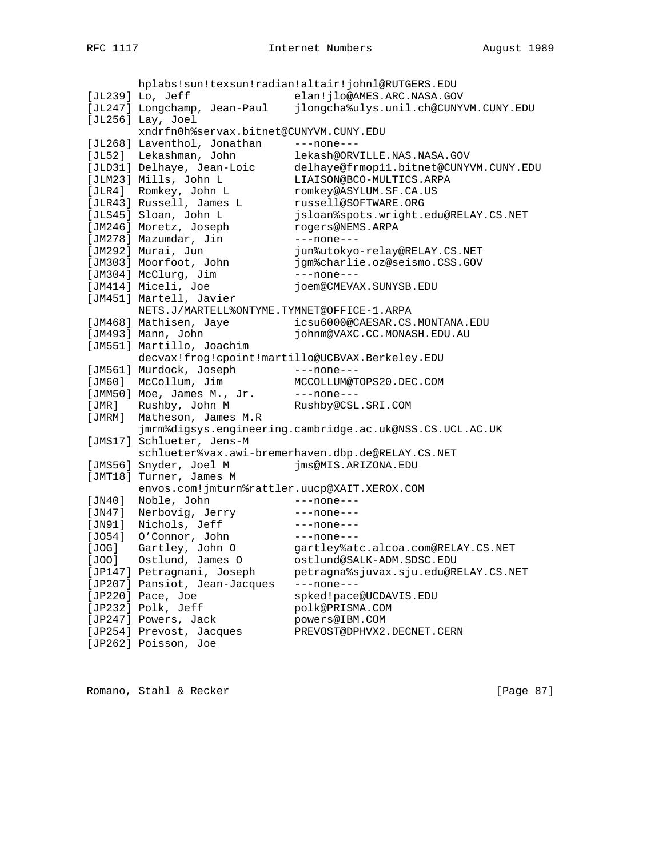hplabs!sun!texsun!radian!altair!johnl@RUTGERS.EDU [JL239] Lo, Jeff elan!jlo@AMES.ARC.NASA.GOV [JL247] Longchamp, Jean-Paul jlongcha%ulys.unil.ch@CUNYVM.CUNY.EDU [JL256] Lay, Joel xndrfn0h%servax.bitnet@CUNYVM.CUNY.EDU [JL268] Laventhol, Jonathan ---none---[JL52] Lekashman, John lekash@ORVILLE.NAS.NASA.GOV [JLD31] Delhaye, Jean-Loic delhaye@frmop11.bitnet@CUNYVM.CUNY.EDU [JLM23] Mills, John L LIAISON@BCO-MULTICS.ARPA [JLR4] Romkey, John L romkey@ASYLUM.SF.CA.US [JLR43] Russell, James L russell@SOFTWARE.ORG [JLS45] Sloan, John L jsloan%spots.wright.edu@RELAY.CS.NET [JM246] Moretz, Joseph rogers@NEMS.ARPA [JM278] Mazumdar, Jin ---none---[JM292] Murai, Jun jun%utokyo-relay@RELAY.CS.NET [JM303] Moorfoot, John jgm%charlie.oz@seismo.CSS.GOV [JM304] McClurg, Jim ---none---[JM414] Miceli, Joe joem@CMEVAX.SUNYSB.EDU [JM451] Martell, Javier NETS.J/MARTELL%ONTYME.TYMNET@OFFICE-1.ARPA [JM468] Mathisen, Jaye icsu6000@CAESAR.CS.MONTANA.EDU [JM493] Mann, John johnm@VAXC.CC.MONASH.EDU.AU [JM551] Martillo, Joachim decvax!frog!cpoint!martillo@UCBVAX.Berkeley.EDU [JM561] Murdock, Joseph ---none---[JM60] McCollum, Jim MCCOLLUM@TOPS20.DEC.COM [JMM50] Moe, James M., Jr. ---none---[JMR] Rushby, John M Rushby@CSL.SRI.COM [JMRM] Matheson, James M.R jmrm%digsys.engineering.cambridge.ac.uk@NSS.CS.UCL.AC.UK [JMS17] Schlueter, Jens-M schlueter%vax.awi-bremerhaven.dbp.de@RELAY.CS.NET [JMS56] Snyder, Joel M jms@MIS.ARIZONA.EDU [JMT18] Turner, James M envos.com!jmturn%rattler.uucp@XAIT.XEROX.COM [JN40] Noble, John ---none---[JN47] Nerbovig, Jerry ---none---[JN91] Nichols, Jeff ---none---[J054] 0'Connor, John ---none---[JOG] Gartley, John O gartley%atc.alcoa.com@RELAY.CS.NET [JOO] Ostlund, James O ostlund@SALK-ADM.SDSC.EDU [JP147] Petragnani, Joseph petragna%sjuvax.sju.edu@RELAY.CS.NET [JP207] Pansiot, Jean-Jacques ---none--- [JP220] Pace, Joe spked!pace@UCDAVIS.EDU [JP232] Polk, Jeff polk@PRISMA.COM [JP247] Powers, Jack powers@IBM.COM [JP254] Prevost, Jacques PREVOST@DPHVX2.DECNET.CERN [JP262] Poisson, Joe

Romano, Stahl & Recker [Page 87]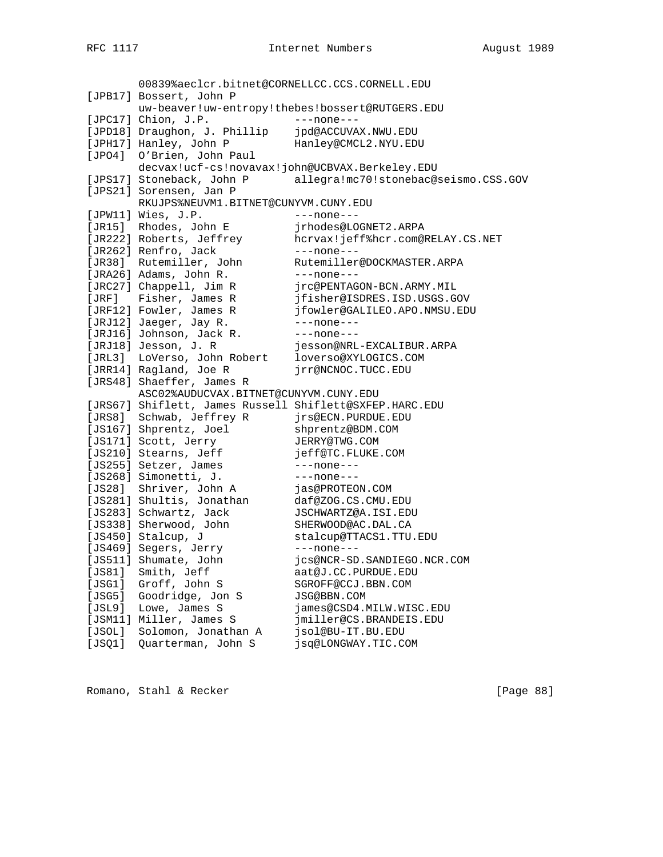00839%aeclcr.bitnet@CORNELLCC.CCS.CORNELL.EDU [JPB17] Bossert, John P uw-beaver!uw-entropy!thebes!bossert@RUTGERS.EDU [JPC17] Chion, J.P. ---none---[JPD18] Draughon, J. Phillip jpd@ACCUVAX.NWU.EDU [JPH17] Hanley, John P Hanley@CMCL2.NYU.EDU [JPO4] O'Brien, John Paul decvax!ucf-cs!novavax!john@UCBVAX.Berkeley.EDU [JPS17] Stoneback, John P allegra!mc70!stonebac@seismo.CSS.GOV [JPS21] Sorensen, Jan P RKUJPS%NEUVM1.BITNET@CUNYVM.CUNY.EDU [JPW11] Wies, J.P. ---none---[JR15] Rhodes, John E jrhodes@LOGNET2.ARPA [JR222] Roberts, Jeffrey hcrvax!jeff%hcr.com@RELAY.CS.NET [JR262] Renfro, Jack ---none---[JR38] Rutemiller, John Rutemiller@DOCKMASTER.ARPA [JRA26] Adams, John R. ---none---[JRC27] Chappell, Jim R jrc@PENTAGON-BCN.ARMY.MIL [JRF] Fisher, James R jfisher@ISDRES.ISD.USGS.GOV [JRF12] Fowler, James R jfowler@GALILEO.APO.NMSU.EDU [JRJ12] Jaeger, Jay R. ---none---[JRJ16] Johnson, Jack R. ---none---[JRJ18] Jesson, J. R jesson@NRL-EXCALIBUR.ARPA [JRL3] LoVerso, John Robert loverso@XYLOGICS.COM [JRR14] Ragland, Joe R jrr@NCNOC.TUCC.EDU [JRS48] Shaeffer, James R ASC02%AUDUCVAX.BITNET@CUNYVM.CUNY.EDU [JRS67] Shiflett, James Russell Shiflett@SXFEP.HARC.EDU [JRS8] Schwab, Jeffrey R jrs@ECN.PURDUE.EDU [JS167] Shprentz, Joel shprentz@BDM.COM [JS171] Scott, Jerry JERRY@TWG.COM [JS210] Stearns, Jeff jeff@TC.FLUKE.COM [JS255] Setzer, James ---none---[JS268] Simonetti, J. ---none--- [JS28] Shriver, John A jas@PROTEON.COM [JS281] Shultis, Jonathan daf@ZOG.CS.CMU.EDU [JS283] Schwartz, Jack JSCHWARTZ@A.ISI.EDU [JS338] Sherwood, John SHERWOOD@AC.DAL.CA [JS450] Stalcup, J stalcup@TTACS1.TTU.EDU [JS469] Segers, Jerry ---none---[JS511] Shumate, John jcs@NCR-SD.SANDIEGO.NCR.COM [JS81] Smith, Jeff aat@J.CC.PURDUE.EDU [JSG1] Groff, John S SGROFF@CCJ.BBN.COM [JSG5] Goodridge, Jon S JSG@BBN.COM [JSL9] Lowe, James S james@CSD4.MILW.WISC.EDU [JSM11] Miller, James S jmiller@CS.BRANDEIS.EDU [JSOL] Solomon, Jonathan A jsol@BU-IT.BU.EDU [JSQ1] Quarterman, John S jsq@LONGWAY.TIC.COM

Romano, Stahl & Recker [Page 88]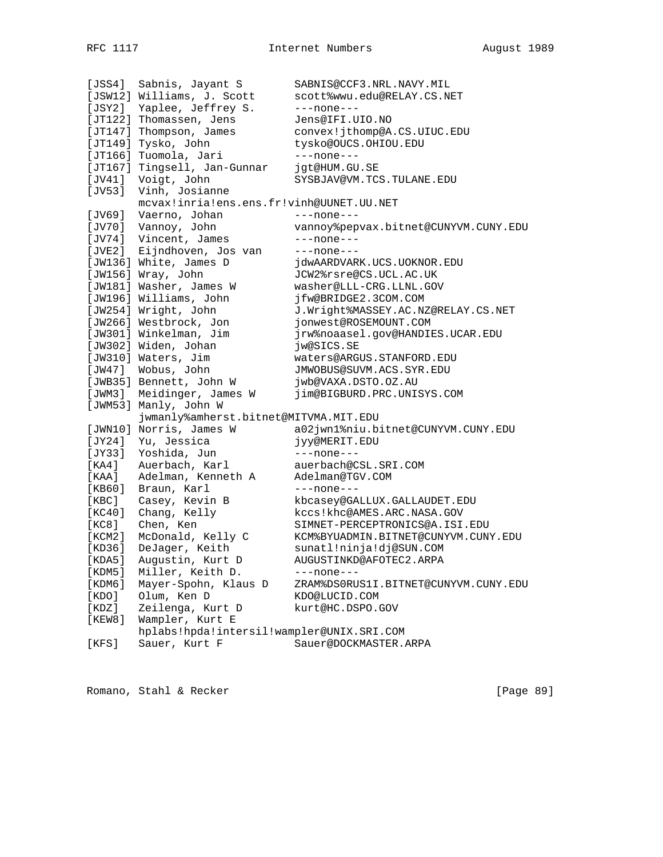[JSS4] Sabnis, Jayant S SABNIS@CCF3.NRL.NAVY.MIL [JSW12] Williams, J. Scott scott%wwu.edu@RELAY.CS.NET [JSY2] Yaplee, Jeffrey S. ---none--- [JT122] Thomassen, Jens Jens@IFI.UIO.NO [JT147] Thompson, James convex!jthomp@A.CS.UIUC.EDU [JT149] Tysko, John tysko@OUCS.OHIOU.EDU [JT166] Tuomola, Jari ---none---[JT167] Tingsell, Jan-Gunnar jgt@HUM.GU.SE [JV41] Voigt, John SYSBJAV@VM.TCS.TULANE.EDU [JV53] Vinh, Josianne mcvax!inria!ens.ens.fr!vinh@UUNET.UU.NET [JV69] Vaerno, Johan ---none---[JV70] Vannoy, John vannoy%pepvax.bitnet@CUNYVM.CUNY.EDU [JV74] Vincent, James ---none---[JVE2] Eijndhoven, Jos van ---none---[JW136] White, James D jdwAARDVARK.UCS.UOKNOR.EDU [JW156] Wray, John JCW2%rsre@CS.UCL.AC.UK [JW181] Washer, James W washer@LLL-CRG.LLNL.GOV [JW196] Williams, John jfw@BRIDGE2.3COM.COM [JW254] Wright, John J.Wright%MASSEY.AC.NZ@RELAY.CS.NET [JW266] Westbrock, Jon jonwest@ROSEMOUNT.COM [JW301] Winkelman, Jim jrw%noaasel.gov@HANDIES.UCAR.EDU [JW302] Widen, Johan jw@SICS.SE [JW310] Waters, Jim waters@ARGUS.STANFORD.EDU [JW47] Wobus, John JMWOBUS@SUVM.ACS.SYR.EDU [JWB35] Bennett, John W jwb@VAXA.DSTO.OZ.AU [JWM3] Meidinger, James W jim@BIGBURD.PRC.UNISYS.COM [JWM53] Manly, John W jwmanly%amherst.bitnet@MITVMA.MIT.EDU<br>[JWN10] Norris, James W a02jwn1%niu.bitnet@CUNYVM.CUNY.EDU [JWN10] Norris, James W a02jwn1%niu.bitnet@CUNYVM.CUNY.EDU [JY24] Yu, Jessica jyy@MERIT.EDU [JY33] Yoshida, Jun ---none--- [KA4] Auerbach, Karl auerbach@CSL.SRI.COM [KAA] Adelman, Kenneth A Adelman@TGV.COM [KB60] Braun, Karl ---none---[KBC] Casey, Kevin B kbcasey@GALLUX.GALLAUDET.EDU [KC40] Chang, Kelly kccs!khc@AMES.ARC.NASA.GOV [KC8] Chen, Ken SIMNET-PERCEPTRONICS@A.ISI.EDU [KCM2] McDonald, Kelly C KCM%BYUADMIN.BITNET@CUNYVM.CUNY.EDU [KD36] DeJager, Keith sunatl!ninja!dj@SUN.COM [KDA5] Augustin, Kurt D AUGUSTINKD@AFOTEC2.ARPA [KDM5] Miller, Keith D. ---none---[KDM6] Mayer-Spohn, Klaus D ZRAM%DS0RUS1I.BITNET@CUNYVM.CUNY.EDU [KDO] Olum, Ken D KDO@LUCID.COM [KDO] Olum, Ken D KDO@LUCID.COM<br>[KDZ] Zeilenga, Kurt D kurt@HC.DSPO.GOV [KEW8] Wampler, Kurt E hplabs!hpda!intersil!wampler@UNIX.SRI.COM [KFS] Sauer, Kurt F Sauer@DOCKMASTER.ARPA

Romano, Stahl & Recker [Page 89]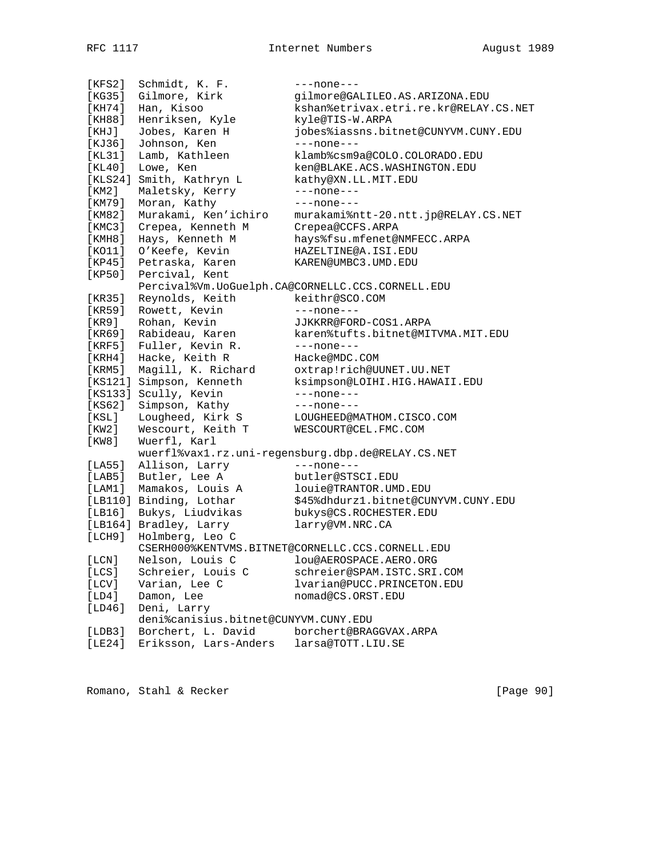[KFS2] Schmidt, K. F. ---none---[KG35] Gilmore, Kirk gilmore@GALILEO.AS.ARIZONA.EDU [KH74] Han, Kisoo kshan%etrivax.etri.re.kr@RELAY.CS.NET [KH88] Henriksen, Kyle kyle@TIS-W.ARPA [KHJ] Jobes, Karen H jobes%iassns.bitnet@CUNYVM.CUNY.EDU [KJ36] Johnson, Ken ---none---[KL31] Lamb, Kathleen klamb%csm9a@COLO.COLORADO.EDU [KL40] Lowe, Ken ken@BLAKE.ACS.WASHINGTON.EDU [KLS24] Smith, Kathryn L kathy@XN.LL.MIT.EDU [KM2] Maletsky, Kerry ---none---[KM79] Moran, Kathy ---none---[KM82] Murakami, Ken'ichiro murakami%ntt-20.ntt.jp@RELAY.CS.NET [KMC3] Crepea, Kenneth M Crepea@CCFS.ARPA [KMH8] Hays, Kenneth M hays%fsu.mfenet@NMFECC.ARPA [KO11] O'Keefe, Kevin HAZELTINE@A.ISI.EDU [KP45] Petraska, Karen KAREN@UMBC3.UMD.EDU [KP50] Percival, Kent Percival%Vm.UoGuelph.CA@CORNELLC.CCS.CORNELL.EDU [KR35] Reynolds, Keith keithr@SCO.COM [KR59] Rowett, Kevin ---none---[KR9] Rohan, Kevin JJKKRR@FORD-COS1.ARPA [KR69] Rabideau, Karen karen%tufts.bitnet@MITVMA.MIT.EDU [KRF5] Fuller, Kevin R. ---none---[KRH4] Hacke, Keith R Hacke@MDC.COM [KRM5] Magill, K. Richard oxtrap!rich@UUNET.UU.NET [KS121] Simpson, Kenneth ksimpson@LOIHI.HIG.HAWAII.EDU [KS133] Scully, Kevin ---none---[KS62] Simpson, Kathy ---none---[KSL] Lougheed, Kirk S LOUGHEED@MATHOM.CISCO.COM [KW2] Wescourt, Keith T WESCOURT@CEL.FMC.COM [KW8] Wuerfl, Karl wuerfl%vax1.rz.uni-regensburg.dbp.de@RELAY.CS.NET [LA55] Allison, Larry ---none---[LAB5] Butler, Lee A butler@STSCI.EDU [LAM1] Mamakos, Louis A louie@TRANTOR.UMD.EDU [LB110] Binding, Lothar \$45%dhdurz1.bitnet@CUNYVM.CUNY.EDU [LB16] Bukys, Liudvikas bukys@CS.ROCHESTER.EDU [LB164] Bradley, Larry larry@VM.NRC.CA [LCH9] Holmberg, Leo C CSERH000%KENTVMS.BITNET@CORNELLC.CCS.CORNELL.EDU [LCN] Nelson, Louis C lou@AEROSPACE.AERO.ORG [LCS] Schreier, Louis C schreier@SPAM.ISTC.SRI.COM [LCV] Varian, Lee C lvarian@PUCC.PRINCETON.EDU [LD4] Damon, Lee nomad@CS.ORST.EDU [LD46] Deni, Larry deni%canisius.bitnet@CUNYVM.CUNY.EDU [LDB3] Borchert, L. David borchert@BRAGGVAX.ARPA [LE24] Eriksson, Lars-Anders larsa@TOTT.LIU.SE

Romano, Stahl & Recker [Page 90]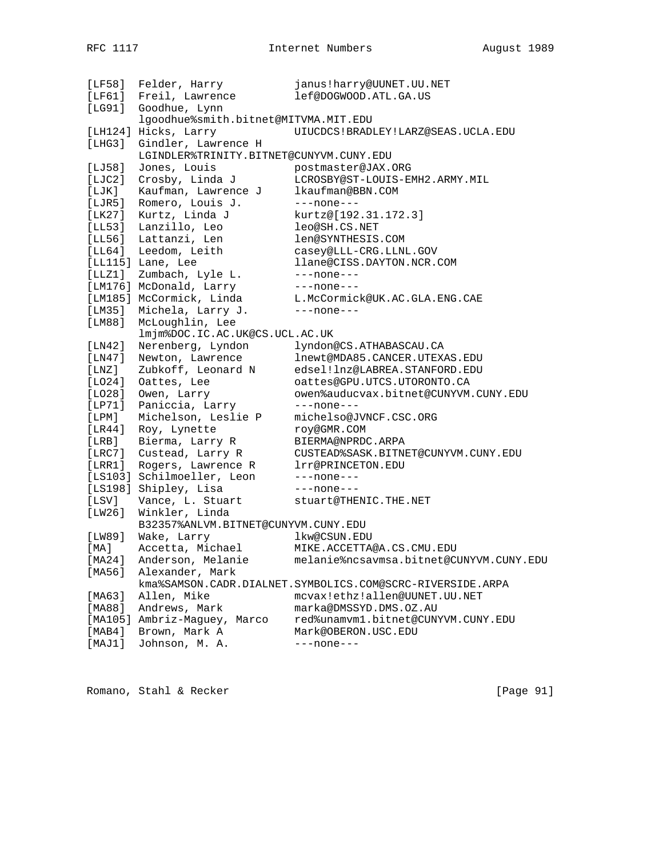| [LF58]      | Felder, Harry                           | janus!harry@UUNET.UU.NET                                       |
|-------------|-----------------------------------------|----------------------------------------------------------------|
| [LF61]      | Freil, Lawrence                         | lef@DOGWOOD.ATL.GA.US                                          |
| [LG91]      | Goodhue, Lynn                           |                                                                |
|             | lgoodhue%smith.bitnet@MITVMA.MIT.EDU    |                                                                |
|             | [LH124] Hicks, Larry                    | UIUCDCS!BRADLEY!LARZ@SEAS.UCLA.EDU                             |
| [LHG3]      | Gindler, Lawrence H                     |                                                                |
|             | LGINDLER%TRINITY.BITNET@CUNYVM.CUNY.EDU |                                                                |
| [LJ58]      | Jones, Louis                            | postmaster@JAX.ORG                                             |
| [LJC2]      | Crosby, Linda J                         | LCROSBY@ST-LOUIS-EMH2.ARMY.MIL                                 |
| [LJK]       | Kaufman, Lawrence J                     | lkaufman@BBN.COM                                               |
| [LJR5]      | Romero, Louis J.                        | $---none---$                                                   |
| [LK27]      | Kurtz, Linda J                          | kurtz@[192.31.172.3]                                           |
| [LL53]      | Lanzillo, Leo                           | leo@SH.CS.NET                                                  |
| [LL56]      | Lattanzi, Len                           | len@SYNTHESIS.COM                                              |
| [LL64]      | Leedom, Leith                           | casey@LLL-CRG.LLNL.GOV                                         |
|             | [LL115] Lane, Lee                       | llane@CISS.DAYTON.NCR.COM                                      |
| [LLZ1]      | Zumbach, Lyle L.                        | $---none---$                                                   |
|             | [LM176] McDonald, Larry                 |                                                                |
|             | [LM185] McCormick, Linda                | ---none---<br>L.McCormick@UK.AC.GLA.ENG.CAE                    |
| [LM35]      | Michela, Larry J.                       | $---none---$                                                   |
| [LM88]      | McLoughlin, Lee                         |                                                                |
|             | lmjm%DOC.IC.AC.UK@CS.UCL.AC.UK          |                                                                |
| [LM42]      | Nerenberg, Lyndon                       | lyndon@CS.ATHABASCAU.CA                                        |
|             |                                         |                                                                |
| [LM47]      | Newton, Lawrence                        | lnewt@MDA85.CANCER.UTEXAS.EDU<br>edsel!lnz@LABREA.STANFORD.EDU |
| [ LNZ ]     | Zubkoff, Leonard N                      |                                                                |
| [LO24]      | Oattes, Lee                             | oattes@GPU.UTCS.UTORONTO.CA                                    |
| [LO28]      | Owen, Larry                             | owen%auducvax.bitnet@CUNYVM.CUNY.EDU                           |
| [LP71]      | Paniccia, Larry                         | ---none---                                                     |
| $[$ LPM $]$ | Michelson, Leslie P                     | michelso@JVNCF.CSC.ORG                                         |
| [LR44]      | Roy, Lynette                            | roy@GMR.COM                                                    |
| [LRB]       | Bierma, Larry R                         | BIERMA@NPRDC.ARPA                                              |
| [ LRC7 ]    | Custead, Larry R                        | CUSTEAD%SASK.BITNET@CUNYVM.CUNY.EDU                            |
| [LRR1]      | Rogers, Lawrence R                      | lrr@PRINCETON.EDU                                              |
|             | [LS103] Schilmoeller, Leon              | ---none---                                                     |
|             | [LS198] Shipley, Lisa                   | $---none---$                                                   |
| [LSV]       | Vance, L. Stuart                        | stuart@THENIC.THE.NET                                          |
| [LW26]      | Winkler, Linda                          |                                                                |
|             | B32357%ANLVM.BITNET@CUNYVM.CUNY.EDU     |                                                                |
| [LW89]      | Wake, Larry                             | lkw@CSUN.EDU                                                   |
| [ MA ]      | Accetta, Michael                        | MIKE.ACCETTA@A.CS.CMU.EDU                                      |
| [MA24]      | Anderson, Melanie                       | melanie%ncsavmsa.bitnet@CUNYVM.CUNY.EDU                        |
| [MA56]      | Alexander, Mark                         |                                                                |
|             |                                         | kma%SAMSON.CADR.DIALNET.SYMBOLICS.COM@SCRC-RIVERSIDE.ARPA      |
| [MA63]      | Allen, Mike                             | mcvax!ethz!allen@UUNET.UU.NET                                  |
| [MA88]      | Andrews, Mark                           | marka@DMSSYD.DMS.OZ.AU                                         |
|             | [MA105] Ambriz-Maguey, Marco            | red%unamvm1.bitnet@CUNYVM.CUNY.EDU                             |
| [MAB4]      | Brown, Mark A                           | Mark@OBERON.USC.EDU                                            |
| [MAJ1]      | Johnson, M. A.                          | $---none---$                                                   |
|             |                                         |                                                                |

Romano, Stahl & Recker [Page 91]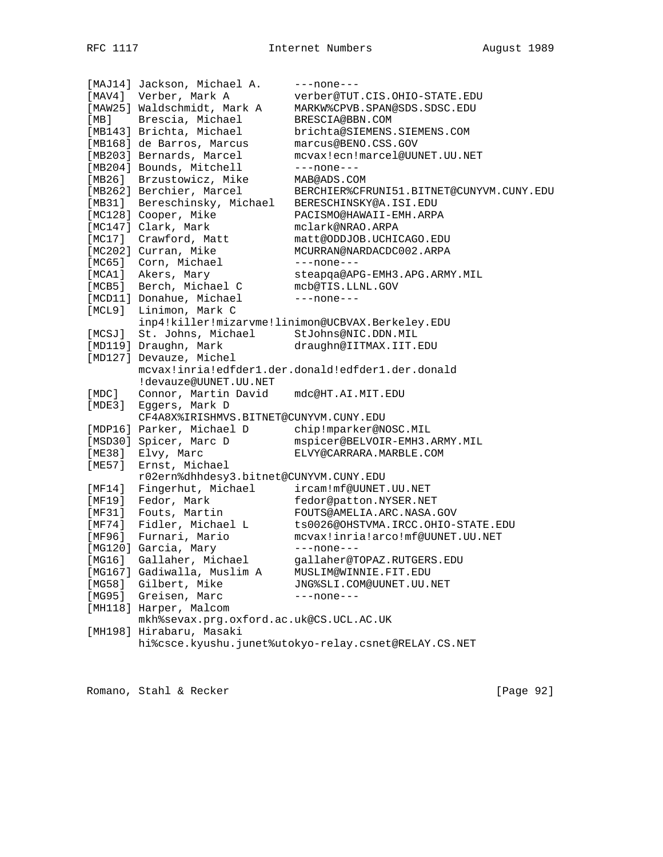[MAJ14] Jackson, Michael A. ---none---[MAV4] Verber, Mark A verber@TUT.CIS.OHIO-STATE.EDU [MAW25] Waldschmidt, Mark A MARKW%CPVB.SPAN@SDS.SDSC.EDU [MB] Brescia, Michael BRESCIA@BBN.COM [MB143] Brichta, Michael brichta@SIEMENS.SIEMENS.COM [MB168] de Barros, Marcus marcus@BENO.CSS.GOV [MB203] Bernards, Marcel mcvax!ecn!marcel@UUNET.UU.NET [MB204] Bounds, Mitchell ---none---[MB26] Brzustowicz, Mike MAB@ADS.COM [MB262] Berchier, Marcel BERCHIER%CFRUNI51.BITNET@CUNYVM.CUNY.EDU [MB31] Bereschinsky, Michael BERESCHINSKY@A.ISI.EDU [MC128] Cooper, Mike PACISMO@HAWAII-EMH.ARPA [MC147] Clark, Mark mclark@NRAO.ARPA [MC17] Crawford, Matt matt@ODDJOB.UCHICAGO.EDU [MC202] Curran, Mike MCURRAN@NARDACDC002.ARPA [MC65] Corn, Michael ---none---[MCA1] Akers, Mary steapqa@APG-EMH3.APG.ARMY.MIL [MCB5] Berch, Michael C mcb@TIS.LLNL.GOV [MCD11] Donahue, Michael ---none---[MCL9] Linimon, Mark C inp4!killer!mizarvme!linimon@UCBVAX.Berkeley.EDU [MCSJ] St. Johns, Michael StJohns@NIC.DDN.MIL [MD119] Draughn, Mark draughn@IITMAX.IIT.EDU [MD127] Devauze, Michel mcvax!inria!edfder1.der.donald!edfder1.der.donald !devauze@UUNET.UU.NET [MDC] Connor, Martin David mdc@HT.AI.MIT.EDU [MDE3] Eggers, Mark D CF4A8X%IRISHMVS.BITNET@CUNYVM.CUNY.EDU [MDP16] Parker, Michael D chip!mparker@NOSC.MIL [MSD30] Spicer, Marc D mspicer@BELVOIR-EMH3.ARMY.MIL [ME38] Elvy, Marc ELVY@CARRARA.MARBLE.COM [ME57] Ernst, Michael r02ern%dhhdesy3.bitnet@CUNYVM.CUNY.EDU [MF14] Fingerhut, Michael ircam!mf@UUNET.UU.NET [MF19] Fedor, Mark fedor@patton.NYSER.NET [MF31] Fouts, Martin FOUTS@AMELIA.ARC.NASA.GOV [MF74] Fidler, Michael L ts0026@OHSTVMA.IRCC.OHIO-STATE.EDU [MF96] Furnari, Mario mcvax!inria!arco!mf@UUNET.UU.NET [MG120] Garcia, Mary ---none---[MG16] Gallaher, Michael gallaher@TOPAZ.RUTGERS.EDU [MG167] Gadiwalla, Muslim A MUSLIM@WINNIE.FIT.EDU [MG58] Gilbert, Mike JNG%SLI.COM@UUNET.UU.NET [MG95] Greisen, Marc ---none---[MH118] Harper, Malcom mkh%sevax.prg.oxford.ac.uk@CS.UCL.AC.UK [MH198] Hirabaru, Masaki hi%csce.kyushu.junet%utokyo-relay.csnet@RELAY.CS.NET

Romano, Stahl & Recker [Page 92]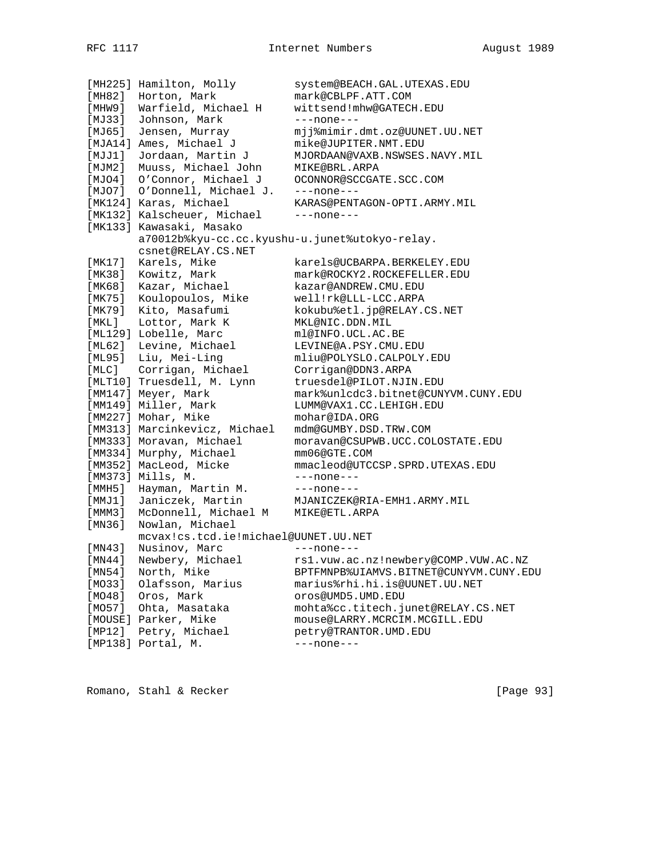[MH225] Hamilton, Molly system@BEACH.GAL.UTEXAS.EDU [MH82] Horton, Mark mark@CBLPF.ATT.COM [MHW9] Warfield, Michael H wittsend!mhw@GATECH.EDU [MJ33] Johnson, Mark ---none---[MJ65] Jensen, Murray mjj%mimir.dmt.oz@UUNET.UU.NET [MJA14] Ames, Michael J mike@JUPITER.NMT.EDU [MJJ1] Jordaan, Martin J MJORDAAN@VAXB.NSWSES.NAVY.MIL [MJM2] Muuss, Michael John MIKE@BRL.ARPA [MJO4] O'Connor, Michael J OCONNOR@SCCGATE.SCC.COM [MJO7] O'Donnell, Michael J. ---none--- [MK124] Karas, Michael KARAS@PENTAGON-OPTI.ARMY.MIL [MK132] Kalscheuer, Michael ---none---[MK133] Kawasaki, Masako a70012b%kyu-cc.cc.kyushu-u.junet%utokyo-relay. csnet@RELAY.CS.NET [MK17] Karels, Mike karels@UCBARPA.BERKELEY.EDU [MK38] Kowitz, Mark mark@ROCKY2.ROCKEFELLER.EDU [MK68] Kazar, Michael kazar@ANDREW.CMU.EDU [MK75] Koulopoulos, Mike well!rk@LLL-LCC.ARPA [MK79] Kito, Masafumi kokubu%etl.jp@RELAY.CS.NET [MKL] Lottor, Mark K MKL@NIC.DDN.MIL [ML129] Lobelle, Marc ml@INFO.UCL.AC.BE [ML62] Levine, Michael LEVINE@A.PSY.CMU.EDU [ML95] Liu, Mei-Ling mliu@POLYSLO.CALPOLY.EDU [MLC] Corrigan, Michael Corrigan@DDN3.ARPA [MLT10] Truesdell, M. Lynn truesdel@PILOT.NJIN.EDU [MM147] Meyer, Mark mark%unlcdc3.bitnet@CUNYVM.CUNY.EDU [MM149] Miller, Mark LUMM@VAX1.CC.LEHIGH.EDU [MM227] Mohar, Mike mohar@IDA.ORG [MM313] Marcinkevicz, Michael mdm@GUMBY.DSD.TRW.COM [MM333] Moravan, Michael moravan@CSUPWB.UCC.COLOSTATE.EDU [MM334] Murphy, Michael mm06@GTE.COM [MM352] MacLeod, Micke mmacleod@UTCCSP.SPRD.UTEXAS.EDU [MM373] Mills, M. ---none---[MMH5] Hayman, Martin M. ---none---[MMJ1] Janiczek, Martin MJANICZEK@RIA-EMH1.ARMY.MIL [MMM3] McDonnell, Michael M MIKE@ETL.ARPA [MN36] Nowlan, Michael mcvax!cs.tcd.ie!michael@UUNET.UU.NET [MN43] Nusinov, Marc ---none---[MN44] Newbery, Michael rs1.vuw.ac.nz!newbery@COMP.VUW.AC.NZ [MN54] North, Mike BPTFMNPB%UIAMVS.BITNET@CUNYVM.CUNY.EDU [MO33] Olafsson, Marius marius%rhi.hi.is@UUNET.UU.NET [MO48] Oros, Mark oros@UMD5.UMD.EDU [MO57] Ohta, Masataka mohta%cc.titech.junet@RELAY.CS.NET [MOUSE] Parker, Mike mouse@LARRY.MCRCIM.MCGILL.EDU [MP12] Petry, Michael petry@TRANTOR.UMD.EDU [MP138] Portal, M. ---none---

Romano, Stahl & Recker [Page 93]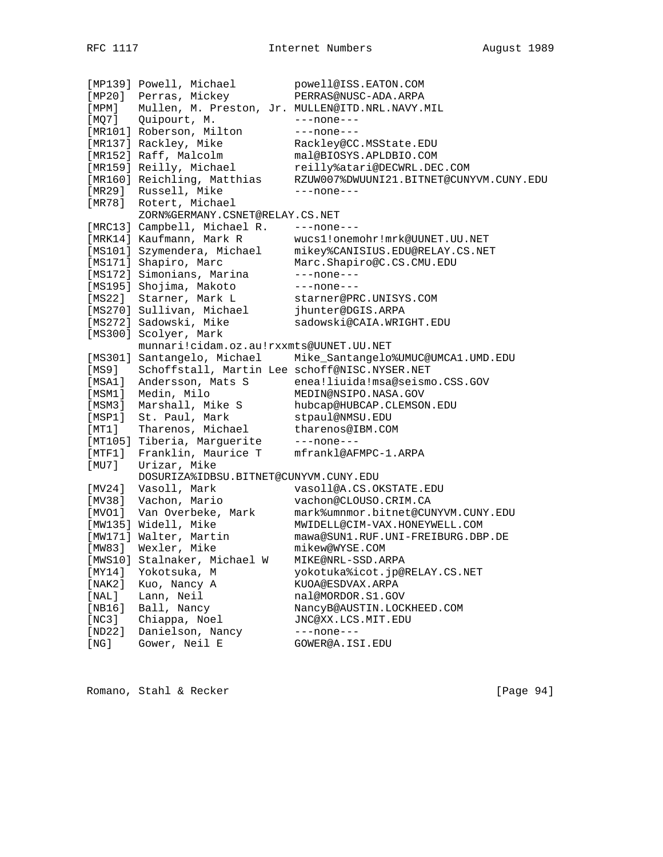[MP139] Powell, Michael powell@ISS.EATON.COM [MP20] Perras, Mickey PERRAS@NUSC-ADA.ARPA [MPM] Mullen, M. Preston, Jr. MULLEN@ITD.NRL.NAVY.MIL [MQ7] Quipourt, M. ---none--- [MR101] Roberson, Milton ---none---[MR137] Rackley, Mike Rackley@CC.MSState.EDU [MR152] Raff, Malcolm mal@BIOSYS.APLDBIO.COM [MR159] Reilly, Michael reilly%atari@DECWRL.DEC.COM [MR160] Reichling, Matthias RZUW007%DWUUNI21.BITNET@CUNYVM.CUNY.EDU [MR29] Russell, Mike ---none---[MR78] Rotert, Michael ZORN%GERMANY.CSNET@RELAY.CS.NET [MRC13] Campbell, Michael R. ---none--- [MRK14] Kaufmann, Mark R wucs1!onemohr!mrk@UUNET.UU.NET [MS101] Szymendera, Michael mikey%CANISIUS.EDU@RELAY.CS.NET [MS171] Shapiro, Marc Marc.Shapiro@C.CS.CMU.EDU [MS172] Simonians, Marina ---none---[MS195] Shojima, Makoto ---none---[MS22] Starner, Mark L starner@PRC.UNISYS.COM [MS270] Sullivan, Michael jhunter@DGIS.ARPA [MS272] Sadowski, Mike sadowski@CAIA.WRIGHT.EDU [MS300] Scolyer, Mark munnari!cidam.oz.au!rxxmts@UUNET.UU.NET [MS301] Santangelo, Michael Mike\_Santangelo%UMUC@UMCA1.UMD.EDU [MS9] Schoffstall, Martin Lee schoff@NISC.NYSER.NET [MSA1] Andersson, Mats S enea!liuida!msa@seismo.CSS.GOV [MSM1] Medin, Milo MEDIN@NSIPO.NASA.GOV [MSM3] Marshall, Mike S hubcap@HUBCAP.CLEMSON.EDU [MSP1] St. Paul, Mark stpaul@NMSU.EDU [MT1] Tharenos, Michael tharenos@IBM.COM [MT105] Tiberia, Marguerite ---none---[MTF1] Franklin, Maurice T mfrankl@AFMPC-1.ARPA [MU7] Urizar, Mike<br>DOSURIZA%IDBSU.BITNET@CUNYVM.CUNY.EDU DOSURIZA%IDBSU.BITNET@CUNYVM.CUNY.EDU [MV24] Vasoll, Mark vasoll@A.CS.OKSTATE.EDU [MV38] Vachon, Mario vachon@CLOUSO.CRIM.CA [MVO1] Van Overbeke, Mark mark%umnmor.bitnet@CUNYVM.CUNY.EDU [MW135] Widell, Mike MWIDELL@CIM-VAX.HONEYWELL.COM [MW171] Walter, Martin mawa@SUN1.RUF.UNI-FREIBURG.DBP.DE [MW83] Wexler, Mike mikew@WYSE.COM [MWS10] Stalnaker, Michael W MIKE@NRL-SSD.ARPA [MY14] Yokotsuka, M yokotuka%icot.jp@RELAY.CS.NET [NAK2] Kuo, Nancy A KUOA@ESDVAX.ARPA [NAL] Lann, Neil nal@MORDOR.S1.GOV [NB16] Ball, Nancy NancyB@AUSTIN.LOCKHEED.COM [NC3] Chiappa, Noel JNC@XX.LCS.MIT.EDU [ND22] Danielson, Nancy ---none---[NG] Gower, Neil E GOWER@A.ISI.EDU

Romano, Stahl & Recker [Page 94]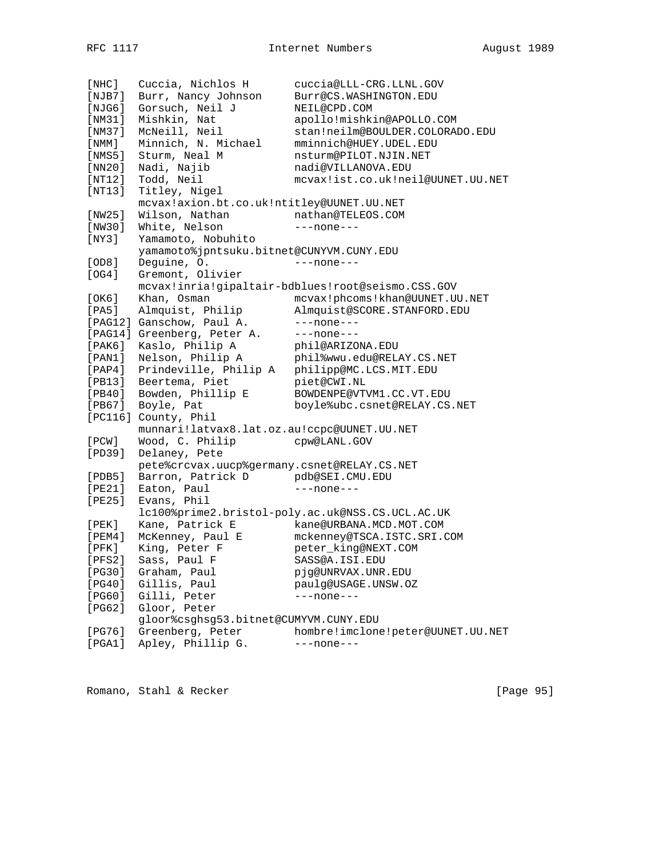| [NHC]           | Cuccia, Nichlos H                           | cuccia@LLL-CRG.LLNL.GOV                           |
|-----------------|---------------------------------------------|---------------------------------------------------|
| [NJB7]          | Burr, Nancy Johnson                         | Burr@CS.WASHINGTON.EDU                            |
| [NJG6]          | Gorsuch, Neil J                             | NEIL@CPD.COM                                      |
| [NM31]          | Mishkin, Nat                                | apollo!mishkin@APOLLO.COM                         |
| [NM37]          | McNeill, Neil                               | stan!neilm@BOULDER.COLORADO.EDU                   |
| [ NMM ]         | Minnich, N. Michael                         | mminnich@HUEY.UDEL.EDU                            |
| [NMS5]          | Sturm, Neal M                               | nsturm@PILOT.NJIN.NET                             |
| [NN20]          | Nadi, Najib                                 | nadi@VILLANOVA.EDU                                |
| [NT12]          | Todd, Neil                                  | mcvax!ist.co.uk!neil@UUNET.UU.NET                 |
| [NT13]          | Titley, Nigel                               |                                                   |
|                 | mcvax!axion.bt.co.uk!ntitley@UUNET.UU.NET   |                                                   |
| [NW25]          | Wilson, Nathan                              | nathan@TELEOS.COM                                 |
| [NW30]          | White, Nelson                               | $---none---$                                      |
| [NY3]           |                                             |                                                   |
|                 | Yamamoto, Nobuhito                          |                                                   |
|                 | yamamoto%jpntsuku.bitnet@CUNYVM.CUNY.EDU    |                                                   |
| [OD8]           | Deguine, O.                                 | $---none---$                                      |
| [OG4]           | Gremont, Olivier                            |                                                   |
|                 |                                             | mcvax!inria!gipaltair-bdblues!root@seismo.CSS.GOV |
| [OK6]           | Khan, Osman                                 | mcvax!phcoms!khan@UUNET.UU.NET                    |
| [PA5]           | Almquist, Philip                            | Almquist@SCORE.STANFORD.EDU                       |
|                 | [PAG12] Ganschow, Paul A.                   | $---none---$                                      |
|                 | [PAG14] Greenberg, Peter A.                 | $---none---$                                      |
| [ PAK6 ]        | Kaslo, Philip A                             | phil@ARIZONA.EDU                                  |
| $[$ PAN $1$ $]$ | Nelson, Philip A                            | phil%wwu.edu@RELAY.CS.NET                         |
| [PAP4]          | Prindeville, Philip A                       | philipp@MC.LCS.MIT.EDU                            |
| [PB13]          | Beertema, Piet                              | piet@CWI.NL                                       |
| [PB40]          | Bowden, Phillip E                           | BOWDENPE@VTVM1.CC.VT.EDU                          |
| [PB67]          | Boyle, Pat                                  | boyle%ubc.csnet@RELAY.CS.NET                      |
|                 | [PC116] County, Phil                        |                                                   |
|                 | munnari!latvax8.lat.oz.au!ccpc@UUNET.UU.NET |                                                   |
| [PCW]           | Wood, C. Philip                             | cpw@LANL.GOV                                      |
| [PD39]          | Delaney, Pete                               |                                                   |
|                 | pete%crcvax.uucp%germany.csnet@RELAY.CS.NET |                                                   |
| [PDB5]          | Barron, Patrick D                           | pdb@SEI.CMU.EDU                                   |
| [PE21]          | Eaton, Paul                                 | $---none---$                                      |
| [PE25]          | Evans, Phil                                 |                                                   |
|                 |                                             | lc100%prime2.bristol-poly.ac.uk@NSS.CS.UCL.AC.UK  |
| [PEK]           | Kane, Patrick E                             | kane@URBANA.MCD.MOT.COM                           |
| [ PEM4 ]        | McKenney, Paul E                            | mckenney@TSCA.ISTC.SRI.COM                        |
| $[$ PFK $]$     | King, Peter F                               | peter_king@NEXT.COM                               |
| [PFS2]          | Sass, Paul F                                | SASS@A.ISI.EDU                                    |
| [PG30]          | Graham, Paul                                | pjg@UNRVAX.UNR.EDU                                |
| [PG40]          | Gillis, Paul                                | paulg@USAGE.UNSW.OZ                               |
| [PG60]          | Gilli, Peter                                | $---none---$                                      |
| [PG62]          | Gloor, Peter                                |                                                   |
|                 | gloor%csghsg53.bitnet@CUMYVM.CUNY.EDU       |                                                   |
| [PG76]          | Greenberg, Peter                            | hombre!imclone!peter@UUNET.UU.NET                 |
|                 |                                             |                                                   |
| [PGA1]          | Apley, Phillip G.                           | $---none---$                                      |

Romano, Stahl & Recker [Page 95]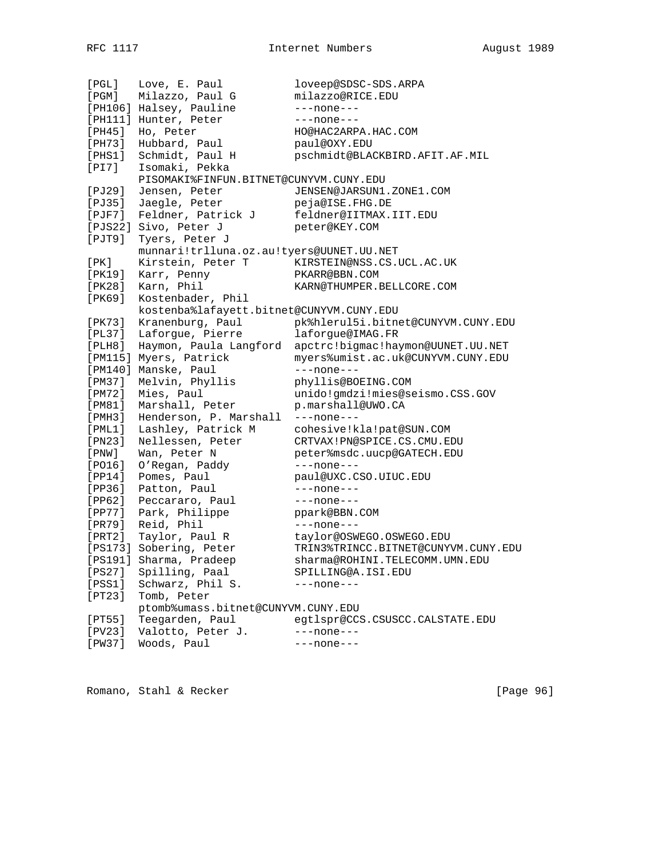[PGL] Love, E. Paul loveep@SDSC-SDS.ARPA [PGM] Milazzo, Paul G milazzo@RICE.EDU [PH106] Halsey, Pauline ---none---[PH111] Hunter, Peter ---none---[PH45] Ho, Peter HO@HAC2ARPA.HAC.COM [PH73] Hubbard, Paul Paul@OXY.EDU [PHS1] Schmidt, Paul H pschmidt@BLACKBIRD.AFIT.AF.MIL [PI7] Isomaki, Pekka PISOMAKI%FINFUN.BITNET@CUNYVM.CUNY.EDU [PJ29] Jensen, Peter JENSEN@JARSUN1.ZONE1.COM [PJ35] Jaegle, Peter peja@ISE.FHG.DE [PJF7] Feldner, Patrick J feldner@IITMAX.IIT.EDU [PJS22] Sivo, Peter J peter@KEY.COM [PJT9] Tyers, Peter J munnari!trlluna.oz.au!tyers@UUNET.UU.NET [PK] Kirstein, Peter T KIRSTEIN@NSS.CS.UCL.AC.UK [PK19] Karr, Penny PKARR@BBN.COM [PK28] Karn, Phil KARN@THUMPER.BELLCORE.COM [PK69] Kostenbader, Phil kostenba%lafayett.bitnet@CUNYVM.CUNY.EDU [PK73] Kranenburg, Paul pk%hlerul5i.bitnet@CUNYVM.CUNY.EDU [PL37] Laforgue, Pierre laforgue@IMAG.FR [PLH8] Haymon, Paula Langford apctrc!bigmac!haymon@UUNET.UU.NET [PM115] Myers, Patrick myers%umist.ac.uk@CUNYVM.CUNY.EDU [PM140] Manske, Paul ---none---[PM37] Melvin, Phyllis phyllis@BOEING.COM [PM72] Mies, Paul unido!gmdzi!mies@seismo.CSS.GOV [PM81] Marshall, Peter p.marshall@UWO.CA [PMH3] Henderson, P. Marshall ---none---[PML1] Lashley, Patrick M cohesive!kla!pat@SUN.COM [PN23] Nellessen, Peter CRTVAX!PN@SPICE.CS.CMU.EDU [PNW] Wan, Peter N peter%msdc.uucp@GATECH.EDU [PO16] O'Regan, Paddy ---none--- [PP14] Pomes, Paul paul@UXC.CSO.UIUC.EDU [PP36] Patton, Paul ---none---[PP62] Peccararo, Paul ---none---[PP77] Park, Philippe ppark@BBN.COM [PR79] Reid, Phil ---none---[PRT2] Taylor, Paul R taylor@OSWEGO.OSWEGO.EDU [PS173] Sobering, Peter TRIN3%TRINCC.BITNET@CUNYVM.CUNY.EDU [PS191] Sharma, Pradeep sharma@ROHINI.TELECOMM.UMN.EDU [PS27] Spilling, Paal SPILLING@A.ISI.EDU [PSS1] Schwarz, Phil S. ---none--- [PT23] Tomb, Peter ptomb%umass.bitnet@CUNYVM.CUNY.EDU [PT55] Teegarden, Paul egtlspr@CCS.CSUSCC.CALSTATE.EDU [PV23] Valotto, Peter J. ---none---[PW37] Woods, Paul ---none---

Romano, Stahl & Recker [Page 96]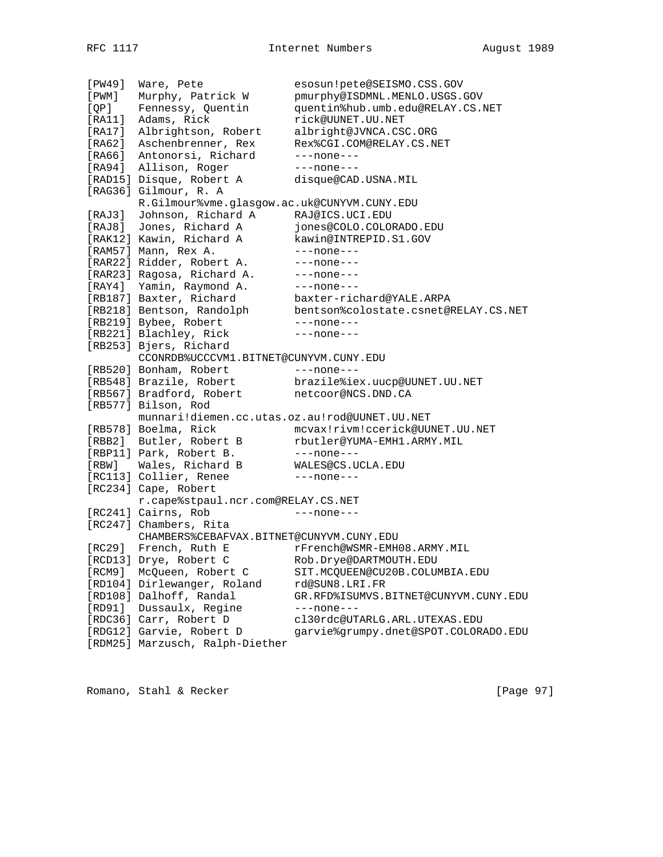[PW49] Ware, Pete esosun!pete@SEISMO.CSS.GOV [PWM] Murphy, Patrick W pmurphy@ISDMNL.MENLO.USGS.GOV [QP] Fennessy, Quentin quentin%hub.umb.edu@RELAY.CS.NET [RA11] Adams, Rick rick@UUNET.UU.NET [RA17] Albrightson, Robert albright@JVNCA.CSC.ORG [RA62] Aschenbrenner, Rex Rex%CGI.COM@RELAY.CS.NET [RA66] Antonorsi, Richard ---none---[RA94] Allison, Roger ---none---[RAD15] Disque, Robert A disque@CAD.USNA.MIL [RAG36] Gilmour, R. A R.Gilmour%vme.glasgow.ac.uk@CUNYVM.CUNY.EDU [RAJ3] Johnson, Richard A RAJ@ICS.UCI.EDU [RAJ8] Jones, Richard A jones@COLO.COLORADO.EDU [RAK12] Kawin, Richard A kawin@INTREPID.S1.GOV [RAM57] Mann, Rex A. ---none---[RAR22] Ridder, Robert A. ---none---[RAR23] Ragosa, Richard A. ---none--- [RAY4] Yamin, Raymond A. ---none--- [RB187] Baxter, Richard baxter-richard@YALE.ARPA [RB218] Bentson, Randolph bentson%colostate.csnet@RELAY.CS.NET [RB219] Bybee, Robert ---none---[RB221] Blachley, Rick ---none---[RB253] Bjers, Richard CCONRDB%UCCCVM1.BITNET@CUNYVM.CUNY.EDU [RB520] Bonham, Robert ---none---[RB548] Brazile, Robert brazile%iex.uucp@UUNET.UU.NET [RB567] Bradford, Robert netcoor@NCS.DND.CA [RB577] Bilson, Rod munnari!diemen.cc.utas.oz.au!rod@UUNET.UU.NET [RB578] Boelma, Rick mcvax!rivm!ccerick@UUNET.UU.NET [RBB2] Butler, Robert B rbutler@YUMA-EMH1.ARMY.MIL [RBP11] Park, Robert B. ---none---[RBW] Wales, Richard B WALES@CS.UCLA.EDU [RC113] Collier, Renee ---- --- --- ---[RC234] Cape, Robert r.cape%stpaul.ncr.com@RELAY.CS.NET [RC241] Cairns, Rob ---none---[RC247] Chambers, Rita<br>CHAMBERS%CEBAFVAX.BITNET@CUNYVM.CUNY.EDU CHAMBERS%CEBAFVAX.BITNET@CUNYVM.CUNY.EDU [RC29] French, Ruth E rFrench@WSMR-EMH08.ARMY.MIL [RCD13] Drye, Robert C Rob.Drye@DARTMOUTH.EDU [RCM9] McQueen, Robert C SIT.MCQUEEN@CU20B.COLUMBIA.EDU [RD104] Dirlewanger, Roland rd@SUN8.LRI.FR [RD108] Dalhoff, Randal GR.RFD%ISUMVS.BITNET@CUNYVM.CUNY.EDU [RD91] Dussaulx, Regine ---none---[RDC36] Carr, Robert D cl30rdc@UTARLG.ARL.UTEXAS.EDU [RDG12] Garvie, Robert D garvie%grumpy.dnet@SPOT.COLORADO.EDU [RDM25] Marzusch, Ralph-Diether

Romano, Stahl & Recker [Page 97]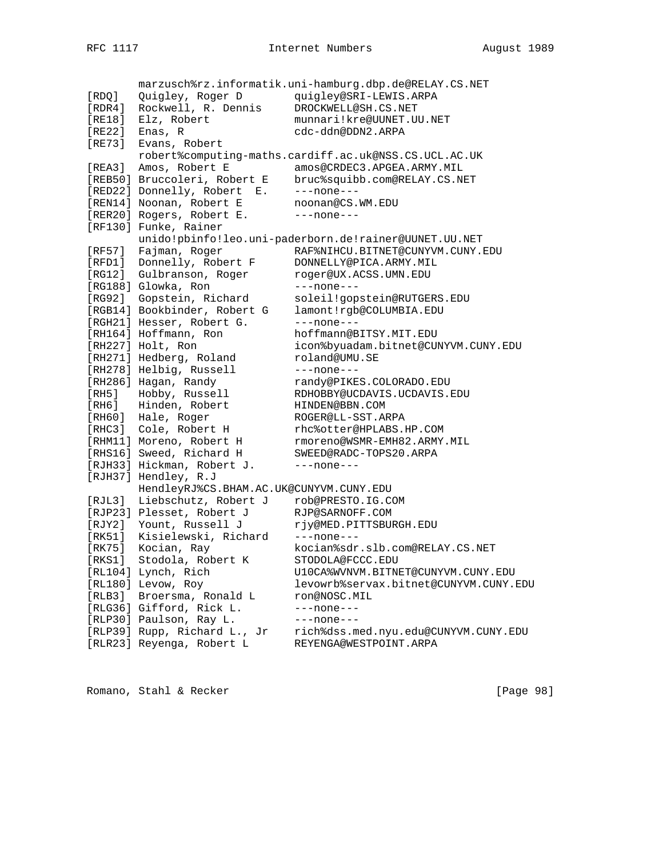marzusch%rz.informatik.uni-hamburg.dbp.de@RELAY.CS.NET [RDQ] Quigley, Roger D quigley@SRI-LEWIS.ARPA [RDR4] Rockwell, R. Dennis DROCKWELL@SH.CS.NET [RE18] Elz, Robert munnari!kre@UUNET.UU.NET [RE22] Enas, R cdc-ddn@DDN2.ARPA [RE73] Evans, Robert robert%computing-maths.cardiff.ac.uk@NSS.CS.UCL.AC.UK [REA3] Amos, Robert E amos@CRDEC3.APGEA.ARMY.MIL [REB50] Bruccoleri, Robert E bruc%squibb.com@RELAY.CS.NET [RED22] Donnelly, Robert E. ---none---[REN14] Noonan, Robert E noonan@CS.WM.EDU [RER20] Rogers, Robert E. ---none---[RF130] Funke, Rainer unido!pbinfo!leo.uni-paderborn.de!rainer@UUNET.UU.NET [RF57] Fajman, Roger RAF%NIHCU.BITNET@CUNYVM.CUNY.EDU [RFD1] Donnelly, Robert F DONNELLY@PICA.ARMY.MIL [RG12] Gulbranson, Roger roger@UX.ACSS.UMN.EDU [RG188] Glowka, Ron ---none---[RG92] Gopstein, Richard soleil!gopstein@RUTGERS.EDU [RGB14] Bookbinder, Robert G lamont!rgb@COLUMBIA.EDU [RGH21] Hesser, Robert G. ---none---[RH164] Hoffmann, Ron hoffmann@BITSY.MIT.EDU [RH227] Holt, Ron icon%byuadam.bitnet@CUNYVM.CUNY.EDU [RH271] Hedberg, Roland roland@UMU.SE [RH278] Helbig, Russell ---none---[RH286] Hagan, Randy mandy@PIKES.COLORADO.EDU [RH5] Hobby, Russell RDHOBBY@UCDAVIS.UCDAVIS.EDU [RH6] Hinden, Robert HINDEN@BBN.COM [RH60] Hale, Roger ROGER@LL-SST.ARPA [RHC3] Cole, Robert H rhc%otter@HPLABS.HP.COM [RHM11] Moreno, Robert H rmoreno@WSMR-EMH82.ARMY.MIL [RHS16] Sweed, Richard H SWEED@RADC-TOPS20.ARPA [RJH33] Hickman, Robert J. ---none---[RJH37] Hendley, R.J HendleyRJ%CS.BHAM.AC.UK@CUNYVM.CUNY.EDU<br>[RJL3] Liebschutz, Robert J rob@PRESTO.IG.COM [RJL3] Liebschutz, Robert J rob@PRESTO.IG.COM [RJP23] Plesset, Robert J RJP@SARNOFF.COM [RJY2] Yount, Russell J rjy@MED.PITTSBURGH.EDU [RK51] Kisielewski, Richard ---none--- [RK75] Kocian, Ray kocian%sdr.slb.com@RELAY.CS.NET [RKS1] Stodola, Robert K STODOLA@FCCC.EDU [RL104] Lynch, Rich U10CA%WVNVM.BITNET@CUNYVM.CUNY.EDU [RL180] Levow, Roy levowrb%servax.bitnet@CUNYVM.CUNY.EDU [RLB3] Broersma, Ronald L ron@NOSC.MIL [RLG36] Gifford, Rick L. ---none--- [RLP30] Paulson, Ray L. ---none---[RLP39] Rupp, Richard L., Jr rich%dss.med.nyu.edu@CUNYVM.CUNY.EDU [RLR23] Reyenga, Robert L REYENGA@WESTPOINT.ARPA

Romano, Stahl & Recker [Page 98]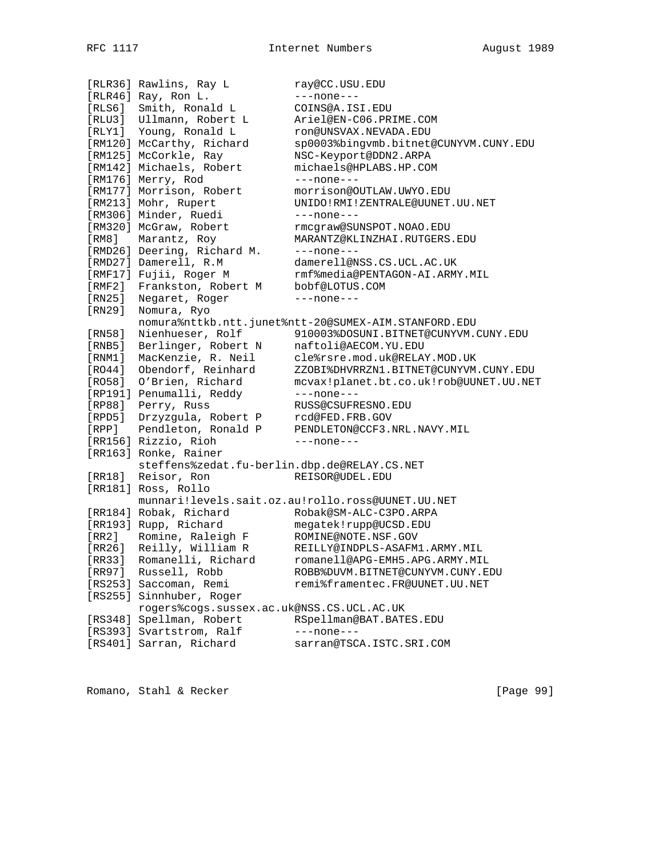[RLR36] Rawlins, Ray L ray@CC.USU.EDU [RLR46] Ray, Ron L. --- none---[RLS6] Smith, Ronald L COINS@A.ISI.EDU [RLU3] Ullmann, Robert L Ariel@EN-C06.PRIME.COM [RLY1] Young, Ronald L ron@UNSVAX.NEVADA.EDU [RM120] McCarthy, Richard sp0003%bingvmb.bitnet@CUNYVM.CUNY.EDU [RM125] McCorkle, Ray MSC-Keyport@DDN2.ARPA [RM142] Michaels, Robert michaels@HPLABS.HP.COM [RM176] Merry, Rod ---none---[RM177] Morrison, Robert morrison@OUTLAW.UWYO.EDU [RM213] Mohr, Rupert UNIDO!RMI!ZENTRALE@UUNET.UU.NET [RM306] Minder, Ruedi ---none---[RM320] McGraw, Robert rmcgraw@SUNSPOT.NOAO.EDU [RM8] Marantz, Roy MARANTZ@KLINZHAI.RUTGERS.EDU [RMD26] Deering, Richard M. ---none--- [RMD27] Damerell, R.M damerell@NSS.CS.UCL.AC.UK [RMF17] Fujii, Roger M rmf%media@PENTAGON-AI.ARMY.MIL [RMF2] Frankston, Robert M bobf@LOTUS.COM [RN25] Negaret, Roger ---none---[RN29] Nomura, Ryo nomura%nttkb.ntt.junet%ntt-20@SUMEX-AIM.STANFORD.EDU [RN58] Nienhueser, Rolf 910003%DOSUNI.BITNET@CUNYVM.CUNY.EDU [RNB5] Berlinger, Robert N naftoli@AECOM.YU.EDU [RNM1] MacKenzie, R. Neil cle%rsre.mod.uk@RELAY.MOD.UK [RO44] Obendorf, Reinhard ZZOBI%DHVRRZN1.BITNET@CUNYVM.CUNY.EDU [RO58] O'Brien, Richard mcvax!planet.bt.co.uk!rob@UUNET.UU.NET [RP191] Penumalli, Reddy ---none--- [RP88] Perry, Russ RUSS@CSUFRESNO.EDU [RPD5] Drzyzgula, Robert P rcd@FED.FRB.GOV [RPP] Pendleton, Ronald P PENDLETON@CCF3.NRL.NAVY.MIL [RR156] Rizzio, Rioh ---none--- [RR163] Ronke, Rainer steffens%zedat.fu-berlin.dbp.de@RELAY.CS.NET [RR18] Reisor, Ron REISOR@UDEL.EDU [RR181] Ross, Rollo munnari!levels.sait.oz.au!rollo.ross@UUNET.UU.NET [RR184] Robak, Richard Robak@SM-ALC-C3PO.ARPA [RR193] Rupp, Richard megatek!rupp@UCSD.EDU [RR2] Romine, Raleigh F ROMINE@NOTE.NSF.GOV [RR26] Reilly, William R REILLY@INDPLS-ASAFM1.ARMY.MIL [RR33] Romanelli, Richard romanell@APG-EMH5.APG.ARMY.MIL [RR97] Russell, Robb ROBB%DUVM.BITNET@CUNYVM.CUNY.EDU [RS253] Saccoman, Remi remi%framentec.FR@UUNET.UU.NET [RS255] Sinnhuber, Roger rogers%cogs.sussex.ac.uk@NSS.CS.UCL.AC.UK [RS348] Spellman, Robert RSpellman@BAT.BATES.EDU [RS393] Svartstrom, Ralf ---none---[RS401] Sarran, Richard sarran@TSCA.ISTC.SRI.COM

Romano, Stahl & Recker [Page 99]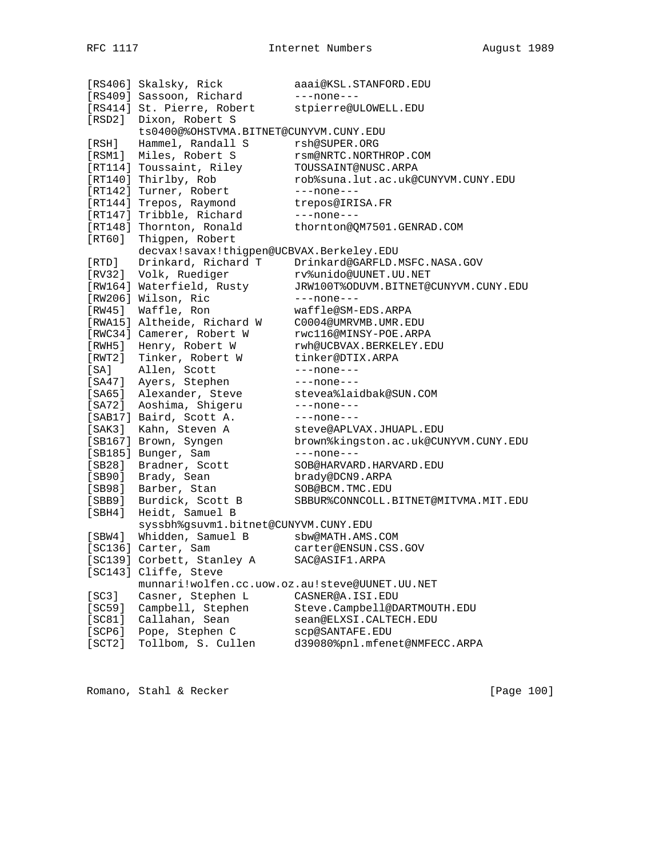[RS406] Skalsky, Rick aaai@KSL.STANFORD.EDU [RS409] Sassoon, Richard ---none---[RS414] St. Pierre, Robert stpierre@ULOWELL.EDU [RSD2] Dixon, Robert S ts0400@%OHSTVMA.BITNET@CUNYVM.CUNY.EDU [RSH] Hammel, Randall S rsh@SUPER.ORG [RSM1] Miles, Robert S rsm@NRTC.NORTHROP.COM [RT114] Toussaint, Riley TOUSSAINT@NUSC.ARPA [RT140] Thirlby, Rob rob%suna.lut.ac.uk@CUNYVM.CUNY.EDU [RT142] Turner, Robert ---none---[RT144] Trepos, Raymond trepos@IRISA.FR [RT147] Tribble, Richard ---none---[RT148] Thornton, Ronald thornton@QM7501.GENRAD.COM [RT60] Thigpen, Robert decvax!savax!thigpen@UCBVAX.Berkeley.EDU [RTD] Drinkard, Richard T Drinkard@GARFLD.MSFC.NASA.GOV [RV32] Volk, Ruediger rv%unido@UUNET.UU.NET [RW164] Waterfield, Rusty JRW100T%ODUVM.BITNET@CUNYVM.CUNY.EDU [RW206] Wilson, Ric ---none---[RW45] Waffle, Ron waffle@SM-EDS.ARPA [RWA15] Altheide, Richard W C0004@UMRVMB.UMR.EDU [RWC34] Camerer, Robert W rwc116@MINSY-POE.ARPA [RWH5] Henry, Robert W rwh@UCBVAX.BERKELEY.EDU [RWT2] Tinker, Robert W tinker@DTIX.ARPA [SA] Allen, Scott ---none---[SA47] Ayers, Stephen ---none---[SA65] Alexander, Steve stevea%laidbak@SUN.COM [SA72] Aoshima, Shigeru ---none---[SAB17] Baird, Scott A. ---none---[SAK3] Kahn, Steven A steve@APLVAX.JHUAPL.EDU [SB167] Brown, Syngen brown%kingston.ac.uk@CUNYVM.CUNY.EDU [SB185] Bunger, Sam ---none---[SB28] Bradner, Scott SOB@HARVARD.HARVARD.EDU [SB90] Brady, Sean brady@DCN9.ARPA [SB98] Barber, Stan SOB@BCM.TMC.EDU [SBB9] Burdick, Scott B SBBUR%CONNCOLL.BITNET@MITVMA.MIT.EDU [SBH4] Heidt, Samuel B syssbh%gsuvm1.bitnet@CUNYVM.CUNY.EDU [SBW4] Whidden, Samuel B sbw@MATH.AMS.COM [SC136] Carter, Sam carter@ENSUN.CSS.GOV [SC139] Corbett, Stanley A SAC@ASIF1.ARPA [SC143] Cliffe, Steve munnari!wolfen.cc.uow.oz.au!steve@UUNET.UU.NET [SC3] Casner, Stephen L CASNER@A.ISI.EDU [SC59] Campbell, Stephen Steve.Campbell@DARTMOUTH.EDU [SC81] Callahan, Sean sean@ELXSI.CALTECH.EDU [SCP6] Pope, Stephen C scp@SANTAFE.EDU [SCT2] Tollbom, S. Cullen d39080%pnl.mfenet@NMFECC.ARPA

Romano, Stahl & Recker **Example 2001** [Page 100]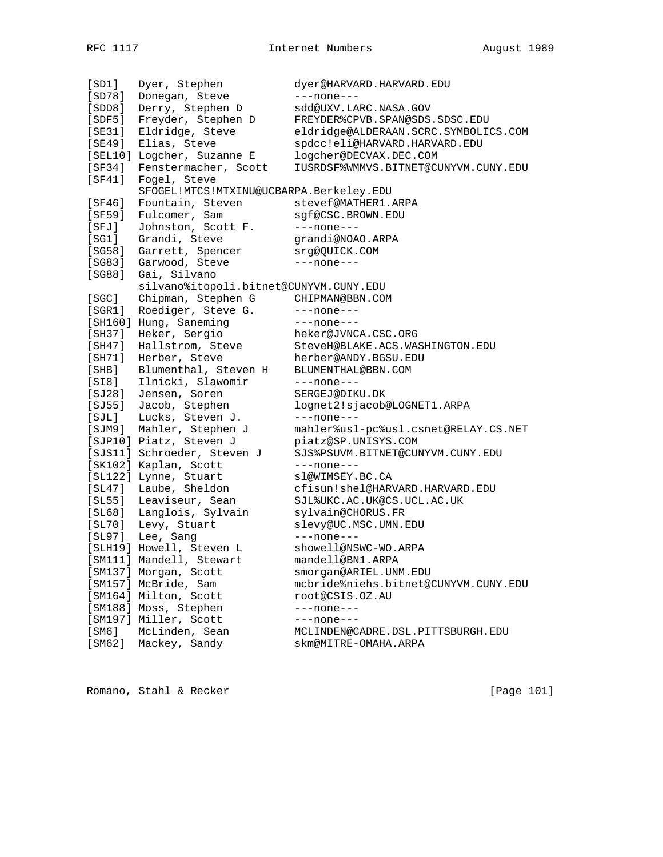[SD1] Dyer, Stephen dyer@HARVARD.HARVARD.EDU [SD78] Donegan, Steve ---none---[SDD8] Derry, Stephen D sdd@UXV.LARC.NASA.GOV [SDF5] Freyder, Stephen D FREYDER%CPVB.SPAN@SDS.SDSC.EDU [SE31] Eldridge, Steve eldridge@ALDERAAN.SCRC.SYMBOLICS.COM [SE49] Elias, Steve spdcc!eli@HARVARD.HARVARD.EDU [SEL10] Logcher, Suzanne E logcher@DECVAX.DEC.COM [SF34] Fenstermacher, Scott IUSRDSF%WMMVS.BITNET@CUNYVM.CUNY.EDU [SF41] Fogel, Steve SFOGEL!MTCS!MTXINU@UCBARPA.Berkeley.EDU [SF46] Fountain, Steven stevef@MATHER1.ARPA [SF59] Fulcomer, Sam sgf@CSC.BROWN.EDU [SFJ] Johnston, Scott F. ---none---[SG1] Grandi, Steve grandi@NOAO.ARPA [SG58] Garrett, Spencer srg@QUICK.COM [SG83] Garwood, Steve ---none---[SG88] Gai, Silvano<br>silvano%itopoli.bitnet@CUNYVM.CUNY.EDU silvano%itopoli.bitnet@CUNYVM.CUNY.EDU [SGC] Chipman, Stephen G CHIPMAN@BBN.COM [SGR1] Roediger, Steve G. ---none---[SH160] Hung, Saneming ---none---[SH37] Heker, Sergio heker@JVNCA.CSC.ORG [SH47] Hallstrom, Steve SteveH@BLAKE.ACS.WASHINGTON.EDU [SH71] Herber, Steve herber@ANDY.BGSU.EDU [SHB] Blumenthal, Steven H BLUMENTHAL@BBN.COM [SI8] Ilnicki, Slawomir ---none---[SJ28] Jensen, Soren SERGEJ@DIKU.DK [SJ55] Jacob, Stephen lognet2!sjacob@LOGNET1.ARPA [SJL] Lucks, Steven J. ---none--- [SJM9] Mahler, Stephen J mahler%usl-pc%usl.csnet@RELAY.CS.NET [SJP10] Piatz, Steven J piatz@SP.UNISYS.COM [SJS11] Schroeder, Steven J SJS%PSUVM.BITNET@CUNYVM.CUNY.EDU [SK102] Kaplan, Scott ---none---[SL122] Lynne, Stuart sl@WIMSEY.BC.CA [SL47] Laube, Sheldon cfisun!shel@HARVARD.HARVARD.EDU [SL55] Leaviseur, Sean SJL%UKC.AC.UK@CS.UCL.AC.UK [SL68] Langlois, Sylvain sylvain@CHORUS.FR [SL70] Levy, Stuart slevy@UC.MSC.UMN.EDU [SL97] Lee, Sang ---none---[SLH19] Howell, Steven L showell@NSWC-WO.ARPA [SM111] Mandell, Stewart mandell@BN1.ARPA [SM137] Morgan, Scott smorgan@ARIEL.UNM.EDU [SM157] McBride, Sam mcbride%niehs.bitnet@CUNYVM.CUNY.EDU [SM164] Milton, Scott root@CSIS.OZ.AU [SM188] Moss, Stephen ---none---[SM197] Miller, Scott ---none---[SM6] McLinden, Sean MCLINDEN@CADRE.DSL.PITTSBURGH.EDU [SM62] Mackey, Sandy skm@MITRE-OMAHA.ARPA

Romano, Stahl & Recker [Page 101]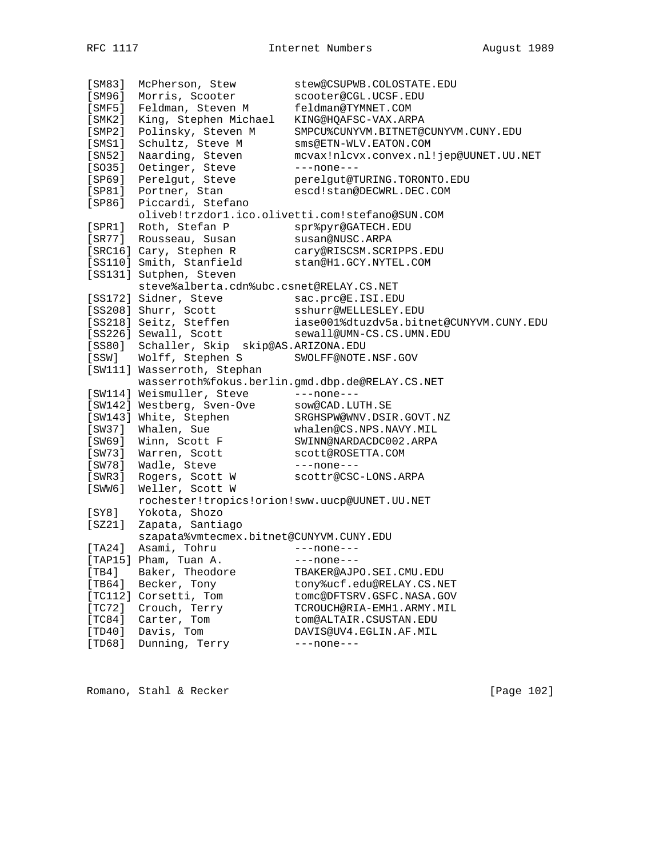[SM83] McPherson, Stew stew@CSUPWB.COLOSTATE.EDU [SM96] Morris, Scooter scooter@CGL.UCSF.EDU [SMF5] Feldman, Steven M feldman@TYMNET.COM [SMK2] King, Stephen Michael KING@HQAFSC-VAX.ARPA [SMP2] Polinsky, Steven M SMPCU%CUNYVM.BITNET@CUNYVM.CUNY.EDU [SMS1] Schultz, Steve M sms@ETN-WLV.EATON.COM [SN52] Naarding, Steven mcvax!nlcvx.convex.nl!jep@UUNET.UU.NET [SO35] Oetinger, Steve ---none---[SP69] Perelgut, Steve perelgut@TURING.TORONTO.EDU [SP81] Portner, Stan escd!stan@DECWRL.DEC.COM [SP86] Piccardi, Stefano oliveb!trzdor1.ico.olivetti.com!stefano@SUN.COM [SPR1] Roth, Stefan P spr%pyr@GATECH.EDU [SR77] Rousseau, Susan susan@NUSC.ARPA [SRC16] Cary, Stephen R cary@RISCSM.SCRIPPS.EDU [SS110] Smith, Stanfield stan@H1.GCY.NYTEL.COM [SS131] Sutphen, Steven steve%alberta.cdn%ubc.csnet@RELAY.CS.NET [SS172] Sidner, Steve sac.prc@E.ISI.EDU [SS208] Shurr, Scott sshurr@WELLESLEY.EDU [SS218] Seitz, Steffen iase001%dtuzdv5a.bitnet@CUNYVM.CUNY.EDU [SS226] Sewall, Scott sewall@UMN-CS.CS.UMN.EDU [SS80] Schaller, Skip skip@AS.ARIZONA.EDU [SSW] Wolff, Stephen S SWOLFF@NOTE.NSF.GOV [SW111] Wasserroth, Stephan wasserroth%fokus.berlin.gmd.dbp.de@RELAY.CS.NET [SW114] Weismuller, Steve ---none---[SW142] Westberg, Sven-Ove sow@CAD.LUTH.SE [SW143] White, Stephen SRGHSPW@WNV.DSIR.GOVT.NZ [SW37] Whalen, Sue whalen@CS.NPS.NAVY.MIL [SW69] Winn, Scott F SWINN@NARDACDC002.ARPA [SW73] Warren, Scott scott@ROSETTA.COM [SW78] Wadle, Steve ---none--- [SWR3] Rogers, Scott W scottr@CSC-LONS.ARPA [SWW6] Weller, Scott W rochester!tropics!orion!sww.uucp@UUNET.UU.NET [SY8] Yokota, Shozo [SZ21] Zapata, Santiago szapata%vmtecmex.bitnet@CUNYVM.CUNY.EDU [TA24] Asami, Tohru ---none---[TAP15] Pham, Tuan A. ---none---[TB4] Baker, Theodore TBAKER@AJPO.SEI.CMU.EDU [TB64] Becker, Tony tony%ucf.edu@RELAY.CS.NET [TC112] Corsetti, Tom tomc@DFTSRV.GSFC.NASA.GOV [TC72] Crouch, Terry TCROUCH@RIA-EMH1.ARMY.MIL [TC84] Carter, Tom tom@ALTAIR.CSUSTAN.EDU [TD40] Davis, Tom DAVIS@UV4.EGLIN.AF.MIL [TD68] Dunning, Terry ---none---

Romano, Stahl & Recker [Page 102]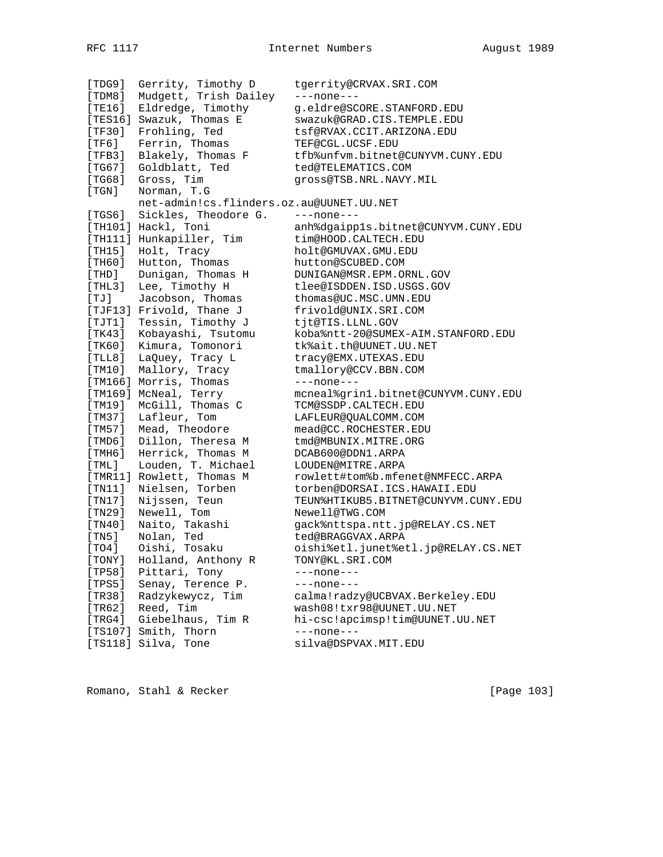[TDG9] Gerrity, Timothy D tgerrity@CRVAX.SRI.COM [TDM8] Mudgett, Trish Dailey ---none--- [TE16] Eldredge, Timothy g.eldre@SCORE.STANFORD.EDU [TES16] Swazuk, Thomas E swazuk@GRAD.CIS.TEMPLE.EDU [TF30] Frohling, Ted tsf@RVAX.CCIT.ARIZONA.EDU [TF6] Ferrin, Thomas TEF@CGL.UCSF.EDU [TFB3] Blakely, Thomas F tfb%unfvm.bitnet@CUNYVM.CUNY.EDU [TG67] Goldblatt, Ted ted@TELEMATICS.COM [TG68] Gross, Tim gross@TSB.NRL.NAVY.MIL [TGN] Norman, T.G net-admin!cs.flinders.oz.au@UUNET.UU.NET [TGS6] Sickles, Theodore G. ---none--- [TH101] Hackl, Toni anh%dgaipp1s.bitnet@CUNYVM.CUNY.EDU [TH111] Hunkapiller, Tim tim@HOOD.CALTECH.EDU [TH15] Holt, Tracy holt@GMUVAX.GMU.EDU [TH60] Hutton, Thomas hutton@SCUBED.COM [THD] Dunigan, Thomas H DUNIGAN@MSR.EPM.ORNL.GOV [THL3] Lee, Timothy H tlee@ISDDEN.ISD.USGS.GOV [TJ] Jacobson, Thomas thomas@UC.MSC.UMN.EDU [TJF13] Frivold, Thane J frivold@UNIX.SRI.COM [TJT1] Tessin, Timothy J tjt@TIS.LLNL.GOV [TK43] Kobayashi, Tsutomu koba%ntt-20@SUMEX-AIM.STANFORD.EDU [TK60] Kimura, Tomonori tk%ait.th@UUNET.UU.NET [TLL8] LaQuey, Tracy L tracy@EMX.UTEXAS.EDU [TM10] Mallory, Tracy tmallory@CCV.BBN.COM [TM166] Morris, Thomas ---none---[TM169] McNeal, Terry mcneal%grin1.bitnet@CUNYVM.CUNY.EDU [TM19] McGill, Thomas C TCM@SSDP.CALTECH.EDU [TM37] Lafleur, Tom LAFLEUR@QUALCOMM.COM [TM57] Mead, Theodore mead@CC.ROCHESTER.EDU [TMD6] Dillon, Theresa M tmd@MBUNIX.MITRE.ORG [TMH6] Herrick, Thomas M DCAB600@DDN1.ARPA [TML] Louden, T. Michael LOUDEN@MITRE.ARPA [TMR11] Rowlett, Thomas M rowlett#tom%b.mfenet@NMFECC.ARPA [TN11] Nielsen, Torben torben@DORSAI.ICS.HAWAII.EDU [TN17] Nijssen, Teun TEUN%HTIKUB5.BITNET@CUNYVM.CUNY.EDU [TN29] Newell, Tom Newell@TWG.COM [TN40] Naito, Takashi gack%nttspa.ntt.jp@RELAY.CS.NET [TN5] Nolan, Ted ted@BRAGGVAX.ARPA [TO4] Oishi, Tosaku oishi%etl.junet%etl.jp@RELAY.CS.NET [TONY] Holland, Anthony R TONY@KL.SRI.COM [TP58] Pittari, Tony ---none--- [TPS5] Senay, Terence P. ---none---[TR38] Radzykewycz, Tim calma!radzy@UCBVAX.Berkeley.EDU [TR62] Reed, Tim wash08!txr98@UUNET.UU.NET [TRG4] Giebelhaus, Tim R hi-csc!apcimsp!tim@UUNET.UU.NET [TS107] Smith, Thorn ---none---[TS118] Silva, Tone silva@DSPVAX.MIT.EDU

Romano, Stahl & Recker [Page 103]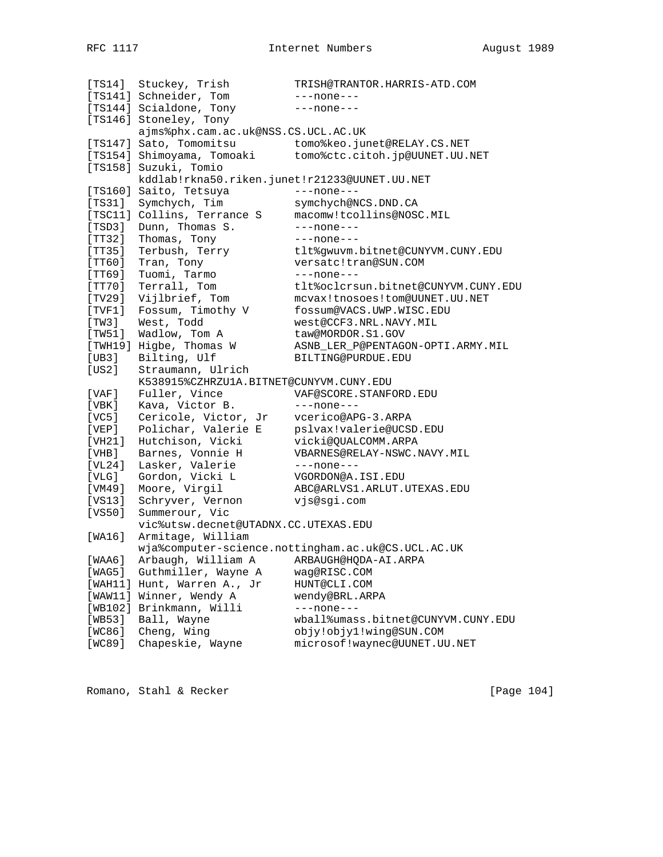[TS14] Stuckey, Trish TRISH@TRANTOR.HARRIS-ATD.COM [TS141] Schneider, Tom ---none---[TS144] Scialdone, Tony ---none--- [TS146] Stoneley, Tony ajms%phx.cam.ac.uk@NSS.CS.UCL.AC.UK [TS147] Sato, Tomomitsu tomo%keo.junet@RELAY.CS.NET [TS154] Shimoyama, Tomoaki tomo%ctc.citoh.jp@UUNET.UU.NET [TS158] Suzuki, Tomio<br>kddlab!rkna50.riken.junet!r21233@UUNET.UU.NET kddlab!rkna50.riken.junet!r21233@UUNET.UU.NET [TS160] Saito, Tetsuya ---none--- [TS31] Symchych, Tim symchych@NCS.DND.CA [TSC11] Collins, Terrance S macomw!tcollins@NOSC.MIL [TSD3] Dunn, Thomas S. ---none--- [TT32] Thomas, Tony ---none--- [TT35] Terbush, Terry tlt%gwuvm.bitnet@CUNYVM.CUNY.EDU [TT60] Tran, Tony versatc!tran@SUN.COM [TT69] Tuomi, Tarmo ----none---[TT70] Terrall, Tom tlt%oclcrsun.bitnet@CUNYVM.CUNY.EDU [TV29] Vijlbrief, Tom mcvax!tnosoes!tom@UUNET.UU.NET [TVF1] Fossum, Timothy V fossum@VACS.UWP.WISC.EDU [TW3] West, Todd west@CCF3.NRL.NAVY.MIL [TW51] Wadlow, Tom A taw@MORDOR.S1.GOV [TWH19] Higbe, Thomas W ASNB\_LER\_P@PENTAGON-OPTI.ARMY.MIL [UB3] Bilting, Ulf BILTING@PURDUE.EDU [US2] Straumann, Ulrich K538915%CZHRZU1A.BITNET@CUNYVM.CUNY.EDU [VAF] Fuller, Vince VAF@SCORE.STANFORD.EDU [VBK] Kava, Victor B. ---none---[VC5] Cericole, Victor, Jr vcerico@APG-3.ARPA [VEP] Polichar, Valerie E pslvax!valerie@UCSD.EDU [VH21] Hutchison, Vicki vicki@QUALCOMM.ARPA [VHB] Barnes, Vonnie H VBARNES@RELAY-NSWC.NAVY.MIL [VL24] Lasker, Valerie ---none---[VLG] Gordon, Vicki L VGORDON@A.ISI.EDU [VM49] Moore, Virgil ABC@ARLVS1.ARLUT.UTEXAS.EDU [VS13] Schryver, Vernon vjs@sgi.com [VS50] Summerour, Vic vic%utsw.decnet@UTADNX.CC.UTEXAS.EDU [WA16] Armitage, William wja%computer-science.nottingham.ac.uk@CS.UCL.AC.UK [WAA6] Arbaugh, William A ARBAUGH@HQDA-AI.ARPA [WAG5] Guthmiller, Wayne A wag@RISC.COM [WAH11] Hunt, Warren A., Jr HUNT@CLI.COM [WAW11] Winner, Wendy A wendy@BRL.ARPA [WB102] Brinkmann, Willi ---none---[WB53] Ball, Wayne wball%umass.bitnet@CUNYVM.CUNY.EDU [WC86] Cheng, Wing objy!objy1!wing@SUN.COM [WC89] Chapeskie, Wayne microsof!waynec@UUNET.UU.NET

Romano, Stahl & Recker [Page 104]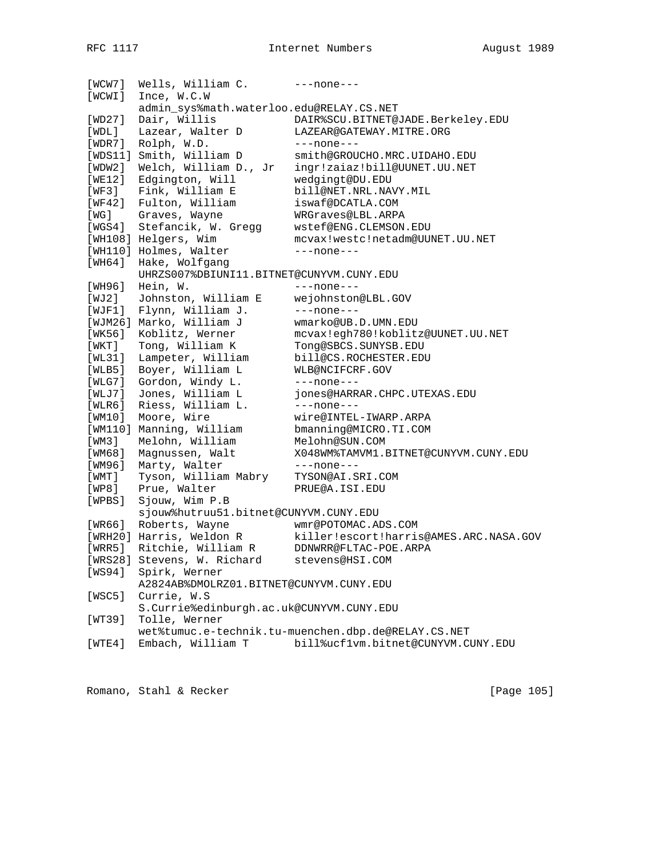[WCW7] Wells, William C. ---none---[WCWI] Ince, W.C.W admin\_sys%math.waterloo.edu@RELAY.CS.NET [WD27] Dair, Willis DAIR%SCU.BITNET@JADE.Berkeley.EDU [WDL] Lazear, Walter D LAZEAR@GATEWAY.MITRE.ORG [WDR7] Rolph, W.D. ---none---[WDS11] Smith, William D smith@GROUCHO.MRC.UIDAHO.EDU [WDW2] Welch, William D., Jr ingr!zaiaz!bill@UUNET.UU.NET [WE12] Edgington, Will wedgingt@DU.EDU [WF3] Fink, William E bill@NET.NRL.NAVY.MIL [WF42] Fulton, William iswaf@DCATLA.COM [WG] Graves, Wayne WRGraves@LBL.ARPA [WGS4] Stefancik, W. Gregg wstef@ENG.CLEMSON.EDU [WH108] Helgers, Wim mcvax!westc!netadm@UUNET.UU.NET [WH110] Holmes, Walter ---none---[WH64] Hake, Wolfgang UHRZS007%DBIUNI11.BITNET@CUNYVM.CUNY.EDU [WH96] Hein, W. ---none---[WJ2] Johnston, William E wejohnston@LBL.GOV [WJF1] Flynn, William J. ---none---[WJM26] Marko, William J wmarko@UB.D.UMN.EDU [WK56] Koblitz, Werner mcvax!egh780!koblitz@UUNET.UU.NET [WKT] Tong, William K Tong@SBCS.SUNYSB.EDU [WL31] Lampeter, William bill@CS.ROCHESTER.EDU [WLB5] Boyer, William L WLB@NCIFCRF.GOV [WLG7] Gordon, Windy L. ---none---[WLJ7] Jones, William L jones@HARRAR.CHPC.UTEXAS.EDU [WLR6] Riess, William L. ---none--- [WM10] Moore, Wire wire@INTEL-IWARP.ARPA [WM110] Manning, William bmanning@MICRO.TI.COM [WM3] Melohn, William Melohn@SUN.COM [WM68] Magnussen, Walt X048WM%TAMVM1.BITNET@CUNYVM.CUNY.EDU [WM96] Marty, Walter ---none---[WMT] Tyson, William Mabry TYSON@AI.SRI.COM [WP8] Prue, Walter PRUE@A.ISI.EDU [WP8] Prue, Walter PRUE@A.ISI.EDU<br>[WPBS] Sjouw, Wim P.B sjouw%hutruu51.bitnet@CUNYVM.CUNY.EDU [WR66] Roberts, Wayne wmr@POTOMAC.ADS.COM [WRH20] Harris, Weldon R killer!escort!harris@AMES.ARC.NASA.GOV [WRR5] Ritchie, William R DDNWRR@FLTAC-POE.ARPA [WRS28] Stevens, W. Richard stevens@HSI.COM [WS94] Spirk, Werner A2824AB%DMOLRZ01.BITNET@CUNYVM.CUNY.EDU [WSC5] Currie, W.S S.Currie%edinburgh.ac.uk@CUNYVM.CUNY.EDU [WT39] Tolle, Werner wet%tumuc.e-technik.tu-muenchen.dbp.de@RELAY.CS.NET [WTE4] Embach, William T bill%ucf1vm.bitnet@CUNYVM.CUNY.EDU

Romano, Stahl & Recker [Page 105]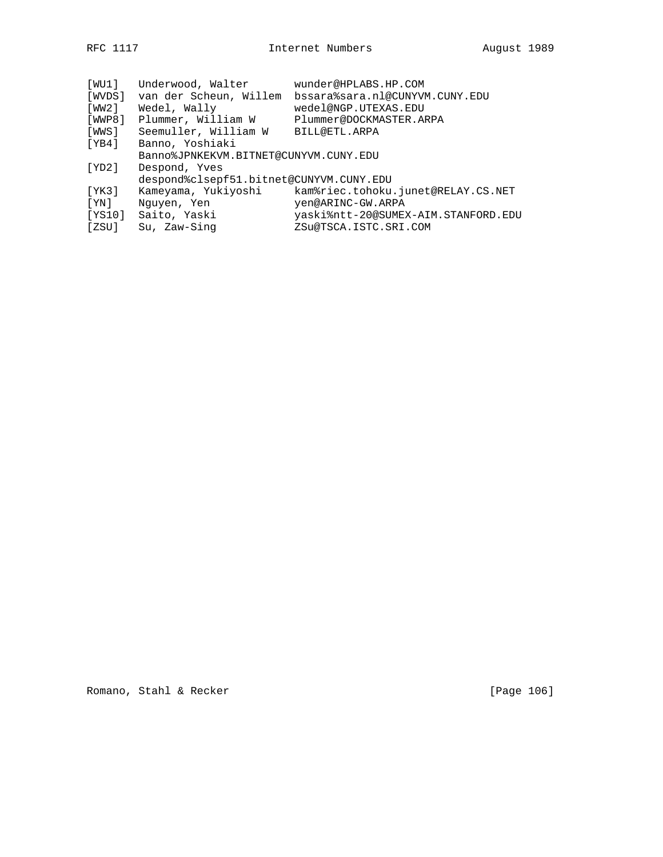| [WU1]   | Underwood, Walter                       | wunder@HPLABS.HP.COM                |
|---------|-----------------------------------------|-------------------------------------|
| [WVDS]  | van der Scheun, Willem                  | bssara%sara.nl@CUNYVM.CUNY.EDU      |
| [ WW2 ] | Wedel, Wally                            | wedel@NGP.UTEXAS.EDU                |
| [WWP8]  | Plummer, William W                      | Plummer@DOCKMASTER.ARPA             |
| [WWS]   | Seemuller, William W                    | BILL@ETL.ARPA                       |
| [YB4]   | Banno, Yoshiaki                         |                                     |
|         | Banno%JPNKEKVM.BITNET@CUNYVM.CUNY.EDU   |                                     |
| [ YD2 ] | Despond, Yves                           |                                     |
|         | despond%clsepf51.bitnet@CUNYVM.CUNY.EDU |                                     |
| [YK3]   | Kameyama, Yukiyoshi                     | kam%riec.tohoku.junet@RELAY.CS.NET  |
| [YN]    | Nguyen, Yen                             | yen@ARINC-GW.ARPA                   |
| [YS10]  | Saito, Yaski                            | yaski%ntt-20@SUMEX-AIM.STANFORD.EDU |
| [ZSU]   | Su, Zaw-Sing                            | ZSu@TSCA.ISTC.SRI.COM               |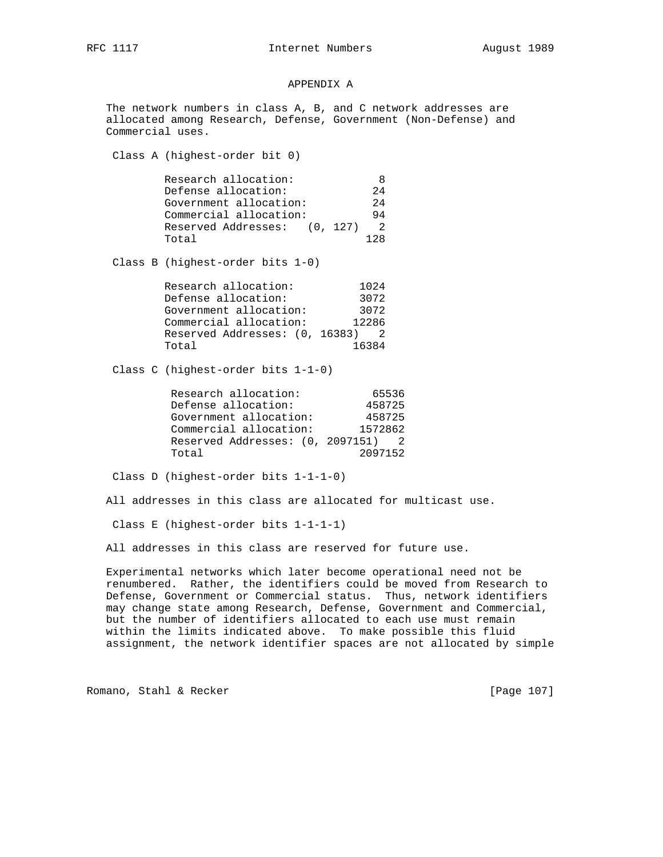## APPENDIX A

 The network numbers in class A, B, and C network addresses are allocated among Research, Defense, Government (Non-Defense) and Commercial uses.

Class A (highest-order bit 0)

| Research allocation:         |                |
|------------------------------|----------------|
| Defense allocation:          | 2.4            |
| Government allocation:       | 2.4            |
| Commercial allocation:       | 94             |
| Reserved Addresses: (0, 127) | $\overline{2}$ |
| Total                        | 1 2 R          |

Class B (highest-order bits 1-0)

| Research allocation:           | 1024  |
|--------------------------------|-------|
| Defense allocation:            | 3072  |
| Government allocation:         | 3072  |
| Commercial allocation:         | 12286 |
| Reserved Addresses: (0, 16383) |       |
| Total                          | 16384 |

Class C (highest-order bits 1-1-0)

| Research allocation:             | 65536   |
|----------------------------------|---------|
| Defense allocation:              | 458725  |
| Government allocation:           | 458725  |
| Commercial allocation:           | 1572862 |
| Reserved Addresses: (0, 2097151) |         |
| Total                            | 2097152 |

Class D (highest-order bits 1-1-1-0)

All addresses in this class are allocated for multicast use.

Class E (highest-order bits 1-1-1-1)

All addresses in this class are reserved for future use.

 Experimental networks which later become operational need not be renumbered. Rather, the identifiers could be moved from Research to Defense, Government or Commercial status. Thus, network identifiers may change state among Research, Defense, Government and Commercial, but the number of identifiers allocated to each use must remain within the limits indicated above. To make possible this fluid assignment, the network identifier spaces are not allocated by simple

Romano, Stahl & Recker [Page 107]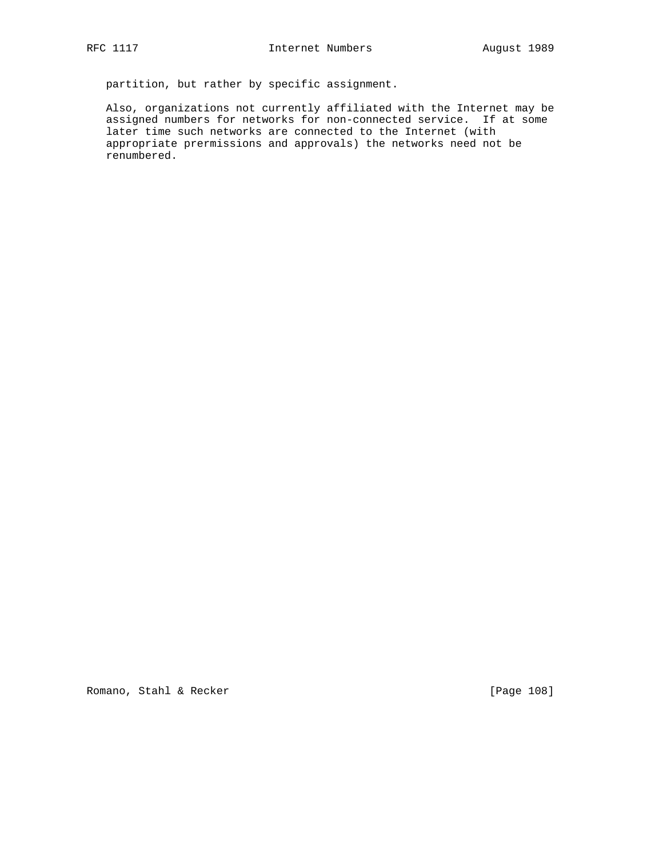partition, but rather by specific assignment.

 Also, organizations not currently affiliated with the Internet may be assigned numbers for networks for non-connected service. If at some later time such networks are connected to the Internet (with appropriate prermissions and approvals) the networks need not be renumbered.

Romano, Stahl & Recker [Page 108]